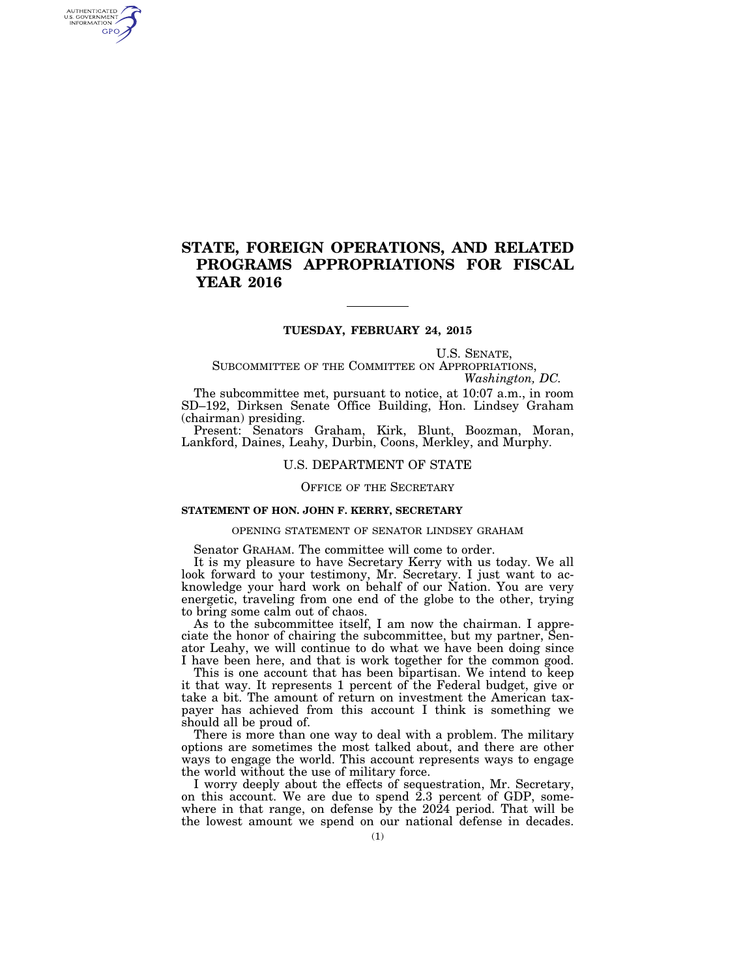## **STATE, FOREIGN OPERATIONS, AND RELATED PROGRAMS APPROPRIATIONS FOR FISCAL YEAR 2016**

## **TUESDAY, FEBRUARY 24, 2015**

U.S. SENATE,

SUBCOMMITTEE OF THE COMMITTEE ON APPROPRIATIONS, *Washington, DC.* 

The subcommittee met, pursuant to notice, at 10:07 a.m., in room SD–192, Dirksen Senate Office Building, Hon. Lindsey Graham (chairman) presiding.

Present: Senators Graham, Kirk, Blunt, Boozman, Moran, Lankford, Daines, Leahy, Durbin, Coons, Merkley, and Murphy.

## U.S. DEPARTMENT OF STATE

OFFICE OF THE SECRETARY

## **STATEMENT OF HON. JOHN F. KERRY, SECRETARY**

AUTHENTICATED<br>U.S. GOVERNMENT<br>INFORMATION **GPO** 

## OPENING STATEMENT OF SENATOR LINDSEY GRAHAM

Senator GRAHAM. The committee will come to order.

It is my pleasure to have Secretary Kerry with us today. We all look forward to your testimony, Mr. Secretary. I just want to acknowledge your hard work on behalf of our Nation. You are very energetic, traveling from one end of the globe to the other, trying to bring some calm out of chaos.

As to the subcommittee itself, I am now the chairman. I appreciate the honor of chairing the subcommittee, but my partner, Senator Leahy, we will continue to do what we have been doing since I have been here, and that is work together for the common good.

This is one account that has been bipartisan. We intend to keep it that way. It represents 1 percent of the Federal budget, give or take a bit. The amount of return on investment the American taxpayer has achieved from this account I think is something we should all be proud of.

There is more than one way to deal with a problem. The military options are sometimes the most talked about, and there are other ways to engage the world. This account represents ways to engage the world without the use of military force.

I worry deeply about the effects of sequestration, Mr. Secretary, on this account. We are due to spend 2.3 percent of GDP, somewhere in that range, on defense by the 2024 period. That will be the lowest amount we spend on our national defense in decades.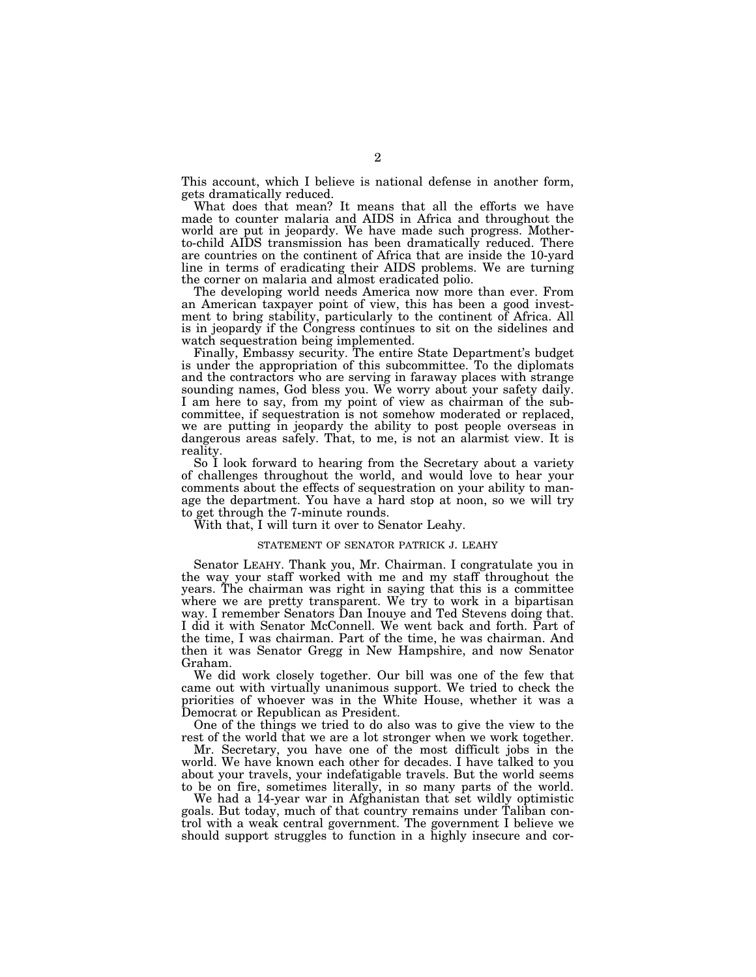This account, which I believe is national defense in another form, gets dramatically reduced.

What does that mean? It means that all the efforts we have made to counter malaria and AIDS in Africa and throughout the world are put in jeopardy. We have made such progress. Motherto-child AIDS transmission has been dramatically reduced. There are countries on the continent of Africa that are inside the 10-yard line in terms of eradicating their AIDS problems. We are turning the corner on malaria and almost eradicated polio.

The developing world needs America now more than ever. From an American taxpayer point of view, this has been a good investment to bring stability, particularly to the continent of Africa. All is in jeopardy if the Congress continues to sit on the sidelines and watch sequestration being implemented.

Finally, Embassy security. The entire State Department's budget is under the appropriation of this subcommittee. To the diplomats and the contractors who are serving in faraway places with strange sounding names, God bless you. We worry about your safety daily. I am here to say, from my point of view as chairman of the subcommittee, if sequestration is not somehow moderated or replaced, we are putting in jeopardy the ability to post people overseas in dangerous areas safely. That, to me, is not an alarmist view. It is reality.

So I look forward to hearing from the Secretary about a variety of challenges throughout the world, and would love to hear your comments about the effects of sequestration on your ability to manage the department. You have a hard stop at noon, so we will try to get through the 7-minute rounds.

With that, I will turn it over to Senator Leahy.

## STATEMENT OF SENATOR PATRICK J. LEAHY

Senator LEAHY. Thank you, Mr. Chairman. I congratulate you in the way your staff worked with me and my staff throughout the years. The chairman was right in saying that this is a committee where we are pretty transparent. We try to work in a bipartisan way. I remember Senators Dan Inouye and Ted Stevens doing that. I did it with Senator McConnell. We went back and forth. Part of the time, I was chairman. Part of the time, he was chairman. And then it was Senator Gregg in New Hampshire, and now Senator Graham.

We did work closely together. Our bill was one of the few that came out with virtually unanimous support. We tried to check the priorities of whoever was in the White House, whether it was a Democrat or Republican as President.

One of the things we tried to do also was to give the view to the rest of the world that we are a lot stronger when we work together.

Mr. Secretary, you have one of the most difficult jobs in the world. We have known each other for decades. I have talked to you about your travels, your indefatigable travels. But the world seems to be on fire, sometimes literally, in so many parts of the world.

We had a 14-year war in Afghanistan that set wildly optimistic goals. But today, much of that country remains under Taliban control with a weak central government. The government I believe we should support struggles to function in a highly insecure and cor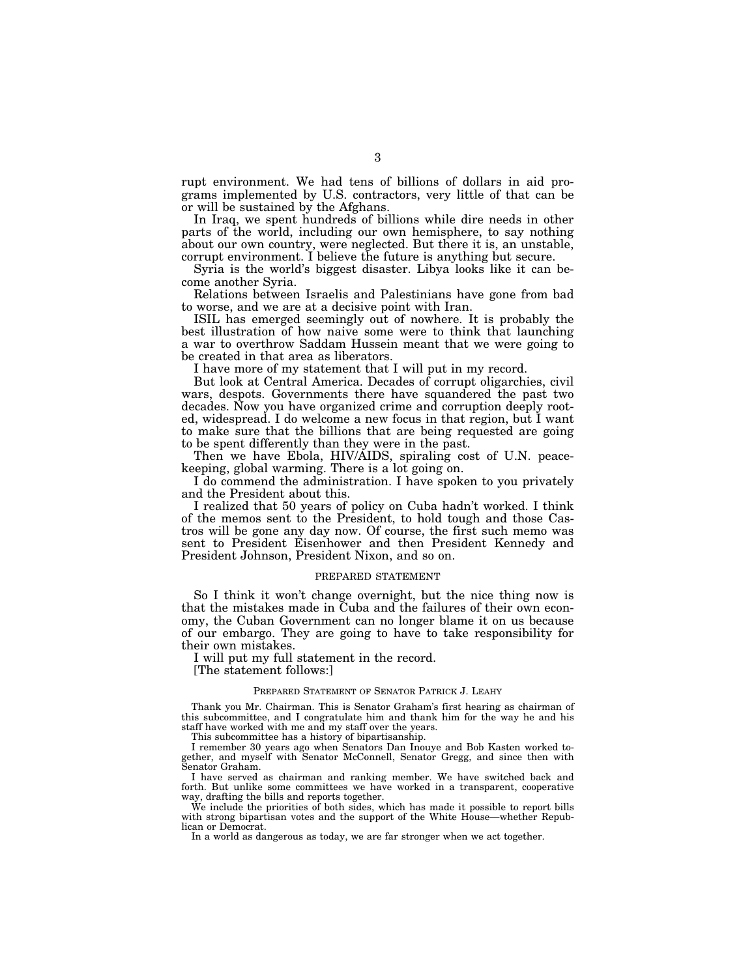rupt environment. We had tens of billions of dollars in aid programs implemented by U.S. contractors, very little of that can be or will be sustained by the Afghans.

In Iraq, we spent hundreds of billions while dire needs in other parts of the world, including our own hemisphere, to say nothing about our own country, were neglected. But there it is, an unstable, corrupt environment. I believe the future is anything but secure.

Syria is the world's biggest disaster. Libya looks like it can become another Syria.

Relations between Israelis and Palestinians have gone from bad to worse, and we are at a decisive point with Iran.

ISIL has emerged seemingly out of nowhere. It is probably the best illustration of how naive some were to think that launching a war to overthrow Saddam Hussein meant that we were going to be created in that area as liberators.

I have more of my statement that I will put in my record.

But look at Central America. Decades of corrupt oligarchies, civil wars, despots. Governments there have squandered the past two decades. Now you have organized crime and corruption deeply rooted, widespread. I do welcome a new focus in that region, but I want to make sure that the billions that are being requested are going to be spent differently than they were in the past.

Then we have Ebola, HIV/AIDS, spiraling cost of U.N. peacekeeping, global warming. There is a lot going on.

I do commend the administration. I have spoken to you privately and the President about this.

I realized that 50 years of policy on Cuba hadn't worked. I think of the memos sent to the President, to hold tough and those Castros will be gone any day now. Of course, the first such memo was sent to President Eisenhower and then President Kennedy and President Johnson, President Nixon, and so on.

## PREPARED STATEMENT

So I think it won't change overnight, but the nice thing now is that the mistakes made in Cuba and the failures of their own economy, the Cuban Government can no longer blame it on us because of our embargo. They are going to have to take responsibility for their own mistakes.

I will put my full statement in the record.

[The statement follows:]

## PREPARED STATEMENT OF SENATOR PATRICK J. LEAHY

Thank you Mr. Chairman. This is Senator Graham's first hearing as chairman of this subcommittee, and I congratulate him and thank him for the way he and his staff have worked with me and my staff over the years.

This subcommittee has a history of bipartisanship.

I remember 30 years ago when Senators Dan Inouye and Bob Kasten worked together, and myself with Senator McConnell, Senator Gregg, and since then with Senator Graham.

I have served as chairman and ranking member. We have switched back and forth. But unlike some committees we have worked in a transparent, cooperative way, drafting the bills and reports together.

We include the priorities of both sides, which has made it possible to report bills with strong bipartisan votes and the support of the White House—whether Republican or Democrat.

In a world as dangerous as today, we are far stronger when we act together.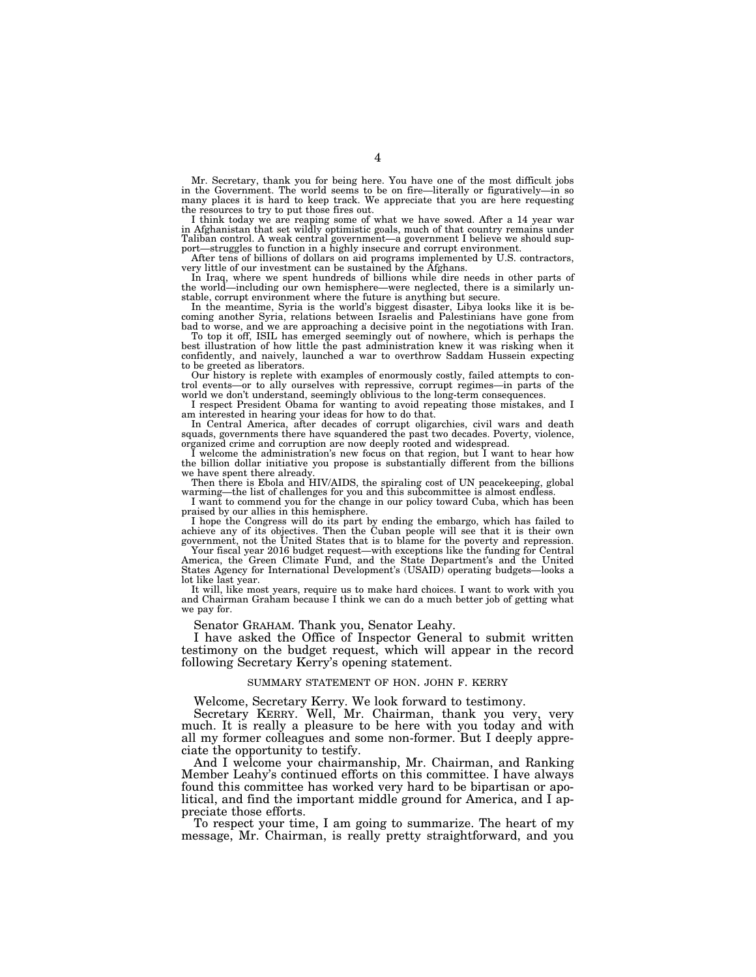Mr. Secretary, thank you for being here. You have one of the most difficult jobs in the Government. The world seems to be on fire—literally or figuratively—in so many places it is hard to keep track. We appreciate that you are here requesting the resources to try to put those fires out.

I think today we are reaping some of what we have sowed. After a 14 year war in Afghanistan that set wildly optimistic goals, much of that country remains under Taliban control. A weak central government—a government I believe we should support—struggles to function in a highly insecure and corrupt environment.

After tens of billions of dollars on aid programs implemented by U.S. contractors, very little of our investment can be sustained by the Afghans.

In Iraq, where we spent hundreds of billions while dire needs in other parts of the world—including our own hemisphere—were neglected, there is a similarly unstable, corrupt environment where the future is anything but secure.

In the meantime, Syria is the world's biggest disaster, Libya looks like it is be-coming another Syria, relations between Israelis and Palestinians have gone from

bad to worse, and we are approaching a decisive point in the negotiations with Iran. To top it off, ISIL has emerged seemingly out of nowhere, which is perhaps the best illustration of how little the past administration knew it was risking when it confidently, and naively, launched a war to overthrow Saddam Hussein expecting to be greeted as liberators.

Our history is replete with examples of enormously costly, failed attempts to control events—or to ally ourselves with repressive, corrupt regimes—in parts of the world we don't understand, seemingly oblivious to the long-term consequences.

I respect President Obama for wanting to avoid repeating those mistakes, and I am interested in hearing your ideas for how to do that.

In Central America, after decades of corrupt oligarchies, civil wars and death squads, governments there have squandered the past two decades. Poverty, violence, organized crime and corruption are now deeply rooted and widespread.

I welcome the administration's new focus on that region, but I want to hear how the billion dollar initiative you propose is substantially different from the billions we have spent there already.

Then there is Ebola and HIV/AIDS, the spiraling cost of UN peacekeeping, global warming—the list of challenges for you and this subcommittee is almost endless.

I want to commend you for the change in our policy toward Cuba, which has been praised by our allies in this hemisphere.

I hope the Congress will do its part by ending the embargo, which has failed to achieve any of its objectives. Then the Cuban people will see that it is their own government, not the United States that is to blame for the poverty and repression.

Your fiscal year 2016 budget request—with exceptions like the funding for Central America, the Green Climate Fund, and the State Department's and the United States Agency for International Development's (USAID) operating budgets—looks a lot like last year.

It will, like most years, require us to make hard choices. I want to work with you and Chairman Graham because I think we can do a much better job of getting what we pay for.

Senator GRAHAM. Thank you, Senator Leahy.

I have asked the Office of Inspector General to submit written testimony on the budget request, which will appear in the record following Secretary Kerry's opening statement.

## SUMMARY STATEMENT OF HON. JOHN F. KERRY

Welcome, Secretary Kerry. We look forward to testimony.

Secretary KERRY. Well, Mr. Chairman, thank you very, very much. It is really a pleasure to be here with you today and with all my former colleagues and some non-former. But I deeply appreciate the opportunity to testify.

And I welcome your chairmanship, Mr. Chairman, and Ranking Member Leahy's continued efforts on this committee. I have always found this committee has worked very hard to be bipartisan or apolitical, and find the important middle ground for America, and I appreciate those efforts.

To respect your time, I am going to summarize. The heart of my message, Mr. Chairman, is really pretty straightforward, and you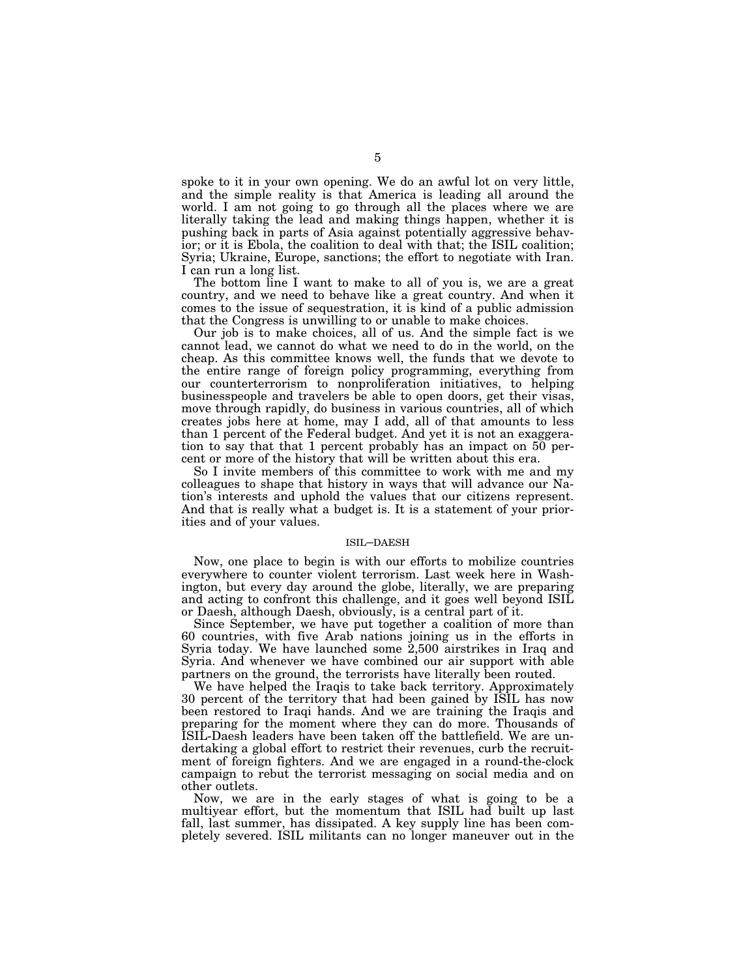spoke to it in your own opening. We do an awful lot on very little, and the simple reality is that America is leading all around the world. I am not going to go through all the places where we are literally taking the lead and making things happen, whether it is pushing back in parts of Asia against potentially aggressive behavior; or it is Ebola, the coalition to deal with that; the ISIL coalition; Syria; Ukraine, Europe, sanctions; the effort to negotiate with Iran. I can run a long list.

The bottom line I want to make to all of you is, we are a great country, and we need to behave like a great country. And when it comes to the issue of sequestration, it is kind of a public admission that the Congress is unwilling to or unable to make choices.

Our job is to make choices, all of us. And the simple fact is we cannot lead, we cannot do what we need to do in the world, on the cheap. As this committee knows well, the funds that we devote to the entire range of foreign policy programming, everything from our counterterrorism to nonproliferation initiatives, to helping businesspeople and travelers be able to open doors, get their visas, move through rapidly, do business in various countries, all of which creates jobs here at home, may I add, all of that amounts to less than 1 percent of the Federal budget. And yet it is not an exaggeration to say that that 1 percent probably has an impact on 50 percent or more of the history that will be written about this era.

So I invite members of this committee to work with me and my colleagues to shape that history in ways that will advance our Nation's interests and uphold the values that our citizens represent. And that is really what a budget is. It is a statement of your priorities and of your values.

## ISIL–DAESH

Now, one place to begin is with our efforts to mobilize countries everywhere to counter violent terrorism. Last week here in Washington, but every day around the globe, literally, we are preparing and acting to confront this challenge, and it goes well beyond ISIL or Daesh, although Daesh, obviously, is a central part of it.

Since September, we have put together a coalition of more than 60 countries, with five Arab nations joining us in the efforts in Syria today. We have launched some 2,500 airstrikes in Iraq and Syria. And whenever we have combined our air support with able partners on the ground, the terrorists have literally been routed.

We have helped the Iraqis to take back territory. Approximately 30 percent of the territory that had been gained by ISIL has now been restored to Iraqi hands. And we are training the Iraqis and preparing for the moment where they can do more. Thousands of ISIL-Daesh leaders have been taken off the battlefield. We are undertaking a global effort to restrict their revenues, curb the recruitment of foreign fighters. And we are engaged in a round-the-clock campaign to rebut the terrorist messaging on social media and on other outlets.

Now, we are in the early stages of what is going to be a multiyear effort, but the momentum that ISIL had built up last fall, last summer, has dissipated. A key supply line has been completely severed. ISIL militants can no longer maneuver out in the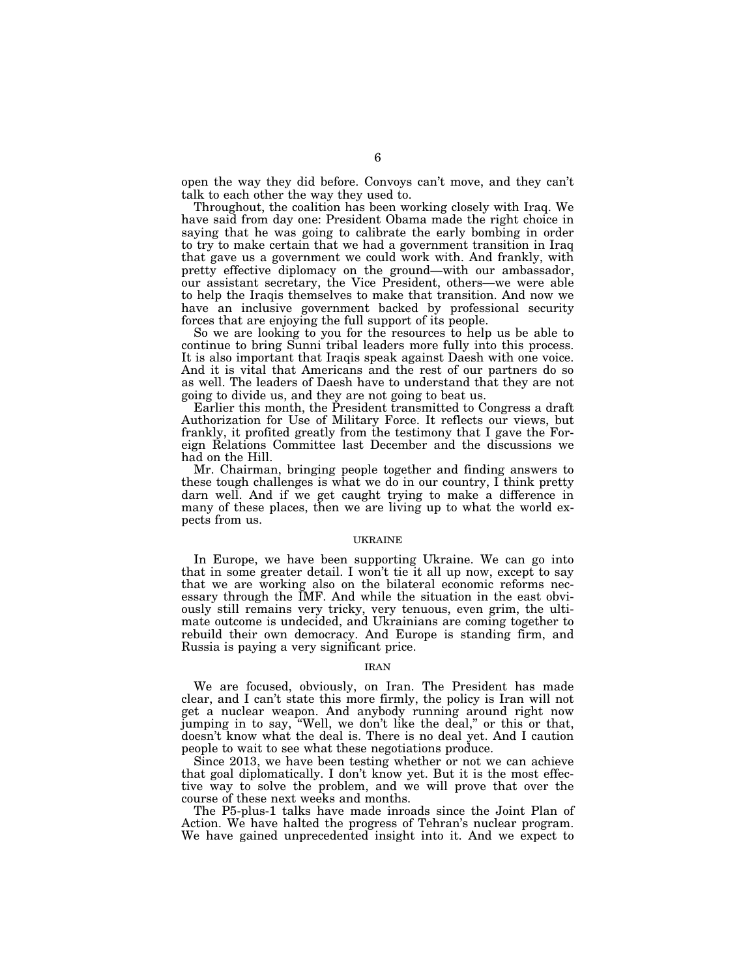open the way they did before. Convoys can't move, and they can't talk to each other the way they used to.

Throughout, the coalition has been working closely with Iraq. We have said from day one: President Obama made the right choice in saying that he was going to calibrate the early bombing in order to try to make certain that we had a government transition in Iraq that gave us a government we could work with. And frankly, with pretty effective diplomacy on the ground—with our ambassador, our assistant secretary, the Vice President, others—we were able to help the Iraqis themselves to make that transition. And now we have an inclusive government backed by professional security forces that are enjoying the full support of its people.

So we are looking to you for the resources to help us be able to continue to bring Sunni tribal leaders more fully into this process. It is also important that Iraqis speak against Daesh with one voice. And it is vital that Americans and the rest of our partners do so as well. The leaders of Daesh have to understand that they are not going to divide us, and they are not going to beat us.

Earlier this month, the President transmitted to Congress a draft Authorization for Use of Military Force. It reflects our views, but frankly, it profited greatly from the testimony that I gave the Foreign Relations Committee last December and the discussions we had on the Hill.

Mr. Chairman, bringing people together and finding answers to these tough challenges is what we do in our country, I think pretty darn well. And if we get caught trying to make a difference in many of these places, then we are living up to what the world expects from us.

## UKRAINE

In Europe, we have been supporting Ukraine. We can go into that in some greater detail. I won't tie it all up now, except to say that we are working also on the bilateral economic reforms necessary through the IMF. And while the situation in the east obviously still remains very tricky, very tenuous, even grim, the ultimate outcome is undecided, and Ukrainians are coming together to rebuild their own democracy. And Europe is standing firm, and Russia is paying a very significant price.

## IRAN

We are focused, obviously, on Iran. The President has made clear, and I can't state this more firmly, the policy is Iran will not get a nuclear weapon. And anybody running around right now jumping in to say, ''Well, we don't like the deal,'' or this or that, doesn't know what the deal is. There is no deal yet. And I caution people to wait to see what these negotiations produce.

Since 2013, we have been testing whether or not we can achieve that goal diplomatically. I don't know yet. But it is the most effective way to solve the problem, and we will prove that over the course of these next weeks and months.

The P5-plus-1 talks have made inroads since the Joint Plan of Action. We have halted the progress of Tehran's nuclear program. We have gained unprecedented insight into it. And we expect to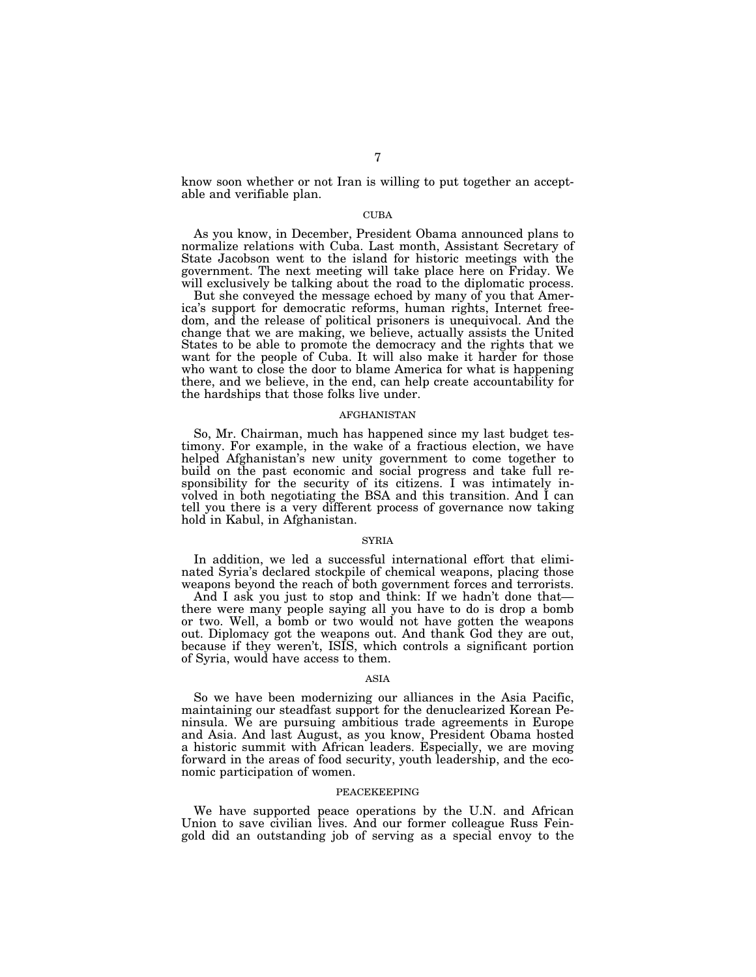know soon whether or not Iran is willing to put together an acceptable and verifiable plan.

## CUBA

As you know, in December, President Obama announced plans to normalize relations with Cuba. Last month, Assistant Secretary of State Jacobson went to the island for historic meetings with the government. The next meeting will take place here on Friday. We will exclusively be talking about the road to the diplomatic process.

But she conveyed the message echoed by many of you that America's support for democratic reforms, human rights, Internet freedom, and the release of political prisoners is unequivocal. And the change that we are making, we believe, actually assists the United States to be able to promote the democracy and the rights that we want for the people of Cuba. It will also make it harder for those who want to close the door to blame America for what is happening there, and we believe, in the end, can help create accountability for the hardships that those folks live under.

## AFGHANISTAN

So, Mr. Chairman, much has happened since my last budget testimony. For example, in the wake of a fractious election, we have helped Afghanistan's new unity government to come together to build on the past economic and social progress and take full responsibility for the security of its citizens. I was intimately involved in both negotiating the BSA and this transition. And I can tell you there is a very different process of governance now taking hold in Kabul, in Afghanistan.

## SYRIA

In addition, we led a successful international effort that eliminated Syria's declared stockpile of chemical weapons, placing those weapons beyond the reach of both government forces and terrorists.

And I ask you just to stop and think: If we hadn't done that there were many people saying all you have to do is drop a bomb or two. Well, a bomb or two would not have gotten the weapons out. Diplomacy got the weapons out. And thank God they are out, because if they weren't, ISIS, which controls a significant portion of Syria, would have access to them.

## ASIA

So we have been modernizing our alliances in the Asia Pacific, maintaining our steadfast support for the denuclearized Korean Peninsula. We are pursuing ambitious trade agreements in Europe and Asia. And last August, as you know, President Obama hosted a historic summit with African leaders. Especially, we are moving forward in the areas of food security, youth leadership, and the economic participation of women.

## PEACEKEEPING

We have supported peace operations by the U.N. and African Union to save civilian lives. And our former colleague Russ Feingold did an outstanding job of serving as a special envoy to the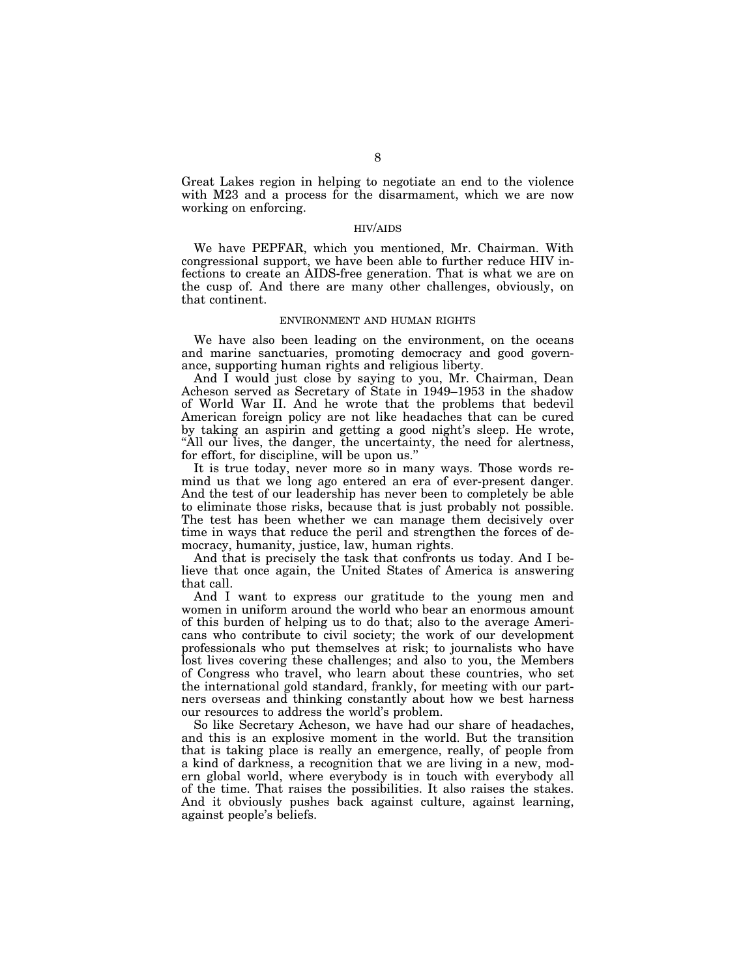Great Lakes region in helping to negotiate an end to the violence with M23 and a process for the disarmament, which we are now working on enforcing.

## HIV/AIDS

We have PEPFAR, which you mentioned, Mr. Chairman. With congressional support, we have been able to further reduce HIV infections to create an AIDS-free generation. That is what we are on the cusp of. And there are many other challenges, obviously, on that continent.

## ENVIRONMENT AND HUMAN RIGHTS

We have also been leading on the environment, on the oceans and marine sanctuaries, promoting democracy and good governance, supporting human rights and religious liberty.

And I would just close by saying to you, Mr. Chairman, Dean Acheson served as Secretary of State in 1949–1953 in the shadow of World War II. And he wrote that the problems that bedevil American foreign policy are not like headaches that can be cured by taking an aspirin and getting a good night's sleep. He wrote, "All our lives, the danger, the uncertainty, the need for alertness, for effort, for discipline, will be upon us.''

It is true today, never more so in many ways. Those words remind us that we long ago entered an era of ever-present danger. And the test of our leadership has never been to completely be able to eliminate those risks, because that is just probably not possible. The test has been whether we can manage them decisively over time in ways that reduce the peril and strengthen the forces of democracy, humanity, justice, law, human rights.

And that is precisely the task that confronts us today. And I believe that once again, the United States of America is answering that call.

And I want to express our gratitude to the young men and women in uniform around the world who bear an enormous amount of this burden of helping us to do that; also to the average Americans who contribute to civil society; the work of our development professionals who put themselves at risk; to journalists who have lost lives covering these challenges; and also to you, the Members of Congress who travel, who learn about these countries, who set the international gold standard, frankly, for meeting with our partners overseas and thinking constantly about how we best harness our resources to address the world's problem.

So like Secretary Acheson, we have had our share of headaches, and this is an explosive moment in the world. But the transition that is taking place is really an emergence, really, of people from a kind of darkness, a recognition that we are living in a new, modern global world, where everybody is in touch with everybody all of the time. That raises the possibilities. It also raises the stakes. And it obviously pushes back against culture, against learning, against people's beliefs.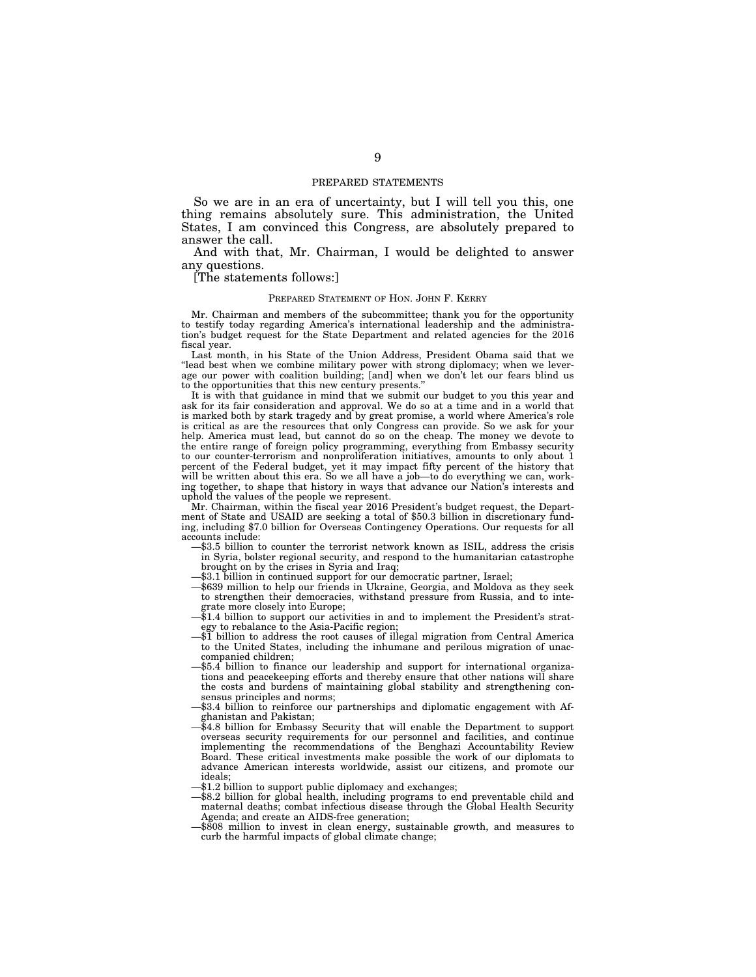## PREPARED STATEMENTS

So we are in an era of uncertainty, but I will tell you this, one thing remains absolutely sure. This administration, the United States, I am convinced this Congress, are absolutely prepared to answer the call.

And with that, Mr. Chairman, I would be delighted to answer any questions.

## [The statements follows:]

#### PREPARED STATEMENT OF HON. JOHN F. KERRY

Mr. Chairman and members of the subcommittee; thank you for the opportunity to testify today regarding America's international leadership and the administration's budget request for the State Department and related agencies for the 2016 fiscal year.

Last month, in his State of the Union Address, President Obama said that we ''lead best when we combine military power with strong diplomacy; when we leverage our power with coalition building; [and] when we don't let our fears blind us to the opportunities that this new century presents.''

It is with that guidance in mind that we submit our budget to you this year and ask for its fair consideration and approval. We do so at a time and in a world that is marked both by stark tragedy and by great promise, a world where America's role is critical as are the resources that only Congress can provide. So we ask for your help. America must lead, but cannot do so on the cheap. The money we devote to the entire range of foreign policy programming, everything from Embassy security to our counter-terrorism and nonproliferation initiatives, amounts to only about 1 percent of the Federal budget, yet it may impact fifty percent of the history that will be written about this era. So we all have a job—to do everything we can, working together, to shape that history in ways that advance our Nation's interests and uphold the values of the people we represent.

Mr. Chairman, within the fiscal year 2016 President's budget request, the Department of State and USAID are seeking a total of \$50.3 billion in discretionary funding, including \$7.0 billion for Overseas Contingency Operations. Our requests for all accounts include:

- —\$3.5 billion to counter the terrorist network known as ISIL, address the crisis in Syria, bolster regional security, and respond to the humanitarian catastrophe brought on by the crises in Syria and Iraq;
- —\$3.1 billion in continued support for our democratic partner, Israel;
- —\$639 million to help our friends in Ukraine, Georgia, and Moldova as they seek to strengthen their democracies, withstand pressure from Russia, and to integrate more closely into Europe;
- —\$1.4 billion to support our activities in and to implement the President's strategy to rebalance to the Asia-Pacific region;
- —\$1 billion to address the root causes of illegal migration from Central America to the United States, including the inhumane and perilous migration of unaccompanied children;
- —\$5.4 billion to finance our leadership and support for international organizations and peacekeeping efforts and thereby ensure that other nations will share the costs and burdens of maintaining global stability and strengthening consensus principles and norms;
- —\$3.4 billion to reinforce our partnerships and diplomatic engagement with Afghanistan and Pakistan;
- —\$4.8 billion for Embassy Security that will enable the Department to support overseas security requirements for our personnel and facilities, and continue implementing the recommendations of the Benghazi Accountability Review Board. These critical investments make possible the work of our diplomats to advance American interests worldwide, assist our citizens, and promote our ideals;
- —\$1.2 billion to support public diplomacy and exchanges;
- —\$8.2 billion for global health, including programs to end preventable child and maternal deaths; combat infectious disease through the Global Health Security Agenda; and create an AIDS-free generation;
- —\$808 million to invest in clean energy, sustainable growth, and measures to curb the harmful impacts of global climate change;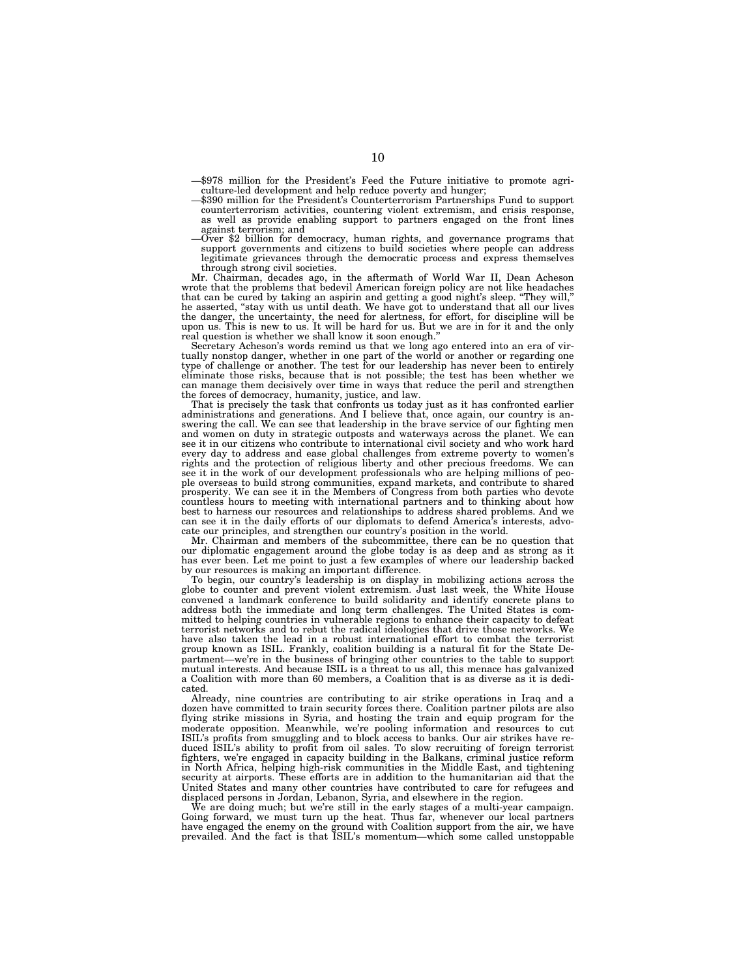—\$978 million for the President's Feed the Future initiative to promote agriculture-led development and help reduce poverty and hunger;<br>\$390 million for the President's Counterterrorism Partnerships Fund to support

- counterterrorism activities, countering violent extremism, and crisis response, as well as provide enabling support to partners engaged on the front lines
- against terrorism; and —Over \$2 billion for democracy, human rights, and governance programs that support governments and citizens to build societies where people can address legitimate grievances through the democratic process and express themselves through strong civil societies.

Mr. Chairman, decades ago, in the aftermath of World War II, Dean Acheson wrote that the problems that bedevil American foreign policy are not like headaches that can be cured by taking an aspirin and getting a good night's sleep. ''They will,'' he asserted, ''stay with us until death. We have got to understand that all our lives the danger, the uncertainty, the need for alertness, for effort, for discipline will be upon us. This is new to us. It will be hard for us. But we are in for it and the only real question is whether we shall know it soon enough.''

Secretary Acheson's words remind us that we long ago entered into an era of vir-tually nonstop danger, whether in one part of the world or another or regarding one type of challenge or another. The test for our leadership has never been to entirely eliminate those risks, because that is not possible; the test has been whether we can manage them decisively over time in ways that reduce the peril and strengthen the forces of democracy, humanity, justice, and law.

That is precisely the task that confronts us today just as it has confronted earlier administrations and generations. And I believe that, once again, our country is answering the call. We can see that leadership in the brave service of our fighting men and women on duty in strategic outposts and waterways across the planet. We can see it in our citizens who contribute to international civil society and who work hard every day to address and ease global challenges from extreme poverty to women's rights and the protection of religious liberty and other precious freedoms. We can see it in the work of our development professionals who are helping millions of people overseas to build strong communities, expand markets, and contribute to shared prosperity. We can see it in the Members of Congress from both parties who devote countless hours to meeting with international partners and to thinking about how best to harness our resources and relationships to address shared problems. And we can see it in the daily efforts of our diplomats to defend America's interests, advocate our principles, and strengthen our country's position in the world.

Mr. Chairman and members of the subcommittee, there can be no question that our diplomatic engagement around the globe today is as deep and as strong as it has ever been. Let me point to just a few examples of where our leadership backed by our resources is making an important difference.

To begin, our country's leadership is on display in mobilizing actions across the globe to counter and prevent violent extremism. Just last week, the White House convened a landmark conference to build solidarity and identify concrete plans to address both the immediate and long term challenges. The United States is committed to helping countries in vulnerable regions to enhance their capacity to defeat terrorist networks and to rebut the radical ideologies that drive those networks. We have also taken the lead in a robust international effort to combat the terrorist group known as ISIL. Frankly, coalition building is a natural fit for the State Department—we're in the business of bringing other countries to the table to support mutual interests. And because ISIL is a threat to us all, this menace has galvanized a Coalition with more than 60 members, a Coalition that is as diverse as it is dedicated.

Already, nine countries are contributing to air strike operations in Iraq and a dozen have committed to train security forces there. Coalition partner pilots are also flying strike missions in Syria, and hosting the train and equip program for the moderate opposition. Meanwhile, we're pooling information and resources to cut ISIL's profits from smuggling and to block access to banks. Our air strikes have reduced ISIL's ability to profit from oil sales. To slow recruiting of foreign terrorist fighters, we're engaged in capacity building in the Balkans, criminal justice reform in North Africa, helping high-risk communities in the Middle East, and tightening security at airports. These efforts are in addition to the humanitarian aid that the United States and many other countries have contributed to care for refugees and displaced persons in Jordan, Lebanon, Syria, and elsewhere in the region.

We are doing much; but we're still in the early stages of a multi-year campaign. Going forward, we must turn up the heat. Thus far, whenever our local partners have engaged the enemy on the ground with Coalition support from the air, we have prevailed. And the fact is that ISIL's momentum—which some called unstoppable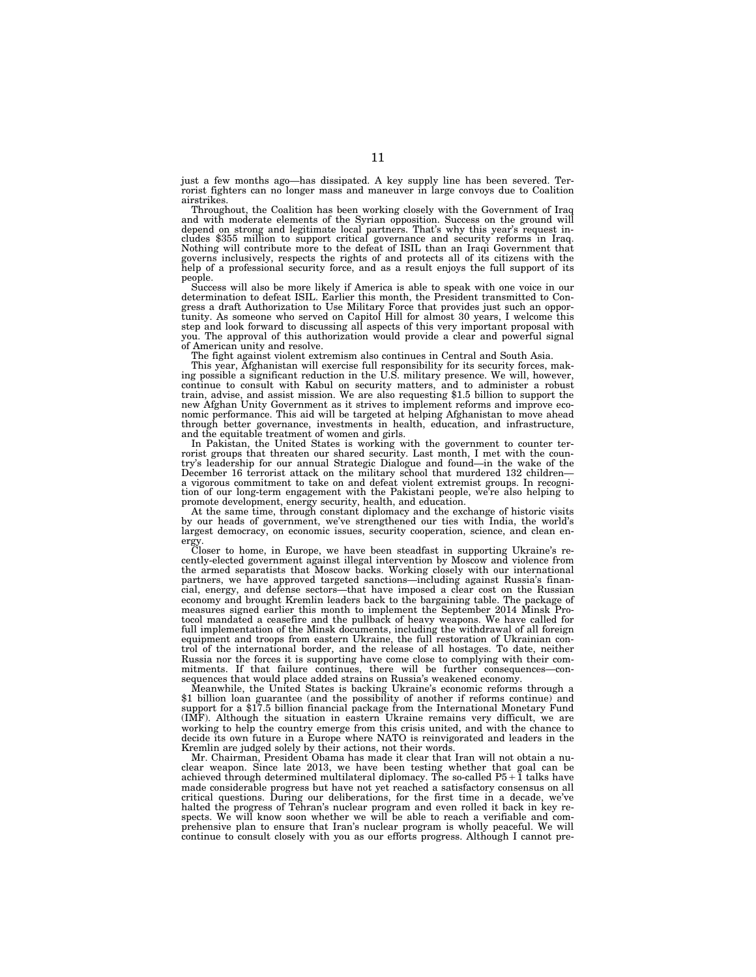just a few months ago—has dissipated. A key supply line has been severed. Terrorist fighters can no longer mass and maneuver in large convoys due to Coalition airstrikes.

Throughout, the Coalition has been working closely with the Government of Iraq and with moderate elements of the Syrian opposition. Success on the ground will depend on strong and legitimate local partners. That's why this year's request in-cludes \$355 million to support critical governance and security reforms in Iraq. Nothing will contribute more to the defeat of ISIL than an Iraqi Government that governs inclusively, respects the rights of and protects all of its citizens with the help of a professional security force, and as a result enjoys the full support of its people.

Success will also be more likely if America is able to speak with one voice in our determination to defeat ISIL. Earlier this month, the President transmitted to Congress a draft Authorization to Use Military Force that provides just such an oppor-tunity. As someone who served on Capitol Hill for almost 30 years, I welcome this step and look forward to discussing all aspects of this very important proposal with you. The approval of this authorization would provide a clear and powerful signal of American unity and resolve.

The fight against violent extremism also continues in Central and South Asia.

This year, Afghanistan will exercise full responsibility for its security forces, mak-ing possible a significant reduction in the U.S. military presence. We will, however, continue to consult with Kabul on security matters, and to administer a robust train, advise, and assist mission. We are also requesting \$1.5 billion to support the new Afghan Unity Government as it strives to implement reforms and improve eco-nomic performance. This aid will be targeted at helping Afghanistan to move ahead through better governance, investments in health, education, and infrastructure, and the equitable treatment of women and girls.

In Pakistan, the United States is working with the government to counter terrorist groups that threaten our shared security. Last month, I met with the coun-try's leadership for our annual Strategic Dialogue and found—in the wake of the December 16 terrorist attack on the military school that murdered 132 children a vigorous commitment to take on and defeat violent extremist groups. In recogni-tion of our long-term engagement with the Pakistani people, we're also helping to

promote development, energy security, health, and education. At the same time, through constant diplomacy and the exchange of historic visits by our heads of government, we've strengthened our ties with India, the world's largest democracy, on economic issues, security cooperation, science, and clean en-

ergy. Closer to home, in Europe, we have been steadfast in supporting Ukraine's re-cently-elected government against illegal intervention by Moscow and violence from the armed separatists that Moscow backs. Working closely with our international partners, we have approved targeted sanctions—including against Russia's financial, energy, and defense sectors—that have imposed a clear cost on the Russian economy and brought Kremlin leaders back to the bargaining table. The package of measures signed earlier this month to implement the September 2014 Minsk Protocol mandated a ceasefire and the pullback of heavy weapons. We have called for full implementation of the Minsk documents, including the withdrawal of all foreign equipment and troops from eastern Ukraine, the full restoration of Ukrainian control of the international border, and the release of all hostages. To date, neither Russia nor the forces it is supporting have come close to complying with their commitments. If that failure continues, there will be further consequences—consequences that would place added strains on Russia's weakened economy.

Meanwhile, the United States is backing Ukraine's economic reforms through a \$1 billion loan guarantee (and the possibility of another if reforms continue) and support for a \$17.5 billion financial package from the International Monetary Fund (IMF). Although the situation in eastern Ukraine remains very difficult, we are working to help the country emerge from this crisis united, and with the chance to decide its own future in a Europe where NATO is reinvigorated and leaders in the Kremlin are judged solely by their actions, not their words.

Mr. Chairman, President Obama has made it clear that Iran will not obtain a nuclear weapon. Since late 2013, we have been testing whether that goal can be achieved through determined multilateral diplomacy. The so-called  $P5+\bar{1}$  talks have made considerable progress but have not yet reached a satisfactory consensus on all critical questions. During our deliberations, for the first time in a decade, we've halted the progress of Tehran's nuclear program and even rolled it back in key respects. We will know soon whether we will be able to reach a verifiable and comprehensive plan to ensure that Iran's nuclear program is wholly peaceful. We will continue to consult closely with you as our efforts progress. Although I cannot pre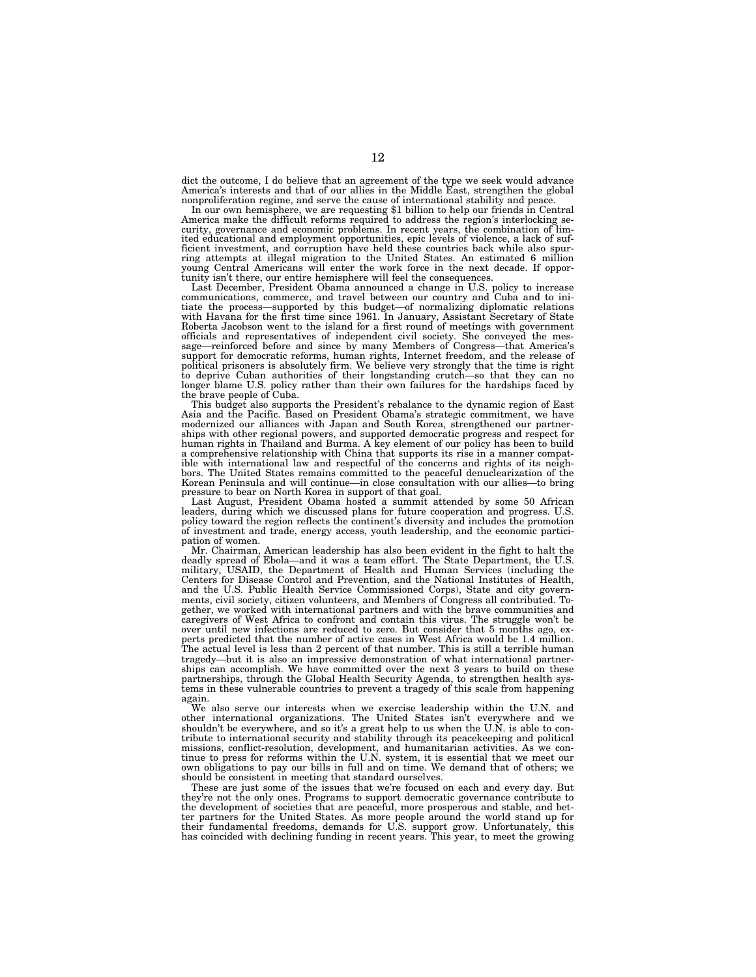dict the outcome, I do believe that an agreement of the type we seek would advance America's interests and that of our allies in the Middle East, strengthen the global nonproliferation regime, and serve the cause of international stability and peace.

In our own hemisphere, we are requesting \$1 billion to help our friends in Central America make the difficult reforms required to address the region's interlocking security, governance and economic problems. In recent years, the combination of limited educational and employment opportunities, epic levels of violence, a lack of suf-ficient investment, and corruption have held these countries back while also spurring attempts at illegal migration to the United States. An estimated 6 million young Central Americans will enter the work force in the next decade. If opportunity isn't there, our entire hemisphere will feel the consequences.

Last December, President Obama announced a change in U.S. policy to increase communications, commerce, and travel between our country and Cuba and to initiate the process—supported by this budget—of normalizing diplomatic relations with Havana for the first time since 1961. In January, Assistant Secretary of State Roberta Jacobson went to the island for a first round of meetings with government officials and representatives of independent civil society. She conveyed the message—reinforced before and since by many Members of Congress—that America's support for democratic reforms, human rights, Internet freedom, and the release of political prisoners is absolutely firm. We believe very strongly that the time is right to deprive Cuban authorities of their longstanding crutch—so that they can no longer blame U.S. policy rather than their own failures for the hardships faced by the brave people of Cuba.

This budget also supports the President's rebalance to the dynamic region of East Asia and the Pacific. Based on President Obama's strategic commitment, we have modernized our alliances with Japan and South Korea, strengthened our partnerships with other regional powers, and supported democratic progress and respect for human rights in Thailand and Burma. A key element of our policy has been to build a comprehensive relationship with China that supports its rise in a manner compat-ible with international law and respectful of the concerns and rights of its neighbors. The United States remains committed to the peaceful denuclearization of the Korean Peninsula and will continue—in close consultation with our allies—to bring pressure to bear on North Korea in support of that goal.

Last August, President Obama hosted a summit attended by some 50 African leaders, during which we discussed plans for future cooperation and progress. U.S. policy toward the region reflects the continent's diversity and includes the promotion of investment and trade, energy access, youth leadership, and the economic participation of women.

Mr. Chairman, American leadership has also been evident in the fight to halt the deadly spread of Ebola—and it was a team effort. The State Department, the U.S. military, USAID, the Department of Health and Human Services (including the Centers for Disease Control and Prevention, and the National Institutes of Health, and the U.S. Public Health Service Commissioned Corps), State and city governments, civil society, citizen volunteers, and Members of Congress all contributed. Together, we worked with international partners and with the brave communities and caregivers of West Africa to confront and contain this virus. The struggle won't be over until new infections are reduced to zero. But consider that 5 months ago, experts predicted that the number of active cases in West Africa would be 1.4 million. The actual level is less than 2 percent of that number. This is still a terrible human tragedy—but it is also an impressive demonstration of what international partnerships can accomplish. We have committed over the next 3 years to build on these partnerships, through the Global Health Security Agenda, to strengthen health systems in these vulnerable countries to prevent a tragedy of this scale from happening again.

We also serve our interests when we exercise leadership within the U.N. and other international organizations. The United States isn't everywhere and we shouldn't be everywhere, and so it's a great help to us when the U.N. is able to contribute to international security and stability through its peacekeeping and political missions, conflict-resolution, development, and humanitarian activities. As we continue to press for reforms within the U.N. system, it is essential that we meet our own obligations to pay our bills in full and on time. We demand that of others; we should be consistent in meeting that standard ourselves.

These are just some of the issues that we're focused on each and every day. But they're not the only ones. Programs to support democratic governance contribute to the development of societies that are peaceful, more prosperous and stable, and better partners for the United States. As more people around the world stand up for their fundamental freedoms, demands for U.S. support grow. Unfortunately, this has coincided with declining funding in recent years. This year, to meet the growing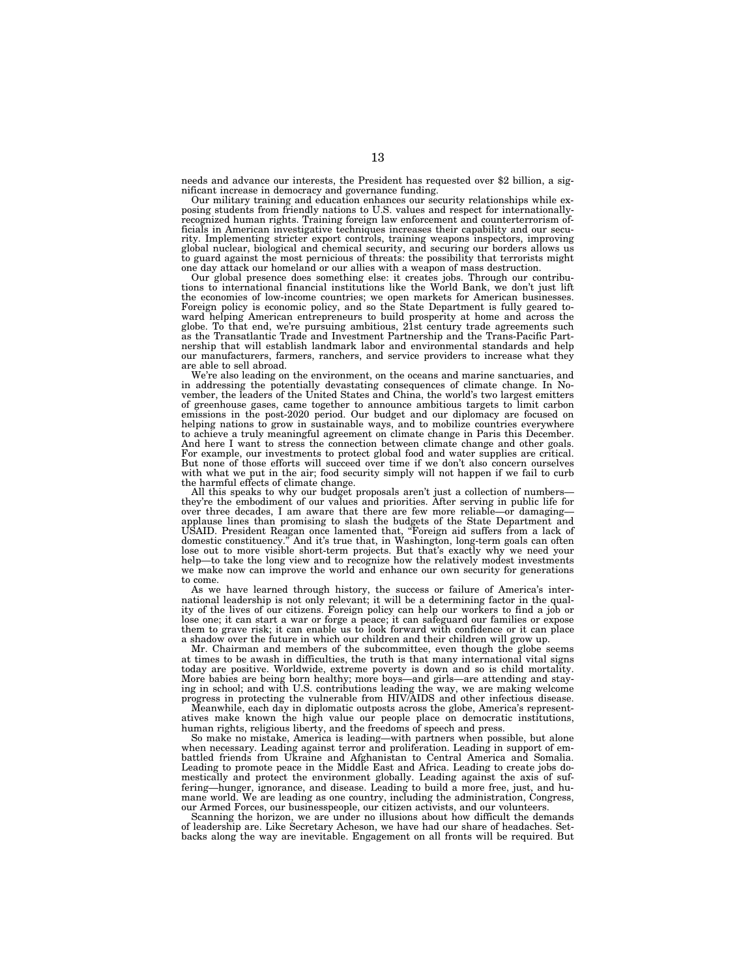needs and advance our interests, the President has requested over \$2 billion, a significant increase in democracy and governance funding.

Our military training and education enhances our security relationships while exposing students from friendly nations to U.S. values and respect for internationallyrecognized human rights. Training foreign law enforcement and counterterrorism officials in American investigative techniques increases their capability and our security. Implementing stricter export controls, training weapons inspectors, improving global nuclear, biological and chemical security, and securing our borders allows us to guard against the most pernicious of threats: the possibility that terrorists might one day attack our homeland or our allies with a weapon of mass destruction.

Our global presence does something else: it creates jobs. Through our contributions to international financial institutions like the World Bank, we don't just lift the economies of low-income countries; we open markets for American businesses. Foreign policy is economic policy, and so the State Department is fully geared to-ward helping American entrepreneurs to build prosperity at home and across the globe. To that end, we're pursuing ambitious, 21st century trade agreements such as the Transatlantic Trade and Investment Partnership and the Trans-Pacific Partnership that will establish landmark labor and environmental standards and help our manufacturers, farmers, ranchers, and service providers to increase what they are able to sell abroad.

We're also leading on the environment, on the oceans and marine sanctuaries, and in addressing the potentially devastating consequences of climate change. In No-vember, the leaders of the United States and China, the world's two largest emitters of greenhouse gases, came together to announce ambitious targets to limit carbon emissions in the post-2020 period. Our budget and our diplomacy are focused on helping nations to grow in sustainable ways, and to mobilize countries everywhere to achieve a truly meaningful agreement on climate change in Paris this December. And here I want to stress the connection between climate change and other goals. For example, our investments to protect global food and water supplies are critical. But none of those efforts will succeed over time if we don't also concern ourselves with what we put in the air; food security simply will not happen if we fail to curb the harmful effects of climate change.

All this speaks to why our budget proposals aren't just a collection of numbers they're the embodiment of our values and priorities. After serving in public life for over three decades, I am aware that there are few more reliable—or damaging applause lines than promising to slash the budgets of the State Department and USAID. President Reagan once lamented that, "Foreign aid suffers from a lack of domestic constituency." And it's true that, in Washington, long-term goals can often<br>lose out to more visible short-term projects. But that's help—to take the long view and to recognize how the relatively modest investments we make now can improve the world and enhance our own security for generations to come.

As we have learned through history, the success or failure of America's international leadership is not only relevant; it will be a determining factor in the quality of the lives of our citizens. Foreign policy can help our workers to find a job or lose one; it can start a war or forge a peace; it can safeguard our families or expose them to grave risk; it can enable us to look forward with confidence or it can place a shadow over the future in which our children and their children will grow up.

Mr. Chairman and members of the subcommittee, even though the globe seems at times to be awash in difficulties, the truth is that many international vital signs today are positive. Worldwide, extreme poverty is down and so is child mortality. More babies are being born healthy; more boys—and girls—are attending and staying in school; and with U.S. contributions leading the way, we are making welcome progress in protecting the vulnerable from HIV/AIDS and other infectious disease.

Meanwhile, each day in diplomatic outposts across the globe, America's representatives make known the high value our people place on democratic institutions, human rights, religious liberty, and the freedoms of speech and press.

So make no mistake, America is leading—with partners when possible, but alone when necessary. Leading against terror and proliferation. Leading in support of embattled friends from Ukraine and Afghanistan to Central America and Somalia. Leading to promote peace in the Middle East and Africa. Leading to create jobs domestically and protect the environment globally. Leading against the axis of suffering—hunger, ignorance, and disease. Leading to build a more free, just, and humane world. We are leading as one country, including the administration, Congress, our Armed Forces, our businesspeople, our citizen activists, and our volunteers.

Scanning the horizon, we are under no illusions about how difficult the demands of leadership are. Like Secretary Acheson, we have had our share of headaches. Setbacks along the way are inevitable. Engagement on all fronts will be required. But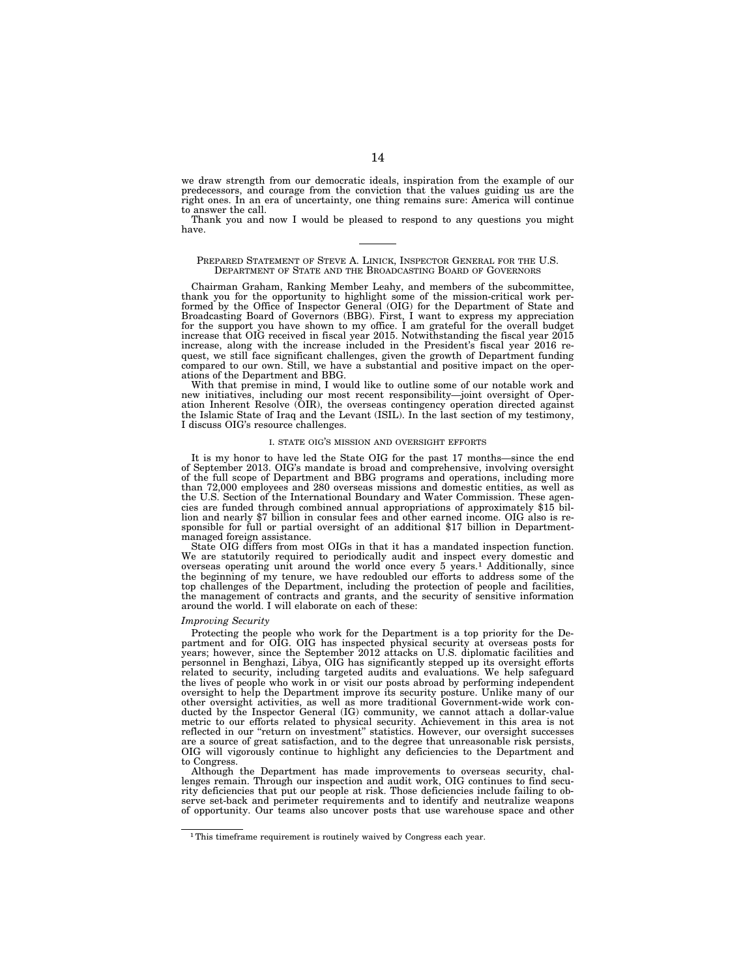we draw strength from our democratic ideals, inspiration from the example of our predecessors, and courage from the conviction that the values guiding us are the right ones. In an era of uncertainty, one thing remains sure: America will continue to answer the call.

Thank you and now I would be pleased to respond to any questions you might have.

#### PREPARED STATEMENT OF STEVE A. LINICK, INSPECTOR GENERAL FOR THE U.S. DEPARTMENT OF STATE AND THE BROADCASTING BOARD OF GOVERNORS

Chairman Graham, Ranking Member Leahy, and members of the subcommittee, thank you for the opportunity to highlight some of the mission-critical work performed by the Office of Inspector General (OIG) for the Department of State and Broadcasting Board of Governors (BBG). First, I want to express my appreciation for the support you have shown to my office. I am grateful for the overall budget increase that OIG received in fiscal year 2015. Notwithstanding the fiscal year 2015 increase, along with the increase included in the President's fiscal year 2016 request, we still face significant challenges, given the growth of Department funding compared to our own. Still, we have a substantial and positive impact on the operations of the Department and BBG.

With that premise in mind, I would like to outline some of our notable work and new initiatives, including our most recent responsibility—joint oversight of Operation Inherent Resolve (OIR), the overseas contingency operation directed against the Islamic State of Iraq and the Levant (ISIL). In the last section of my testimony, I discuss OIG's resource challenges.

#### I. STATE OIG'S MISSION AND OVERSIGHT EFFORTS

It is my honor to have led the State OIG for the past 17 months—since the end of September 2013. OIG's mandate is broad and comprehensive, involving oversight of the full scope of Department and BBG programs and operations, including more than 72,000 employees and 280 overseas missions and domestic entities, as well as the U.S. Section of the International Boundary and Water Commission. These agencies are funded through combined annual appropriations of approximately \$15 billion and nearly \$7 billion in consular fees and other earned income. OIG also is responsible for full or partial oversight of an additional \$17 billion in Departmentmanaged foreign assistance.

State OIG differs from most OIGs in that it has a mandated inspection function. We are statutorily required to periodically audit and inspect every domestic and overseas operating unit around the world once every 5 years.1 Additionally, since the beginning of my tenure, we have redoubled our efforts to address some of the top challenges of the Department, including the protection of people and facilities, the management of contracts and grants, and the security of sensitive information around the world. I will elaborate on each of these:

#### *Improving Security*

Protecting the people who work for the Department is a top priority for the Department and for OIG. OIG has inspected physical security at overseas posts for years; however, since the September 2012 attacks on U.S. diplomatic facilities and personnel in Benghazi, Libya, OIG has significantly stepped up its oversight efforts related to security, including targeted audits and evaluations. We help safeguard the lives of people who work in or visit our posts abroad by performing independent oversight to help the Department improve its security posture. Unlike many of our other oversight activities, as well as more traditional Government-wide work conducted by the Inspector General (IG) community, we cannot attach a dollar-value metric to our efforts related to physical security. Achievement in this area is not reflected in our "return on investment" statistics. However, our oversight successes are a source of great satisfaction, and to the degree that unreasonable risk persists, OIG will vigorously continue to highlight any deficiencies to the Department and to Congress.

Although the Department has made improvements to overseas security, challenges remain. Through our inspection and audit work, OIG continues to find security deficiencies that put our people at risk. Those deficiencies include failing to observe set-back and perimeter requirements and to identify and neutralize weapons of opportunity. Our teams also uncover posts that use warehouse space and other

<sup>&</sup>lt;sup>1</sup>This timeframe requirement is routinely waived by Congress each year.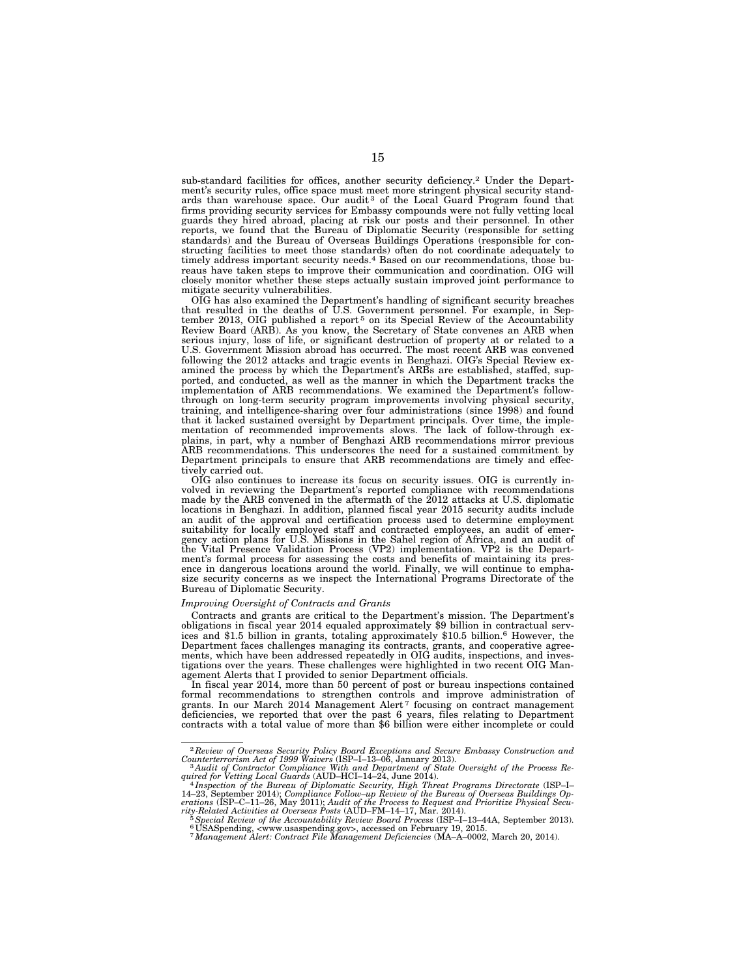sub-standard facilities for offices, another security deficiency.2 Under the Department's security rules, office space must meet more stringent physical security stand-<br>ards than warehouse space. Our audit<sup>3</sup> of the Local Guard Program found that firms providing security services for Embassy compounds were not fully vetting local guards they hired abroad, placing at risk our posts and their personnel. In other reports, we found that the Bureau of Diplomatic Security (responsible for setting standards) and the Bureau of Overseas Buildings Operations (responsible for constructing facilities to meet those standards) often do not coordinate adequately to timely address important security needs.4 Based on our recommendations, those bureaus have taken steps to improve their communication and coordination. OIG will closely monitor whether these steps actually sustain improved joint performance to mitigate security vulnerabilities.

OIG has also examined the Department's handling of significant security breaches that resulted in the deaths of U.S. Government personnel. For example, in September 2013, OIG published a report<sup>5</sup> on its Special Review of the Accountability Review Board (ARB). As you know, the Secretary of State convenes an ARB when serious injury, loss of life, or significant destruction of property at or related to a U.S. Government Mission abroad has occurred. The most recent ARB was convened following the 2012 attacks and tragic events in Benghazi. OIG's Special Review examined the process by which the Department's ARBs are established, staffed, supported, and conducted, as well as the manner in which the Department tracks the implementation of ARB recommendations. We examined the Department's followthrough on long-term security program improvements involving physical security, training, and intelligence-sharing over four administrations (since 1998) and found that it lacked sustained oversight by Department principals. Over time, the implementation of recommended improvements slows. The lack of follow-through explains, in part, why a number of Benghazi ARB recommendations mirror previous ARB recommendations. This underscores the need for a sustained commitment by Department principals to ensure that ARB recommendations are timely and effectively carried out.

OIG also continues to increase its focus on security issues. OIG is currently involved in reviewing the Department's reported compliance with recommendations made by the ARB convened in the aftermath of the 2012 attacks at U.S. diplomatic locations in Benghazi. In addition, planned fiscal year 2015 security audits include an audit of the approval and certification process used to determine employment suitability for locally employed staff and contracted employees, an audit of emergency action plans for U.S. Missions in the Sahel region of Africa, and an audit of the Vital Presence Validation Process (VP2) implementation. VP2 is the Department's formal process for assessing the costs and benefits of maintaining its presence in dangerous locations around the world. Finally, we will continue to emphasize security concerns as we inspect the International Programs Directorate of the Bureau of Diplomatic Security.

## *Improving Oversight of Contracts and Grants*

Contracts and grants are critical to the Department's mission. The Department's obligations in fiscal year 2014 equaled approximately \$9 billion in contractual services and \$1.5 billion in grants, totaling approximately \$10.5 billion.6 However, the Department faces challenges managing its contracts, grants, and cooperative agreements, which have been addressed repeatedly in OIG audits, inspections, and investigations over the years. These challenges were highlighted in two recent OIG Management Alerts that I provided to senior Department officials.

In fiscal year 2014, more than 50 percent of post or bureau inspections contained formal recommendations to strengthen controls and improve administration of grants. In our March 2014 Management Alert<sup>7</sup> focusing on contract management deficiencies, we reported that over the past 6 years, files relating to Department contracts with a total value of more than \$6 billion were either incomplete or could

<sup>&</sup>lt;sup>2</sup> Review of Overseas Security Policy Board Exceptions and Secure Embassy Construction and Counterterrorism Act of 1999 Waivers (ISP-I-13-06, January 2013).<br><sup>3</sup> Audit of Contractor Compliance With and Department of State

quired for Vetting Local Guards (AUD–HCI–14–24, June 2014).<br>4 Inspection of the Bureau of Diplomatic Security, High Threat Programs Directorate (ISP–I–<br>14–23, September 2014); Compliance Follow–up Review of the Bureau of O

erations (ISP–C–11–26, May 2011); Audit of the Process to Request and Prioritize Physical Security-Related Activities at Overseas Posts (AUD–FM–14–17, Mar. 2014).<br><sup>5</sup> Special Review of the Accountability Review Board Proc 7*Management Alert: Contract File Management Deficiencies* (MA–A–0002, March 20, 2014).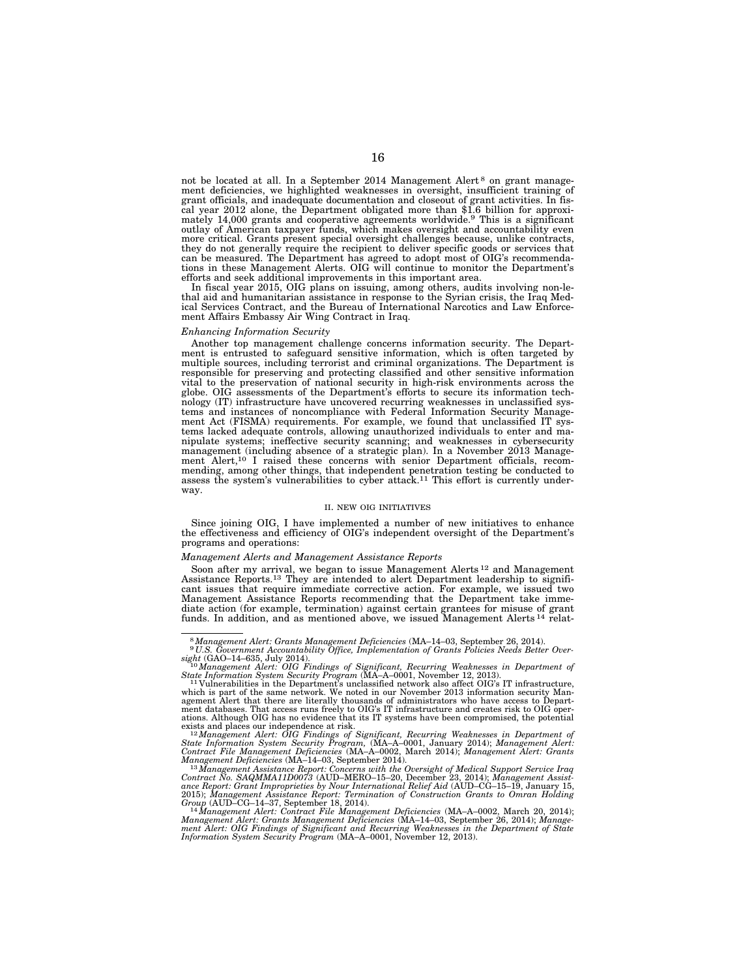not be located at all. In a September 2014 Management Alert<sup>8</sup> on grant management deficiencies, we highlighted weaknesses in oversight, insufficient training of grant officials, and inadequate documentation and closeout of grant activities. In fiscal year 2012 alone, the Department obligated more than \$1.6 billion for approxi-mately 14,000 grants and cooperative agreements worldwide.9 This is a significant outlay of American taxpayer funds, which makes oversight and accountability even<br>more critical. Grants present special oversight challenges because, unlike contracts,<br>they do not generally require the recipient to deliver can be measured. The Department has agreed to adopt most of OIG's recommendations in these Management Alerts. OIG will continue to monitor the Department's efforts and seek additional improvements in this important area.

In fiscal year 2015, OIG plans on issuing, among others, audits involving non-le-thal aid and humanitarian assistance in response to the Syrian crisis, the Iraq Medical Services Contract, and the Bureau of International Narcotics and Law Enforcement Affairs Embassy Air Wing Contract in Iraq.

#### *Enhancing Information Security*

Another top management challenge concerns information security. The Department is entrusted to safeguard sensitive information, which is often targeted by multiple sources, including terrorist and criminal organizations. The Department is responsible for preserving and protecting classified and other sensitive information vital to the preservation of national security in high-risk environments across the globe. OIG assessments of the Department's efforts to secure its information technology (IT) infrastructure have uncovered recurring weaknesses in unclassified systems and instances of noncompliance with Federal Information Security Management Act (FISMA) requirements. For example, we found that unclassified IT systems lacked adequate controls, allowing unauthorized individuals to enter and manipulate systems; ineffective security scanning; and weaknesses in cybersecurity management (including absence of a strategic plan). In a November 2013 Management Alert,<sup>10</sup> I raised these concerns with senior Department o mending, among other things, that independent penetration testing be conducted to assess the system's vulnerabilities to cyber attack.<sup>11</sup> This effort is currently underway.

#### II. NEW OIG INITIATIVES

Since joining OIG, I have implemented a number of new initiatives to enhance the effectiveness and efficiency of OIG's independent oversight of the Department's programs and operations:

#### *Management Alerts and Management Assistance Reports*

Soon after my arrival, we began to issue Management Alerts<sup>12</sup> and Management Assistance Reports.13 They are intended to alert Department leadership to significant issues that require immediate corrective action. For example, we issued two Management Assistance Reports recommending that the Department take immediate action (for example, termination) against certain grantees for misuse of grant funds. In addition, and as mentioned above, we issued Management Alerts 14 relat-

<sup>8</sup>*Management Alert: Grants Management Deficiencies* (MA–14–03, September 26, 2014). 9 *U.S. Government Accountability Office, Implementation of Grants Policies Needs Better Oversight* (GAO–14–635, July 2014). 10*Management Alert: OIG Findings of Significant, Recurring Weaknesses in Department of* 

State Information System Security Program (MA-A-0001, November 12, 2013).<br>
1<sup>1</sup> Vulnerabilities in the Department's uncleassified network also affect OIC's IT infrastructure,<br>
<sup>11</sup> Vulnerabilities in the Department's uncl

*Information System Security Program* (MA–A–0001, November 12, 2013).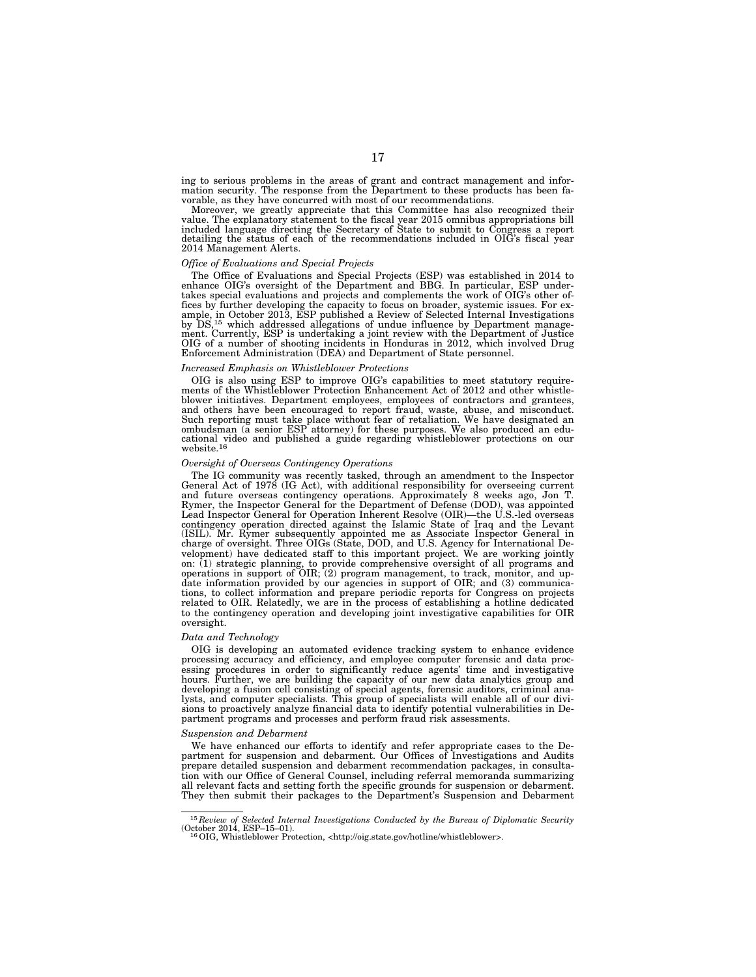ing to serious problems in the areas of grant and contract management and infor-mation security. The response from the Department to these products has been favorable, as they have concurred with most of our recommendations.

Moreover, we greatly appreciate that this Committee has also recognized their value. The explanatory statement to the fiscal year 2015 omnibus appropriations bill included language directing the Secretary of State to submit to Congress a report detailing the status of each of the recommendations included in OIG's fiscal year 2014 Management Alerts.

## *Office of Evaluations and Special Projects*

The Office of Evaluations and Special Projects (ESP) was established in 2014 to enhance OIG's oversight of the Department and BBG. In particular, ESP undertakes special evaluations and projects and complements the work of OIG's other offices by further developing the capacity to focus on broader, systemic issues. For example, in October 2013, ESP published a Review of Selected Internal Investigations by DS,15 which addressed allegations of undue influence by Department management. Currently, ESP is undertaking a joint review with the Department of Justice OIG of a number of shooting incidents in Honduras in 2012, which involved Drug Enforcement Administration (DEA) and Department of State personnel.

## *Increased Emphasis on Whistleblower Protections*

OIG is also using ESP to improve OIG's capabilities to meet statutory require-ments of the Whistleblower Protection Enhancement Act of 2012 and other whistleblower initiatives. Department employees, employees of contractors and grantees, and others have been encouraged to report fraud, waste, abuse, and misconduct. Such reporting must take place without fear of retaliation. We have designated an ombudsman (a senior ESP attorney) for these purposes. We also produced an educational video and published a guide regarding whistleblower protections on our website.16

#### *Oversight of Overseas Contingency Operations*

The IG community was recently tasked, through an amendment to the Inspector General Act of 1978 (IG Act), with additional responsibility for overseeing current and future overseas contingency operations. Approximately 8 weeks ago, Jon T. Rymer, the Inspector General for the Department of Defense (DOD), was appointed Lead Inspector General for Operation Inherent Resolve (OIR)—the U.S.-led overseas contingency operation directed against the Islamic State of Iraq and the Levant (ISIL). Mr. Rymer subsequently appointed me as Associate Inspector General in charge of oversight. Three OIGs (State, DOD, and U.S. Agency for International Development) have dedicated staff to this important project. We are working jointly on: (1) strategic planning, to provide comprehensive oversight of all programs and operations in support of OIR; (2) program management, to track, monitor, and update information provided by our agencies in support of OIR; and (3) communications, to collect information and prepare periodic reports for Congress on projects related to OIR. Relatedly, we are in the process of establishing a hotline dedicated to the contingency operation and developing joint investigative capabilities for OIR oversight.

## *Data and Technology*

OIG is developing an automated evidence tracking system to enhance evidence processing accuracy and efficiency, and employee computer forensic and data processing procedures in order to significantly reduce agents' time and investigative hours. Further, we are building the capacity of our new data analytics group and developing a fusion cell consisting of special agents, forensic auditors, criminal analysts, and computer specialists. This group of specialists will enable all of our divisions to proactively analyze financial data to identify potential vulnerabilities in Department programs and processes and perform fraud risk assessments.

#### *Suspension and Debarment*

We have enhanced our efforts to identify and refer appropriate cases to the Department for suspension and debarment. Our Offices of Investigations and Audits prepare detailed suspension and debarment recommendation packages, in consultation with our Office of General Counsel, including referral memoranda summarizing all relevant facts and setting forth the specific grounds for suspension or debarment. They then submit their packages to the Department's Suspension and Debarment

<sup>15</sup> *Review of Selected Internal Investigations Conducted by the Bureau of Diplomatic Security*  (October 2014, ESP–15–01). 16OIG, Whistleblower Protection, <http://oig.state.gov/hotline/whistleblower>.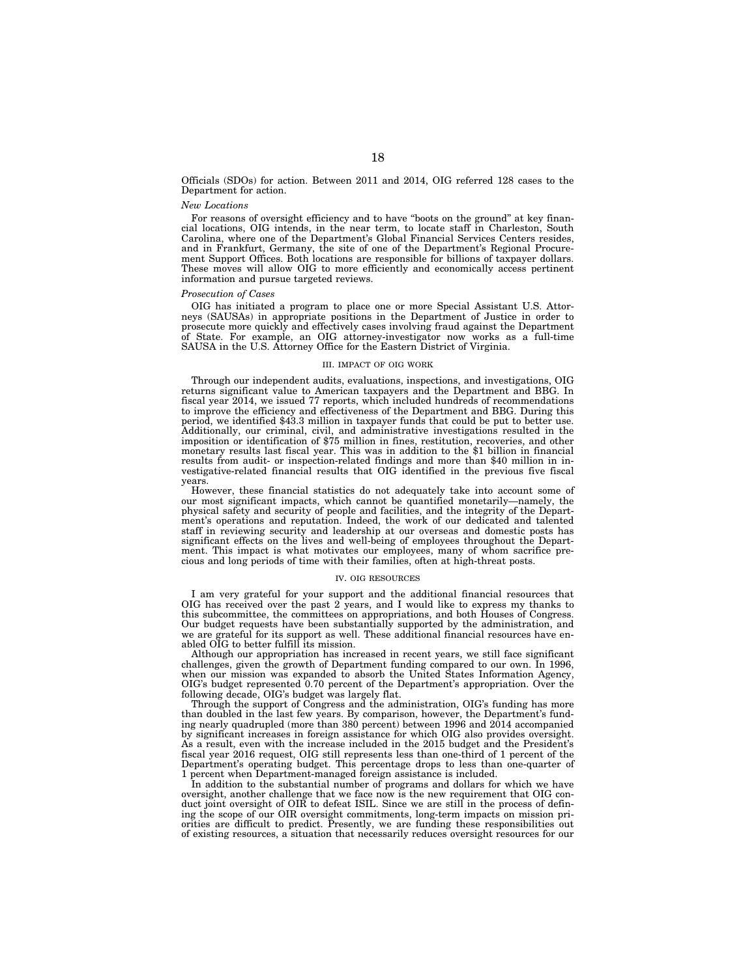Officials (SDOs) for action. Between 2011 and 2014, OIG referred 128 cases to the Department for action.

## *New Locations*

For reasons of oversight efficiency and to have ''boots on the ground'' at key financial locations, OIG intends, in the near term, to locate staff in Charleston, South Carolina, where one of the Department's Global Financial Services Centers resides, and in Frankfurt, Germany, the site of one of the Department's Regional Procurement Support Offices. Both locations are responsible for billions of taxpayer dollars. These moves will allow OIG to more efficiently and economically access pertinent information and pursue targeted reviews.

#### *Prosecution of Cases*

OIG has initiated a program to place one or more Special Assistant U.S. Attorneys (SAUSAs) in appropriate positions in the Department of Justice in order to prosecute more quickly and effectively cases involving fraud against the Department of State. For example, an OIG attorney-investigator now works as a full-time SAUSA in the U.S. Attorney Office for the Eastern District of Virginia.

## III. IMPACT OF OIG WORK

Through our independent audits, evaluations, inspections, and investigations, OIG returns significant value to American taxpayers and the Department and BBG. In fiscal year 2014, we issued 77 reports, which included hundreds of recommendations to improve the efficiency and effectiveness of the Department and BBG. During this period, we identified \$43.3 million in taxpayer funds that could be put to better use. Additionally, our criminal, civil, and administrative investigations resulted in the imposition or identification of \$75 million in fines, restitution, recoveries, and other monetary results last fiscal year. This was in addition to the \$1 billion in financial results from audit- or inspection-related findings and more than \$40 million in investigative-related financial results that OIG identified in the previous five fiscal years.

However, these financial statistics do not adequately take into account some of our most significant impacts, which cannot be quantified monetarily—namely, the physical safety and security of people and facilities, and the integrity of the Department's operations and reputation. Indeed, the work of our dedicated and talented staff in reviewing security and leadership at our overseas and domestic posts has significant effects on the lives and well-being of employees throughout the Department. This impact is what motivates our employees, many of whom sacrifice precious and long periods of time with their families, often at high-threat posts.

#### IV. OIG RESOURCES

I am very grateful for your support and the additional financial resources that OIG has received over the past 2 years, and I would like to express my thanks to this subcommittee, the committees on appropriations, and both Houses of Congress. Our budget requests have been substantially supported by the administration, and we are grateful for its support as well. These additional financial resources have enabled OIG to better fulfill its mission.

Although our appropriation has increased in recent years, we still face significant challenges, given the growth of Department funding compared to our own. In 1996, when our mission was expanded to absorb the United States Information Agency, OIG's budget represented 0.70 percent of the Department's appropriation. Over the following decade, OIG's budget was largely flat.

Through the support of Congress and the administration, OIG's funding has more than doubled in the last few years. By comparison, however, the Department's funding nearly quadrupled (more than 380 percent) between 1996 and 2014 accompanied by significant increases in foreign assistance for which OIG also provides oversight. As a result, even with the increase included in the 2015 budget and the President's fiscal year 2016 request, OIG still represents less than one-third of 1 percent of the Department's operating budget. This percentage drops to less than one-quarter of 1 percent when Department-managed foreign assistance is included.

In addition to the substantial number of programs and dollars for which we have oversight, another challenge that we face now is the new requirement that OIG conduct joint oversight of OIR to defeat ISIL. Since we are still in the process of defining the scope of our OIR oversight commitments, long-term impacts on mission priorities are difficult to predict. Presently, we are funding these responsibilities out of existing resources, a situation that necessarily reduces oversight resources for our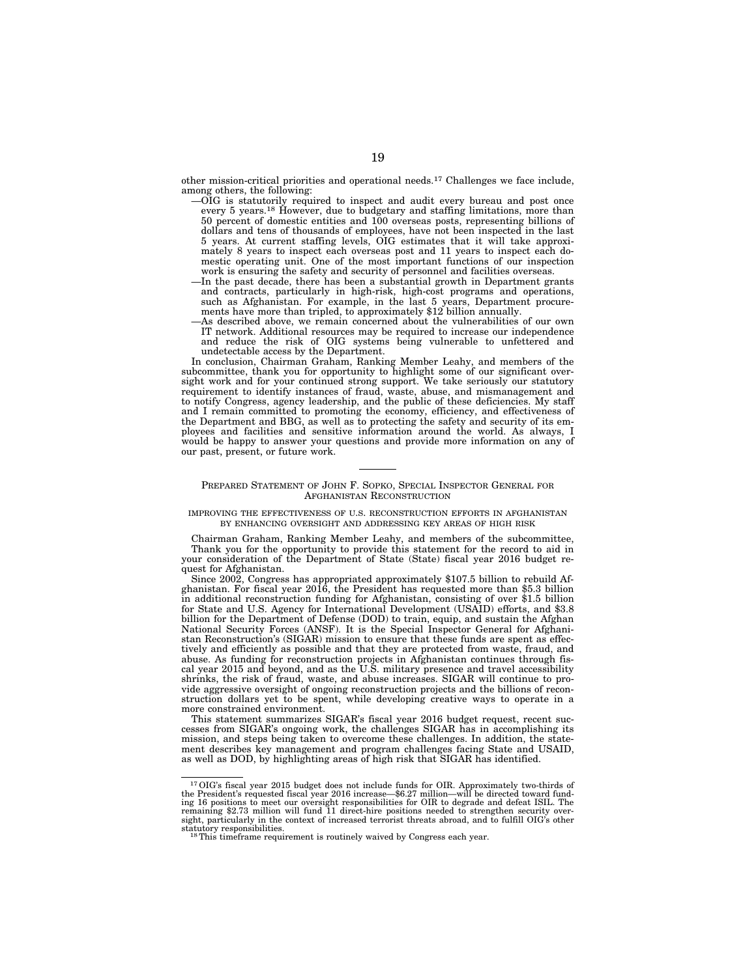other mission-critical priorities and operational needs.17 Challenges we face include, among others, the following:

- —OIG is statutorily required to inspect and audit every bureau and post once every 5 years.<sup>18</sup> However, due to budgetary and staffing limitations, more than 50 percent of domestic entities and 100 overseas posts, representing billions of dollars and tens of thousands of employees, have not been inspected in the last 5 years. At current staffing levels, OIG estimates that it will take approximately 8 years to inspect each overseas post and 11 years to inspect each domestic operating unit. One of the most important functions of our inspection work is ensuring the safety and security of personnel and facilities overseas.
- —In the past decade, there has been a substantial growth in Department grants and contracts, particularly in high-risk, high-cost programs and operations, such as Afghanistan. For example, in the last 5 years, Department procurements have more than tripled, to approximately \$12 billion annually.
- —As described above, we remain concerned about the vulnerabilities of our own IT network. Additional resources may be required to increase our independence and reduce the risk of OIG systems being vulnerable to unfettered and undetectable access by the Department.

In conclusion, Chairman Graham, Ranking Member Leahy, and members of the subcommittee, thank you for opportunity to highlight some of our significant oversight work and for your continued strong support. We take seriously our statutory requirement to identify instances of fraud, waste, abuse, and mismanagement and to notify Congress, agency leadership, and the public of these deficiencies. My staff and I remain committed to promoting the economy, efficiency, and effectiveness of the Department and BBG, as well as to protecting the safety and security of its employees and facilities and sensitive information around the world. As always, I would be happy to answer your questions and provide more information on any of our past, present, or future work.

### PREPARED STATEMENT OF JOHN F. SOPKO, SPECIAL INSPECTOR GENERAL FOR AFGHANISTAN RECONSTRUCTION

## IMPROVING THE EFFECTIVENESS OF U.S. RECONSTRUCTION EFFORTS IN AFGHANISTAN BY ENHANCING OVERSIGHT AND ADDRESSING KEY AREAS OF HIGH RISK

Chairman Graham, Ranking Member Leahy, and members of the subcommittee, Thank you for the opportunity to provide this statement for the record to aid in your consideration of the Department of State (State) fiscal year 2016 budget request for Afghanistan.

Since 2002, Congress has appropriated approximately \$107.5 billion to rebuild Afghanistan. For fiscal year 2016, the President has requested more than \$5.3 billion in additional reconstruction funding for Afghanistan, consisting of over \$1.5 billion for State and U.S. Agency for International Development (USAID) efforts, and \$3.8 billion for the Department of Defense (DOD) to train, equip, and sustain the Afghan National Security Forces (ANSF). It is the Special Inspector General for Afghanistan Reconstruction's (SIGAR) mission to ensure that these funds are spent as effectively and efficiently as possible and that they are protected from waste, fraud, and abuse. As funding for reconstruction projects in Afghanistan continues through fiscal year 2015 and beyond, and as the U.S. military presence and travel accessibility shrinks, the risk of fraud, waste, and abuse increases. SIGAR will continue to provide aggressive oversight of ongoing reconstruction projects and the billions of reconstruction dollars yet to be spent, while developing creative ways to operate in a more constrained environment.

This statement summarizes SIGAR's fiscal year 2016 budget request, recent successes from SIGAR's ongoing work, the challenges SIGAR has in accomplishing its mission, and steps being taken to overcome these challenges. In addition, the statement describes key management and program challenges facing State and USAID, as well as DOD, by highlighting areas of high risk that SIGAR has identified.

 $^{17}$  OIG's fiscal year 2015 budget does not include funds for OIR. Approximately two-thirds of the President's requested fiscal year 2016 increase— $$6.27$  million—will be directed toward funding 16 positions to meet our sight, particularly in the context of increased terrorist threats abroad, and to fulfill OIG's other statutory responsibilities.<br><sup>18</sup>This timeframe requirement is routinely waived by Congress each year.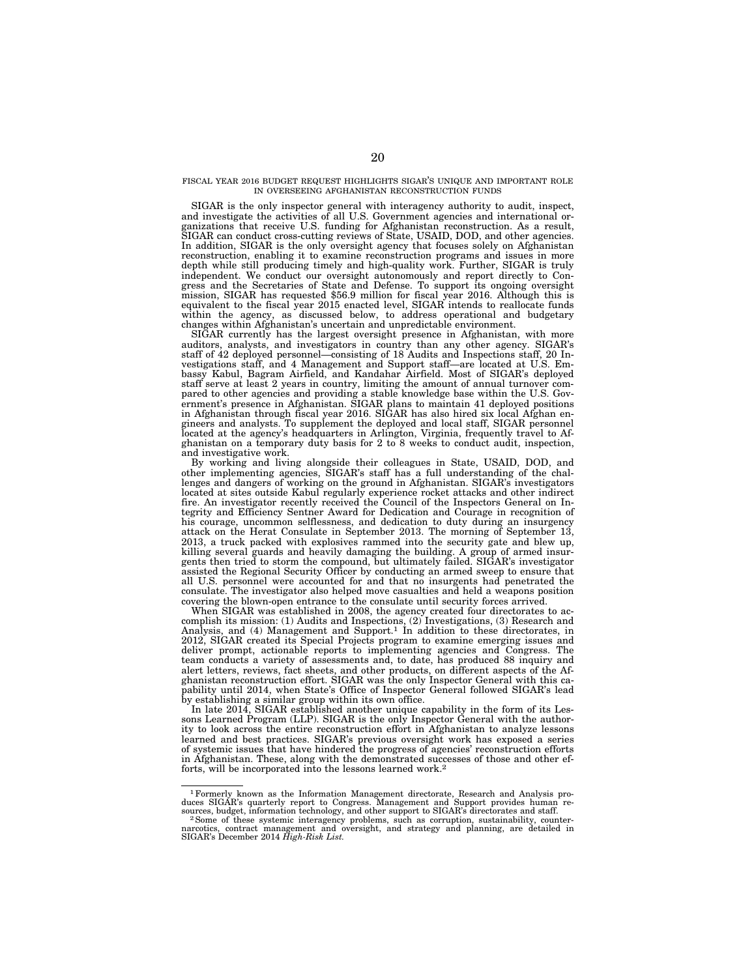FISCAL YEAR 2016 BUDGET REQUEST HIGHLIGHTS SIGAR'S UNIQUE AND IMPORTANT ROLE IN OVERSEEING AFGHANISTAN RECONSTRUCTION FUNDS

SIGAR is the only inspector general with interagency authority to audit, inspect, and investigate the activities of all U.S. Government agencies and international organizations that receive U.S. funding for Afghanistan reconstruction. As a result, SIGAR can conduct cross-cutting reviews of State, USAID, DOD, and other agencies. In addition, SIGAR is the only oversight agency that focuses solely on Afghanistan reconstruction, enabling it to examine reconstruction programs and issues in more depth while still producing timely and high-quality work. Further, SIGAR is truly independent. We conduct our oversight autonomously and report directly to Congress and the Secretaries of State and Defense. To support its ongoing oversight mission, SIGAR has requested \$56.9 million for fiscal year 2016. Although this is equivalent to the fiscal year 2015 enacted level, SIGAR intends to reallocate funds within the agency, as discussed below, to address operational and budgetary changes within Afghanistan's uncertain and unpredictable environment.

SIGAR currently has the largest oversight presence in Afghanistan, with more auditors, analysts, and investigators in country than any other agency. SIGAR's staff of 42 deployed personnel—consisting of 18 Audits and Inspections staff, 20 Investigations staff, and 4 Management and Support staff—are located at U.S. Embassy Kabul, Bagram Airfield, and Kandahar Airfield. Most of SIGAR's deployed staff serve at least 2 years in country, limiting the amount of annual turnover compared to other agencies and providing a stable knowledge base within the U.S. Government's presence in Afghanistan. SIGAR plans to maintain 41 deployed positions in Afghanistan through fiscal year 2016. SIGAR has also hired six local Afghan engineers and analysts. To supplement the deployed and local staff, SIGAR personnel located at the agency's headquarters in Arlington, Virginia, frequently travel to Afghanistan on a temporary duty basis for 2 to 8 weeks to conduct audit, inspection, and investigative work.

By working and living alongside their colleagues in State, USAID, DOD, and other implementing agencies, SIGAR's staff has a full understanding of the challenges and dangers of working on the ground in Afghanistan. SIGAR's investigators located at sites outside Kabul regularly experience rocket attacks and other indirect fire. An investigator recently received the Council of the Inspectors General on Integrity and Efficiency Sentner Award for Dedication and Courage in recognition of his courage, uncommon selflessness, and dedication to duty during an insurgency attack on the Herat Consulate in September 2013. The morning of September 13, 2013, a truck packed with explosives rammed into the security gate and blew up, killing several guards and heavily damaging the building. A group of armed insurgents then tried to storm the compound, but ultimately failed. SIGAR's investigator assisted the Regional Security Officer by conducting an armed sweep to ensure that all U.S. personnel were accounted for and that no insurgents had penetrated the consulate. The investigator also helped move casualties and held a weapons position covering the blown-open entrance to the consulate until security forces arrived.

When SIGAR was established in 2008, the agency created four directorates to accomplish its mission: (1) Audits and Inspections, (2) Investigations, (3) Research and Analysis, and (4) Management and Support.1 In addition to these directorates, in 2012, SIGAR created its Special Projects program to examine emerging issues and deliver prompt, actionable reports to implementing agencies and Congress. The team conducts a variety of assessments and, to date, has produced 88 inquiry and alert letters, reviews, fact sheets, and other products, on different aspects of the Afghanistan reconstruction effort. SIGAR was the only Inspector General with this capability until 2014, when State's Office of Inspector General followed SIGAR's lead by establishing a similar group within its own office.

In late 2014, SIGAR established another unique capability in the form of its Lessons Learned Program (LLP). SIGAR is the only Inspector General with the authority to look across the entire reconstruction effort in Afghanistan to analyze lessons learned and best practices. SIGAR's previous oversight work has exposed a series of systemic issues that have hindered the progress of agencies' reconstruction efforts in Afghanistan. These, along with the demonstrated successes of those and other efforts, will be incorporated into the lessons learned work.2

<sup>1</sup>Formerly known as the Information Management directorate, Research and Analysis produces SIGAR's quarterly report to Congress. Management and Support provides human re-<br>sources, budget, information technology, and other support to SIGAR's directorates and staff.

<sup>&</sup>lt;sup>2</sup> Some of these systemic interagency problems, such as corruption, sustainability, counternarcotics, contract management and oversight, and strategy and planning, are detailed in SIGAR's December 2014 *High-Risk List.*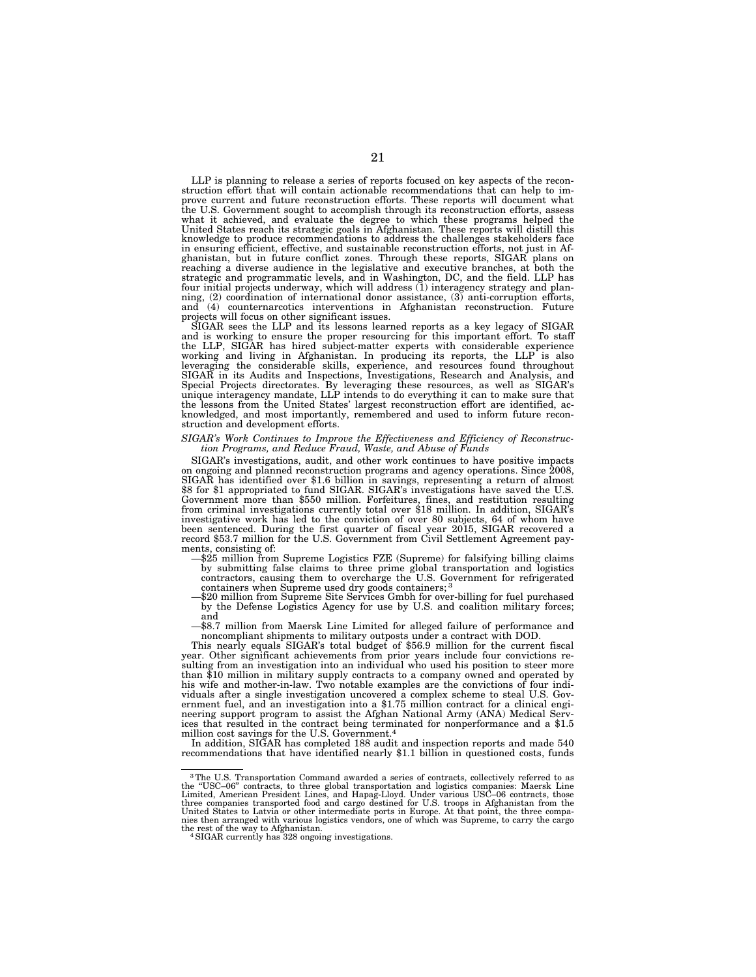LLP is planning to release a series of reports focused on key aspects of the reconstruction effort that will contain actionable recommendations that can help to improve current and future reconstruction efforts. These reports will document what the U.S. Government sought to accomplish through its reconstruction efforts, assess what it achieved, and evaluate the degree to which these programs helped the United States reach its strategic goals in Afghanistan. These reports will distill this knowledge to produce recommendations to address the challenges stakeholders face in ensuring efficient, effective, and sustainable reconstruction efforts, not just in Af-ghanistan, but in future conflict zones. Through these reports, SIGAR plans on reaching a diverse audience in the legislative and executive branches, at both the strategic and programmatic levels, and in Washington, DC, and the field. LLP has four initial projects underway, which will address (1) interagency strategy and plan-ning, (2) coordination of international donor assistance, (3) anti-corruption efforts, and (4) counternarcotics interventions in Afghanistan reconstruction. Future projects will focus on other significant issues.

SIGAR sees the LLP and its lessons learned reports as a key legacy of SIGAR and is working to ensure the proper resourcing for this important effort. To staff the LLP, SIGAR has hired subject-matter experts with considerable experience working and living in Afghanistan. In producing its reports, the LLP is also leveraging the considerable skills, experience, and resources found throughout SIGAR in its Audits and Inspections, Investigations, Research and Analysis, and Special Projects directorates. By leveraging these resources, as well as SIGAR's unique interagency mandate, LLP intends to do everything it can to make sure that the lessons from the United States' largest reconstruction effort are identified, ac-knowledged, and most importantly, remembered and used to inform future reconstruction and development efforts.

## *SIGAR's Work Continues to Improve the Effectiveness and Efficiency of Reconstruction Programs, and Reduce Fraud, Waste, and Abuse of Funds*

SIGAR's investigations, audit, and other work continues to have positive impacts on ongoing and planned reconstruction programs and agency operations. Since 2008, SIGAR has identified over \$1.6 billion in savings, representing a return of almost \$8 for \$1 appropriated to fund SIGAR. SIGAR's investigations have saved the U.S. Government more than \$550 million. Forfeitures, fines, and restitution resulting from criminal investigations currently total over \$18 million. In addition, SIGAR's investigative work has led to the conviction of over 80 subjects, 64 of whom have<br>been sentenced. During the first quarter of fiscal year 2015, SIGAR recovered a<br>record \$53.7 million for the U.S. Government from Civil Sett

- ments, consisting of:<br>
—\$25 million from Supreme Logistics FZE (Supreme) for falsifying billing claims by submitting false claims to three prime global transportation and logistics contractors, causing them to overcharge the U.S. Government for refrigerated containers when Supreme used dry goods containers; 3
	- —\$20 million from Supreme Site Services Gmbh for over-billing for fuel purchased by the Defense Logistics Agency for use by U.S. and coalition military forces; and
	- —\$8.7 million from Maersk Line Limited for alleged failure of performance and

This nearly equals SIGAR's total budget of \$56.9 million for the current fiscal year. Other significant achievements from prior years include four convictions resulting from an investigation into an individual who used his position to steer more than \$10 million in military supply contracts to a company owned and operated by his wife and mother-in-law. Two notable examples are the ernment fuel, and an investigation into a \$1.75 million contract for a clinical engi-neering support program to assist the Afghan National Army (ANA) Medical Services that resulted in the contract being terminated for nonperformance and a \$1.5 million cost savings for the U.S. Government.4

In addition, SIGAR has completed 188 audit and inspection reports and made 540 recommendations that have identified nearly \$1.1 billion in questioned costs, funds

<sup>3</sup>The U.S. Transportation Command awarded a series of contracts, collectively referred to as the "USC–06" contracts, to three global transportation and logistics companies: Maersk Line<br>Limited, American President Lines, and Hapag-Lloyd. Under various USC–06 contracts, those<br>three companies transported food and car nies then arranged with various logistics vendors, one of which was Supreme, to carry the cargo the rest of the way to Afghanistan.<br><sup>4</sup>SIGAR currently has 328 ongoing investigations.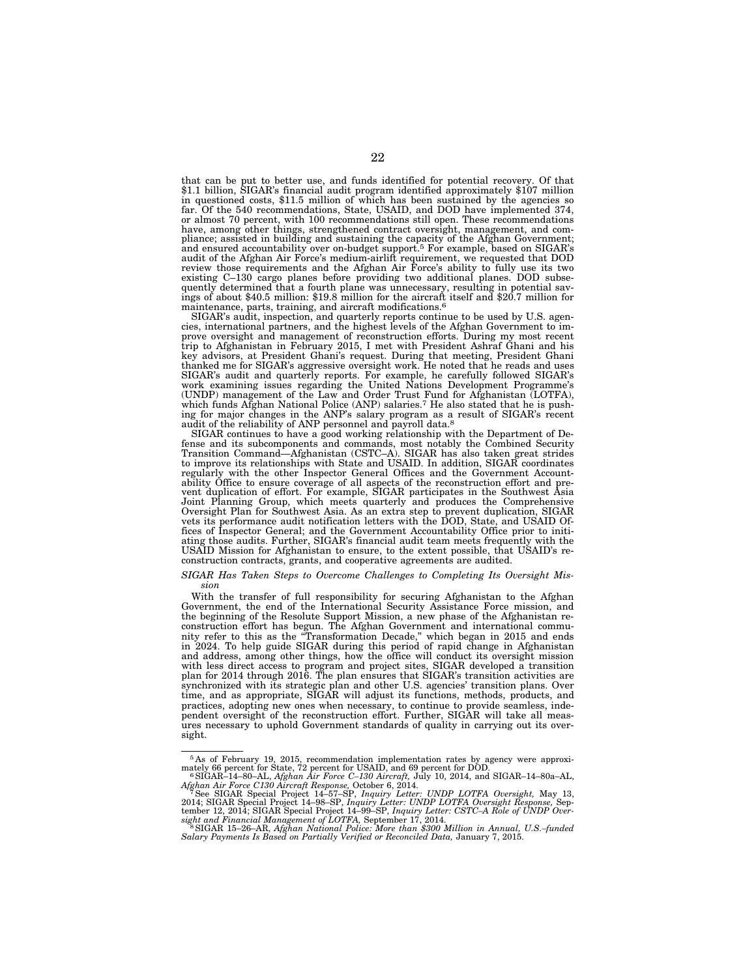that can be put to better use, and funds identified for potential recovery. Of that \$1.1 billion, SIGAR's financial audit program identified approximately \$107 million in questioned costs, \$11.5 million of which has been sustained by the agencies so far. Of the 540 recommendations, State, USAID, and DOD have implemented 374, or almost 70 percent, with 100 recommendations still open. These recommendations have, among other things, strengthened contract oversight, management, and compliance; assisted in building and sustaining the capacity of the Afghan Government; and ensured accountability over on-budget support.5 For example, based on SIGAR's audit of the Afghan Air Force's medium-airlift requirement, we requested that DOD review those requirements and the Afghan Air Force's ability to fully use its two existing C–130 cargo planes before providing two additional planes. DOD subsequently determined that a fourth plane was unnecessary, resulting in potential sav-ings of about \$40.5 million: \$19.8 million for the aircraft itself and \$20.7 million for maintenance, parts, training, and aircraft modifications.<sup>6</sup>

SIGAR's audit, inspection, and quarterly reports continue to be used by U.S. agencies, international partners, and the highest levels of the Afghan Government to im-prove oversight and management of reconstruction efforts. During my most recent trip to Afghanistan in February 2015, I met with President Ashraf Ghani and his key advisors, at President Ghani's request. During that meeting, President Ghani thanked me for SIGAR's aggressive oversight work. He noted that he reads and uses SIGAR's audit and quarterly reports. For example, he carefully followed SIGAR's work examining issues regarding the United Nations Development Programme's (UNDP) management of the Law and Order Trust Fund for Afghanistan (LOTFA), which funds Afghan National Police (ANP) salaries.<sup>7</sup> He also stated that he is pushing for major changes in the ANP's salary program as a result of SIGAR's recent audit of the reliability of ANP personnel and payroll data.<sup>8</sup>

SIGAR continues to have a good working relationship with the Department of Defense and its subcomponents and commands, most notably the Combined Security<br>Transition Command—Afghanistan (CSTC–A). SIGAR has also taken great strides<br>to improve its relationships with State and USAID. In addition, SIGAR regularly with the other Inspector General Offices and the Government Accountability Office to ensure coverage of all aspects of the reconstruction effort and prevent duplication of effort. For example, SIGAR participates in the Southwest Asia Joint Planning Group, which meets quarterly and produce ating those audits. Further, SIGAR's financial audit team meets frequently with the USAID Mission for Afghanistan to ensure, to the extent possible, that USAID's reconstruction contracts, grants, and cooperative agreements are audited.

## *SIGAR Has Taken Steps to Overcome Challenges to Completing Its Oversight Mission*

With the transfer of full responsibility for securing Afghanistan to the Afghan Government, the end of the International Security Assistance Force mission, and the beginning of the Resolute Support Mission, a new phase of the Afghanistan reconstruction effort has begun. The Afghan Government and international community refer to this as the ''Transformation Decade,'' which began in 2015 and ends in 2024. To help guide SIGAR during this period of rapid change in Afghanistan and address, among other things, how the office will conduct its oversight mission with less direct access to program and project sites, SIGAR developed a transition plan for 2014 through 2016. The plan ensures that SIGAR's transition activities are synchronized with its strategic plan and other U.S. agencies' transition plans. Over time, and as appropriate, SIGAR will adjust its functions, methods, products, and practices, adopting new ones when necessary, to continue to provide seamless, independent oversight of the reconstruction effort. Further, SIGAR will take all measures necessary to uphold Government standards of quality in carrying out its oversight.

<sup>&</sup>lt;sup>5</sup> As of February 19, 2015, recommendation implementation rates by agency were approximately 66 percent for State, 72 percent for USAID, and 69 percent for DOD.<br><sup>6</sup> SIGAR–14–80–AL, *Afghan Air Force C–130 Aircraft*, July

Afghan Air Force C130 Aircraft Response, October 6, 2014.<br>
<sup>7</sup> See SIGAR Special Project 14–95–SP, Inquiry Letter: UNDP LOTFA Oversight, May 13,<br>
2014; SIGAR Special Project 14–98–SP, Inquiry Letter: UNDP LOTFA Oversight R

*Salary Payments Is Based on Partially Verified or Reconciled Data,* January 7, 2015.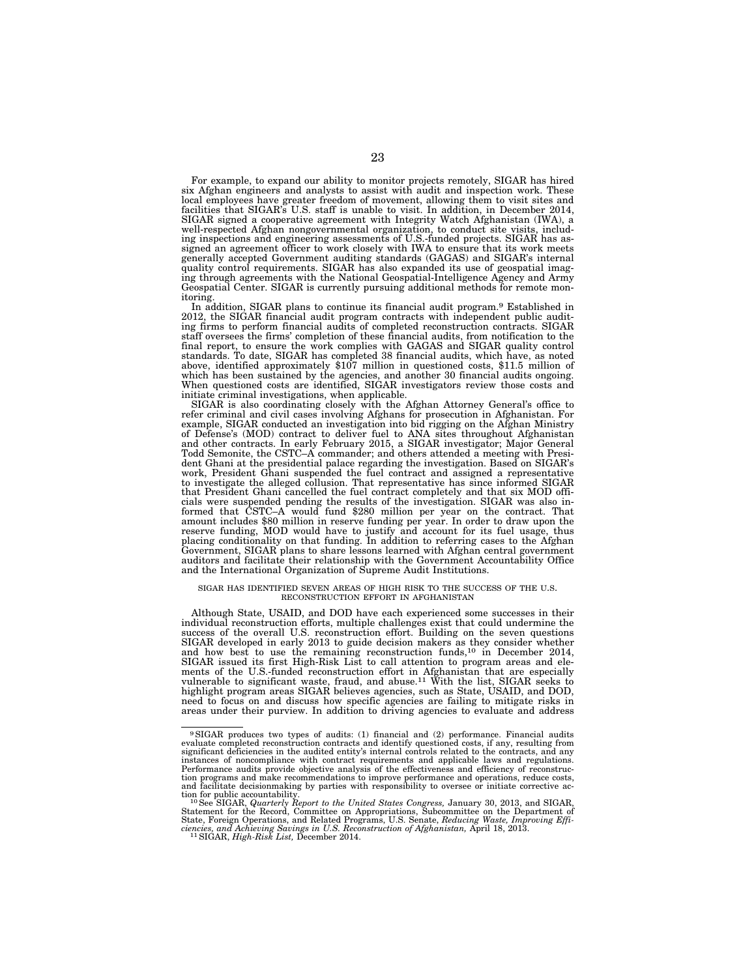For example, to expand our ability to monitor projects remotely, SIGAR has hired six Afghan engineers and analysts to assist with audit and inspection work. These local employees have greater freedom of movement, allowing them to visit sites and facilities that SIGAR's U.S. staff is unable to visit. In addition, in December 2014, SIGAR signed a cooperative agreement with Integrity Watch Afghanistan (IWA), a well-respected Afghan nongovernmental organization, to conduct site visits, includ-ing inspections and engineering assessments of U.S.-funded projects. SIGAR has assigned an agreement officer to work closely with IWA to ensure that its work meets generally accepted Government auditing standards (GAGAS) and SIGAR's internal quality control requirements. SIGAR has also expanded its use of geospatial imaging through agreements with the National Geospatial-Intelligence Agency and Army Geospatial Center. SIGAR is currently pursuing additional methods for remote monitoring.

In addition, SIGAR plans to continue its financial audit program.<sup>9</sup> Established in 2012, the SIGAR financial audit program contracts with independent public auditing firms to perform financial audits of completed reconstruction contracts. SIGAR staff oversees the firms' completion of these financial audits, from notification to the final report, to ensure the work complies with GAGAS and SIGAR quality control standards. To date, SIGAR has completed 38 financial audits, which have, as noted above, identified approximately \$107 million in questioned costs, \$11.5 million of which has been sustained by the agencies, and another 30 financial audits ongoing. When questioned costs are identified, SIGAR investigators review those costs and initiate criminal investigations, when applicable.

SIGAR is also coordinating closely with the Afghan Attorney General's office to refer criminal and civil cases involving Afghans for prosecution in Afghanistan. For example, SIGAR conducted an investigation into bid rigging on the Afghan Ministry of Defense's (MOD) contract to deliver fuel to ANA sites throughout Afghanistan<br>and other contracts. In early February 2015, a SIGAR investigator; Major General<br>Todd Semonite, the CSTC–A commander; and others attended a me dent Ghani at the presidential palace regarding the investigation. Based on SIGAR's work, President Ghani suspended the fuel contract and assigned a representative to investigate the alleged collusion. That representative has since informed SIGAR that President Ghani cancelled the fuel contract completely and that six MOD officials were suspended pending the results of the investigation. SIGAR was also in-formed that CSTC–A would fund \$280 million per year on the contract. That amount includes \$80 million in reserve funding per year. In order to draw upon the reserve funding, MOD would have to justify and account for its fuel usage, thus placing conditionality on that funding. In addition to referring cases to the Afghan Government, SIGAR plans to share lessons learned with Afghan central government auditors and facilitate their relationship with the Government Accountability Office and the International Organization of Supreme Audit Institutions.

# SIGAR HAS IDENTIFIED SEVEN AREAS OF HIGH RISK TO THE SUCCESS OF THE U.S. RECONSTRUCTION EFFORT IN AFGHANISTAN

Although State, USAID, and DOD have each experienced some successes in their individual reconstruction efforts, multiple challenges exist that could undermine the success of the overall U.S. reconstruction effort. Building on the seven questions SIGAR developed in early 2013 to guide decision makers as they consider whether and how best to use the remaining reconstruction funds,<sup>10</sup> in December 2014, SIGAR issued its first High-Risk List to call attention to program areas and elements of the U.S.-funded reconstruction effort in Afghanistan that are especially vulnerable to significant waste, fraud, and abuse.11 With the list, SIGAR seeks to highlight program areas SIGAR believes agencies, such as State, USAID, and DOD, need to focus on and discuss how specific agencies are failing to mitigate risks in areas under their purview. In addition to driving agencies to evaluate and address

<sup>9</sup>SIGAR produces two types of audits: (1) financial and (2) performance. Financial audits evaluate completed reconstruction contracts and identify questioned costs, if any, resulting from significant deficiencies in the audited entity's internal controls related to the contracts, and any instances of noncompliance with contract requirements and applicable laws and regulations. Performance audits provide objective analysis of the effectiveness and efficiency of reconstruction programs and make recommendations to improve performance and operations, reduce costs, and facilitate decisionmaking by parties with responsibility to oversee or initiate corrective ac-

tion for public accountability.<br><sup>10</sup>See SIGAR, *Quarterly Report to the United States Congress,* January 30, 2013, and SIGAR,<br>Statement for the Record, Committee on Appropriations, Subcommittee on the Department of State, Foreign Operations, and Related Programs, U.S. Senate, *Reducing Waste, Improving Efficiencies, and Achieving Savings in U.S. Reconstruction of Afghanistan,* April 18, 2013. 11SIGAR, *High-Risk List,* December 2014.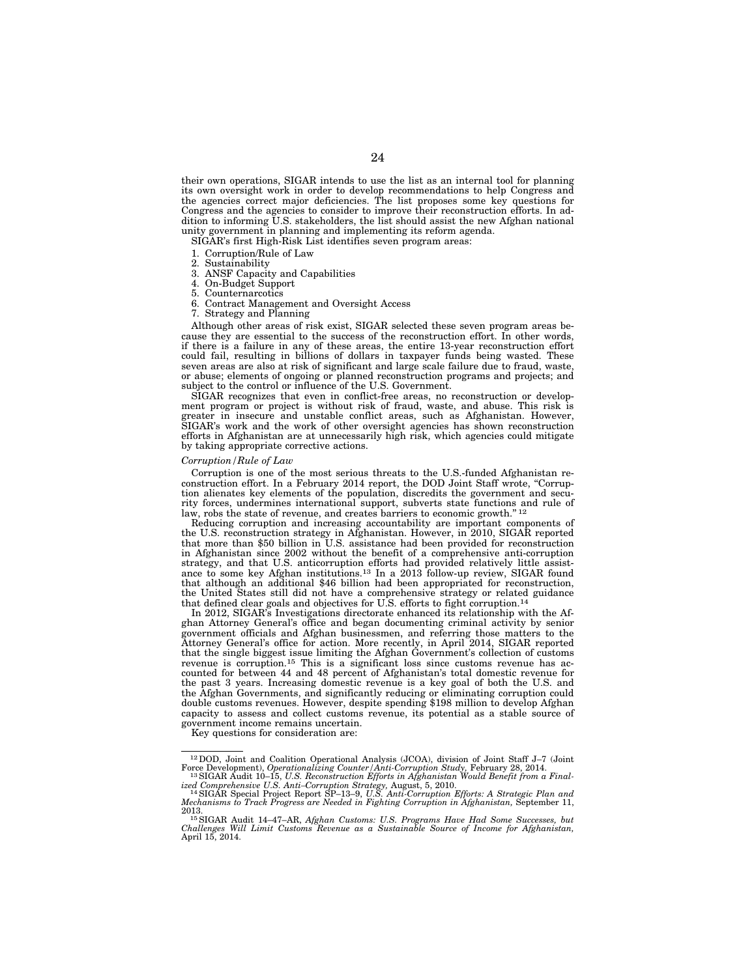their own operations, SIGAR intends to use the list as an internal tool for planning its own oversight work in order to develop recommendations to help Congress and the agencies correct major deficiencies. The list proposes some key questions for Congress and the agencies to consider to improve their reconstruction efforts. In addition to informing U.S. stakeholders, the list should assist the new Afghan national unity government in planning and implementing its reform agenda.

SIGAR's first High-Risk List identifies seven program areas:

- 1. Corruption/Rule of Law
- 2. Sustainability
- 3. ANSF Capacity and Capabilities
- 4. On-Budget Support
- **Counternarcotics**
- 6. Contract Management and Oversight Access
- 7. Strategy and Planning

Although other areas of risk exist, SIGAR selected these seven program areas because they are essential to the success of the reconstruction effort. In other words, if there is a failure in any of these areas, the entire 13-year reconstruction effort could fail, resulting in billions of dollars in taxpayer funds being wasted. These seven areas are also at risk of significant and large scale failure due to fraud, waste, or abuse; elements of ongoing or planned reconstruction programs and projects; and subject to the control or influence of the U.S. Government.

SIGAR recognizes that even in conflict-free areas, no reconstruction or development program or project is without risk of fraud, waste, and abuse. This risk is greater in insecure and unstable conflict areas, such as Afghanistan. However, SIGAR's work and the work of other oversight agencies has shown reconstruction efforts in Afghanistan are at unnecessarily high risk, which agencies could mitigate by taking appropriate corrective actions.

#### *Corruption/Rule of Law*

Corruption is one of the most serious threats to the U.S.-funded Afghanistan reconstruction effort. In a February 2014 report, the DOD Joint Staff wrote, ''Corruption alienates key elements of the population, discredits the government and security forces, undermines international support, subverts state functions and rule of<br>law robs the state of revenue and creates barriers to economic growth  $12$ law, robs the state of revenue, and creates barriers to economic growth.'

Reducing corruption and increasing accountability are important components of the U.S. reconstruction strategy in Afghanistan. However, in 2010, SIGAR reported that more than \$50 billion in U.S. assistance had been provided for reconstruction in Afghanistan since 2002 without the benefit of a comprehensive anti-corruption strategy, and that U.S. anticorruption efforts had provided relatively little assistance to some key Afghan institutions.13 In a 2013 follow-up review, SIGAR found that although an additional \$46 billion had been appropriated for reconstruction, the United States still did not have a comprehensive strategy or related guidance that defined clear goals and objectives for U.S. efforts to fight corruption.<sup>14</sup>

In 2012, SIGAR's Investigations directorate enhanced its relationship with the Afghan Attorney General's office and began documenting criminal activity by senior government officials and Afghan businessmen, and referring those matters to the Attorney General's office for action. More recently, in April 2014, SIGAR reported that the single biggest issue limiting the Afghan Government's collection of customs revenue is corruption.15 This is a significant loss since customs revenue has accounted for between 44 and 48 percent of Afghanistan's total domestic revenue for the past 3 years. Increasing domestic revenue is a key goal of both the U.S. and the Afghan Governments, and significantly reducing or eliminating corruption could double customs revenues. However, despite spending \$198 million to develop Afghan capacity to assess and collect customs revenue, its potential as a stable source of government income remains uncertain.

Key questions for consideration are:

<sup>&</sup>lt;sup>12</sup> DOD, Joint and Coalition Operational Analysis (JCOA), division of Joint Staff J–7 (Joint Force Development), *Operationalizing Counter* / *Anti-Corruption Study*, February 28, 2014. Force Development), *Operationalizing Counter/Anti-Corruption Study,* February 28, 2014. 13SIGAR Audit 10–15, *U.S. Reconstruction Efforts in Afghanistan Would Benefit from a Final-*

*ized Comprehensive U.S. Anti–Corruption Strategy,* August, 5, 2010. 14SIGAR Special Project Report SP–13–9, *U.S. Anti-Corruption Efforts: A Strategic Plan and* 

*Mechanisms to Track Progress are Needed in Fighting Corruption in Afghanistan,* September 11,

<sup>&</sup>lt;sup>15</sup> SIGAR Audit 14-47-AR, *Afghan Customs: U.S. Programs Have Had Some Successes, but Challenges Will Limit Customs Revenue as a Sustainable Source of Income for Afghanistan,*  April 15, 2014.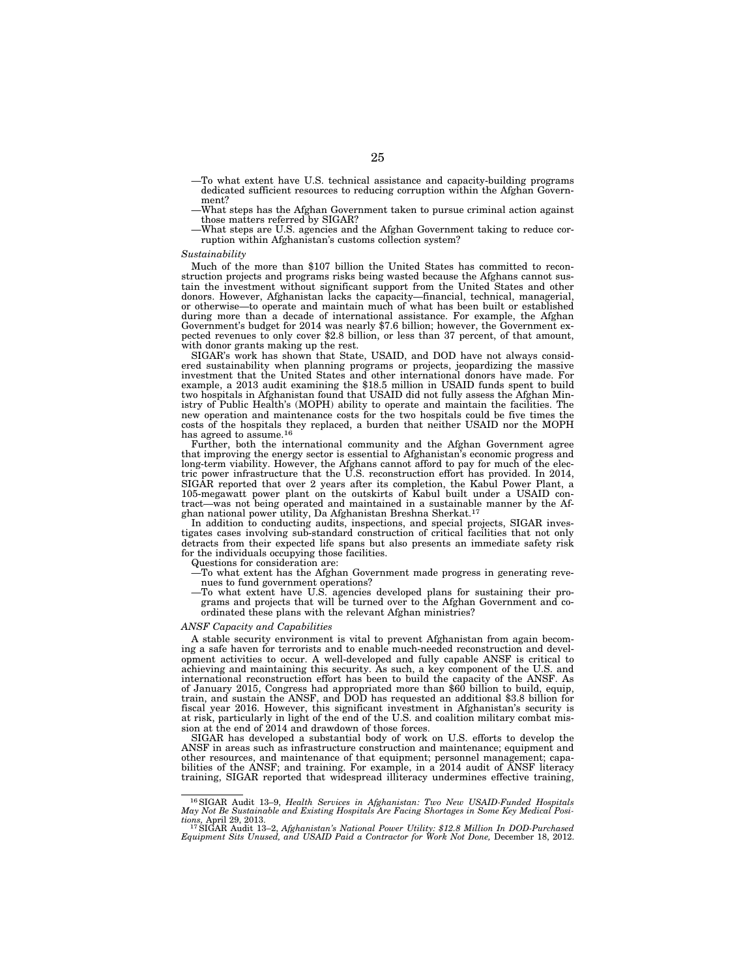- —To what extent have U.S. technical assistance and capacity-building programs dedicated sufficient resources to reducing corruption within the Afghan Government?
- —What steps has the Afghan Government taken to pursue criminal action against those matters referred by SIGAR?
- —What steps are U.S. agencies and the Afghan Government taking to reduce corruption within Afghanistan's customs collection system?

#### *Sustainability*

Much of the more than \$107 billion the United States has committed to reconstruction projects and programs risks being wasted because the Afghans cannot sustain the investment without significant support from the United States and other donors. However, Afghanistan lacks the capacity—financial, technical, managerial, or otherwise—to operate and maintain much of what has been built or established during more than a decade of international assistance. For example, the Afghan Government's budget for 2014 was nearly \$7.6 billion; however, the Government expected revenues to only cover \$2.8 billion, or less than 37 percent, of that amount, with donor grants making up the rest.

SIGAR's work has shown that State, USAID, and DOD have not always considered sustainability when planning programs or projects, jeopardizing the massive investment that the United States and other international donors have made. For example, a 2013 audit examining the \$18.5 million in USAID funds spent to build two hospitals in Afghanistan found that USAID did not fully assess the Afghan Ministry of Public Health's (MOPH) ability to operate and maintain the facilities. The new operation and maintenance costs for the two hospitals could be five times the costs of the hospitals they replaced, a burden that neither USAID nor the MOPH has agreed to assume.16

Further, both the international community and the Afghan Government agree that improving the energy sector is essential to Afghanistan's economic progress and long-term viability. However, the Afghans cannot afford to pay for much of the electric power infrastructure that the U.S. reconstruction effort has provided. In 2014, SIGAR reported that over 2 years after its completion, the Kabul Power Plant, a 105-megawatt power plant on the outskirts of Kabul built under a USAID contract—was not being operated and maintained in a sustainable manner by the Afghan national power utility, Da Afghanistan Breshna Sherkat.17

In addition to conducting audits, inspections, and special projects, SIGAR investigates cases involving sub-standard construction of critical facilities that not only detracts from their expected life spans but also presents an immediate safety risk for the individuals occupying those facilities.

- Questions for consideration are:
- —To what extent has the Afghan Government made progress in generating revenues to fund government operations?
- —To what extent have U.S. agencies developed plans for sustaining their programs and projects that will be turned over to the Afghan Government and coordinated these plans with the relevant Afghan ministries?

#### *ANSF Capacity and Capabilities*

A stable security environment is vital to prevent Afghanistan from again becoming a safe haven for terrorists and to enable much-needed reconstruction and development activities to occur. A well-developed and fully capable ANSF is critical to achieving and maintaining this security. As such, a key component of the U.S. and international reconstruction effort has been to build the capacity of the ANSF. As of January 2015, Congress had appropriated more than \$60 billion to build, equip, train, and sustain the ANSF, and DOD has requested an additional \$3.8 billion for fiscal year 2016. However, this significant investment in Afghanistan's security is at risk, particularly in light of the end of the U.S. and coalition military combat mission at the end of 2014 and drawdown of those forces.

SIGAR has developed a substantial body of work on U.S. efforts to develop the ANSF in areas such as infrastructure construction and maintenance; equipment and other resources, and maintenance of that equipment; personnel management; capabilities of the ANSF; and training. For example, in a 2014 audit of ANSF literacy training, SIGAR reported that widespread illiteracy undermines effective training,

<sup>&</sup>lt;sup>16</sup> SIGAR Audit 13–9, *Health Services in Afghanistan: Two New USAID-Funded Hospitals May Not Be Sustainable and Existing Hospitals Are Facing Shortages in Some Key Medical Posi-*

tions, April 29, 2013.<br><sup>17</sup>SIGAR Audit 13–2, *Afghanistan's National Power Utility: \$12.8 Million In DOD-Purchased*<br>*Equipment Sits Unused, and USAID Paid a Contractor for Work Not Done, December 18, 2012.*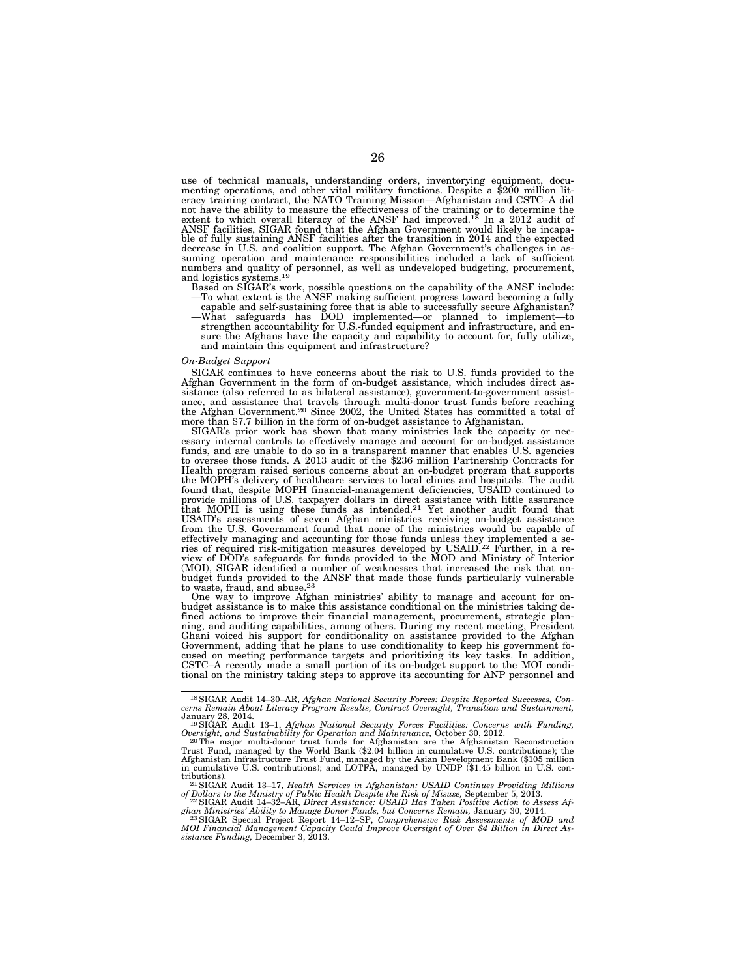use of technical manuals, understanding orders, inventorying equipment, documenting operations, and other vital military functions. Despite a \$200 million lit-eracy training contract, the NATO Training Mission—Afghanistan and CSTC–A did not have the ability to measure the effectiveness of the training or to determine the extent to which overall literacy of the ANSF had improved.18 In a 2012 audit of ANSF facilities, SIGAR found that the Afghan Government would likely be incapable of fully sustaining ANSF facilities after the transition in 2014 and the expected decrease in U.S. and coalition support. The Afghan Government's challenges in assuming operation and maintenance responsibilities included a lack of sufficient numbers and quality of personnel, as well as undeveloped budgeting, procurement, and logistics systems.<sup>19</sup>

Based on SIGAR's work, possible questions on the capability of the ANSF include: —To what extent is the ANSF making sufficient progress toward becoming a fully

- capable and self-sustaining force that is able to successfully secure Afghanistan? —What safeguards has DOD implemented—or planned to implement—to strengthen accountability for U.S.-funded equipment and infrastructure, and ensure the Afghans have the capacity and capability to account for, fully utilize,
	- and maintain this equipment and infrastructure?

#### *On-Budget Support*

SIGAR continues to have concerns about the risk to U.S. funds provided to the Afghan Government in the form of on-budget assistance, which includes direct assistance (also referred to as bilateral assistance), government-to-government assist-ance, and assistance that travels through multi-donor trust funds before reaching the Afghan Government.<sup>20</sup> Since 2002, the United States has committed a total of more than \$7.7 billion in the form of on-budget assistance to Afghanistan.

SIGAR's prior work has shown that many ministries lack the capacity or necessary internal controls to effectively manage and account for on-budget assistance funds, and are unable to do so in a transparent manner that enables U.S. agencies to oversee those funds. A 2013 audit of the \$236 million Partnership Contracts for Health program raised serious concerns about an on-budget program that supports the MOPH's delivery of healthcare services to local clinics and hospitals. The audit found that, despite MOPH financial-management deficiencies, USAID continued to<br>provide millions of U.S. taxpayer dollars in direct assistance with little assurance<br>that MOPH is using these funds as intended.<sup>21</sup> Yet anothe USAID's assessments of seven Afghan ministries receiving on-budget assistance from the U.S. Government found that none of the ministries would be capable of effectively managing and accounting for those funds unless they implemented a se-<br>ries of required risk-mitigation measures developed by USAID.<sup>22</sup> Further, in a re-<br>view of DOD's safeguards for funds provided to the MOD a (MOI), SIGAR identified a number of weaknesses that increased the risk that on-budget funds provided to the ANSF that made those funds particularly vulnerable to waste, fraud, and abuse. $^{23}$ 

One way to improve Afghan ministries' ability to manage and account for onbudget assistance is to make this assistance conditional on the ministries taking defined actions to improve their financial management, procurement, strategic planning, and auditing capabilities, among others. During my recent meeting, President Ghani voiced his support for conditionality on assistance provided to the Afghan Government, adding that he plans to use conditionality to keep his government fo-cused on meeting performance targets and prioritizing its key tasks. In addition, CSTC–A recently made a small portion of its on-budget support to the MOI condi-tional on the ministry taking steps to approve its accounting for ANP personnel and

<sup>18</sup>SIGAR Audit 14–30–AR, *Afghan National Security Forces: Despite Reported Successes, Con-cerns Remain About Literacy Program Results, Contract Oversight, Transition and Sustainment,* 

January 28, 2014. 19SIGAR Audit 13–1, *Afghan National Security Forces Facilities: Concerns with Funding,* 

Oversight, and Sustainability for Operation and Maintenance, October 30, 2012.<br><sup>20 Th</sup>e major multi-donor trust funds for Afghanistan are the Afghanistan Reconstruction<br>Trust Fund, managed by the World Bank (\$2.04 billion Afghanistan Infrastructure Trust Fund, managed by the Asian Development Bank (\$105 million in cumulative U.S. contributions); and LOTFA, managed by UNDP (\$1.45 billion in U.S. contributions). 21SIGAR Audit 13–17, *Health Services in Afghanistan: USAID Continues Providing Millions* 

of Dollars to the Ministry of Public Health Despite the Risk of Misuse, September 5, 2013.<br><sup>22</sup>SIGAR Audit 14–32–AR, Direct Assistance: USAID Has Taken Positive Action to Assess Af-

ghan Ministries' Ability to Manage Donor Funds, but Concerns Remain, January 30, 2014.<br><sup>23</sup> SIGAR Special Project Report 14–12—SP, Comprehensive Risk Assessments of MOD and<br>MOI Financial Management Capacity Could Improve O

*MOI Financial Management Capacity Could Improve Oversight of Over \$4 Billion in Direct Assistance Funding, December 3, 2013.*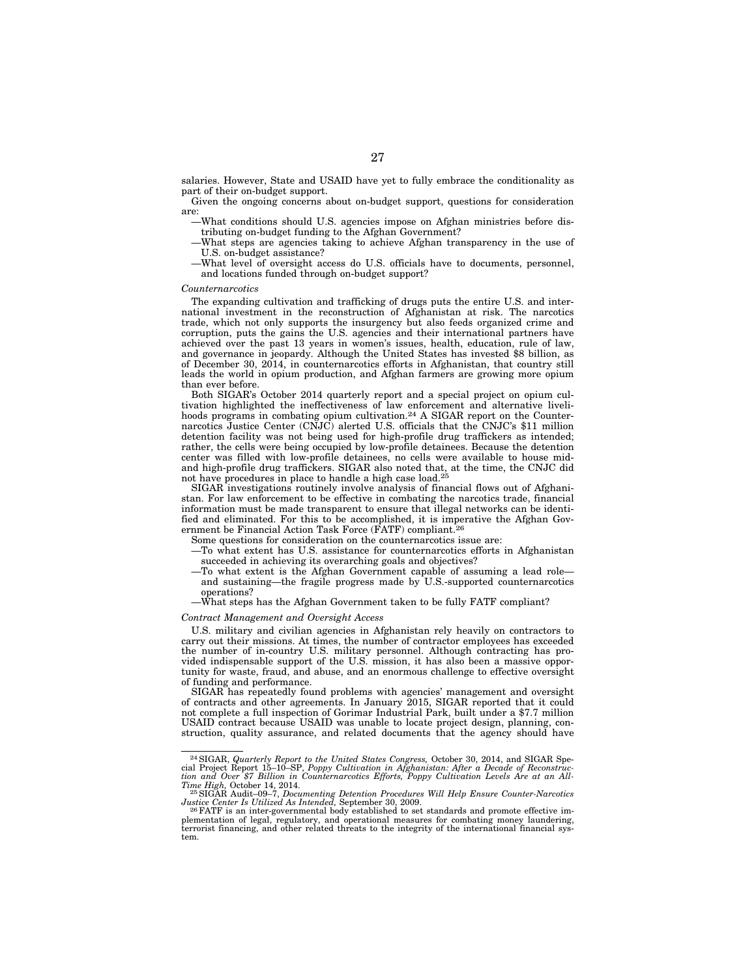salaries. However, State and USAID have yet to fully embrace the conditionality as part of their on-budget support.

Given the ongoing concerns about on-budget support, questions for consideration are:

- —What conditions should U.S. agencies impose on Afghan ministries before distributing on-budget funding to the Afghan Government?
- —What steps are agencies taking to achieve Afghan transparency in the use of U.S. on-budget assistance?

—What level of oversight access do U.S. officials have to documents, personnel, and locations funded through on-budget support?

## *Counternarcotics*

The expanding cultivation and trafficking of drugs puts the entire U.S. and international investment in the reconstruction of Afghanistan at risk. The narcotics trade, which not only supports the insurgency but also feeds organized crime and corruption, puts the gains the U.S. agencies and their international partners have achieved over the past 13 years in women's issues, health, education, rule of law, and governance in jeopardy. Although the United States has invested \$8 billion, as of December 30, 2014, in counternarcotics efforts in Afghanistan, that country still leads the world in opium production, and Afghan farmers are growing more opium than ever before.

Both SIGAR's October 2014 quarterly report and a special project on opium cultivation highlighted the ineffectiveness of law enforcement and alternative livelihoods programs in combating opium cultivation.24 A SIGAR report on the Counternarcotics Justice Center (CNJC) alerted U.S. officials that the CNJC's \$11 million detention facility was not being used for high-profile drug traffickers as intended; rather, the cells were being occupied by low-profile detainees. Because the detention center was filled with low-profile detainees, no cells were available to house midand high-profile drug traffickers. SIGAR also noted that, at the time, the CNJC did not have procedures in place to handle a high case load.25

SIGAR investigations routinely involve analysis of financial flows out of Afghanistan. For law enforcement to be effective in combating the narcotics trade, financial information must be made transparent to ensure that illegal networks can be identified and eliminated. For this to be accomplished, it is imperative the Afghan Government be Financial Action Task Force (FATF) compliant.26

Some questions for consideration on the counternarcotics issue are:

- —To what extent has U.S. assistance for counternarcotics efforts in Afghanistan succeeded in achieving its overarching goals and objectives?
- —To what extent is the Afghan Government capable of assuming a lead role and sustaining—the fragile progress made by U.S.-supported counternarcotics operations?
- —What steps has the Afghan Government taken to be fully FATF compliant?

#### *Contract Management and Oversight Access*

U.S. military and civilian agencies in Afghanistan rely heavily on contractors to carry out their missions. At times, the number of contractor employees has exceeded the number of in-country U.S. military personnel. Although contracting has provided indispensable support of the U.S. mission, it has also been a massive opportunity for waste, fraud, and abuse, and an enormous challenge to effective oversight of funding and performance.

SIGAR has repeatedly found problems with agencies' management and oversight of contracts and other agreements. In January 2015, SIGAR reported that it could not complete a full inspection of Gorimar Industrial Park, built under a \$7.7 million USAID contract because USAID was unable to locate project design, planning, construction, quality assurance, and related documents that the agency should have

<sup>&</sup>lt;sup>24</sup>SIGAR, *Quarterly Report to the United States Congress*, October 30, 2014, and SIGAR Special Project Report 15–10–SP, *Poppy Cultivation in Afghanistan: After a Decade of Reconstruc*cial Project Report 15–10–SP, *Poppy Cultivation in Afghanistan: After a Decade of Reconstruc- tion and Over \$7 Billion in Counternarcotics Efforts, Poppy Cultivation Levels Are at an All-Time High,* October 14, 2014. 25SIGAR Audit–09–7, *Documenting Detention Procedures Will Help Ensure Counter-Narcotics* 

*Justice Center Is Utilized As Intended,* September 30, 2009. 26FATF is an inter-governmental body established to set standards and promote effective im-

plementation of legal, regulatory, and operational measures for combating money laundering, terrorist financing, and other related threats to the integrity of the international financial system.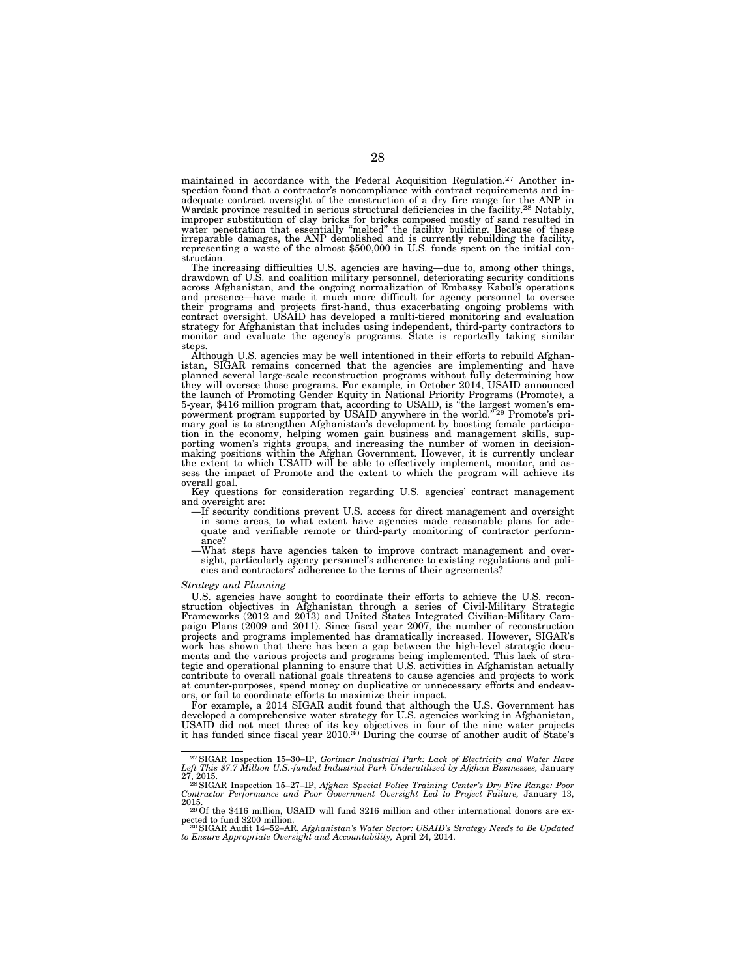maintained in accordance with the Federal Acquisition Regulation.27 Another inspection found that a contractor's noncompliance with contract requirements and inadequate contract oversight of the construction of a dry fire range for the ANP in Wardak province resulted in serious structural deficiencies in the facility.<sup>28</sup> Notably, improper substitution of clay bricks for bricks composed mostly of sand resulted in water penetration that essentially "melted" the facility building. Because of these irreparable damages, the ANP demolished and is currently rebuilding the facility, representing a waste of the almost \$500,000 in U.S. funds spent on the initial construction.

The increasing difficulties U.S. agencies are having—due to, among other things, drawdown of U.S. and coalition military personnel, deteriorating security conditions across Afghanistan, and the ongoing normalization of Embassy Kabul's operations and presence—have made it much more difficult for agency personnel to oversee their programs and projects first-hand, thus exacerbating ongoing problems with contract oversight. USAID has developed a multi-tiered monitoring and evaluation strategy for Afghanistan that includes using independent, third-party contractors to monitor and evaluate the agency's programs. State is reportedly taking similar step

Although U.S. agencies may be well intentioned in their efforts to rebuild Afghanistan, SIGAR remains concerned that the agencies are implementing and have planned several large-scale reconstruction programs without fully determining how they will oversee those programs. For example, in October 2014, USAID announced the launch of Promoting Gender Equity in National Priority Programs (Promote), a 5-year, \$416 million program that, according to USAID, is ''the largest women's em-powerment program supported by USAID anywhere in the world.'' 29 Promote's primary goal is to strengthen Afghanistan's development by boosting female participation in the economy, helping women gain business and management skills, supporting women's rights groups, and increasing the number of women sess the impact of Promote and the extent to which the program will achieve its overall goal.

Key questions for consideration regarding U.S. agencies' contract management and oversight are:

- —If security conditions prevent U.S. access for direct management and oversight in some areas, to what extent have agencies made reasonable plans for adequate and verifiable remote or third-party monitoring of contractor performance?
- —What steps have agencies taken to improve contract management and oversight, particularly agency personnel's adherence to existing regulations and policies and contractors' adherence to the terms of their agreements?

#### *Strategy and Planning*

U.S. agencies have sought to coordinate their efforts to achieve the U.S. reconstruction objectives in Afghanistan through a series of Civil-Military Strategic Frameworks (2012 and 2013) and United States Integrated Civilian-Military Campaign Plans (2009 and 2011). Since fiscal year 2007, the number of reconstruction projects and programs implemented has dramatically increased. However, SIGAR's work has shown that there has been a gap between the high-level strategic documents and the various projects and programs being implemented. This lack of strategic and operational planning to ensure that U.S. activities in Afghanistan actually contribute to overall national goals threatens to cause agencies and projects to work at counter-purposes, spend money on duplicative or unnecessary efforts and endeavors, or fail to coordinate efforts to maximize their impact.

For example, a 2014 SIGAR audit found that although the U.S. Government has developed a comprehensive water strategy for U.S. agencies working in Afghanistan, USAID did not meet three of its key objectives in four of the nine water projects it has funded since fiscal year 2010.30 During the course of another audit of State's

<sup>27</sup>SIGAR Inspection 15–30–IP, *Gorimar Industrial Park: Lack of Electricity and Water Have Left This \$7.7 Million U.S.-funded Industrial Park Underutilized by Afghan Businesses,* January

<sup>27, 2015. 28</sup>SIGAR Inspection 15–27–IP, *Afghan Special Police Training Center's Dry Fire Range: Poor Contractor Performance and Poor Government Oversight Led to Project Failure,* January 13,

<sup>2015.&</sup>lt;br>
<sup>29</sup>Of the \$416 million, USAID will fund \$216 million and other international donors are ex-<br>
pected to fund \$200 million.

pected to fund \$200 million.<br><sup>30</sup>SIGAR Audit 14–52–AR, *Afghanistan's Water Sector: USAID's Strategy Needs to Be Updated*<br>*to Ensure Appropriate Oversight and Accountability, A*pril 24, 2014.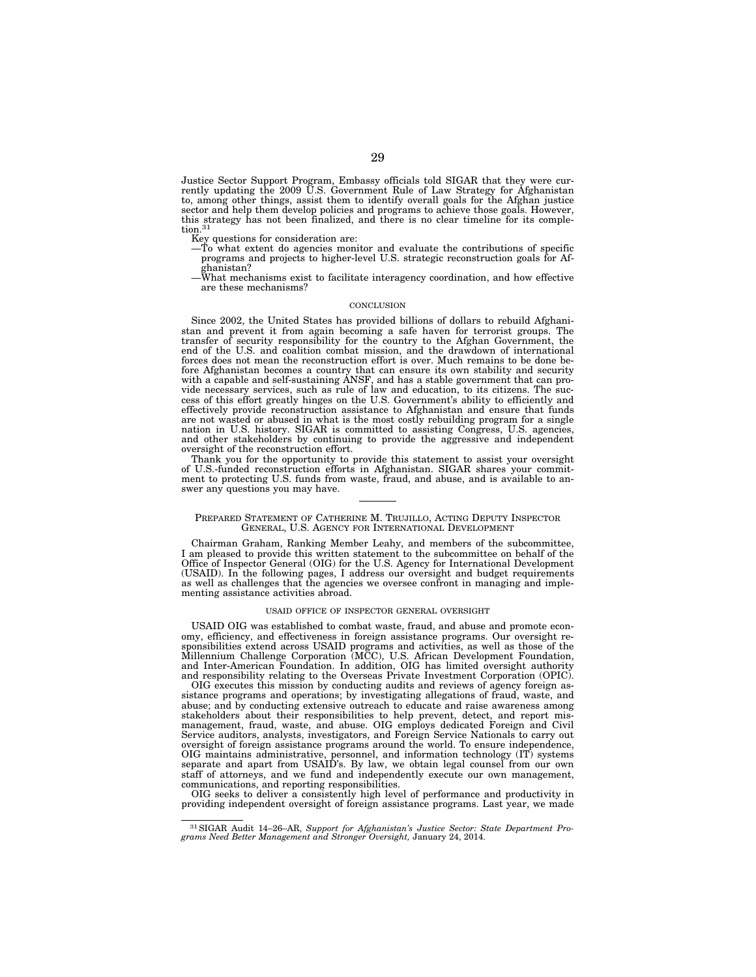Justice Sector Support Program, Embassy officials told SIGAR that they were currently updating the 2009 U.S. Government Rule of Law Strategy for Afghanistan<br>to, among other things, assist them to identify overall goals for sector and help them develop policies and programs to achieve those goals. However, this strategy has not been finalized, and there is no clear timeline for its completion.<sup>31</sup>

Key questions for consideration are:

- —To what extent do agencies monitor and evaluate the contributions of specific programs and projects to higher-level U.S. strategic reconstruction goals for Af-
- ghanistan? —What mechanisms exist to facilitate interagency coordination, and how effective are these mechanisms?

#### **CONCLUSION**

Since 2002, the United States has provided billions of dollars to rebuild Afghanistan and prevent it from again becoming a safe haven for terrorist groups. The transfer of security responsibility for the country to the Afghan Government, the end of the U.S. and coalition combat mission, and the drawdown of international forces does not mean the reconstruction effort is over. Much remains to be done before Afghanistan becomes a country that can ensure its own stability and security with a capable and self-sustaining ANSF, and has a stable government that can provide necessary services, such as rule of law and education, to its citizens. The success of this effort greatly hinges on the U.S. Government's ability to efficiently and effectively provide reconstruction assistance to Afghanistan and ensure that funds are not wasted or abused in what is the most costly rebuilding program for a single nation in U.S. history. SIGAR is committed to assisting Congress, U.S. agencies, and other stakeholders by continuing to provide the aggressive and independent oversight of the reconstruction effort.

Thank you for the opportunity to provide this statement to assist your oversight of U.S.-funded reconstruction efforts in Afghanistan. SIGAR shares your commitment to protecting U.S. funds from waste, fraud, and abuse, and is available to answer any questions you may have.

#### PREPARED STATEMENT OF CATHERINE M. TRUJILLO, ACTING DEPUTY INSPECTOR GENERAL, U.S. AGENCY FOR INTERNATIONAL DEVELOPMENT

Chairman Graham, Ranking Member Leahy, and members of the subcommittee, I am pleased to provide this written statement to the subcommittee on behalf of the Office of Inspector General (OIG) for the U.S. Agency for International Development (USAID). In the following pages, I address our oversight and budget requirements as well as challenges that the agencies we oversee confront in managing and implementing assistance activities abroad.

## USAID OFFICE OF INSPECTOR GENERAL OVERSIGHT

USAID OIG was established to combat waste, fraud, and abuse and promote economy, efficiency, and effectiveness in foreign assistance programs. Our oversight responsibilities extend across USAID programs and activities, as well as those of the Millennium Challenge Corporation (MCC), U.S. African Development Foundation, and Inter-American Foundation. In addition, OIG has limited oversight authority and responsibility relating to the Overseas Private Investment Corporation (OPIC).

OIG executes this mission by conducting audits and reviews of agency foreign assistance programs and operations; by investigating allegations of fraud, waste, and abuse; and by conducting extensive outreach to educate and raise awareness among stakeholders about their responsibilities to help prevent, detect, and report mismanagement, fraud, waste, and abuse. OIG employs dedicated Foreign and Civil Service auditors, analysts, investigators, and Foreign Service Nationals to carry out oversight of foreign assistance programs around the world. To ensure independence, OIG maintains administrative, personnel, and information technology (IT) systems separate and apart from USAID's. By law, we obtain legal counsel from our own staff of attorneys, and we fund and independently execute our own management, communications, and reporting responsibilities.

OIG seeks to deliver a consistently high level of performance and productivity in providing independent oversight of foreign assistance programs. Last year, we made

<sup>31</sup>SIGAR Audit 14–26–AR, *Support for Afghanistan's Justice Sector: State Department Pro-grams Need Better Management and Stronger Oversight,* January 24, 2014.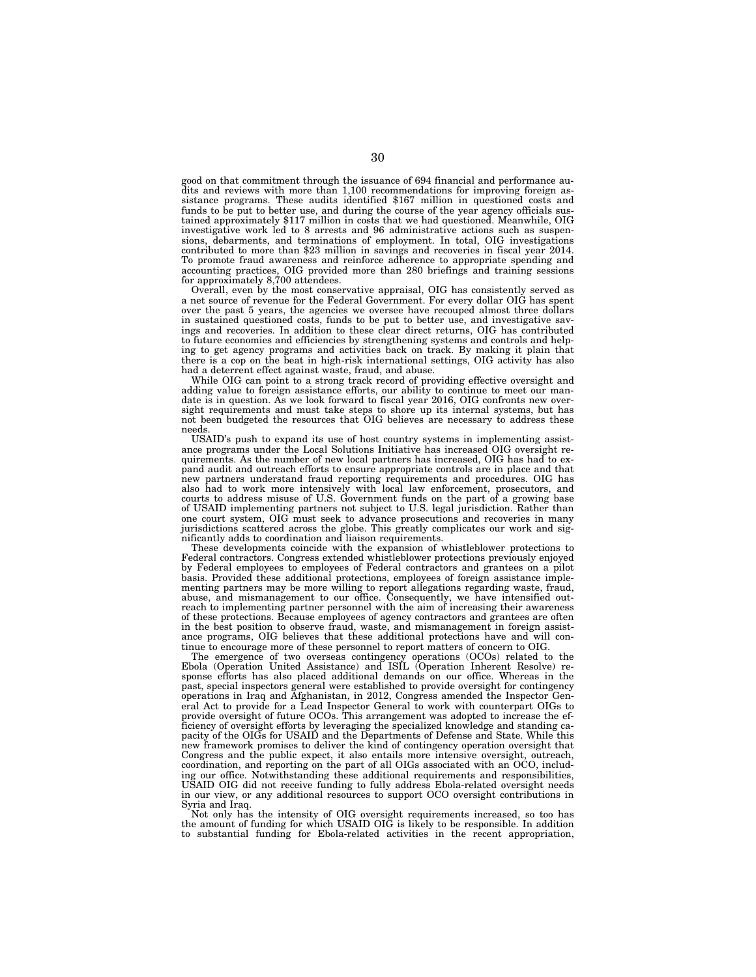good on that commitment through the issuance of 694 financial and performance audits and reviews with more than 1,100 recommendations for improving foreign assistance programs. These audits identified \$167 million in questioned costs and funds to be put to better use, and during the course of the year agency officials sustained approximately \$117 million in costs that we had questioned. Meanwhile, OIG investigative work led to 8 arrests and 96 administrative actions such as suspensions, debarments, and terminations of employment. In total, OIG investigations contributed to more than \$23 million in savings and recoveries in fiscal year 2014. To promote fraud awareness and reinforce adherence to appropriate spending and accounting practices, OIG provided more than 280 briefings and training sessions for approximately 8,700 attendees.

Overall, even by the most conservative appraisal, OIG has consistently served as a net source of revenue for the Federal Government. For every dollar OIG has spent over the past 5 years, the agencies we oversee have recouped almost three dollars in sustained questioned costs, funds to be put to better use, and investigative savings and recoveries. In addition to these clear direct returns, OIG has contributed to future economies and efficiencies by strengthening systems and controls and helping to get agency programs and activities back on track. By making it plain that there is a cop on the beat in high-risk international settings, OIG activity has also had a deterrent effect against waste, fraud, and abuse.

While OIG can point to a strong track record of providing effective oversight and adding value to foreign assistance efforts, our ability to continue to meet our mandate is in question. As we look forward to fiscal year 2016, OIG confronts new oversight requirements and must take steps to shore up its internal systems, but has not been budgeted the resources that OIG believes are necessary to address these needs.

USAID's push to expand its use of host country systems in implementing assistance programs under the Local Solutions Initiative has increased OIG oversight requirements. As the number of new local partners has increased, OIG has had to expand audit and outreach efforts to ensure appropriate controls are in place and that new partners understand fraud reporting requirements and procedures. OIG has also had to work more intensively with local law enforcement, prosecutors, and courts to address misuse of U.S. Government funds on the part of a growing base of USAID implementing partners not subject to U.S. legal jurisdiction. Rather than one court system, OIG must seek to advance prosecutions and recoveries in many jurisdictions scattered across the globe. This greatly complicates our work and significantly adds to coordination and liaison requirements.

These developments coincide with the expansion of whistleblower protections to Federal contractors. Congress extended whistleblower protections previously enjoyed by Federal employees to employees of Federal contractors and grantees on a pilot basis. Provided these additional protections, employees of foreign assistance implementing partners may be more willing to report allegations regarding waste, fraud, abuse, and mismanagement to our office. Consequently, we have intensified outreach to implementing partner personnel with the aim of increasing their awareness of these protections. Because employees of agency contractors and grantees are often in the best position to observe fraud, waste, and mismanagement in foreign assistance programs, OIG believes that these additional protections have and will continue to encourage more of these personnel to report matters of concern to OIG.

The emergence of two overseas contingency operations (OCOs) related to the Ebola (Operation United Assistance) and ISIL (Operation Inherent Resolve) response efforts has also placed additional demands on our office. Whereas in the past, special inspectors general were established to provide oversight for contingency operations in Iraq and Afghanistan, in 2012, Congress amended the Inspector General Act to provide for a Lead Inspector General to work with counterpart OIGs to provide oversight of future OCOs. This arrangement was adopted to increase the efficiency of oversight efforts by leveraging the specialized knowledge and standing capacity of the OIGs for USAID and the Departments of Defense and State. While this new framework promises to deliver the kind of contingency operation oversight that Congress and the public expect, it also entails more intensive oversight, outreach, coordination, and reporting on the part of all OIGs associated with an OCO, including our office. Notwithstanding these additional requirements and responsibilities, USAID OIG did not receive funding to fully address Ebola-related oversight needs in our view, or any additional resources to support OCO oversight contributions in Syria and Iraq.

Not only has the intensity of OIG oversight requirements increased, so too has the amount of funding for which USAID OIG is likely to be responsible. In addition to substantial funding for Ebola-related activities in the recent appropriation,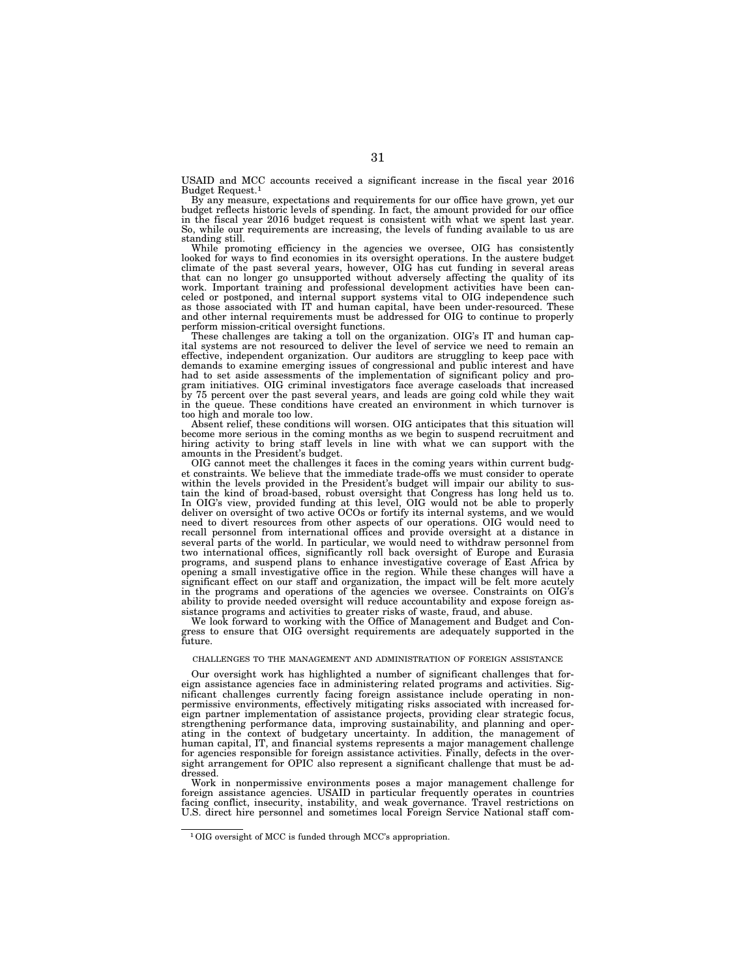USAID and MCC accounts received a significant increase in the fiscal year 2016 Budget Request.1

By any measure, expectations and requirements for our office have grown, yet our budget reflects historic levels of spending. In fact, the amount provided for our office in the fiscal year 2016 budget request is consistent with what we spent last year. So, while our requirements are increasing, the levels of funding available to us are standing still.

While promoting efficiency in the agencies we oversee, OIG has consistently looked for ways to find economies in its oversight operations. In the austere budget climate of the past several years, however, OIG has cut funding in several areas that can no longer go unsupported without adversely affecting the quality of its work. Important training and professional development activities have been canceled or postponed, and internal support systems vital to OIG independence such as those associated with IT and human capital, have been under-resourced. These and other internal requirements must be addressed for OIG to continue to properly perform mission-critical oversight functions.

These challenges are taking a toll on the organization. OIG's IT and human capital systems are not resourced to deliver the level of service we need to remain an effective, independent organization. Our auditors are struggling to keep pace with demands to examine emerging issues of congressional and public interest and have had to set aside assessments of the implementation of significant policy and program initiatives. OIG criminal investigators face average caseloads that increased by 75 percent over the past several years, and leads are going cold while they wait in the queue. These conditions have created an environment in which turnover is too high and morale too low.

Absent relief, these conditions will worsen. OIG anticipates that this situation will become more serious in the coming months as we begin to suspend recruitment and hiring activity to bring staff levels in line with what we can support with the amounts in the President's budget.

OIG cannot meet the challenges it faces in the coming years within current budget constraints. We believe that the immediate trade-offs we must consider to operate within the levels provided in the President's budget will impair our ability to sustain the kind of broad-based, robust oversight that Congress has long held us to. In OIG's view, provided funding at this level, OIG would not be able to properly deliver on oversight of two active OCOs or fortify its internal systems, and we would need to divert resources from other aspects of our operations. OIG would need to recall personnel from international offices and provide oversight at a distance in several parts of the world. In particular, we would need to withdraw personnel from two international offices, significantly roll back oversight of Europe and Eurasia programs, and suspend plans to enhance investigative coverage of East Africa by opening a small investigative office in the region. While these changes will have a significant effect on our staff and organization, the impact will be felt more acutely in the programs and operations of the agencies we oversee. Constraints on OIG's ability to provide needed oversight will reduce accountability and expose foreign assistance programs and activities to greater risks of waste, fraud, and abuse.

We look forward to working with the Office of Management and Budget and Congress to ensure that OIG oversight requirements are adequately supported in the future.

#### CHALLENGES TO THE MANAGEMENT AND ADMINISTRATION OF FOREIGN ASSISTANCE

Our oversight work has highlighted a number of significant challenges that foreign assistance agencies face in administering related programs and activities. Significant challenges currently facing foreign assistance include operating in nonpermissive environments, effectively mitigating risks associated with increased foreign partner implementation of assistance projects, providing clear strategic focus, strengthening performance data, improving sustainability, and planning and operating in the context of budgetary uncertainty. In addition, the management of human capital, IT, and financial systems represents a major management challenge for agencies responsible for foreign assistance activities. Finally, defects in the oversight arrangement for OPIC also represent a significant challenge that must be addressed.

Work in nonpermissive environments poses a major management challenge for foreign assistance agencies. USAID in particular frequently operates in countries facing conflict, insecurity, instability, and weak governance. Travel restrictions on U.S. direct hire personnel and sometimes local Foreign Service National staff com-

<sup>1</sup>OIG oversight of MCC is funded through MCC's appropriation.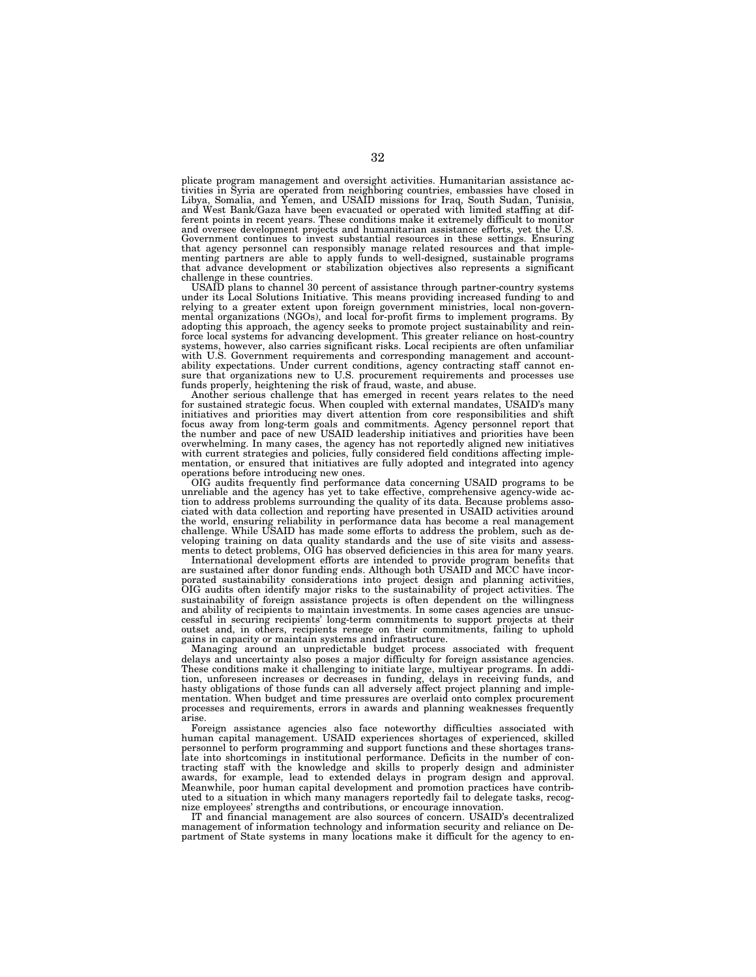plicate program management and oversight activities. Humanitarian assistance activities in Syria are operated from neighboring countries, embassies have closed in<br>Libya, Somalia, and Yemen, and USAID missions for Iraq, South Sudan, Tunisia,<br>and West Bank/Gaza have been evacuated or operated with limi ferent points in recent years. These conditions make it extremely difficult to monitor and oversee development projects and humanitarian assistance efforts, yet the U.S. Government continues to invest substantial resources in these settings. Ensuring that agency personnel can responsibly manage related resources and that implementing partners are able to apply funds to well-designed, sustainable programs that advance development or stabilization objectives also represents a significant challenge in these countries.

USAID plans to channel 30 percent of assistance through partner-country systems under its Local Solutions Initiative. This means providing increased funding to and relying to a greater extent upon foreign government ministries, local non-govern-mental organizations (NGOs), and local for-profit firms to implement programs. By adopting this approach, the agency seeks to promote project sustainability and rein-force local systems for advancing development. This greater reliance on host-country systems, however, also carries significant risks. Local recipients are often unfamiliar with U.S. Government requirements and corresponding management and accountability expectations. Under current conditions, agency contracting staff cannot ensure that organizations new to U.S. procurement requirements and processes use funds properly, heightening the risk of fraud, waste, and abu

for sustained strategic focus. When coupled with external mandates, USAID's many initiatives and priorities may divert attention from core responsibilities and shift focus away from long-term goals and commitments. Agency personnel report that the number and pace of new USAID leadership initiatives and priorities have been overwhelming. In many cases, the agency has not reportedly aligned new initiatives with current strategies and policies, fully considered field conditions affecting implementation, or ensured that initiatives are fully adopted and integrated into agency operations before introducing new ones.

OIG audits frequently find performance data concerning USAID programs to be unreliable and the agency has yet to take effective, comprehensive agency-wide ac-tion to address problems surrounding the quality of its data. Because problems associated with data collection and reporting have presented in USAID activities around the world, ensuring reliability in performance data has become a real management challenge. While USAID has made some efforts to address the problem, such as developing training on data quality standards and the use of site visits and assessments to detect problems, OIG has observed deficiencies in this area for many years.

International development efforts are intended to provide program benefits that are sustained after donor funding ends. Although both USAID and MCC have incorporated sustainability considerations into project design and planning activities, OIG audits often identify major risks to the sustainability of project activities. The sustainability of foreign assistance projects is often dependent on the willingness and ability of recipients to maintain investments. In some cases agencies are unsuccessful in securing recipients' long-term commitments to support projects at their outset and, in others, recipients renege on their commitments, failing to uphold gains in capacity or maintain systems and infrastructure.

Managing around an unpredictable budget process associated with frequent delays and uncertainty also poses a major difficulty for foreign assistance agencies. These conditions make it challenging to initiate large, multiyear programs. In addition, unforeseen increases or decreases in funding, delays in receiving funds, and hasty obligations of those funds can all adversely affect project planning and implementation. When budget and time pressures are overlaid onto complex procurement processes and requirements, errors in awards and planning weaknesses frequently arise.

Foreign assistance agencies also face noteworthy difficulties associated with human capital management. USAID experiences shortages of experienced, skilled personnel to perform programming and support functions and these shortages translate into shortcomings in institutional performance. Deficits in the number of contracting staff with the knowledge and skills to properly design and administer awards, for example, lead to extended delays in program design and approval. Meanwhile, poor human capital development and promotion practices have contributed to a situation in which many managers reportedly fail to delegate tasks, recognize employees' strengths and contributions, or encourage innovation.

IT and financial management are also sources of concern. USAID's decentralized management of information technology and information security and reliance on Department of State systems in many locations make it difficult for the agency to en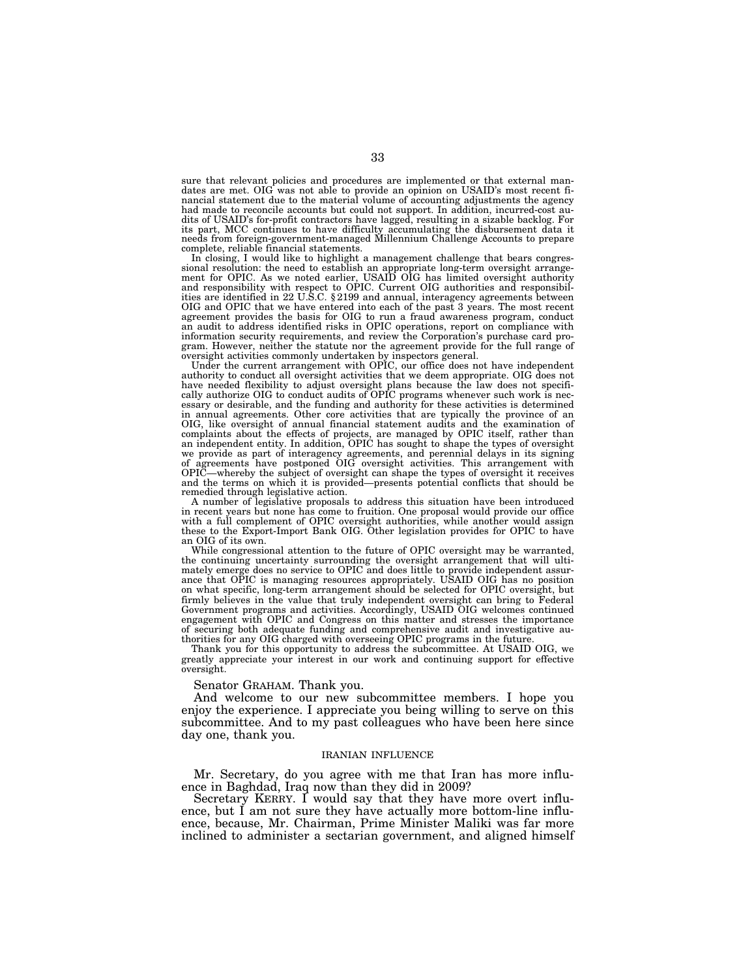sure that relevant policies and procedures are implemented or that external man-dates are met. OIG was not able to provide an opinion on USAID's most recent financial statement due to the material volume of accounting adjustments the agency had made to reconcile accounts but could not support. In addition, incurred-cost audits of USAID's for-profit contractors have lagged, resulting in a sizable backlog. For its part, MCC continues to have difficulty accumulating the disbursement data it needs from foreign-government-managed Millennium Challenge Accounts to prepare complete, reliable financial statements.

In closing, I would like to highlight a management challenge that bears congressional resolution: the need to establish an appropriate long-term oversight arrange-ment for OPIC. As we noted earlier, USAID OIG has limited oversight authority and responsibility with respect to OPIC. Current OIG authorities and responsibil-ities are identified in 22 U.S.C. § 2199 and annual, interagency agreements between OIG and OPIC that we have entered into each of the past 3 years. The most recent agreement provides the basis for OIG to run a fraud awareness program, conduct an audit to address identified risks in OPIC operations, report on compliance with information security requirements, and review the Corporation's purchase card program. However, neither the statute nor the agreement provide for the full range of oversight activities commonly undertaken by inspectors general.

Under the current arrangement with OPIC, our office does not have independent authority to conduct all oversight activities that we deem appropriate. OIG does not have needed flexibility to adjust oversight plans because the law does not specifi-cally authorize OIG to conduct audits of OPIC programs whenever such work is necessary or desirable, and the funding and authority for these activities is determined in annual agreements. Other core activities that are typically the province of an OIG, like oversight of annual financial statement audits and the examination of complaints about the effects of projects, are managed by OPIC itself, rather than an independent entity. In addition, OPIC has sought to shape and the terms on which it is provided—presents potential conflicts that should be remedied through legislative action.

A number of legislative proposals to address this situation have been introduced in recent years but none has come to fruition. One proposal would provide our office with a full complement of OPIC oversight authorities, while another would assign these to the Export-Import Bank OIG. Other legislation provides for OPIC to have an OIG of its own.

While congressional attention to the future of OPIC oversight may be warranted, the continuing uncertainty surrounding the oversight arrangement that will ultimately emerge does no service to OPIC and does little to provide independent assurance that OPIC is managing resources appropriately. USAID OIG has no position on what specific, long-term arrangement should be selected for OPIC oversight, but firmly believes in the value that truly independent oversight can bring to Federal Government programs and activities. Accordingly, USAID OIG welcomes continued engagement with OPIC and Congress on this matter and stresses the importance of securing both adequate funding and comprehensive audit and investigative authorities for any OIG charged with overseeing OPIC programs in the future.

Thank you for this opportunity to address the subcommittee. At USAID OIG, we greatly appreciate your interest in our work and continuing support for effective oversight.

Senator GRAHAM. Thank you.

And welcome to our new subcommittee members. I hope you enjoy the experience. I appreciate you being willing to serve on this subcommittee. And to my past colleagues who have been here since day one, thank you.

#### IRANIAN INFLUENCE

Mr. Secretary, do you agree with me that Iran has more influence in Baghdad, Iraq now than they did in 2009?

Secretary KERRY. I would say that they have more overt influence, but  $\check{I}$  am not sure they have actually more bottom-line influence, because, Mr. Chairman, Prime Minister Maliki was far more inclined to administer a sectarian government, and aligned himself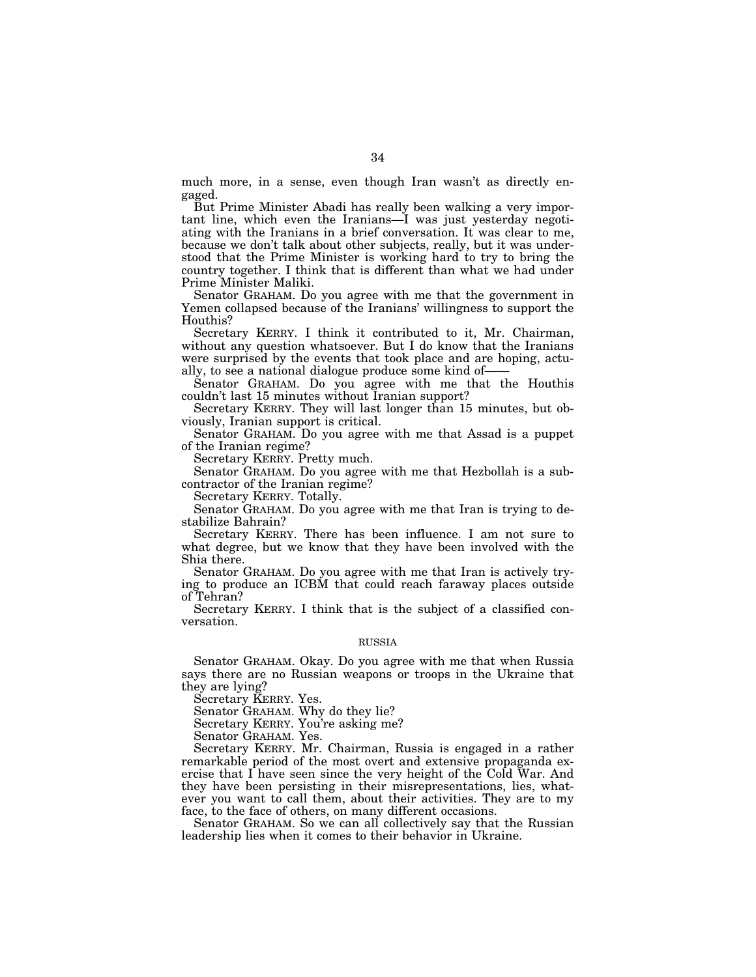much more, in a sense, even though Iran wasn't as directly engaged.

But Prime Minister Abadi has really been walking a very important line, which even the Iranians—I was just yesterday negotiating with the Iranians in a brief conversation. It was clear to me, because we don't talk about other subjects, really, but it was understood that the Prime Minister is working hard to try to bring the country together. I think that is different than what we had under Prime Minister Maliki.

Senator GRAHAM. Do you agree with me that the government in Yemen collapsed because of the Iranians' willingness to support the Houthis?

Secretary KERRY. I think it contributed to it, Mr. Chairman, without any question whatsoever. But I do know that the Iranians were surprised by the events that took place and are hoping, actually, to see a national dialogue produce some kind of——

Senator GRAHAM. Do you agree with me that the Houthis couldn't last 15 minutes without Iranian support?

Secretary KERRY. They will last longer than 15 minutes, but obviously, Iranian support is critical.

Senator GRAHAM. Do you agree with me that Assad is a puppet of the Iranian regime?

Secretary KERRY. Pretty much.

Senator GRAHAM. Do you agree with me that Hezbollah is a subcontractor of the Iranian regime?

Secretary KERRY. Totally.

Senator GRAHAM. Do you agree with me that Iran is trying to destabilize Bahrain?

Secretary KERRY. There has been influence. I am not sure to what degree, but we know that they have been involved with the Shia there.

Senator GRAHAM. Do you agree with me that Iran is actively trying to produce an ICBM that could reach faraway places outside of Tehran?

Secretary KERRY. I think that is the subject of a classified conversation.

## RUSSIA

Senator GRAHAM. Okay. Do you agree with me that when Russia says there are no Russian weapons or troops in the Ukraine that they are lying?

Secretary KERRY. Yes.

Senator GRAHAM. Why do they lie?

Secretary KERRY. You're asking me?

Senator GRAHAM. Yes.

Secretary KERRY. Mr. Chairman, Russia is engaged in a rather remarkable period of the most overt and extensive propaganda exercise that I have seen since the very height of the Cold War. And they have been persisting in their misrepresentations, lies, whatever you want to call them, about their activities. They are to my face, to the face of others, on many different occasions.

Senator GRAHAM. So we can all collectively say that the Russian leadership lies when it comes to their behavior in Ukraine.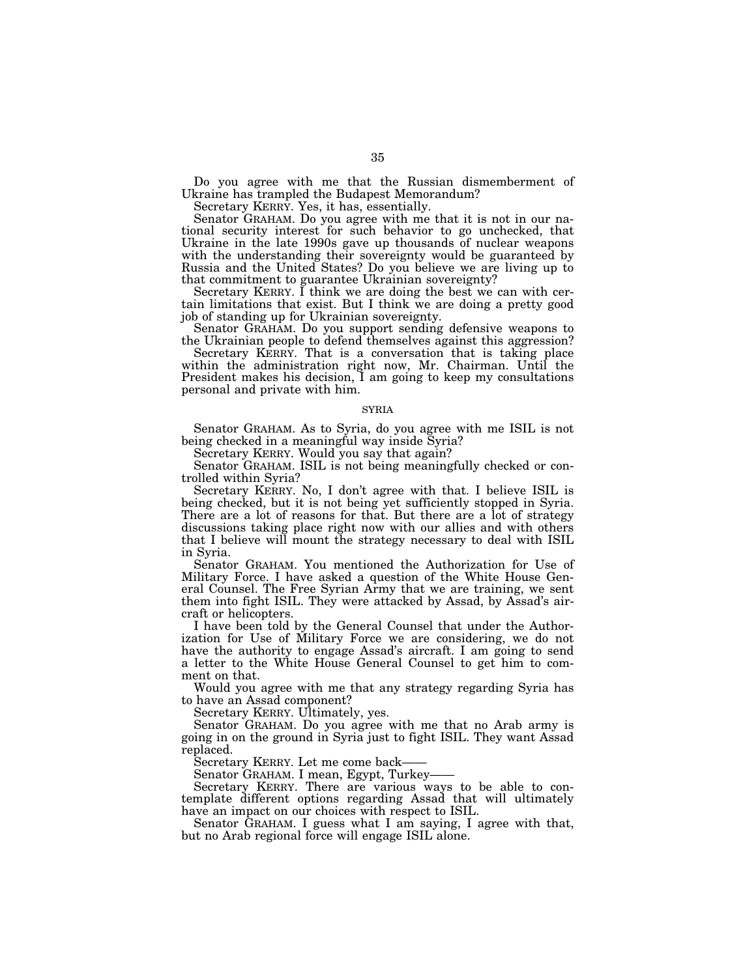Do you agree with me that the Russian dismemberment of Ukraine has trampled the Budapest Memorandum?

Secretary KERRY. Yes, it has, essentially.

Senator GRAHAM. Do you agree with me that it is not in our national security interest for such behavior to go unchecked, that Ukraine in the late 1990s gave up thousands of nuclear weapons with the understanding their sovereignty would be guaranteed by Russia and the United States? Do you believe we are living up to that commitment to guarantee Ukrainian sovereignty?

Secretary KERRY. I think we are doing the best we can with certain limitations that exist. But I think we are doing a pretty good job of standing up for Ukrainian sovereignty.

Senator GRAHAM. Do you support sending defensive weapons to the Ukrainian people to defend themselves against this aggression?

Secretary KERRY. That is a conversation that is taking place within the administration right now, Mr. Chairman. Until the President makes his decision, I am going to keep my consultations personal and private with him.

## SYRIA

Senator GRAHAM. As to Syria, do you agree with me ISIL is not being checked in a meaningful way inside Syria?

Secretary KERRY. Would you say that again?

Senator GRAHAM. ISIL is not being meaningfully checked or controlled within Syria?

Secretary KERRY. No, I don't agree with that. I believe ISIL is being checked, but it is not being yet sufficiently stopped in Syria. There are a lot of reasons for that. But there are a lot of strategy discussions taking place right now with our allies and with others that I believe will mount the strategy necessary to deal with ISIL in Syria.

Senator GRAHAM. You mentioned the Authorization for Use of Military Force. I have asked a question of the White House General Counsel. The Free Syrian Army that we are training, we sent them into fight ISIL. They were attacked by Assad, by Assad's aircraft or helicopters.

I have been told by the General Counsel that under the Authorization for Use of Military Force we are considering, we do not have the authority to engage Assad's aircraft. I am going to send a letter to the White House General Counsel to get him to comment on that.

Would you agree with me that any strategy regarding Syria has to have an Assad component?

Secretary KERRY. Ultimately, yes.

Senator GRAHAM. Do you agree with me that no Arab army is going in on the ground in Syria just to fight ISIL. They want Assad replaced.

Secretary KERRY. Let me come back——

Senator GRAHAM. I mean, Egypt, Turkey-

Secretary KERRY. There are various ways to be able to contemplate different options regarding Assad that will ultimately have an impact on our choices with respect to ISIL.

Senator GRAHAM. I guess what I am saying, I agree with that, but no Arab regional force will engage ISIL alone.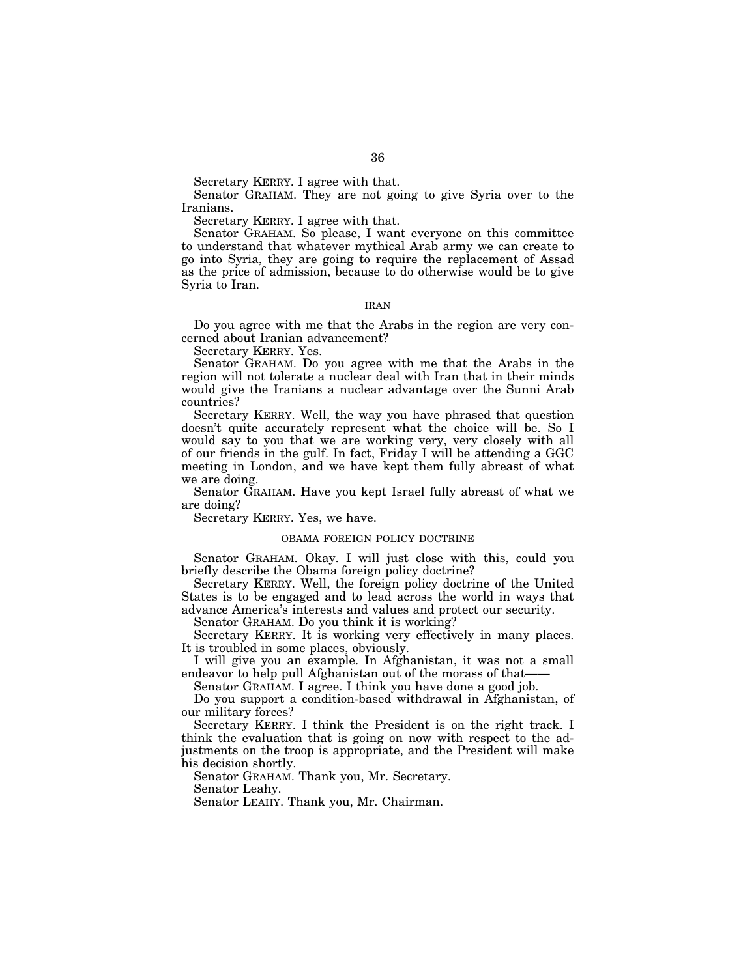Secretary KERRY. I agree with that.

Senator GRAHAM. They are not going to give Syria over to the Iranians.

Secretary KERRY. I agree with that.

Senator GRAHAM. So please, I want everyone on this committee to understand that whatever mythical Arab army we can create to go into Syria, they are going to require the replacement of Assad as the price of admission, because to do otherwise would be to give Syria to Iran.

## IRAN

Do you agree with me that the Arabs in the region are very concerned about Iranian advancement?

Secretary KERRY. Yes.

Senator GRAHAM. Do you agree with me that the Arabs in the region will not tolerate a nuclear deal with Iran that in their minds would give the Iranians a nuclear advantage over the Sunni Arab countries?

Secretary KERRY. Well, the way you have phrased that question doesn't quite accurately represent what the choice will be. So I would say to you that we are working very, very closely with all of our friends in the gulf. In fact, Friday I will be attending a GGC meeting in London, and we have kept them fully abreast of what we are doing.

Senator GRAHAM. Have you kept Israel fully abreast of what we are doing?

Secretary KERRY. Yes, we have.

## OBAMA FOREIGN POLICY DOCTRINE

Senator GRAHAM. Okay. I will just close with this, could you briefly describe the Obama foreign policy doctrine?

Secretary KERRY. Well, the foreign policy doctrine of the United States is to be engaged and to lead across the world in ways that advance America's interests and values and protect our security.

Senator GRAHAM. Do you think it is working?

Secretary KERRY. It is working very effectively in many places. It is troubled in some places, obviously.

I will give you an example. In Afghanistan, it was not a small endeavor to help pull Afghanistan out of the morass of that——

Senator GRAHAM. I agree. I think you have done a good job.

Do you support a condition-based withdrawal in Afghanistan, of our military forces?

Secretary KERRY. I think the President is on the right track. I think the evaluation that is going on now with respect to the adjustments on the troop is appropriate, and the President will make his decision shortly.

Senator GRAHAM. Thank you, Mr. Secretary.

Senator Leahy.

Senator LEAHY. Thank you, Mr. Chairman.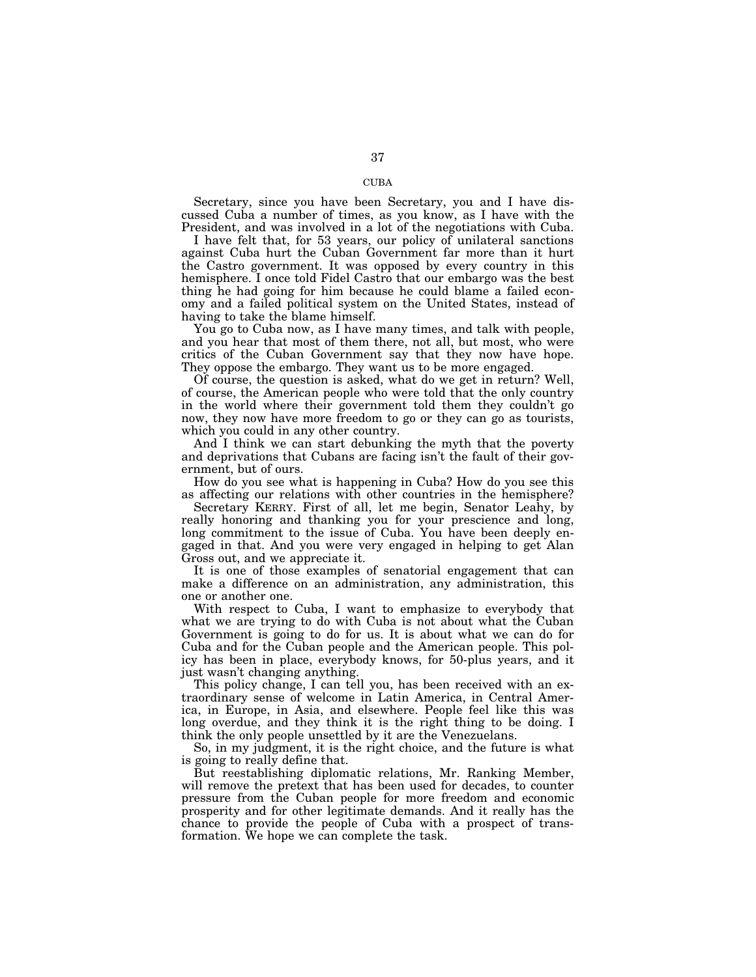Secretary, since you have been Secretary, you and I have discussed Cuba a number of times, as you know, as I have with the President, and was involved in a lot of the negotiations with Cuba.

I have felt that, for 53 years, our policy of unilateral sanctions against Cuba hurt the Cuban Government far more than it hurt the Castro government. It was opposed by every country in this hemisphere. I once told Fidel Castro that our embargo was the best thing he had going for him because he could blame a failed economy and a failed political system on the United States, instead of having to take the blame himself.

You go to Cuba now, as I have many times, and talk with people, and you hear that most of them there, not all, but most, who were critics of the Cuban Government say that they now have hope. They oppose the embargo. They want us to be more engaged.

Of course, the question is asked, what do we get in return? Well, of course, the American people who were told that the only country in the world where their government told them they couldn't go now, they now have more freedom to go or they can go as tourists, which you could in any other country.

And I think we can start debunking the myth that the poverty and deprivations that Cubans are facing isn't the fault of their government, but of ours.

How do you see what is happening in Cuba? How do you see this as affecting our relations with other countries in the hemisphere?

Secretary KERRY. First of all, let me begin, Senator Leahy, by really honoring and thanking you for your prescience and long, long commitment to the issue of Cuba. You have been deeply engaged in that. And you were very engaged in helping to get Alan Gross out, and we appreciate it.

It is one of those examples of senatorial engagement that can make a difference on an administration, any administration, this one or another one.

With respect to Cuba, I want to emphasize to everybody that what we are trying to do with Cuba is not about what the Cuban Government is going to do for us. It is about what we can do for Cuba and for the Cuban people and the American people. This policy has been in place, everybody knows, for 50-plus years, and it just wasn't changing anything.

This policy change, I can tell you, has been received with an extraordinary sense of welcome in Latin America, in Central America, in Europe, in Asia, and elsewhere. People feel like this was long overdue, and they think it is the right thing to be doing. I think the only people unsettled by it are the Venezuelans.

So, in my judgment, it is the right choice, and the future is what is going to really define that.

But reestablishing diplomatic relations, Mr. Ranking Member, will remove the pretext that has been used for decades, to counter pressure from the Cuban people for more freedom and economic prosperity and for other legitimate demands. And it really has the chance to provide the people of Cuba with a prospect of transformation. We hope we can complete the task.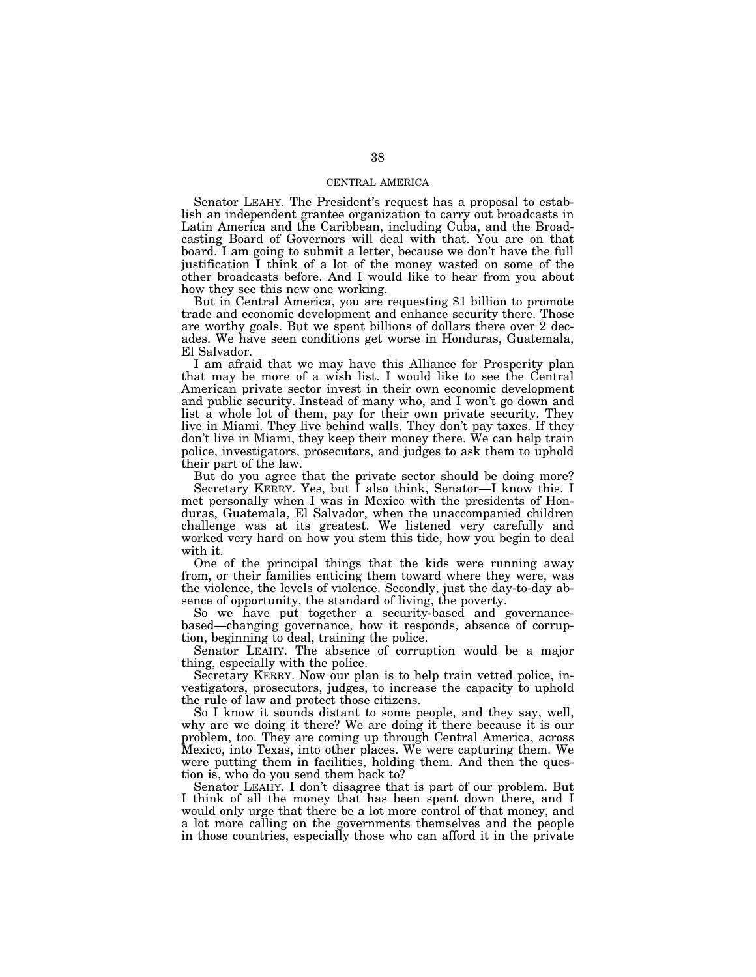# CENTRAL AMERICA

Senator LEAHY. The President's request has a proposal to establish an independent grantee organization to carry out broadcasts in Latin America and the Caribbean, including Cuba, and the Broadcasting Board of Governors will deal with that. You are on that board. I am going to submit a letter, because we don't have the full justification I think of a lot of the money wasted on some of the other broadcasts before. And I would like to hear from you about how they see this new one working.

But in Central America, you are requesting \$1 billion to promote trade and economic development and enhance security there. Those are worthy goals. But we spent billions of dollars there over 2 decades. We have seen conditions get worse in Honduras, Guatemala, El Salvador.

I am afraid that we may have this Alliance for Prosperity plan that may be more of a wish list. I would like to see the Central American private sector invest in their own economic development and public security. Instead of many who, and I won't go down and list a whole lot of them, pay for their own private security. They live in Miami. They live behind walls. They don't pay taxes. If they don't live in Miami, they keep their money there. We can help train police, investigators, prosecutors, and judges to ask them to uphold their part of the law.

But do you agree that the private sector should be doing more?

Secretary KERRY. Yes, but I also think, Senator—I know this. I met personally when I was in Mexico with the presidents of Honduras, Guatemala, El Salvador, when the unaccompanied children challenge was at its greatest. We listened very carefully and worked very hard on how you stem this tide, how you begin to deal with it.

One of the principal things that the kids were running away from, or their families enticing them toward where they were, was the violence, the levels of violence. Secondly, just the day-to-day absence of opportunity, the standard of living, the poverty.

So we have put together a security-based and governancebased—changing governance, how it responds, absence of corruption, beginning to deal, training the police.

Senator LEAHY. The absence of corruption would be a major thing, especially with the police.

Secretary KERRY. Now our plan is to help train vetted police, investigators, prosecutors, judges, to increase the capacity to uphold the rule of law and protect those citizens.

So I know it sounds distant to some people, and they say, well, why are we doing it there? We are doing it there because it is our problem, too. They are coming up through Central America, across Mexico, into Texas, into other places. We were capturing them. We were putting them in facilities, holding them. And then the question is, who do you send them back to?

Senator LEAHY. I don't disagree that is part of our problem. But I think of all the money that has been spent down there, and I would only urge that there be a lot more control of that money, and a lot more calling on the governments themselves and the people in those countries, especially those who can afford it in the private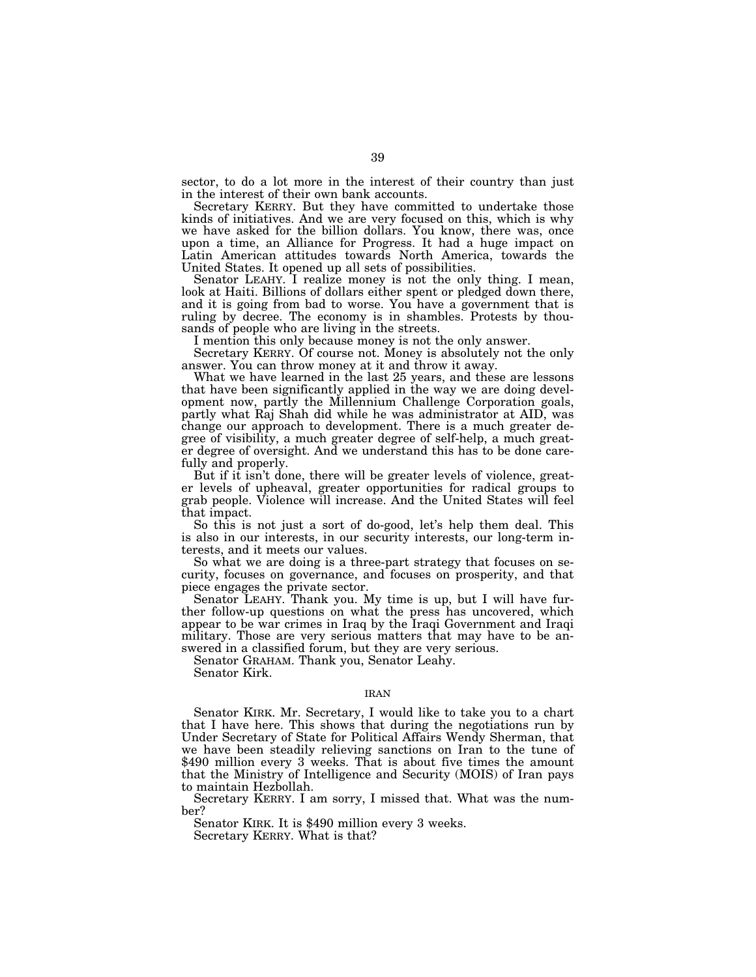sector, to do a lot more in the interest of their country than just in the interest of their own bank accounts.

Secretary KERRY. But they have committed to undertake those kinds of initiatives. And we are very focused on this, which is why we have asked for the billion dollars. You know, there was, once upon a time, an Alliance for Progress. It had a huge impact on Latin American attitudes towards North America, towards the United States. It opened up all sets of possibilities.

Senator LEAHY. I realize money is not the only thing. I mean, look at Haiti. Billions of dollars either spent or pledged down there, and it is going from bad to worse. You have a government that is ruling by decree. The economy is in shambles. Protests by thousands of people who are living in the streets.

I mention this only because money is not the only answer.

Secretary KERRY. Of course not. Money is absolutely not the only answer. You can throw money at it and throw it away.

What we have learned in the last 25 years, and these are lessons that have been significantly applied in the way we are doing development now, partly the Millennium Challenge Corporation goals, partly what Raj Shah did while he was administrator at AID, was change our approach to development. There is a much greater degree of visibility, a much greater degree of self-help, a much greater degree of oversight. And we understand this has to be done carefully and properly.

But if it isn't done, there will be greater levels of violence, greater levels of upheaval, greater opportunities for radical groups to grab people. Violence will increase. And the United States will feel that impact.

So this is not just a sort of do-good, let's help them deal. This is also in our interests, in our security interests, our long-term interests, and it meets our values.

So what we are doing is a three-part strategy that focuses on security, focuses on governance, and focuses on prosperity, and that piece engages the private sector.

Senator LEAHY. Thank you. My time is up, but I will have further follow-up questions on what the press has uncovered, which appear to be war crimes in Iraq by the Iraqi Government and Iraqi military. Those are very serious matters that may have to be answered in a classified forum, but they are very serious.

Senator GRAHAM. Thank you, Senator Leahy.

Senator Kirk.

#### IRAN

Senator KIRK. Mr. Secretary, I would like to take you to a chart that I have here. This shows that during the negotiations run by Under Secretary of State for Political Affairs Wendy Sherman, that we have been steadily relieving sanctions on Iran to the tune of \$490 million every 3 weeks. That is about five times the amount that the Ministry of Intelligence and Security (MOIS) of Iran pays to maintain Hezbollah.

Secretary KERRY. I am sorry, I missed that. What was the number?

Senator KIRK. It is \$490 million every 3 weeks. Secretary KERRY. What is that?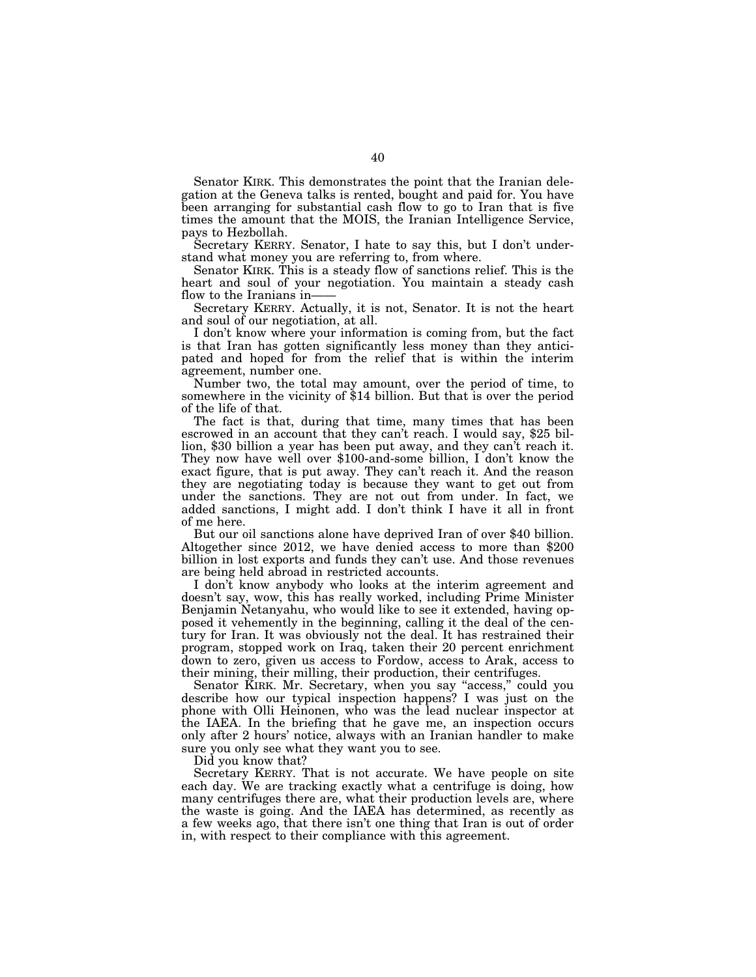Senator KIRK. This demonstrates the point that the Iranian delegation at the Geneva talks is rented, bought and paid for. You have been arranging for substantial cash flow to go to Iran that is five times the amount that the MOIS, the Iranian Intelligence Service, pays to Hezbollah.

Secretary KERRY. Senator, I hate to say this, but I don't understand what money you are referring to, from where.

Senator KIRK. This is a steady flow of sanctions relief. This is the heart and soul of your negotiation. You maintain a steady cash flow to the Iranians in-

Secretary KERRY. Actually, it is not, Senator. It is not the heart and soul of our negotiation, at all.

I don't know where your information is coming from, but the fact is that Iran has gotten significantly less money than they anticipated and hoped for from the relief that is within the interim agreement, number one.

Number two, the total may amount, over the period of time, to somewhere in the vicinity of \$14 billion. But that is over the period of the life of that.

The fact is that, during that time, many times that has been escrowed in an account that they can't reach. I would say, \$25 billion, \$30 billion a year has been put away, and they can't reach it. They now have well over \$100-and-some billion, I don't know the exact figure, that is put away. They can't reach it. And the reason they are negotiating today is because they want to get out from under the sanctions. They are not out from under. In fact, we added sanctions, I might add. I don't think I have it all in front of me here.

But our oil sanctions alone have deprived Iran of over \$40 billion. Altogether since 2012, we have denied access to more than \$200 billion in lost exports and funds they can't use. And those revenues are being held abroad in restricted accounts.

I don't know anybody who looks at the interim agreement and doesn't say, wow, this has really worked, including Prime Minister Benjamin Netanyahu, who would like to see it extended, having opposed it vehemently in the beginning, calling it the deal of the century for Iran. It was obviously not the deal. It has restrained their program, stopped work on Iraq, taken their 20 percent enrichment down to zero, given us access to Fordow, access to Arak, access to their mining, their milling, their production, their centrifuges.

Senator KIRK. Mr. Secretary, when you say "access," could you describe how our typical inspection happens? I was just on the phone with Olli Heinonen, who was the lead nuclear inspector at the IAEA. In the briefing that he gave me, an inspection occurs only after 2 hours' notice, always with an Iranian handler to make sure you only see what they want you to see.

Did you know that?

Secretary KERRY. That is not accurate. We have people on site each day. We are tracking exactly what a centrifuge is doing, how many centrifuges there are, what their production levels are, where the waste is going. And the IAEA has determined, as recently as a few weeks ago, that there isn't one thing that Iran is out of order in, with respect to their compliance with this agreement.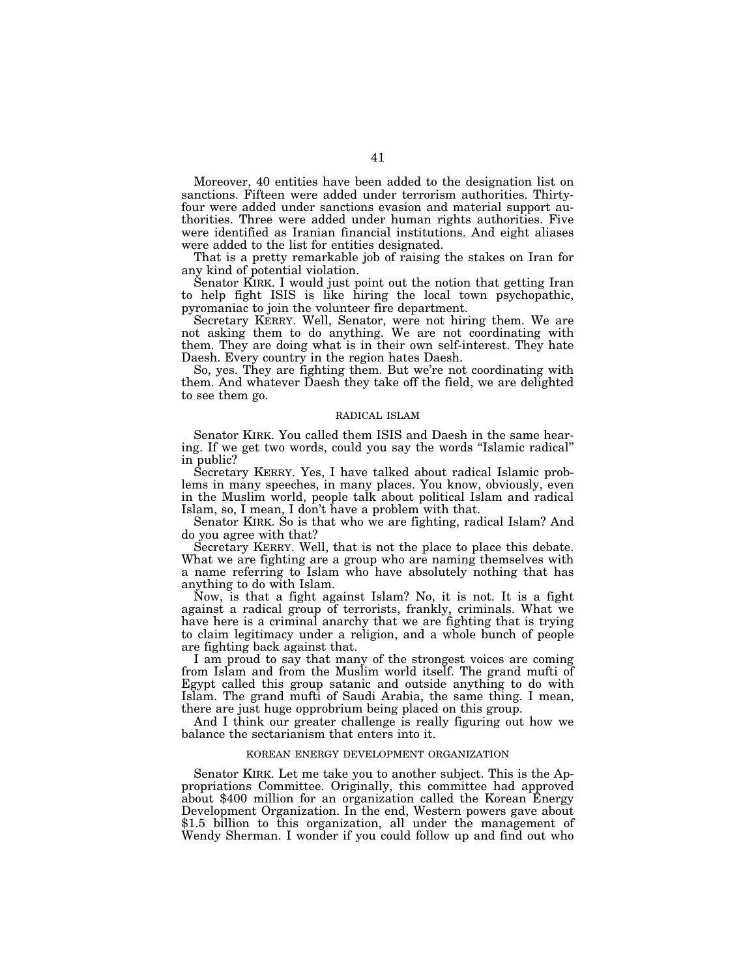Moreover, 40 entities have been added to the designation list on sanctions. Fifteen were added under terrorism authorities. Thirtyfour were added under sanctions evasion and material support authorities. Three were added under human rights authorities. Five were identified as Iranian financial institutions. And eight aliases were added to the list for entities designated.

That is a pretty remarkable job of raising the stakes on Iran for any kind of potential violation.

Senator KIRK. I would just point out the notion that getting Iran to help fight ISIS is like hiring the local town psychopathic, pyromaniac to join the volunteer fire department.

Secretary KERRY. Well, Senator, were not hiring them. We are not asking them to do anything. We are not coordinating with them. They are doing what is in their own self-interest. They hate Daesh. Every country in the region hates Daesh.

So, yes. They are fighting them. But we're not coordinating with them. And whatever Daesh they take off the field, we are delighted to see them go.

# RADICAL ISLAM

Senator KIRK. You called them ISIS and Daesh in the same hearing. If we get two words, could you say the words ''Islamic radical'' in public?

Secretary KERRY. Yes, I have talked about radical Islamic problems in many speeches, in many places. You know, obviously, even in the Muslim world, people talk about political Islam and radical Islam, so, I mean, I don't have a problem with that.

Senator KIRK. So is that who we are fighting, radical Islam? And do you agree with that?

Secretary KERRY. Well, that is not the place to place this debate. What we are fighting are a group who are naming themselves with a name referring to Islam who have absolutely nothing that has anything to do with Islam.

Now, is that a fight against Islam? No, it is not. It is a fight against a radical group of terrorists, frankly, criminals. What we have here is a criminal anarchy that we are fighting that is trying to claim legitimacy under a religion, and a whole bunch of people are fighting back against that.

I am proud to say that many of the strongest voices are coming from Islam and from the Muslim world itself. The grand mufti of Egypt called this group satanic and outside anything to do with Islam. The grand mufti of Saudi Arabia, the same thing. I mean, there are just huge opprobrium being placed on this group.

And I think our greater challenge is really figuring out how we balance the sectarianism that enters into it.

#### KOREAN ENERGY DEVELOPMENT ORGANIZATION

Senator KIRK. Let me take you to another subject. This is the Appropriations Committee. Originally, this committee had approved about \$400 million for an organization called the Korean Energy Development Organization. In the end, Western powers gave about \$1.5 billion to this organization, all under the management of Wendy Sherman. I wonder if you could follow up and find out who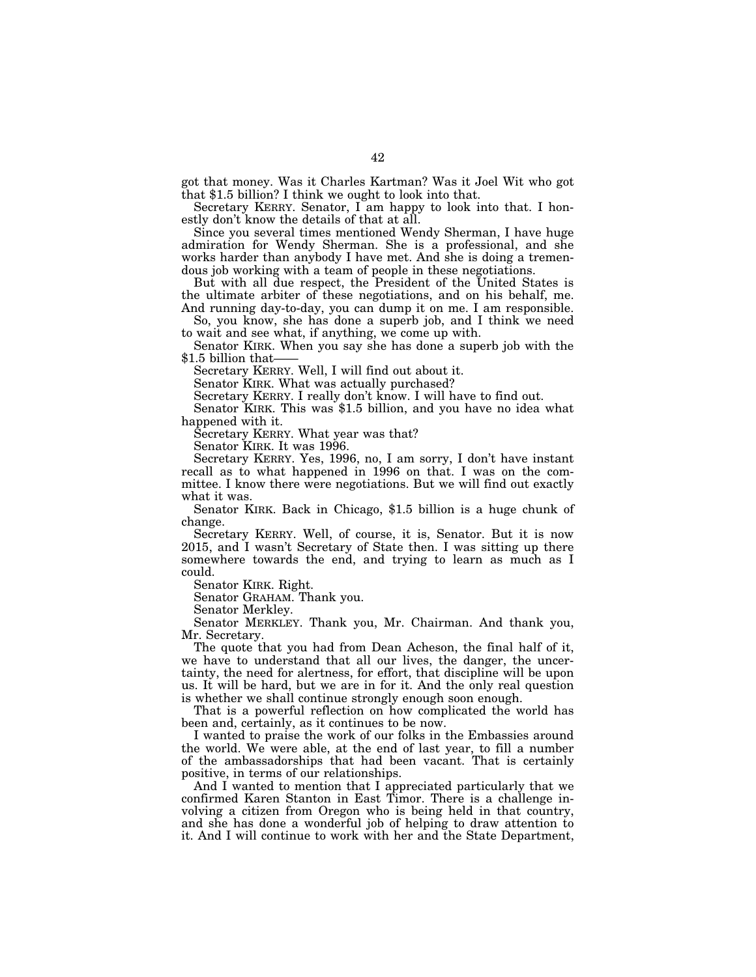got that money. Was it Charles Kartman? Was it Joel Wit who got that \$1.5 billion? I think we ought to look into that.

Secretary KERRY. Senator, I am happy to look into that. I honestly don't know the details of that at all.

Since you several times mentioned Wendy Sherman, I have huge admiration for Wendy Sherman. She is a professional, and she works harder than anybody I have met. And she is doing a tremendous job working with a team of people in these negotiations.

But with all due respect, the President of the United States is the ultimate arbiter of these negotiations, and on his behalf, me. And running day-to-day, you can dump it on me. I am responsible.

So, you know, she has done a superb job, and I think we need to wait and see what, if anything, we come up with.

Senator KIRK. When you say she has done a superb job with the \$1.5 billion that-

Secretary KERRY. Well, I will find out about it.

Senator KIRK. What was actually purchased?

Secretary KERRY. I really don't know. I will have to find out.

Senator KIRK. This was \$1.5 billion, and you have no idea what happened with it.

Secretary KERRY. What year was that?

Senator KIRK. It was 1996.

Secretary KERRY. Yes, 1996, no, I am sorry, I don't have instant recall as to what happened in 1996 on that. I was on the committee. I know there were negotiations. But we will find out exactly what it was.

Senator KIRK. Back in Chicago, \$1.5 billion is a huge chunk of change.

Secretary KERRY. Well, of course, it is, Senator. But it is now 2015, and I wasn't Secretary of State then. I was sitting up there somewhere towards the end, and trying to learn as much as I could.

Senator KIRK. Right.

Senator GRAHAM. Thank you.

Senator Merkley.

Senator MERKLEY. Thank you, Mr. Chairman. And thank you, Mr. Secretary.

The quote that you had from Dean Acheson, the final half of it, we have to understand that all our lives, the danger, the uncertainty, the need for alertness, for effort, that discipline will be upon us. It will be hard, but we are in for it. And the only real question is whether we shall continue strongly enough soon enough.

That is a powerful reflection on how complicated the world has been and, certainly, as it continues to be now.

I wanted to praise the work of our folks in the Embassies around the world. We were able, at the end of last year, to fill a number of the ambassadorships that had been vacant. That is certainly positive, in terms of our relationships.

And I wanted to mention that I appreciated particularly that we confirmed Karen Stanton in East Timor. There is a challenge involving a citizen from Oregon who is being held in that country, and she has done a wonderful job of helping to draw attention to it. And I will continue to work with her and the State Department,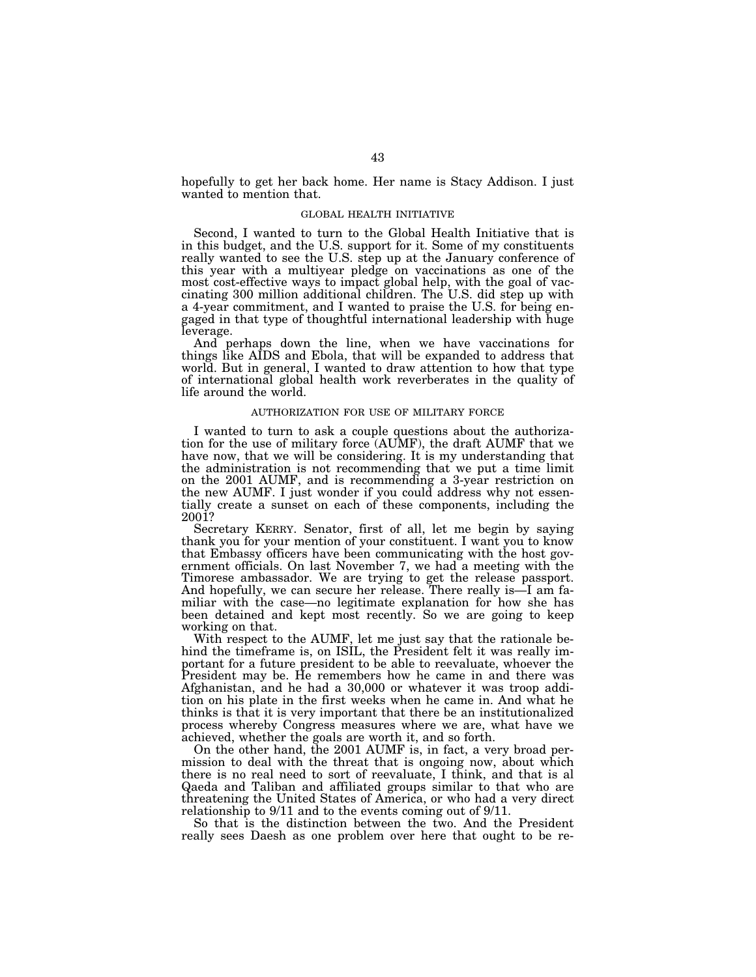hopefully to get her back home. Her name is Stacy Addison. I just wanted to mention that.

### GLOBAL HEALTH INITIATIVE

Second, I wanted to turn to the Global Health Initiative that is in this budget, and the U.S. support for it. Some of my constituents really wanted to see the U.S. step up at the January conference of this year with a multiyear pledge on vaccinations as one of the most cost-effective ways to impact global help, with the goal of vaccinating 300 million additional children. The U.S. did step up with a 4-year commitment, and I wanted to praise the U.S. for being engaged in that type of thoughtful international leadership with huge leverage.

And perhaps down the line, when we have vaccinations for things like AIDS and Ebola, that will be expanded to address that world. But in general, I wanted to draw attention to how that type of international global health work reverberates in the quality of life around the world.

# AUTHORIZATION FOR USE OF MILITARY FORCE

I wanted to turn to ask a couple questions about the authorization for the use of military force (AUMF), the draft AUMF that we have now, that we will be considering. It is my understanding that the administration is not recommending that we put a time limit on the 2001 AUMF, and is recommending a 3-year restriction on the new AUMF. I just wonder if you could address why not essentially create a sunset on each of these components, including the 2001?

Secretary KERRY. Senator, first of all, let me begin by saying thank you for your mention of your constituent. I want you to know that Embassy officers have been communicating with the host government officials. On last November 7, we had a meeting with the Timorese ambassador. We are trying to get the release passport. And hopefully, we can secure her release. There really is—I am familiar with the case—no legitimate explanation for how she has been detained and kept most recently. So we are going to keep working on that.

With respect to the AUMF, let me just say that the rationale behind the timeframe is, on ISIL, the President felt it was really important for a future president to be able to reevaluate, whoever the President may be. He remembers how he came in and there was Afghanistan, and he had a 30,000 or whatever it was troop addition on his plate in the first weeks when he came in. And what he thinks is that it is very important that there be an institutionalized process whereby Congress measures where we are, what have we achieved, whether the goals are worth it, and so forth.

On the other hand, the 2001 AUMF is, in fact, a very broad permission to deal with the threat that is ongoing now, about which there is no real need to sort of reevaluate, I think, and that is al Qaeda and Taliban and affiliated groups similar to that who are threatening the United States of America, or who had a very direct relationship to 9/11 and to the events coming out of 9/11.

So that is the distinction between the two. And the President really sees Daesh as one problem over here that ought to be re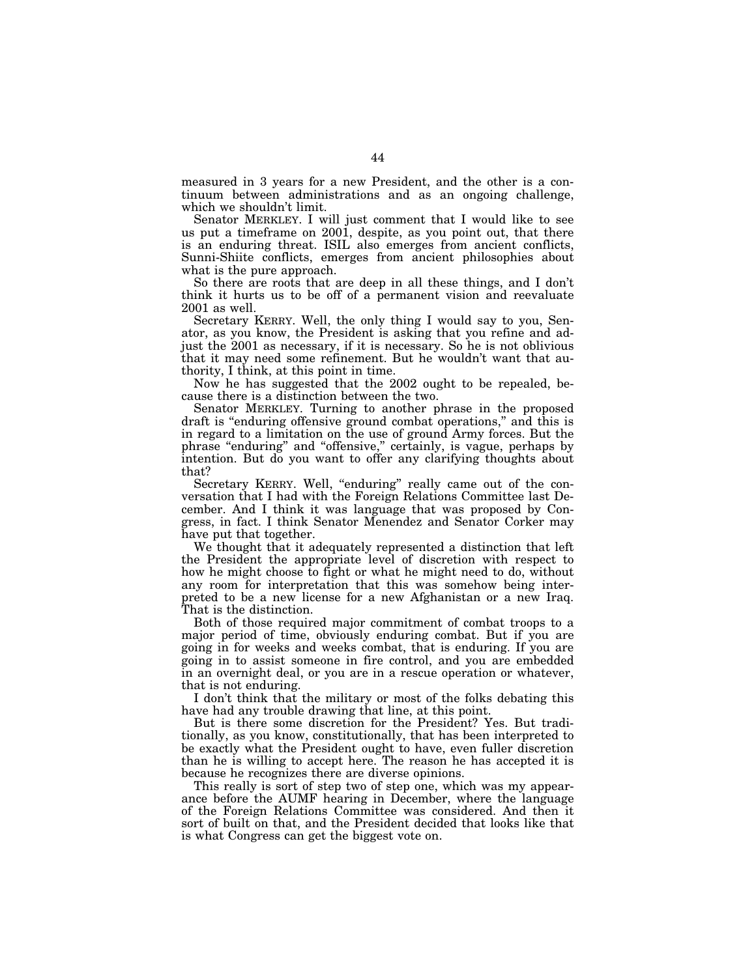measured in 3 years for a new President, and the other is a continuum between administrations and as an ongoing challenge, which we shouldn't limit.

Senator MERKLEY. I will just comment that I would like to see us put a timeframe on 2001, despite, as you point out, that there is an enduring threat. ISIL also emerges from ancient conflicts, Sunni-Shiite conflicts, emerges from ancient philosophies about what is the pure approach.

So there are roots that are deep in all these things, and I don't think it hurts us to be off of a permanent vision and reevaluate 2001 as well.

Secretary KERRY. Well, the only thing I would say to you, Senator, as you know, the President is asking that you refine and adjust the 2001 as necessary, if it is necessary. So he is not oblivious that it may need some refinement. But he wouldn't want that authority, I think, at this point in time.

Now he has suggested that the 2002 ought to be repealed, because there is a distinction between the two.

Senator MERKLEY. Turning to another phrase in the proposed draft is "enduring offensive ground combat operations," and this is in regard to a limitation on the use of ground Army forces. But the phrase ''enduring'' and ''offensive,'' certainly, is vague, perhaps by intention. But do you want to offer any clarifying thoughts about that?

Secretary KERRY. Well, "enduring" really came out of the conversation that I had with the Foreign Relations Committee last December. And I think it was language that was proposed by Congress, in fact. I think Senator Menendez and Senator Corker may have put that together.

We thought that it adequately represented a distinction that left the President the appropriate level of discretion with respect to how he might choose to fight or what he might need to do, without any room for interpretation that this was somehow being interpreted to be a new license for a new Afghanistan or a new Iraq. That is the distinction.

Both of those required major commitment of combat troops to a major period of time, obviously enduring combat. But if you are going in for weeks and weeks combat, that is enduring. If you are going in to assist someone in fire control, and you are embedded in an overnight deal, or you are in a rescue operation or whatever, that is not enduring.

I don't think that the military or most of the folks debating this have had any trouble drawing that line, at this point.

But is there some discretion for the President? Yes. But traditionally, as you know, constitutionally, that has been interpreted to be exactly what the President ought to have, even fuller discretion than he is willing to accept here. The reason he has accepted it is because he recognizes there are diverse opinions.

This really is sort of step two of step one, which was my appearance before the AUMF hearing in December, where the language of the Foreign Relations Committee was considered. And then it sort of built on that, and the President decided that looks like that is what Congress can get the biggest vote on.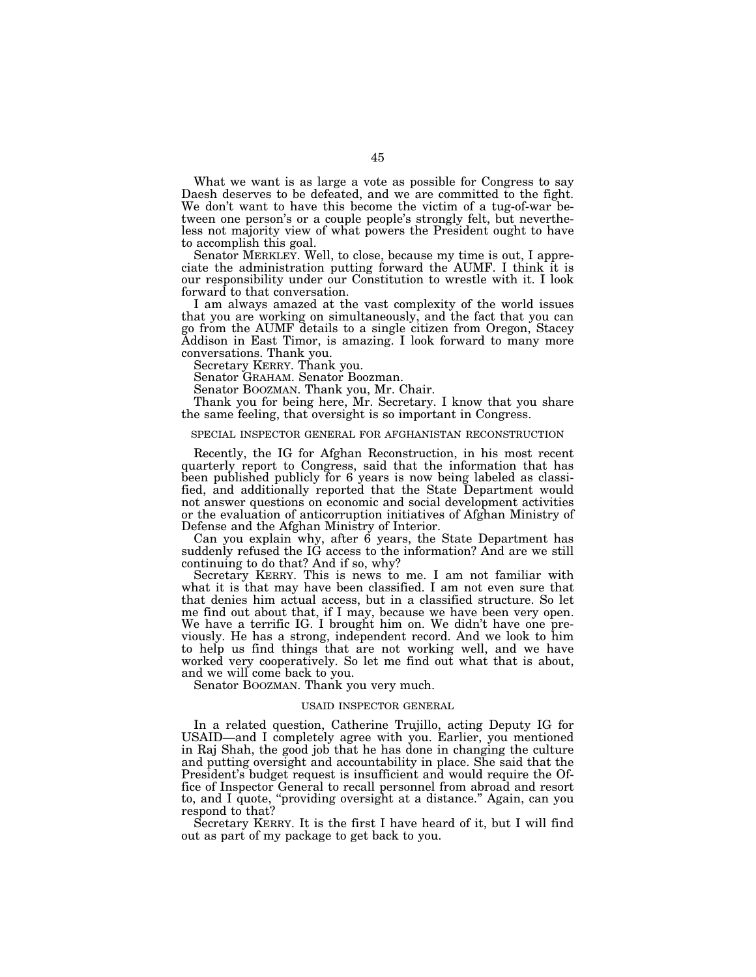What we want is as large a vote as possible for Congress to say Daesh deserves to be defeated, and we are committed to the fight. We don't want to have this become the victim of a tug-of-war between one person's or a couple people's strongly felt, but nevertheless not majority view of what powers the President ought to have to accomplish this goal.

Senator MERKLEY. Well, to close, because my time is out, I appreciate the administration putting forward the AUMF. I think it is our responsibility under our Constitution to wrestle with it. I look forward to that conversation.

I am always amazed at the vast complexity of the world issues that you are working on simultaneously, and the fact that you can go from the AUMF details to a single citizen from Oregon, Stacey Addison in East Timor, is amazing. I look forward to many more conversations. Thank you.

Secretary KERRY. Thank you.

Senator GRAHAM. Senator Boozman.

Senator BOOZMAN. Thank you, Mr. Chair.

Thank you for being here, Mr. Secretary. I know that you share the same feeling, that oversight is so important in Congress.

# SPECIAL INSPECTOR GENERAL FOR AFGHANISTAN RECONSTRUCTION

Recently, the IG for Afghan Reconstruction, in his most recent quarterly report to Congress, said that the information that has been published publicly for 6 years is now being labeled as classified, and additionally reported that the State Department would not answer questions on economic and social development activities or the evaluation of anticorruption initiatives of Afghan Ministry of Defense and the Afghan Ministry of Interior.

Can you explain why, after 6 years, the State Department has suddenly refused the IG access to the information? And are we still continuing to do that? And if so, why?

Secretary KERRY. This is news to me. I am not familiar with what it is that may have been classified. I am not even sure that that denies him actual access, but in a classified structure. So let me find out about that, if I may, because we have been very open. We have a terrific IG. I brought him on. We didn't have one previously. He has a strong, independent record. And we look to him to help us find things that are not working well, and we have worked very cooperatively. So let me find out what that is about, and we will come back to you.

Senator BOOZMAN. Thank you very much.

#### USAID INSPECTOR GENERAL

In a related question, Catherine Trujillo, acting Deputy IG for USAID—and I completely agree with you. Earlier, you mentioned in Raj Shah, the good job that he has done in changing the culture and putting oversight and accountability in place. She said that the President's budget request is insufficient and would require the Office of Inspector General to recall personnel from abroad and resort to, and I quote, ''providing oversight at a distance.'' Again, can you respond to that?

Secretary KERRY. It is the first I have heard of it, but I will find out as part of my package to get back to you.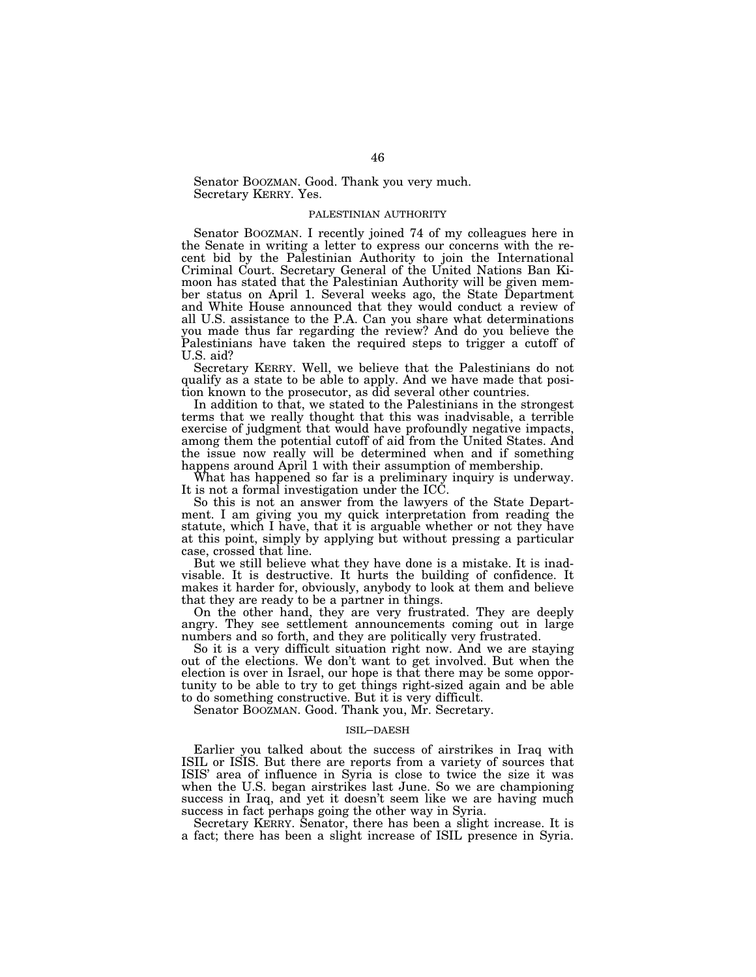Senator BOOZMAN. Good. Thank you very much. Secretary KERRY. Yes.

## PALESTINIAN AUTHORITY

Senator BOOZMAN. I recently joined 74 of my colleagues here in the Senate in writing a letter to express our concerns with the recent bid by the Palestinian Authority to join the International Criminal Court. Secretary General of the United Nations Ban Kimoon has stated that the Palestinian Authority will be given member status on April 1. Several weeks ago, the State Department and White House announced that they would conduct a review of all U.S. assistance to the P.A. Can you share what determinations you made thus far regarding the review? And do you believe the Palestinians have taken the required steps to trigger a cutoff of U.S. aid?

Secretary KERRY. Well, we believe that the Palestinians do not qualify as a state to be able to apply. And we have made that position known to the prosecutor, as did several other countries.

In addition to that, we stated to the Palestinians in the strongest terms that we really thought that this was inadvisable, a terrible exercise of judgment that would have profoundly negative impacts, among them the potential cutoff of aid from the United States. And the issue now really will be determined when and if something happens around April 1 with their assumption of membership.

What has happened so far is a preliminary inquiry is underway. It is not a formal investigation under the ICC.

So this is not an answer from the lawyers of the State Department. I am giving you my quick interpretation from reading the statute, which I have, that it is arguable whether or not they have at this point, simply by applying but without pressing a particular case, crossed that line.

But we still believe what they have done is a mistake. It is inadvisable. It is destructive. It hurts the building of confidence. It makes it harder for, obviously, anybody to look at them and believe that they are ready to be a partner in things.

On the other hand, they are very frustrated. They are deeply angry. They see settlement announcements coming out in large numbers and so forth, and they are politically very frustrated.

So it is a very difficult situation right now. And we are staying out of the elections. We don't want to get involved. But when the election is over in Israel, our hope is that there may be some opportunity to be able to try to get things right-sized again and be able to do something constructive. But it is very difficult.

Senator BOOZMAN. Good. Thank you, Mr. Secretary.

### ISIL–DAESH

Earlier you talked about the success of airstrikes in Iraq with ISIL or ISIS. But there are reports from a variety of sources that ISIS' area of influence in Syria is close to twice the size it was when the U.S. began airstrikes last June. So we are championing success in Iraq, and yet it doesn't seem like we are having much success in fact perhaps going the other way in Syria.

Secretary KERRY. Senator, there has been a slight increase. It is a fact; there has been a slight increase of ISIL presence in Syria.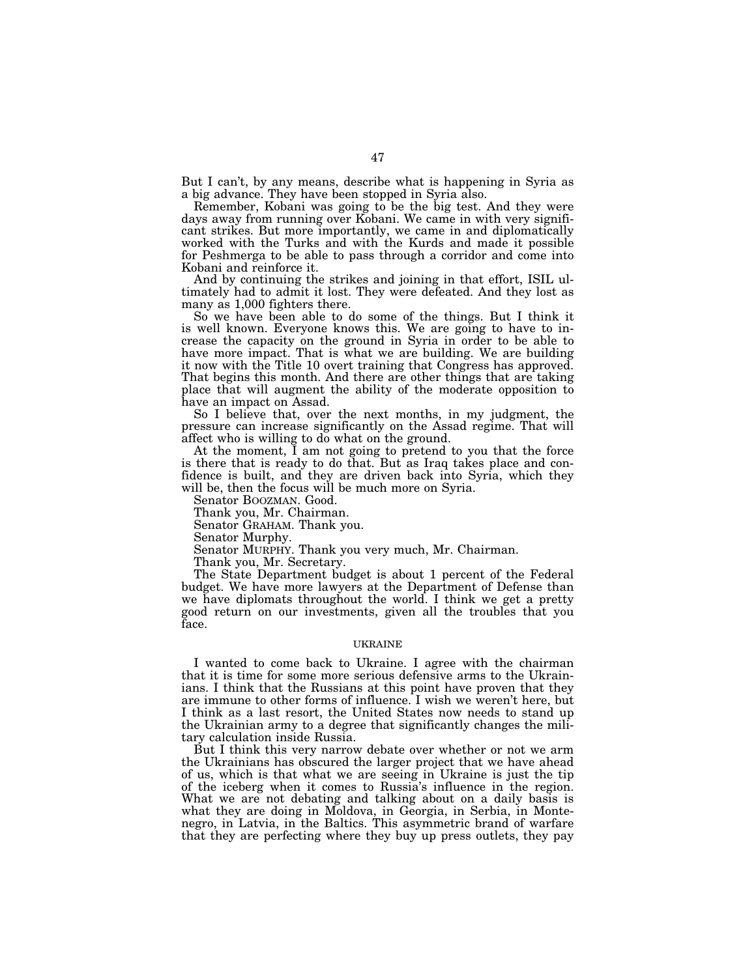But I can't, by any means, describe what is happening in Syria as a big advance. They have been stopped in Syria also.

Remember, Kobani was going to be the big test. And they were days away from running over Kobani. We came in with very significant strikes. But more importantly, we came in and diplomatically worked with the Turks and with the Kurds and made it possible for Peshmerga to be able to pass through a corridor and come into Kobani and reinforce it.

And by continuing the strikes and joining in that effort, ISIL ultimately had to admit it lost. They were defeated. And they lost as many as 1,000 fighters there.

So we have been able to do some of the things. But I think it is well known. Everyone knows this. We are going to have to increase the capacity on the ground in Syria in order to be able to have more impact. That is what we are building. We are building it now with the Title 10 overt training that Congress has approved. That begins this month. And there are other things that are taking place that will augment the ability of the moderate opposition to have an impact on Assad.

So I believe that, over the next months, in my judgment, the pressure can increase significantly on the Assad regime. That will affect who is willing to do what on the ground.

At the moment, I am not going to pretend to you that the force is there that is ready to do that. But as Iraq takes place and confidence is built, and they are driven back into Syria, which they will be, then the focus will be much more on Syria.

Senator BOOZMAN. Good.

Thank you, Mr. Chairman.

Senator GRAHAM. Thank you.

Senator Murphy.

Senator MURPHY. Thank you very much, Mr. Chairman.

Thank you, Mr. Secretary.

The State Department budget is about 1 percent of the Federal budget. We have more lawyers at the Department of Defense than we have diplomats throughout the world. I think we get a pretty good return on our investments, given all the troubles that you face.

# UKRAINE

I wanted to come back to Ukraine. I agree with the chairman that it is time for some more serious defensive arms to the Ukrainians. I think that the Russians at this point have proven that they are immune to other forms of influence. I wish we weren't here, but I think as a last resort, the United States now needs to stand up the Ukrainian army to a degree that significantly changes the military calculation inside Russia.

But I think this very narrow debate over whether or not we arm the Ukrainians has obscured the larger project that we have ahead of us, which is that what we are seeing in Ukraine is just the tip of the iceberg when it comes to Russia's influence in the region. What we are not debating and talking about on a daily basis is what they are doing in Moldova, in Georgia, in Serbia, in Montenegro, in Latvia, in the Baltics. This asymmetric brand of warfare that they are perfecting where they buy up press outlets, they pay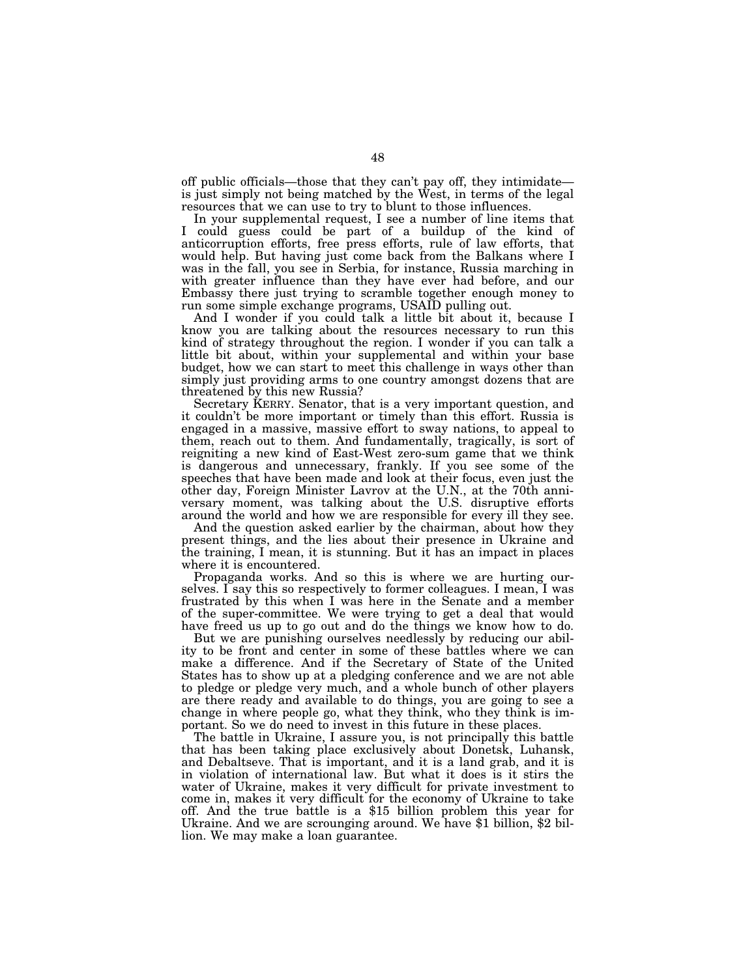off public officials—those that they can't pay off, they intimidate is just simply not being matched by the West, in terms of the legal resources that we can use to try to blunt to those influences.

In your supplemental request, I see a number of line items that I could guess could be part of a buildup of the kind of anticorruption efforts, free press efforts, rule of law efforts, that would help. But having just come back from the Balkans where I was in the fall, you see in Serbia, for instance, Russia marching in with greater influence than they have ever had before, and our Embassy there just trying to scramble together enough money to run some simple exchange programs, USAID pulling out.

And I wonder if you could talk a little bit about it, because I know you are talking about the resources necessary to run this kind of strategy throughout the region. I wonder if you can talk a little bit about, within your supplemental and within your base budget, how we can start to meet this challenge in ways other than simply just providing arms to one country amongst dozens that are threatened by this new Russia?

Secretary KERRY. Senator, that is a very important question, and it couldn't be more important or timely than this effort. Russia is engaged in a massive, massive effort to sway nations, to appeal to them, reach out to them. And fundamentally, tragically, is sort of reigniting a new kind of East-West zero-sum game that we think is dangerous and unnecessary, frankly. If you see some of the speeches that have been made and look at their focus, even just the other day, Foreign Minister Lavrov at the U.N., at the 70th anniversary moment, was talking about the U.S. disruptive efforts around the world and how we are responsible for every ill they see.

And the question asked earlier by the chairman, about how they present things, and the lies about their presence in Ukraine and the training, I mean, it is stunning. But it has an impact in places where it is encountered.

Propaganda works. And so this is where we are hurting ourselves. I say this so respectively to former colleagues. I mean, I was frustrated by this when I was here in the Senate and a member of the super-committee. We were trying to get a deal that would have freed us up to go out and do the things we know how to do.

But we are punishing ourselves needlessly by reducing our ability to be front and center in some of these battles where we can make a difference. And if the Secretary of State of the United States has to show up at a pledging conference and we are not able to pledge or pledge very much, and a whole bunch of other players are there ready and available to do things, you are going to see a change in where people go, what they think, who they think is important. So we do need to invest in this future in these places.

The battle in Ukraine, I assure you, is not principally this battle that has been taking place exclusively about Donetsk, Luhansk, and Debaltseve. That is important, and it is a land grab, and it is in violation of international law. But what it does is it stirs the water of Ukraine, makes it very difficult for private investment to come in, makes it very difficult for the economy of Ukraine to take off. And the true battle is a \$15 billion problem this year for Ukraine. And we are scrounging around. We have \$1 billion, \$2 billion. We may make a loan guarantee.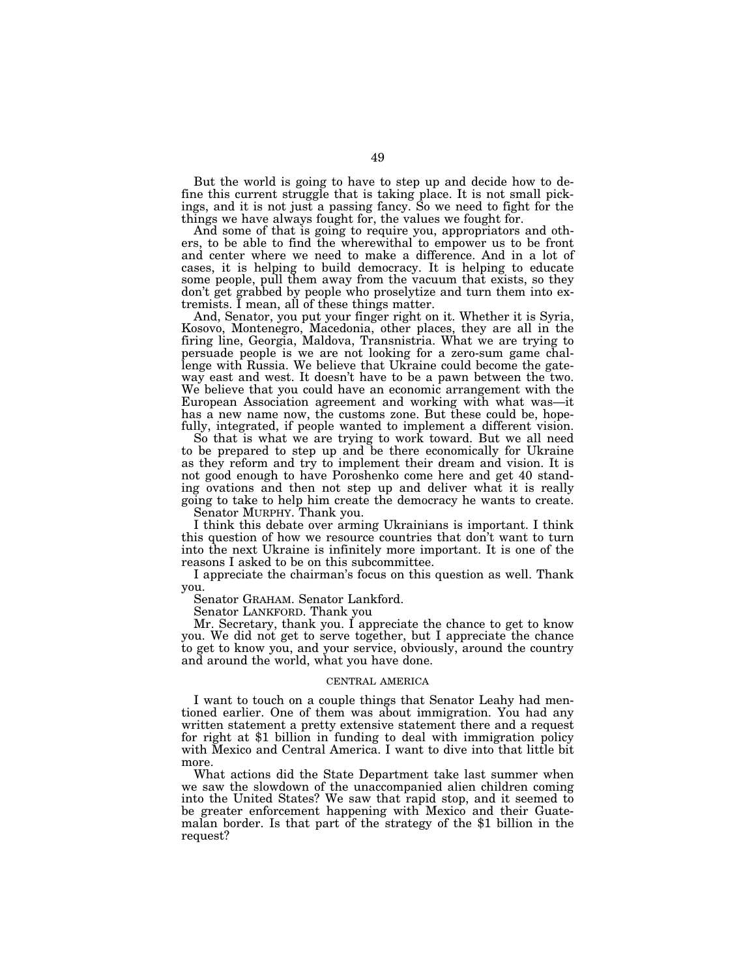But the world is going to have to step up and decide how to define this current struggle that is taking place. It is not small pickings, and it is not just a passing fancy. So we need to fight for the things we have always fought for, the values we fought for.

And some of that is going to require you, appropriators and others, to be able to find the wherewithal to empower us to be front and center where we need to make a difference. And in a lot of cases, it is helping to build democracy. It is helping to educate some people, pull them away from the vacuum that exists, so they don't get grabbed by people who proselytize and turn them into extremists. I mean, all of these things matter.

And, Senator, you put your finger right on it. Whether it is Syria, Kosovo, Montenegro, Macedonia, other places, they are all in the firing line, Georgia, Maldova, Transnistria. What we are trying to persuade people is we are not looking for a zero-sum game challenge with Russia. We believe that Ukraine could become the gateway east and west. It doesn't have to be a pawn between the two. We believe that you could have an economic arrangement with the European Association agreement and working with what was—it has a new name now, the customs zone. But these could be, hopefully, integrated, if people wanted to implement a different vision.

So that is what we are trying to work toward. But we all need to be prepared to step up and be there economically for Ukraine as they reform and try to implement their dream and vision. It is not good enough to have Poroshenko come here and get 40 standing ovations and then not step up and deliver what it is really going to take to help him create the democracy he wants to create.

Senator MURPHY. Thank you.

I think this debate over arming Ukrainians is important. I think this question of how we resource countries that don't want to turn into the next Ukraine is infinitely more important. It is one of the reasons I asked to be on this subcommittee.

I appreciate the chairman's focus on this question as well. Thank you.

Senator GRAHAM. Senator Lankford.

Senator LANKFORD. Thank you

Mr. Secretary, thank you. I appreciate the chance to get to know you. We did not get to serve together, but I appreciate the chance to get to know you, and your service, obviously, around the country and around the world, what you have done.

## CENTRAL AMERICA

I want to touch on a couple things that Senator Leahy had mentioned earlier. One of them was about immigration. You had any written statement a pretty extensive statement there and a request for right at \$1 billion in funding to deal with immigration policy with Mexico and Central America. I want to dive into that little bit more.

What actions did the State Department take last summer when we saw the slowdown of the unaccompanied alien children coming into the United States? We saw that rapid stop, and it seemed to be greater enforcement happening with Mexico and their Guatemalan border. Is that part of the strategy of the \$1 billion in the request?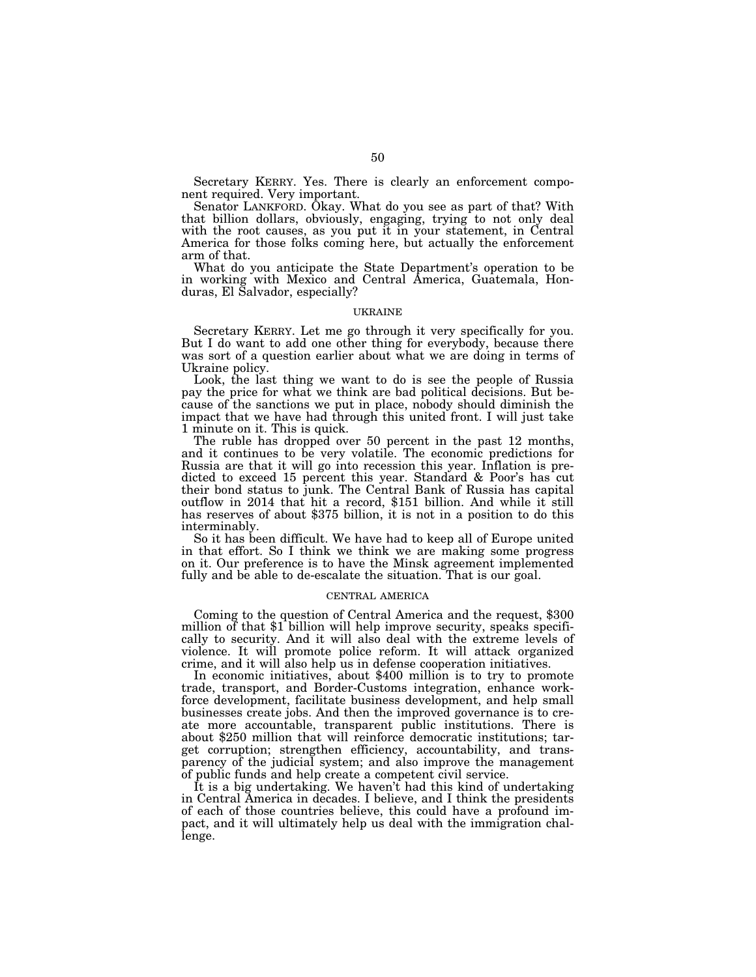Secretary KERRY. Yes. There is clearly an enforcement component required. Very important.

Senator LANKFORD. Okay. What do you see as part of that? With that billion dollars, obviously, engaging, trying to not only deal with the root causes, as you put it in your statement, in Central America for those folks coming here, but actually the enforcement arm of that.

What do you anticipate the State Department's operation to be in working with Mexico and Central America, Guatemala, Honduras, El Salvador, especially?

### UKRAINE

Secretary KERRY. Let me go through it very specifically for you. But I do want to add one other thing for everybody, because there was sort of a question earlier about what we are doing in terms of Ukraine policy.

Look, the last thing we want to do is see the people of Russia pay the price for what we think are bad political decisions. But because of the sanctions we put in place, nobody should diminish the impact that we have had through this united front. I will just take 1 minute on it. This is quick.

The ruble has dropped over 50 percent in the past 12 months, and it continues to be very volatile. The economic predictions for Russia are that it will go into recession this year. Inflation is predicted to exceed 15 percent this year. Standard & Poor's has cut their bond status to junk. The Central Bank of Russia has capital outflow in 2014 that hit a record, \$151 billion. And while it still has reserves of about \$375 billion, it is not in a position to do this interminably.

So it has been difficult. We have had to keep all of Europe united in that effort. So I think we think we are making some progress on it. Our preference is to have the Minsk agreement implemented fully and be able to de-escalate the situation. That is our goal.

# CENTRAL AMERICA

Coming to the question of Central America and the request, \$300 million of that \$1 billion will help improve security, speaks specifically to security. And it will also deal with the extreme levels of violence. It will promote police reform. It will attack organized crime, and it will also help us in defense cooperation initiatives. In economic initiatives, about \$400 million is to try to promote

trade, transport, and Border-Customs integration, enhance workforce development, facilitate business development, and help small businesses create jobs. And then the improved governance is to create more accountable, transparent public institutions. There is about \$250 million that will reinforce democratic institutions; target corruption; strengthen efficiency, accountability, and transparency of the judicial system; and also improve the management of public funds and help create a competent civil service.

It is a big undertaking. We haven't had this kind of undertaking in Central America in decades. I believe, and I think the presidents of each of those countries believe, this could have a profound impact, and it will ultimately help us deal with the immigration challenge.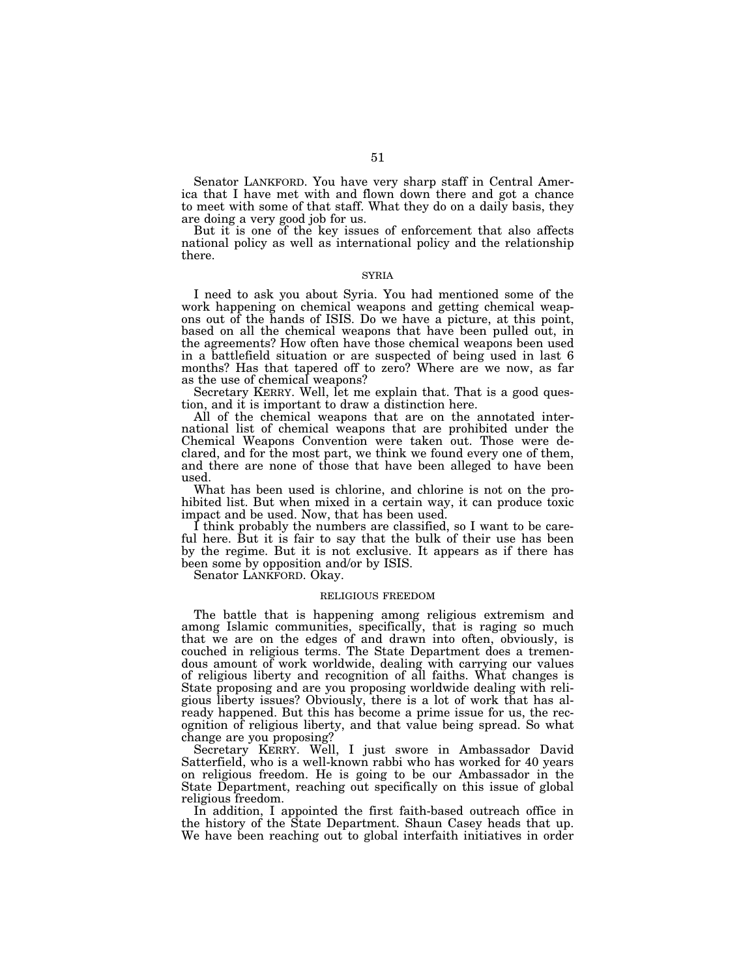Senator LANKFORD. You have very sharp staff in Central America that I have met with and flown down there and got a chance to meet with some of that staff. What they do on a daily basis, they are doing a very good job for us.

But it is one of the key issues of enforcement that also affects national policy as well as international policy and the relationship there.

#### SYRIA

I need to ask you about Syria. You had mentioned some of the work happening on chemical weapons and getting chemical weapons out of the hands of ISIS. Do we have a picture, at this point, based on all the chemical weapons that have been pulled out, in the agreements? How often have those chemical weapons been used in a battlefield situation or are suspected of being used in last 6 months? Has that tapered off to zero? Where are we now, as far as the use of chemical weapons?

Secretary KERRY. Well, let me explain that. That is a good question, and it is important to draw a distinction here.

All of the chemical weapons that are on the annotated international list of chemical weapons that are prohibited under the Chemical Weapons Convention were taken out. Those were declared, and for the most part, we think we found every one of them, and there are none of those that have been alleged to have been used.

What has been used is chlorine, and chlorine is not on the prohibited list. But when mixed in a certain way, it can produce toxic impact and be used. Now, that has been used.

I think probably the numbers are classified, so I want to be careful here. But it is fair to say that the bulk of their use has been by the regime. But it is not exclusive. It appears as if there has been some by opposition and/or by ISIS.

Senator LANKFORD. Okay.

### RELIGIOUS FREEDOM

The battle that is happening among religious extremism and among Islamic communities, specifically, that is raging so much that we are on the edges of and drawn into often, obviously, is couched in religious terms. The State Department does a tremendous amount of work worldwide, dealing with carrying our values of religious liberty and recognition of all faiths. What changes is State proposing and are you proposing worldwide dealing with religious liberty issues? Obviously, there is a lot of work that has already happened. But this has become a prime issue for us, the recognition of religious liberty, and that value being spread. So what change are you proposing?

Secretary KERRY. Well, I just swore in Ambassador David Satterfield, who is a well-known rabbi who has worked for 40 years on religious freedom. He is going to be our Ambassador in the State Department, reaching out specifically on this issue of global religious freedom.

In addition, I appointed the first faith-based outreach office in the history of the State Department. Shaun Casey heads that up. We have been reaching out to global interfaith initiatives in order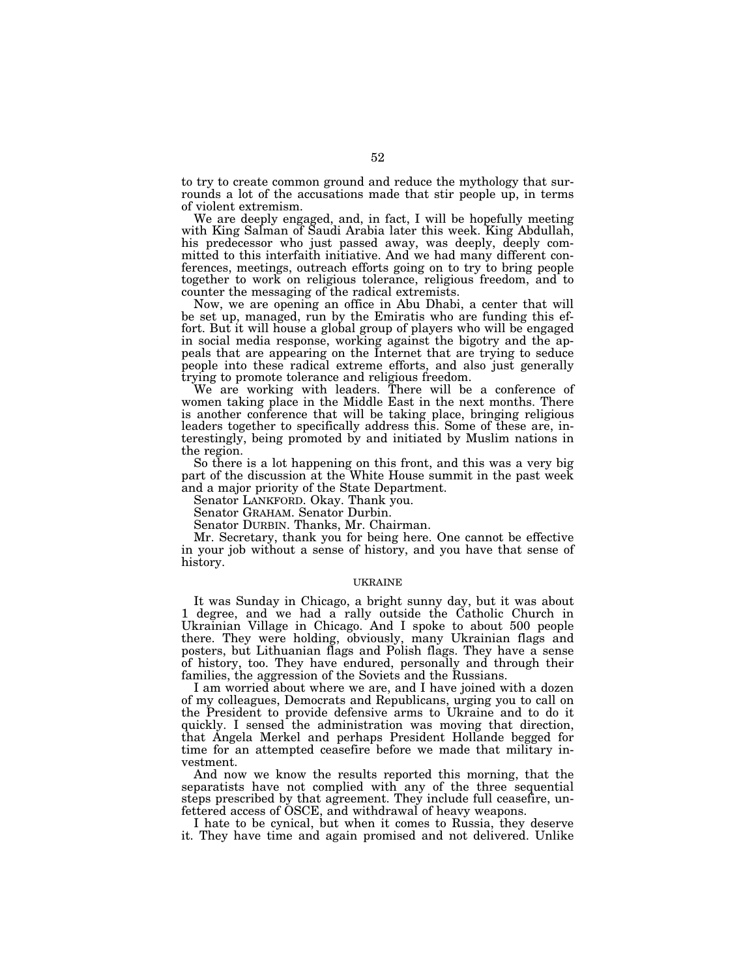to try to create common ground and reduce the mythology that surrounds a lot of the accusations made that stir people up, in terms of violent extremism.

We are deeply engaged, and, in fact, I will be hopefully meeting with King Salman of Saudi Arabia later this week. King Abdullah, his predecessor who just passed away, was deeply, deeply committed to this interfaith initiative. And we had many different conferences, meetings, outreach efforts going on to try to bring people together to work on religious tolerance, religious freedom, and to counter the messaging of the radical extremists.

Now, we are opening an office in Abu Dhabi, a center that will be set up, managed, run by the Emiratis who are funding this effort. But it will house a global group of players who will be engaged in social media response, working against the bigotry and the appeals that are appearing on the Internet that are trying to seduce people into these radical extreme efforts, and also just generally trying to promote tolerance and religious freedom.

We are working with leaders. There will be a conference of women taking place in the Middle East in the next months. There is another conference that will be taking place, bringing religious leaders together to specifically address this. Some of these are, interestingly, being promoted by and initiated by Muslim nations in the region.

So there is a lot happening on this front, and this was a very big part of the discussion at the White House summit in the past week and a major priority of the State Department.

Senator LANKFORD. Okay. Thank you.

Senator GRAHAM. Senator Durbin.

Senator DURBIN. Thanks, Mr. Chairman.

Mr. Secretary, thank you for being here. One cannot be effective in your job without a sense of history, and you have that sense of history.

### UKRAINE

It was Sunday in Chicago, a bright sunny day, but it was about 1 degree, and we had a rally outside the Catholic Church in Ukrainian Village in Chicago. And I spoke to about 500 people there. They were holding, obviously, many Ukrainian flags and posters, but Lithuanian flags and Polish flags. They have a sense of history, too. They have endured, personally and through their families, the aggression of the Soviets and the Russians.

I am worried about where we are, and I have joined with a dozen of my colleagues, Democrats and Republicans, urging you to call on the President to provide defensive arms to Ukraine and to do it quickly. I sensed the administration was moving that direction, that Angela Merkel and perhaps President Hollande begged for time for an attempted ceasefire before we made that military investment.

And now we know the results reported this morning, that the separatists have not complied with any of the three sequential steps prescribed by that agreement. They include full ceasefire, unfettered access of OSCE, and withdrawal of heavy weapons.

I hate to be cynical, but when it comes to Russia, they deserve it. They have time and again promised and not delivered. Unlike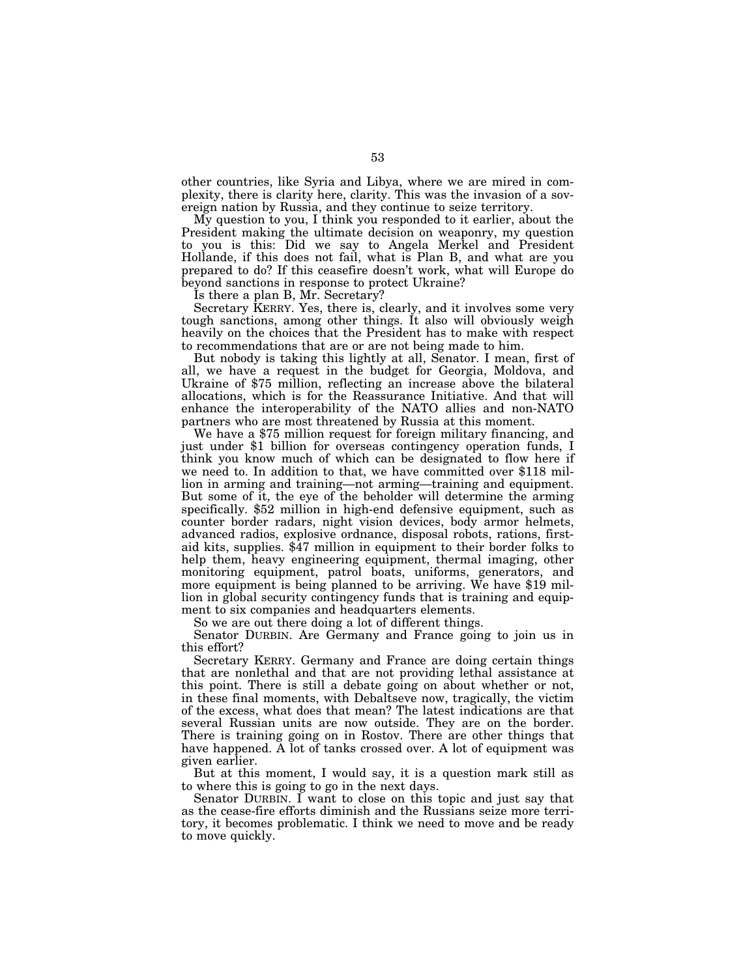other countries, like Syria and Libya, where we are mired in complexity, there is clarity here, clarity. This was the invasion of a sovereign nation by Russia, and they continue to seize territory.

My question to you, I think you responded to it earlier, about the President making the ultimate decision on weaponry, my question to you is this: Did we say to Angela Merkel and President Hollande, if this does not fail, what is Plan B, and what are you prepared to do? If this ceasefire doesn't work, what will Europe do beyond sanctions in response to protect Ukraine?

Is there a plan B, Mr. Secretary?

Secretary KERRY. Yes, there is, clearly, and it involves some very tough sanctions, among other things. It also will obviously weigh heavily on the choices that the President has to make with respect to recommendations that are or are not being made to him.

But nobody is taking this lightly at all, Senator. I mean, first of all, we have a request in the budget for Georgia, Moldova, and Ukraine of \$75 million, reflecting an increase above the bilateral allocations, which is for the Reassurance Initiative. And that will enhance the interoperability of the NATO allies and non-NATO partners who are most threatened by Russia at this moment.

We have a \$75 million request for foreign military financing, and just under \$1 billion for overseas contingency operation funds, I think you know much of which can be designated to flow here if we need to. In addition to that, we have committed over \$118 million in arming and training—not arming—training and equipment. But some of it, the eye of the beholder will determine the arming specifically. \$52 million in high-end defensive equipment, such as counter border radars, night vision devices, body armor helmets, advanced radios, explosive ordnance, disposal robots, rations, firstaid kits, supplies. \$47 million in equipment to their border folks to help them, heavy engineering equipment, thermal imaging, other monitoring equipment, patrol boats, uniforms, generators, and more equipment is being planned to be arriving. We have \$19 million in global security contingency funds that is training and equipment to six companies and headquarters elements.

So we are out there doing a lot of different things.

Senator DURBIN. Are Germany and France going to join us in this effort?

Secretary KERRY. Germany and France are doing certain things that are nonlethal and that are not providing lethal assistance at this point. There is still a debate going on about whether or not, in these final moments, with Debaltseve now, tragically, the victim of the excess, what does that mean? The latest indications are that several Russian units are now outside. They are on the border. There is training going on in Rostov. There are other things that have happened. A lot of tanks crossed over. A lot of equipment was given earlier.

But at this moment, I would say, it is a question mark still as to where this is going to go in the next days.

Senator DURBIN. I want to close on this topic and just say that as the cease-fire efforts diminish and the Russians seize more territory, it becomes problematic. I think we need to move and be ready to move quickly.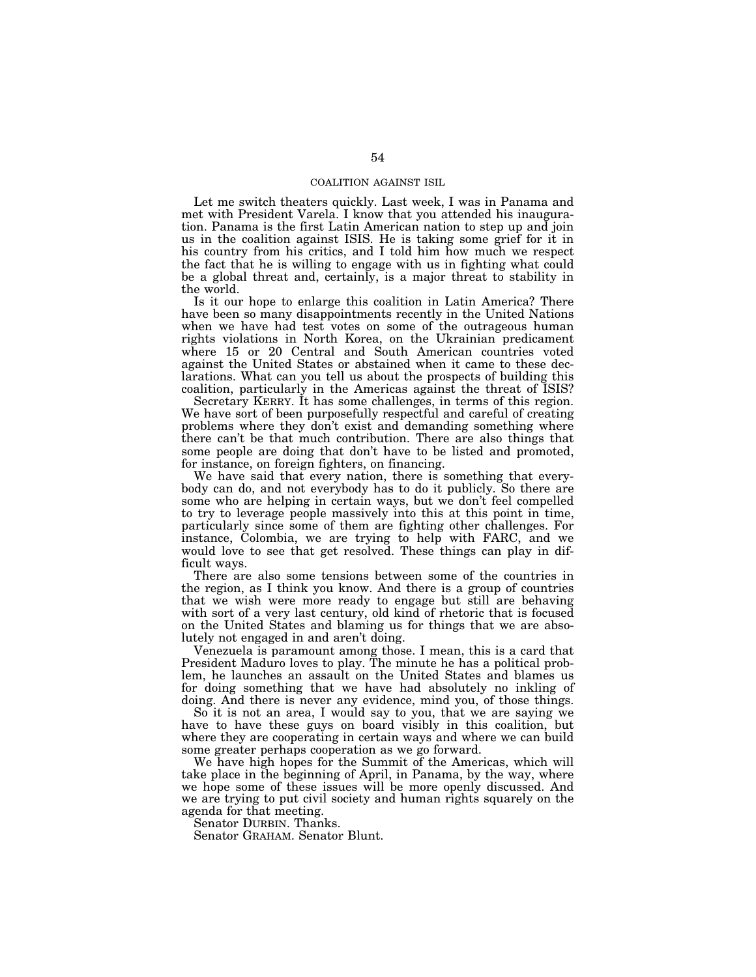# COALITION AGAINST ISIL

Let me switch theaters quickly. Last week, I was in Panama and met with President Varela. I know that you attended his inauguration. Panama is the first Latin American nation to step up and join us in the coalition against ISIS. He is taking some grief for it in his country from his critics, and I told him how much we respect the fact that he is willing to engage with us in fighting what could be a global threat and, certainly, is a major threat to stability in the world.

Is it our hope to enlarge this coalition in Latin America? There have been so many disappointments recently in the United Nations when we have had test votes on some of the outrageous human rights violations in North Korea, on the Ukrainian predicament where 15 or 20 Central and South American countries voted against the United States or abstained when it came to these declarations. What can you tell us about the prospects of building this coalition, particularly in the Americas against the threat of ISIS?

Secretary KERRY. It has some challenges, in terms of this region. We have sort of been purposefully respectful and careful of creating problems where they don't exist and demanding something where there can't be that much contribution. There are also things that some people are doing that don't have to be listed and promoted, for instance, on foreign fighters, on financing.

We have said that every nation, there is something that everybody can do, and not everybody has to do it publicly. So there are some who are helping in certain ways, but we don't feel compelled to try to leverage people massively into this at this point in time, particularly since some of them are fighting other challenges. For instance, Colombia, we are trying to help with FARC, and we would love to see that get resolved. These things can play in difficult ways.

There are also some tensions between some of the countries in the region, as I think you know. And there is a group of countries that we wish were more ready to engage but still are behaving with sort of a very last century, old kind of rhetoric that is focused on the United States and blaming us for things that we are absolutely not engaged in and aren't doing.

Venezuela is paramount among those. I mean, this is a card that President Maduro loves to play. The minute he has a political problem, he launches an assault on the United States and blames us for doing something that we have had absolutely no inkling of doing. And there is never any evidence, mind you, of those things.

So it is not an area, I would say to you, that we are saying we have to have these guys on board visibly in this coalition, but where they are cooperating in certain ways and where we can build some greater perhaps cooperation as we go forward.

We have high hopes for the Summit of the Americas, which will take place in the beginning of April, in Panama, by the way, where we hope some of these issues will be more openly discussed. And we are trying to put civil society and human rights squarely on the agenda for that meeting.

Senator DURBIN. Thanks.

Senator GRAHAM. Senator Blunt.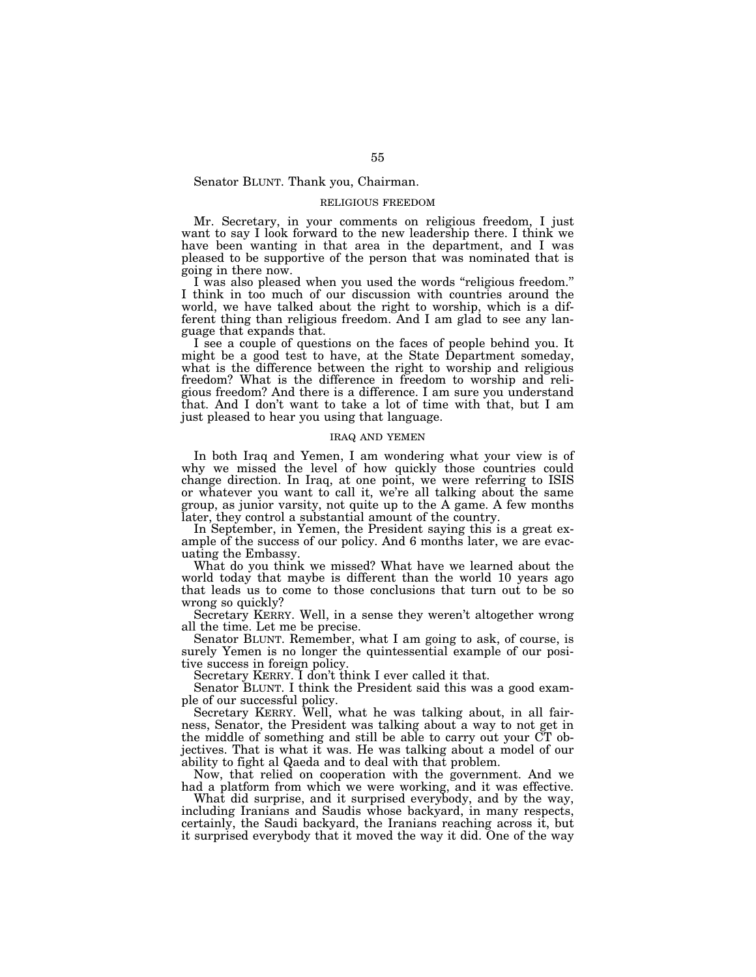# Senator BLUNT. Thank you, Chairman.

# RELIGIOUS FREEDOM

Mr. Secretary, in your comments on religious freedom, I just want to say I look forward to the new leadership there. I think we have been wanting in that area in the department, and I was pleased to be supportive of the person that was nominated that is going in there now.

I was also pleased when you used the words ''religious freedom.'' I think in too much of our discussion with countries around the world, we have talked about the right to worship, which is a different thing than religious freedom. And I am glad to see any language that expands that.

I see a couple of questions on the faces of people behind you. It might be a good test to have, at the State Department someday, what is the difference between the right to worship and religious freedom? What is the difference in freedom to worship and religious freedom? And there is a difference. I am sure you understand that. And I don't want to take a lot of time with that, but I am just pleased to hear you using that language.

### IRAQ AND YEMEN

In both Iraq and Yemen, I am wondering what your view is of why we missed the level of how quickly those countries could change direction. In Iraq, at one point, we were referring to ISIS or whatever you want to call it, we're all talking about the same group, as junior varsity, not quite up to the A game. A few months later, they control a substantial amount of the country.

In September, in Yemen, the President saying this is a great example of the success of our policy. And 6 months later, we are evacuating the Embassy.

What do you think we missed? What have we learned about the world today that maybe is different than the world 10 years ago that leads us to come to those conclusions that turn out to be so wrong so quickly?

Secretary KERRY. Well, in a sense they weren't altogether wrong all the time. Let me be precise.

Senator BLUNT. Remember, what I am going to ask, of course, is surely Yemen is no longer the quintessential example of our positive success in foreign policy.

Secretary KERRY. I don't think I ever called it that.

Senator BLUNT. I think the President said this was a good example of our successful policy.

Secretary KERRY. Well, what he was talking about, in all fairness, Senator, the President was talking about a way to not get in the middle of something and still be able to carry out your CT objectives. That is what it was. He was talking about a model of our ability to fight al Qaeda and to deal with that problem.

Now, that relied on cooperation with the government. And we had a platform from which we were working, and it was effective.

What did surprise, and it surprised everybody, and by the way, including Iranians and Saudis whose backyard, in many respects, certainly, the Saudi backyard, the Iranians reaching across it, but it surprised everybody that it moved the way it did. One of the way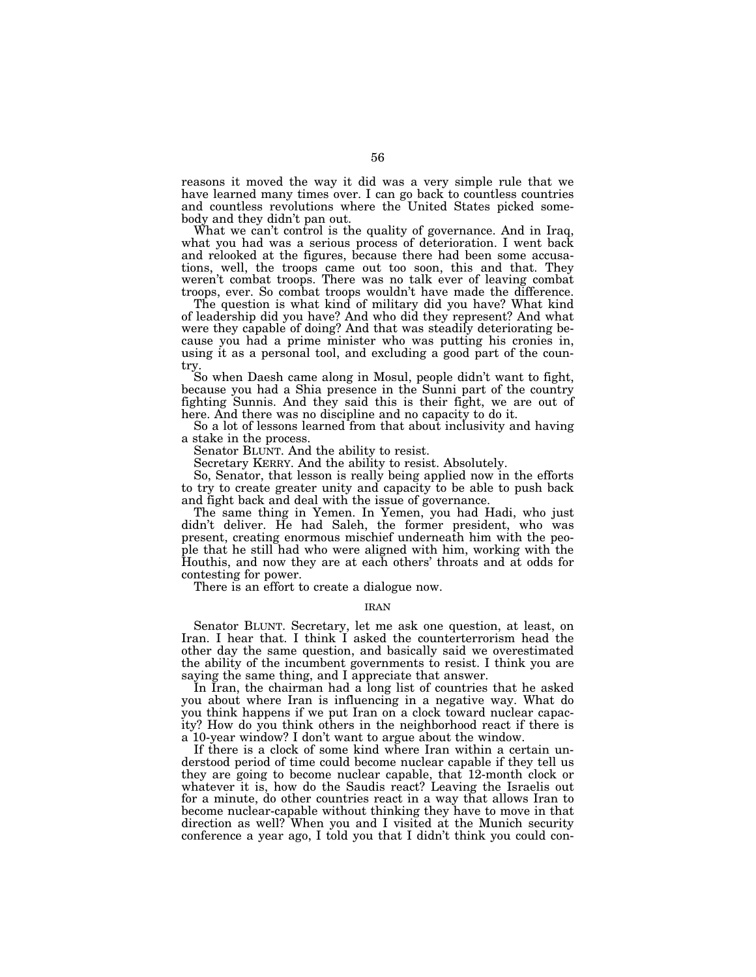reasons it moved the way it did was a very simple rule that we have learned many times over. I can go back to countless countries and countless revolutions where the United States picked somebody and they didn't pan out.

What we can't control is the quality of governance. And in Iraq, what you had was a serious process of deterioration. I went back and relooked at the figures, because there had been some accusations, well, the troops came out too soon, this and that. They weren't combat troops. There was no talk ever of leaving combat troops, ever. So combat troops wouldn't have made the difference.

The question is what kind of military did you have? What kind of leadership did you have? And who did they represent? And what were they capable of doing? And that was steadily deteriorating because you had a prime minister who was putting his cronies in, using it as a personal tool, and excluding a good part of the country.

So when Daesh came along in Mosul, people didn't want to fight, because you had a Shia presence in the Sunni part of the country fighting Sunnis. And they said this is their fight, we are out of here. And there was no discipline and no capacity to do it.

So a lot of lessons learned from that about inclusivity and having a stake in the process.

Senator BLUNT. And the ability to resist.

Secretary KERRY. And the ability to resist. Absolutely.

So, Senator, that lesson is really being applied now in the efforts to try to create greater unity and capacity to be able to push back and fight back and deal with the issue of governance.

The same thing in Yemen. In Yemen, you had Hadi, who just didn't deliver. He had Saleh, the former president, who was present, creating enormous mischief underneath him with the people that he still had who were aligned with him, working with the Houthis, and now they are at each others' throats and at odds for contesting for power.

There is an effort to create a dialogue now.

### IRAN

Senator BLUNT. Secretary, let me ask one question, at least, on Iran. I hear that. I think I asked the counterterrorism head the other day the same question, and basically said we overestimated the ability of the incumbent governments to resist. I think you are saying the same thing, and I appreciate that answer.

In Iran, the chairman had a long list of countries that he asked you about where Iran is influencing in a negative way. What do you think happens if we put Iran on a clock toward nuclear capacity? How do you think others in the neighborhood react if there is a 10-year window? I don't want to argue about the window.

If there is a clock of some kind where Iran within a certain understood period of time could become nuclear capable if they tell us they are going to become nuclear capable, that 12-month clock or whatever it is, how do the Saudis react? Leaving the Israelis out for a minute, do other countries react in a way that allows Iran to become nuclear-capable without thinking they have to move in that direction as well? When you and I visited at the Munich security conference a year ago, I told you that I didn't think you could con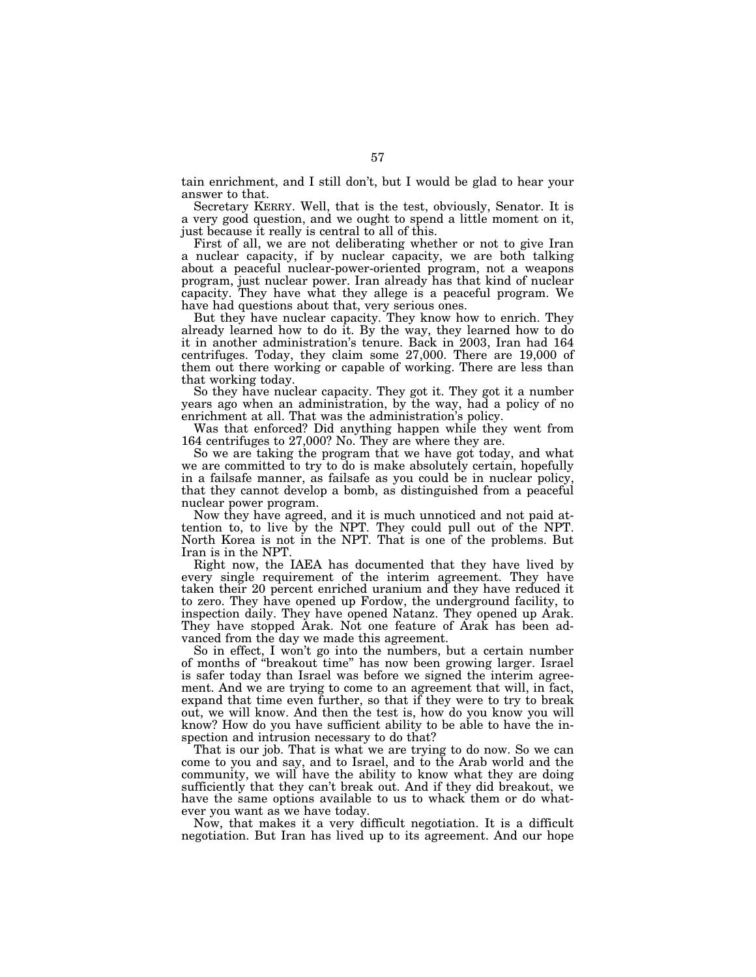tain enrichment, and I still don't, but I would be glad to hear your answer to that.

Secretary KERRY. Well, that is the test, obviously, Senator. It is a very good question, and we ought to spend a little moment on it, just because it really is central to all of this.

First of all, we are not deliberating whether or not to give Iran a nuclear capacity, if by nuclear capacity, we are both talking about a peaceful nuclear-power-oriented program, not a weapons program, just nuclear power. Iran already has that kind of nuclear capacity. They have what they allege is a peaceful program. We have had questions about that, very serious ones.

But they have nuclear capacity. They know how to enrich. They already learned how to do it. By the way, they learned how to do it in another administration's tenure. Back in 2003, Iran had 164 centrifuges. Today, they claim some 27,000. There are 19,000 of them out there working or capable of working. There are less than that working today.

So they have nuclear capacity. They got it. They got it a number years ago when an administration, by the way, had a policy of no enrichment at all. That was the administration's policy.

Was that enforced? Did anything happen while they went from 164 centrifuges to 27,000? No. They are where they are.

So we are taking the program that we have got today, and what we are committed to try to do is make absolutely certain, hopefully in a failsafe manner, as failsafe as you could be in nuclear policy, that they cannot develop a bomb, as distinguished from a peaceful nuclear power program.

Now they have agreed, and it is much unnoticed and not paid attention to, to live by the NPT. They could pull out of the NPT. North Korea is not in the NPT. That is one of the problems. But Iran is in the NPT.

Right now, the IAEA has documented that they have lived by every single requirement of the interim agreement. They have taken their 20 percent enriched uranium and they have reduced it to zero. They have opened up Fordow, the underground facility, to inspection daily. They have opened Natanz. They opened up Arak. They have stopped Arak. Not one feature of Arak has been advanced from the day we made this agreement.

So in effect, I won't go into the numbers, but a certain number of months of ''breakout time'' has now been growing larger. Israel is safer today than Israel was before we signed the interim agreement. And we are trying to come to an agreement that will, in fact, expand that time even further, so that if they were to try to break out, we will know. And then the test is, how do you know you will know? How do you have sufficient ability to be able to have the inspection and intrusion necessary to do that?

That is our job. That is what we are trying to do now. So we can come to you and say, and to Israel, and to the Arab world and the community, we will have the ability to know what they are doing sufficiently that they can't break out. And if they did breakout, we have the same options available to us to whack them or do whatever you want as we have today.

Now, that makes it a very difficult negotiation. It is a difficult negotiation. But Iran has lived up to its agreement. And our hope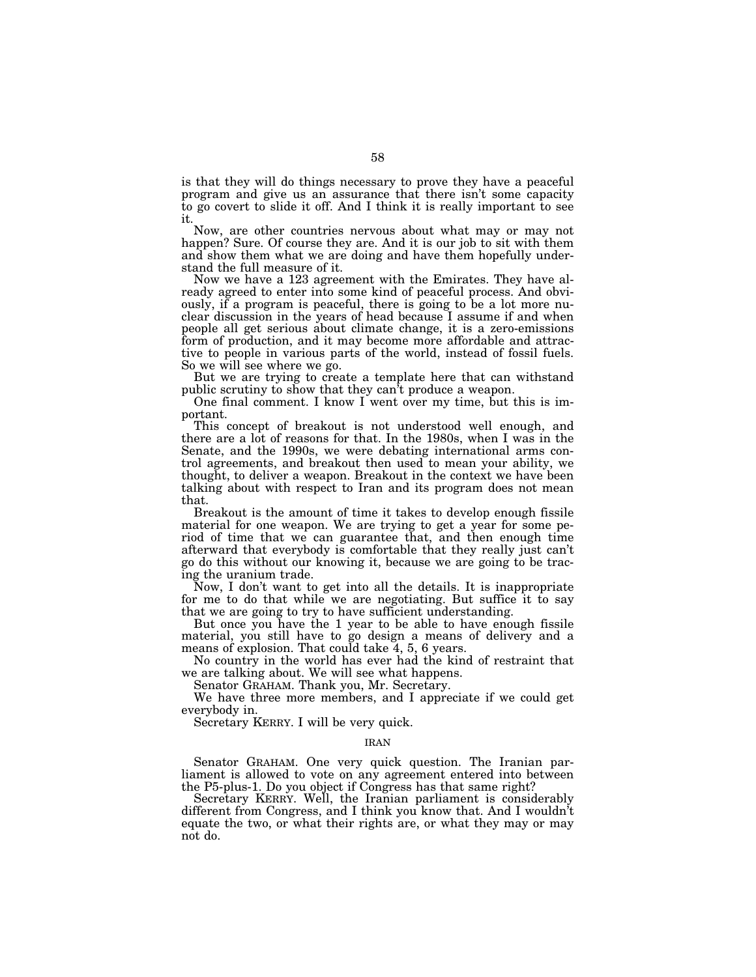is that they will do things necessary to prove they have a peaceful program and give us an assurance that there isn't some capacity to go covert to slide it off. And I think it is really important to see it.

Now, are other countries nervous about what may or may not happen? Sure. Of course they are. And it is our job to sit with them and show them what we are doing and have them hopefully understand the full measure of it.

Now we have a 123 agreement with the Emirates. They have already agreed to enter into some kind of peaceful process. And obviously, if a program is peaceful, there is going to be a lot more nuclear discussion in the years of head because I assume if and when people all get serious about climate change, it is a zero-emissions form of production, and it may become more affordable and attractive to people in various parts of the world, instead of fossil fuels. So we will see where we go.

But we are trying to create a template here that can withstand public scrutiny to show that they can't produce a weapon.

One final comment. I know I went over my time, but this is important.

This concept of breakout is not understood well enough, and there are a lot of reasons for that. In the 1980s, when I was in the Senate, and the 1990s, we were debating international arms control agreements, and breakout then used to mean your ability, we thought, to deliver a weapon. Breakout in the context we have been talking about with respect to Iran and its program does not mean that.

Breakout is the amount of time it takes to develop enough fissile material for one weapon. We are trying to get a year for some period of time that we can guarantee that, and then enough time afterward that everybody is comfortable that they really just can't go do this without our knowing it, because we are going to be tracing the uranium trade.

Now, I don't want to get into all the details. It is inappropriate for me to do that while we are negotiating. But suffice it to say that we are going to try to have sufficient understanding.

But once you have the 1 year to be able to have enough fissile material, you still have to go design a means of delivery and a means of explosion. That could take 4, 5, 6 years.

No country in the world has ever had the kind of restraint that we are talking about. We will see what happens.

Senator GRAHAM. Thank you, Mr. Secretary.

We have three more members, and I appreciate if we could get everybody in.

Secretary KERRY. I will be very quick.

#### IRAN

Senator GRAHAM. One very quick question. The Iranian parliament is allowed to vote on any agreement entered into between the P5-plus-1. Do you object if Congress has that same right?

Secretary KERRY. Well, the Iranian parliament is considerably different from Congress, and I think you know that. And I wouldn't equate the two, or what their rights are, or what they may or may not do.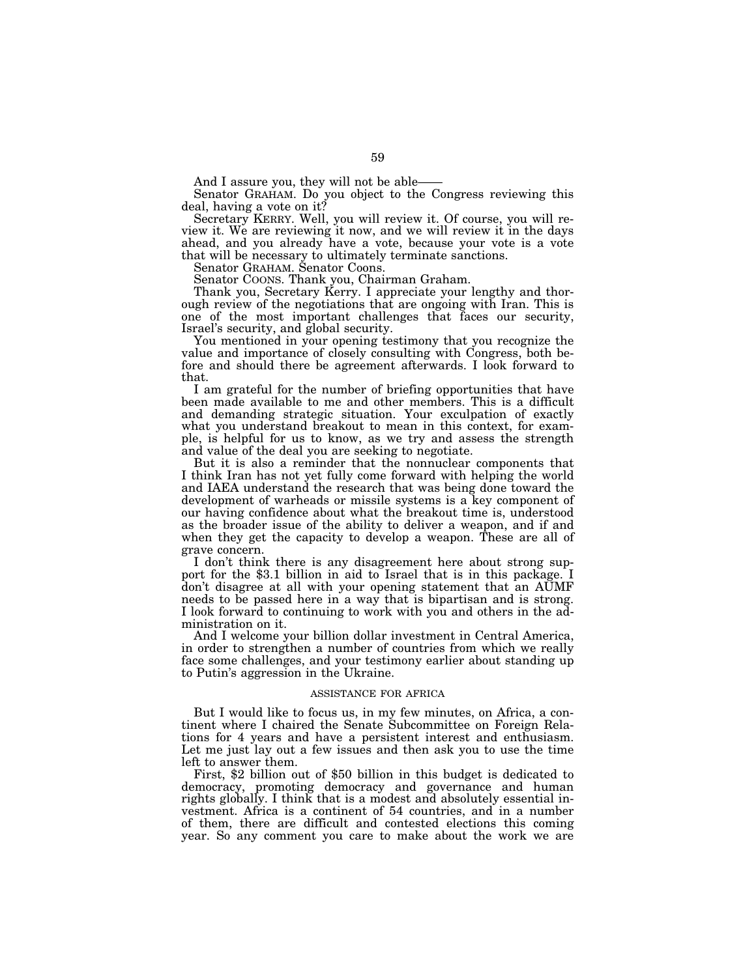And I assure you, they will not be able-

Senator GRAHAM. Do you object to the Congress reviewing this deal, having a vote on it?

Secretary KERRY. Well, you will review it. Of course, you will review it. We are reviewing it now, and we will review it in the days ahead, and you already have a vote, because your vote is a vote that will be necessary to ultimately terminate sanctions.

Senator GRAHAM. Senator Coons.

Senator COONS. Thank you, Chairman Graham.

Thank you, Secretary Kerry. I appreciate your lengthy and thorough review of the negotiations that are ongoing with Iran. This is one of the most important challenges that faces our security, Israel's security, and global security.

You mentioned in your opening testimony that you recognize the value and importance of closely consulting with Congress, both before and should there be agreement afterwards. I look forward to that.

I am grateful for the number of briefing opportunities that have been made available to me and other members. This is a difficult and demanding strategic situation. Your exculpation of exactly what you understand breakout to mean in this context, for example, is helpful for us to know, as we try and assess the strength and value of the deal you are seeking to negotiate.

But it is also a reminder that the nonnuclear components that I think Iran has not yet fully come forward with helping the world and IAEA understand the research that was being done toward the development of warheads or missile systems is a key component of our having confidence about what the breakout time is, understood as the broader issue of the ability to deliver a weapon, and if and when they get the capacity to develop a weapon. These are all of grave concern.

I don't think there is any disagreement here about strong support for the \$3.1 billion in aid to Israel that is in this package. I don't disagree at all with your opening statement that an AUMF needs to be passed here in a way that is bipartisan and is strong. I look forward to continuing to work with you and others in the administration on it.

And I welcome your billion dollar investment in Central America, in order to strengthen a number of countries from which we really face some challenges, and your testimony earlier about standing up to Putin's aggression in the Ukraine.

# ASSISTANCE FOR AFRICA

But I would like to focus us, in my few minutes, on Africa, a continent where I chaired the Senate Subcommittee on Foreign Relations for 4 years and have a persistent interest and enthusiasm. Let me just lay out a few issues and then ask you to use the time left to answer them.

First, \$2 billion out of \$50 billion in this budget is dedicated to democracy, promoting democracy and governance and human rights globally. I think that is a modest and absolutely essential investment. Africa is a continent of 54 countries, and in a number of them, there are difficult and contested elections this coming year. So any comment you care to make about the work we are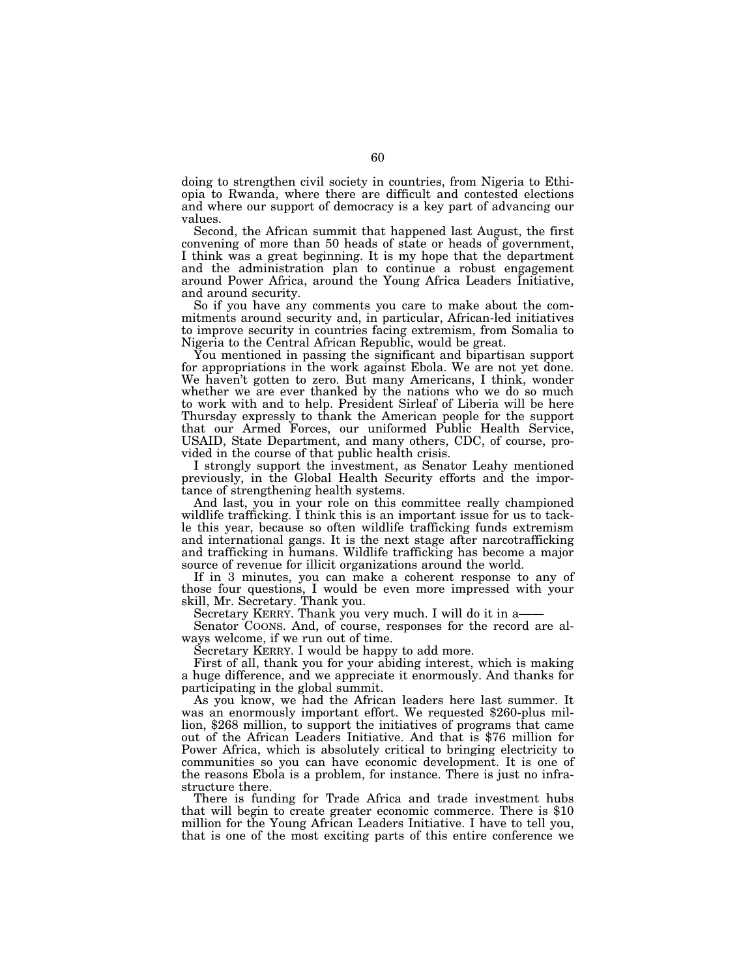doing to strengthen civil society in countries, from Nigeria to Ethiopia to Rwanda, where there are difficult and contested elections and where our support of democracy is a key part of advancing our values.

Second, the African summit that happened last August, the first convening of more than 50 heads of state or heads of government, I think was a great beginning. It is my hope that the department and the administration plan to continue a robust engagement around Power Africa, around the Young Africa Leaders Initiative, and around security.

So if you have any comments you care to make about the commitments around security and, in particular, African-led initiatives to improve security in countries facing extremism, from Somalia to Nigeria to the Central African Republic, would be great.

You mentioned in passing the significant and bipartisan support for appropriations in the work against Ebola. We are not yet done. We haven't gotten to zero. But many Americans, I think, wonder whether we are ever thanked by the nations who we do so much to work with and to help. President Sirleaf of Liberia will be here Thursday expressly to thank the American people for the support that our Armed Forces, our uniformed Public Health Service, USAID, State Department, and many others, CDC, of course, provided in the course of that public health crisis.

I strongly support the investment, as Senator Leahy mentioned previously, in the Global Health Security efforts and the importance of strengthening health systems.

And last, you in your role on this committee really championed wildlife trafficking. I think this is an important issue for us to tackle this year, because so often wildlife trafficking funds extremism and international gangs. It is the next stage after narcotrafficking and trafficking in humans. Wildlife trafficking has become a major source of revenue for illicit organizations around the world.

If in 3 minutes, you can make a coherent response to any of those four questions, I would be even more impressed with your skill, Mr. Secretary. Thank you.

Secretary KERRY. Thank you very much. I will do it in a-

Senator COONS. And, of course, responses for the record are always welcome, if we run out of time.

Secretary KERRY. I would be happy to add more.

First of all, thank you for your abiding interest, which is making a huge difference, and we appreciate it enormously. And thanks for participating in the global summit.<br>As you know, we had the African leaders here last summer. It

was an enormously important effort. We requested \$260-plus million, \$268 million, to support the initiatives of programs that came out of the African Leaders Initiative. And that is \$76 million for Power Africa, which is absolutely critical to bringing electricity to communities so you can have economic development. It is one of the reasons Ebola is a problem, for instance. There is just no infrastructure there.

There is funding for Trade Africa and trade investment hubs that will begin to create greater economic commerce. There is \$10 million for the Young African Leaders Initiative. I have to tell you, that is one of the most exciting parts of this entire conference we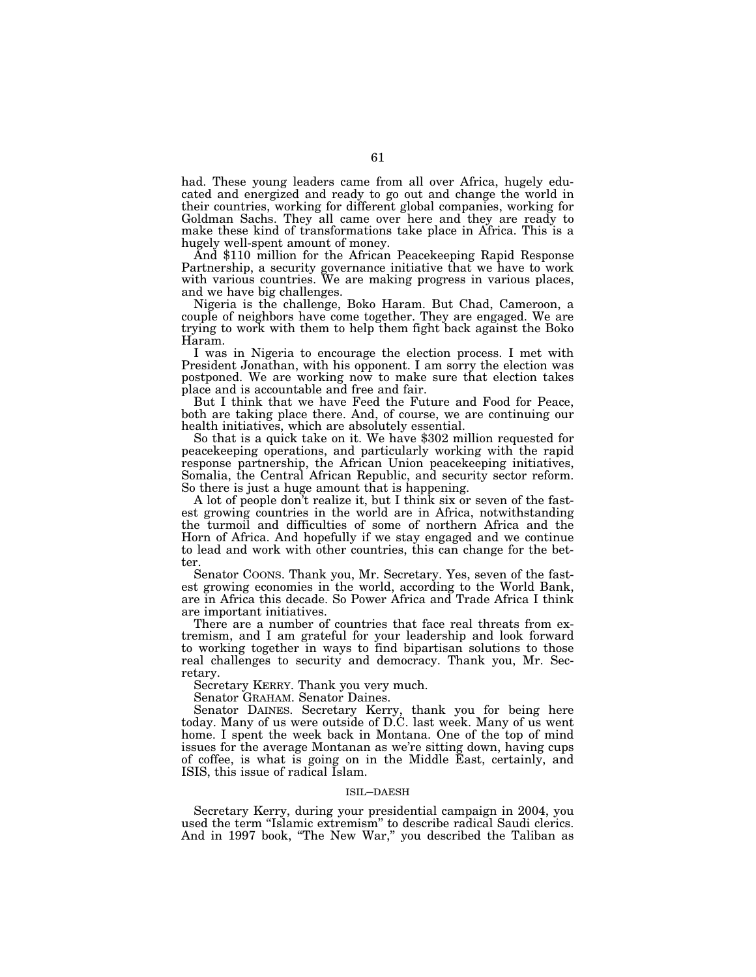had. These young leaders came from all over Africa, hugely educated and energized and ready to go out and change the world in their countries, working for different global companies, working for Goldman Sachs. They all came over here and they are ready to make these kind of transformations take place in Africa. This is a

And \$110 million for the African Peacekeeping Rapid Response Partnership, a security governance initiative that we have to work with various countries. We are making progress in various places, and we have big challenges.

Nigeria is the challenge, Boko Haram. But Chad, Cameroon, a couple of neighbors have come together. They are engaged. We are trying to work with them to help them fight back against the Boko Haram.

I was in Nigeria to encourage the election process. I met with President Jonathan, with his opponent. I am sorry the election was postponed. We are working now to make sure that election takes place and is accountable and free and fair.

But I think that we have Feed the Future and Food for Peace, both are taking place there. And, of course, we are continuing our health initiatives, which are absolutely essential.

So that is a quick take on it. We have \$302 million requested for peacekeeping operations, and particularly working with the rapid response partnership, the African Union peacekeeping initiatives, Somalia, the Central African Republic, and security sector reform. So there is just a huge amount that is happening.

A lot of people don't realize it, but I think six or seven of the fastest growing countries in the world are in Africa, notwithstanding the turmoil and difficulties of some of northern Africa and the Horn of Africa. And hopefully if we stay engaged and we continue to lead and work with other countries, this can change for the better.

Senator COONS. Thank you, Mr. Secretary. Yes, seven of the fastest growing economies in the world, according to the World Bank, are in Africa this decade. So Power Africa and Trade Africa I think are important initiatives.

There are a number of countries that face real threats from extremism, and I am grateful for your leadership and look forward to working together in ways to find bipartisan solutions to those real challenges to security and democracy. Thank you, Mr. Secretary.

Secretary KERRY. Thank you very much.

Senator GRAHAM. Senator Daines.

Senator DAINES. Secretary Kerry, thank you for being here today. Many of us were outside of D.C. last week. Many of us went home. I spent the week back in Montana. One of the top of mind issues for the average Montanan as we're sitting down, having cups of coffee, is what is going on in the Middle East, certainly, and ISIS, this issue of radical Islam.

# ISIL–DAESH

Secretary Kerry, during your presidential campaign in 2004, you used the term "Islamic extremism" to describe radical Saudi clerics. And in 1997 book, ''The New War,'' you described the Taliban as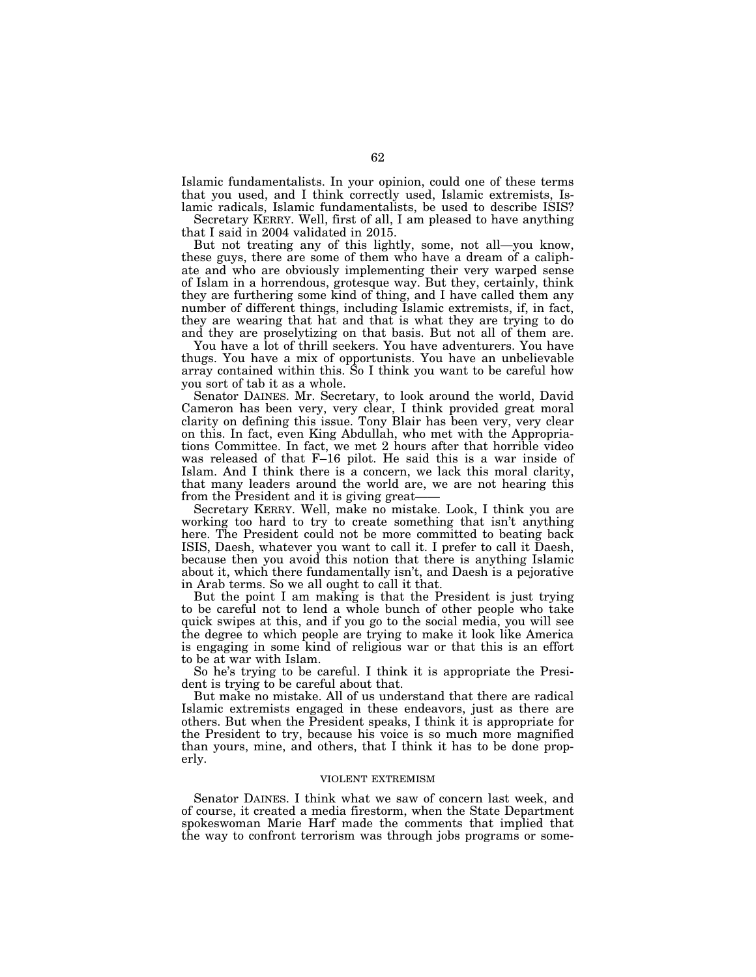Islamic fundamentalists. In your opinion, could one of these terms that you used, and I think correctly used, Islamic extremists, Islamic radicals, Islamic fundamentalists, be used to describe ISIS?

Secretary KERRY. Well, first of all, I am pleased to have anything that I said in 2004 validated in 2015.

But not treating any of this lightly, some, not all—you know, these guys, there are some of them who have a dream of a caliphate and who are obviously implementing their very warped sense of Islam in a horrendous, grotesque way. But they, certainly, think they are furthering some kind of thing, and I have called them any number of different things, including Islamic extremists, if, in fact, they are wearing that hat and that is what they are trying to do and they are proselytizing on that basis. But not all of them are.

You have a lot of thrill seekers. You have adventurers. You have thugs. You have a mix of opportunists. You have an unbelievable array contained within this. So I think you want to be careful how you sort of tab it as a whole.

Senator DAINES. Mr. Secretary, to look around the world, David Cameron has been very, very clear, I think provided great moral clarity on defining this issue. Tony Blair has been very, very clear on this. In fact, even King Abdullah, who met with the Appropriations Committee. In fact, we met 2 hours after that horrible video was released of that F–16 pilot. He said this is a war inside of Islam. And I think there is a concern, we lack this moral clarity, that many leaders around the world are, we are not hearing this from the President and it is giving great-

Secretary KERRY. Well, make no mistake. Look, I think you are working too hard to try to create something that isn't anything here. The President could not be more committed to beating back ISIS, Daesh, whatever you want to call it. I prefer to call it Daesh, because then you avoid this notion that there is anything Islamic about it, which there fundamentally isn't, and Daesh is a pejorative in Arab terms. So we all ought to call it that.

But the point I am making is that the President is just trying to be careful not to lend a whole bunch of other people who take quick swipes at this, and if you go to the social media, you will see the degree to which people are trying to make it look like America is engaging in some kind of religious war or that this is an effort to be at war with Islam.

So he's trying to be careful. I think it is appropriate the President is trying to be careful about that.

But make no mistake. All of us understand that there are radical Islamic extremists engaged in these endeavors, just as there are others. But when the President speaks, I think it is appropriate for the President to try, because his voice is so much more magnified than yours, mine, and others, that I think it has to be done properly.

# VIOLENT EXTREMISM

Senator DAINES. I think what we saw of concern last week, and of course, it created a media firestorm, when the State Department spokeswoman Marie Harf made the comments that implied that the way to confront terrorism was through jobs programs or some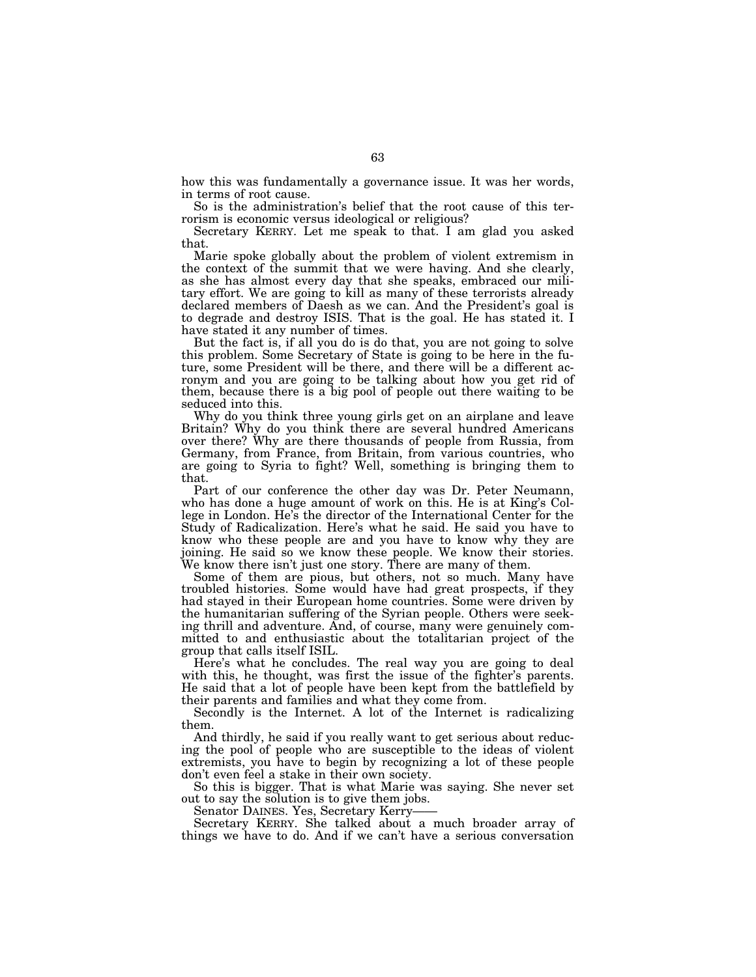how this was fundamentally a governance issue. It was her words, in terms of root cause.

So is the administration's belief that the root cause of this terrorism is economic versus ideological or religious?

Secretary KERRY. Let me speak to that. I am glad you asked that.

Marie spoke globally about the problem of violent extremism in the context of the summit that we were having. And she clearly, as she has almost every day that she speaks, embraced our military effort. We are going to kill as many of these terrorists already declared members of Daesh as we can. And the President's goal is to degrade and destroy ISIS. That is the goal. He has stated it. I have stated it any number of times.

But the fact is, if all you do is do that, you are not going to solve this problem. Some Secretary of State is going to be here in the future, some President will be there, and there will be a different acronym and you are going to be talking about how you get rid of them, because there is a big pool of people out there waiting to be seduced into this.

Why do you think three young girls get on an airplane and leave Britain? Why do you think there are several hundred Americans over there? Why are there thousands of people from Russia, from Germany, from France, from Britain, from various countries, who are going to Syria to fight? Well, something is bringing them to that.

Part of our conference the other day was Dr. Peter Neumann, who has done a huge amount of work on this. He is at King's College in London. He's the director of the International Center for the Study of Radicalization. Here's what he said. He said you have to know who these people are and you have to know why they are joining. He said so we know these people. We know their stories. We know there isn't just one story. There are many of them.

Some of them are pious, but others, not so much. Many have troubled histories. Some would have had great prospects, if they had stayed in their European home countries. Some were driven by the humanitarian suffering of the Syrian people. Others were seeking thrill and adventure. And, of course, many were genuinely committed to and enthusiastic about the totalitarian project of the group that calls itself ISIL.

Here's what he concludes. The real way you are going to deal with this, he thought, was first the issue of the fighter's parents. He said that a lot of people have been kept from the battlefield by their parents and families and what they come from.

Secondly is the Internet. A lot of the Internet is radicalizing them.

And thirdly, he said if you really want to get serious about reducing the pool of people who are susceptible to the ideas of violent extremists, you have to begin by recognizing a lot of these people don't even feel a stake in their own society.

So this is bigger. That is what Marie was saying. She never set out to say the solution is to give them jobs.

Senator DAINES. Yes, Secretary Kerry-

Secretary KERRY. She talked about a much broader array of things we have to do. And if we can't have a serious conversation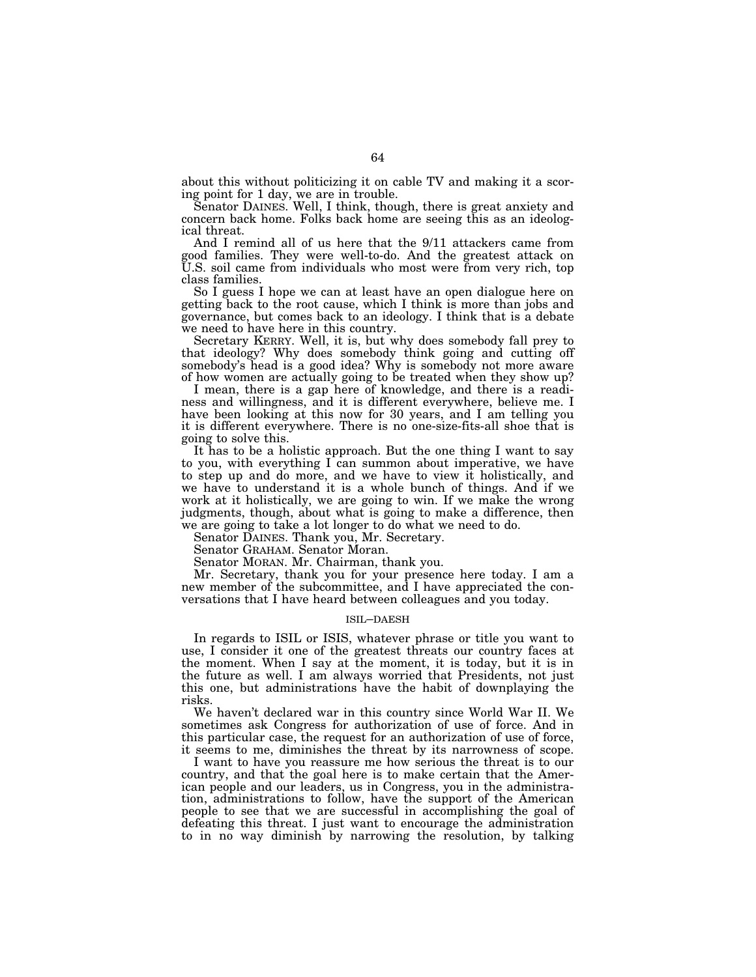about this without politicizing it on cable TV and making it a scoring point for 1 day, we are in trouble.

Senator DAINES. Well, I think, though, there is great anxiety and concern back home. Folks back home are seeing this as an ideological threat.

And I remind all of us here that the 9/11 attackers came from good families. They were well-to-do. And the greatest attack on U.S. soil came from individuals who most were from very rich, top class families.

So I guess I hope we can at least have an open dialogue here on getting back to the root cause, which I think is more than jobs and governance, but comes back to an ideology. I think that is a debate we need to have here in this country.

Secretary KERRY. Well, it is, but why does somebody fall prey to that ideology? Why does somebody think going and cutting off somebody's head is a good idea? Why is somebody not more aware of how women are actually going to be treated when they show up?

I mean, there is a gap here of knowledge, and there is a readiness and willingness, and it is different everywhere, believe me. I have been looking at this now for 30 years, and I am telling you it is different everywhere. There is no one-size-fits-all shoe that is going to solve this.

It has to be a holistic approach. But the one thing I want to say to you, with everything I can summon about imperative, we have to step up and do more, and we have to view it holistically, and we have to understand it is a whole bunch of things. And if we work at it holistically, we are going to win. If we make the wrong judgments, though, about what is going to make a difference, then we are going to take a lot longer to do what we need to do.

Senator DAINES. Thank you, Mr. Secretary.

Senator GRAHAM. Senator Moran.

Senator MORAN. Mr. Chairman, thank you.

Mr. Secretary, thank you for your presence here today. I am a new member of the subcommittee, and I have appreciated the conversations that I have heard between colleagues and you today.

#### ISIL–DAESH

In regards to ISIL or ISIS, whatever phrase or title you want to use, I consider it one of the greatest threats our country faces at the moment. When I say at the moment, it is today, but it is in the future as well. I am always worried that Presidents, not just this one, but administrations have the habit of downplaying the risks.

We haven't declared war in this country since World War II. We sometimes ask Congress for authorization of use of force. And in this particular case, the request for an authorization of use of force, it seems to me, diminishes the threat by its narrowness of scope.

I want to have you reassure me how serious the threat is to our country, and that the goal here is to make certain that the American people and our leaders, us in Congress, you in the administration, administrations to follow, have the support of the American people to see that we are successful in accomplishing the goal of defeating this threat. I just want to encourage the administration to in no way diminish by narrowing the resolution, by talking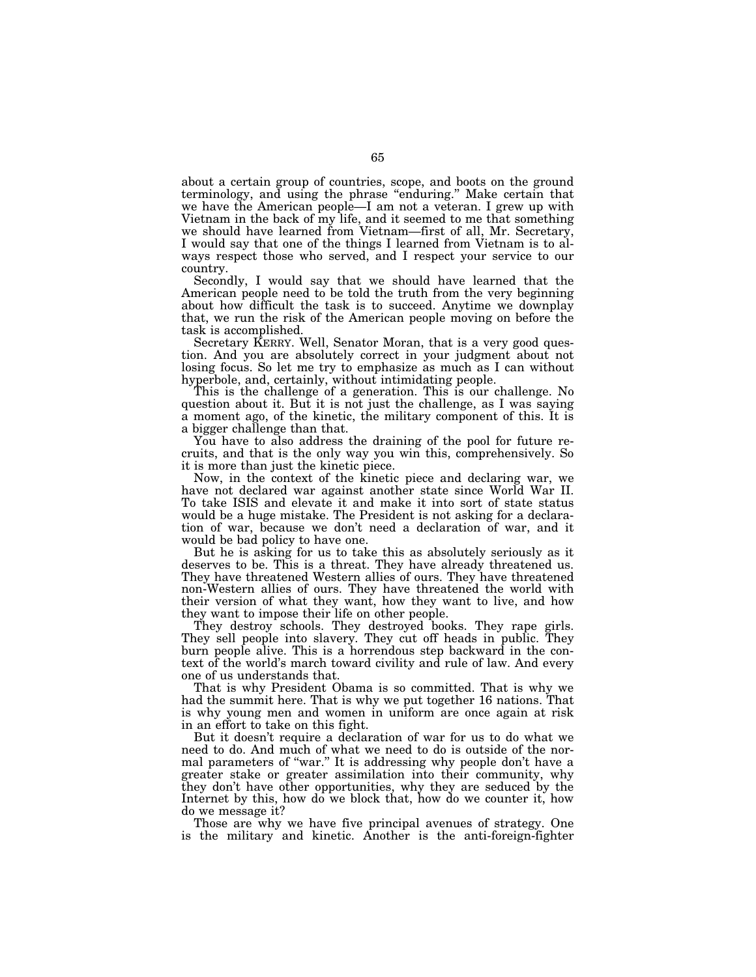about a certain group of countries, scope, and boots on the ground terminology, and using the phrase ''enduring.'' Make certain that we have the American people—I am not a veteran. I grew up with Vietnam in the back of my life, and it seemed to me that something we should have learned from Vietnam—first of all, Mr. Secretary, I would say that one of the things I learned from Vietnam is to always respect those who served, and I respect your service to our country.

Secondly, I would say that we should have learned that the American people need to be told the truth from the very beginning about how difficult the task is to succeed. Anytime we downplay that, we run the risk of the American people moving on before the task is accomplished.

Secretary KERRY. Well, Senator Moran, that is a very good question. And you are absolutely correct in your judgment about not losing focus. So let me try to emphasize as much as I can without hyperbole, and, certainly, without intimidating people.

This is the challenge of a generation. This is our challenge. No question about it. But it is not just the challenge, as I was saying a moment ago, of the kinetic, the military component of this. It is a bigger challenge than that.

You have to also address the draining of the pool for future recruits, and that is the only way you win this, comprehensively. So it is more than just the kinetic piece.

Now, in the context of the kinetic piece and declaring war, we have not declared war against another state since World War II. To take ISIS and elevate it and make it into sort of state status would be a huge mistake. The President is not asking for a declaration of war, because we don't need a declaration of war, and it would be bad policy to have one.

But he is asking for us to take this as absolutely seriously as it deserves to be. This is a threat. They have already threatened us. They have threatened Western allies of ours. They have threatened non-Western allies of ours. They have threatened the world with their version of what they want, how they want to live, and how they want to impose their life on other people.

They destroy schools. They destroyed books. They rape girls. They sell people into slavery. They cut off heads in public. They burn people alive. This is a horrendous step backward in the context of the world's march toward civility and rule of law. And every one of us understands that.

That is why President Obama is so committed. That is why we had the summit here. That is why we put together 16 nations. That is why young men and women in uniform are once again at risk in an effort to take on this fight.

But it doesn't require a declaration of war for us to do what we need to do. And much of what we need to do is outside of the normal parameters of ''war.'' It is addressing why people don't have a greater stake or greater assimilation into their community, why they don't have other opportunities, why they are seduced by the Internet by this, how do we block that, how do we counter it, how do we message it?

Those are why we have five principal avenues of strategy. One is the military and kinetic. Another is the anti-foreign-fighter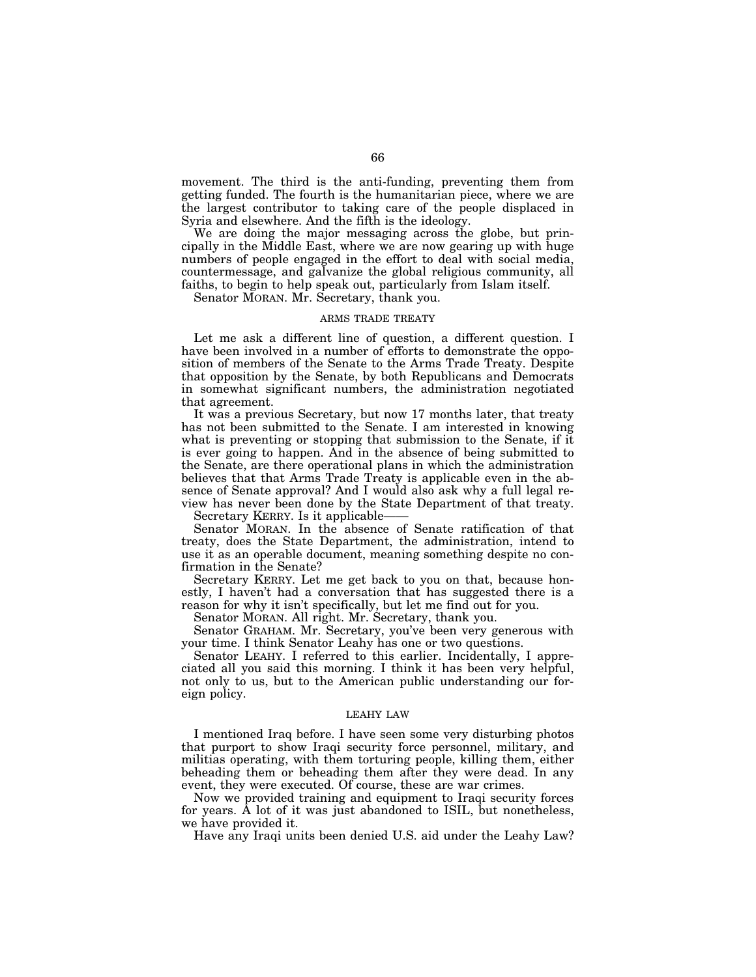movement. The third is the anti-funding, preventing them from getting funded. The fourth is the humanitarian piece, where we are the largest contributor to taking care of the people displaced in Syria and elsewhere. And the fifth is the ideology.

We are doing the major messaging across the globe, but principally in the Middle East, where we are now gearing up with huge numbers of people engaged in the effort to deal with social media, countermessage, and galvanize the global religious community, all faiths, to begin to help speak out, particularly from Islam itself.

Senator MORAN. Mr. Secretary, thank you.

#### ARMS TRADE TREATY

Let me ask a different line of question, a different question. I have been involved in a number of efforts to demonstrate the opposition of members of the Senate to the Arms Trade Treaty. Despite that opposition by the Senate, by both Republicans and Democrats in somewhat significant numbers, the administration negotiated that agreement.

It was a previous Secretary, but now 17 months later, that treaty has not been submitted to the Senate. I am interested in knowing what is preventing or stopping that submission to the Senate, if it is ever going to happen. And in the absence of being submitted to the Senate, are there operational plans in which the administration believes that that Arms Trade Treaty is applicable even in the absence of Senate approval? And I would also ask why a full legal review has never been done by the State Department of that treaty.

Secretary KERRY. Is it applicable——

Senator MORAN. In the absence of Senate ratification of that treaty, does the State Department, the administration, intend to use it as an operable document, meaning something despite no confirmation in the Senate?

Secretary KERRY. Let me get back to you on that, because honestly, I haven't had a conversation that has suggested there is a reason for why it isn't specifically, but let me find out for you.

Senator MORAN. All right. Mr. Secretary, thank you.

Senator GRAHAM. Mr. Secretary, you've been very generous with your time. I think Senator Leahy has one or two questions.

Senator LEAHY. I referred to this earlier. Incidentally, I appreciated all you said this morning. I think it has been very helpful, not only to us, but to the American public understanding our foreign policy.

# LEAHY LAW

I mentioned Iraq before. I have seen some very disturbing photos that purport to show Iraqi security force personnel, military, and militias operating, with them torturing people, killing them, either beheading them or beheading them after they were dead. In any event, they were executed. Of course, these are war crimes.

Now we provided training and equipment to Iraqi security forces for years. A lot of it was just abandoned to ISIL, but nonetheless, we have provided it.

Have any Iraqi units been denied U.S. aid under the Leahy Law?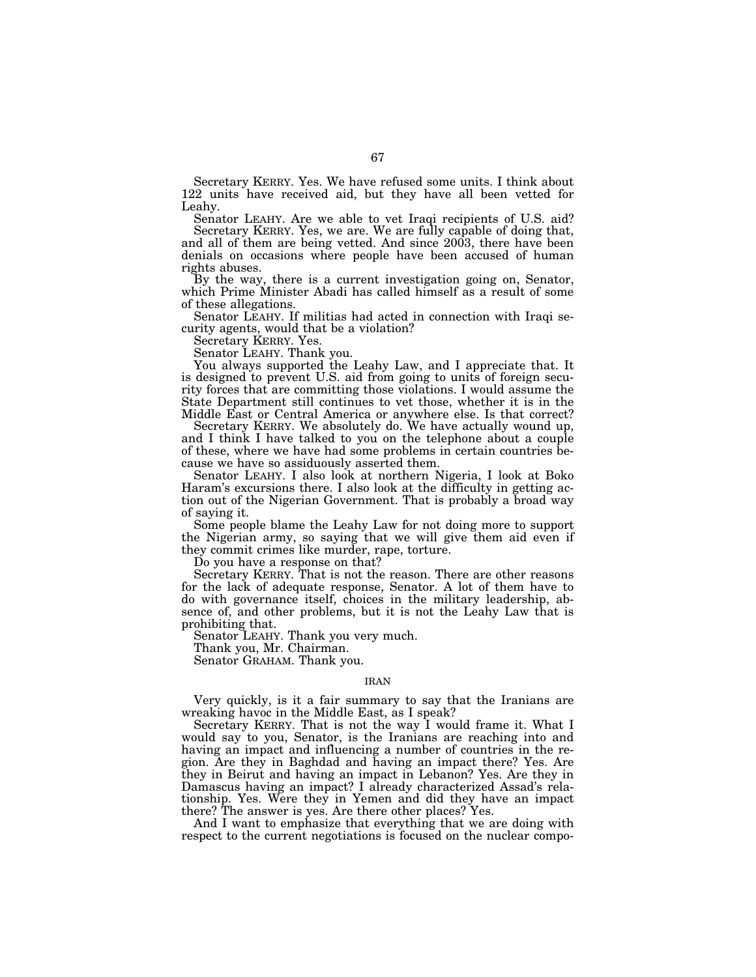Secretary KERRY. Yes. We have refused some units. I think about 122 units have received aid, but they have all been vetted for Leahy.

Senator LEAHY. Are we able to vet Iraqi recipients of U.S. aid? Secretary KERRY. Yes, we are. We are fully capable of doing that, and all of them are being vetted. And since 2003, there have been denials on occasions where people have been accused of human rights abuses.

By the way, there is a current investigation going on, Senator, which Prime Minister Abadi has called himself as a result of some of these allegations.

Senator LEAHY. If militias had acted in connection with Iraqi security agents, would that be a violation?

Secretary KERRY. Yes.

Senator LEAHY. Thank you.

You always supported the Leahy Law, and I appreciate that. It is designed to prevent U.S. aid from going to units of foreign security forces that are committing those violations. I would assume the State Department still continues to vet those, whether it is in the Middle East or Central America or anywhere else. Is that correct?

Secretary KERRY. We absolutely do. We have actually wound up, and I think I have talked to you on the telephone about a couple of these, where we have had some problems in certain countries because we have so assiduously asserted them.

Senator LEAHY. I also look at northern Nigeria, I look at Boko Haram's excursions there. I also look at the difficulty in getting action out of the Nigerian Government. That is probably a broad way of saying it.

Some people blame the Leahy Law for not doing more to support the Nigerian army, so saying that we will give them aid even if they commit crimes like murder, rape, torture.

Do you have a response on that?

Secretary KERRY. That is not the reason. There are other reasons for the lack of adequate response, Senator. A lot of them have to do with governance itself, choices in the military leadership, absence of, and other problems, but it is not the Leahy Law that is prohibiting that.

Senator LEAHY. Thank you very much.

Thank you, Mr. Chairman.

Senator GRAHAM. Thank you.

#### IRAN

Very quickly, is it a fair summary to say that the Iranians are wreaking havoc in the Middle East, as I speak?

Secretary KERRY. That is not the way I would frame it. What I would say to you, Senator, is the Iranians are reaching into and having an impact and influencing a number of countries in the region. Are they in Baghdad and having an impact there? Yes. Are they in Beirut and having an impact in Lebanon? Yes. Are they in Damascus having an impact? I already characterized Assad's relationship. Yes. Were they in Yemen and did they have an impact there? The answer is yes. Are there other places? Yes.

And I want to emphasize that everything that we are doing with respect to the current negotiations is focused on the nuclear compo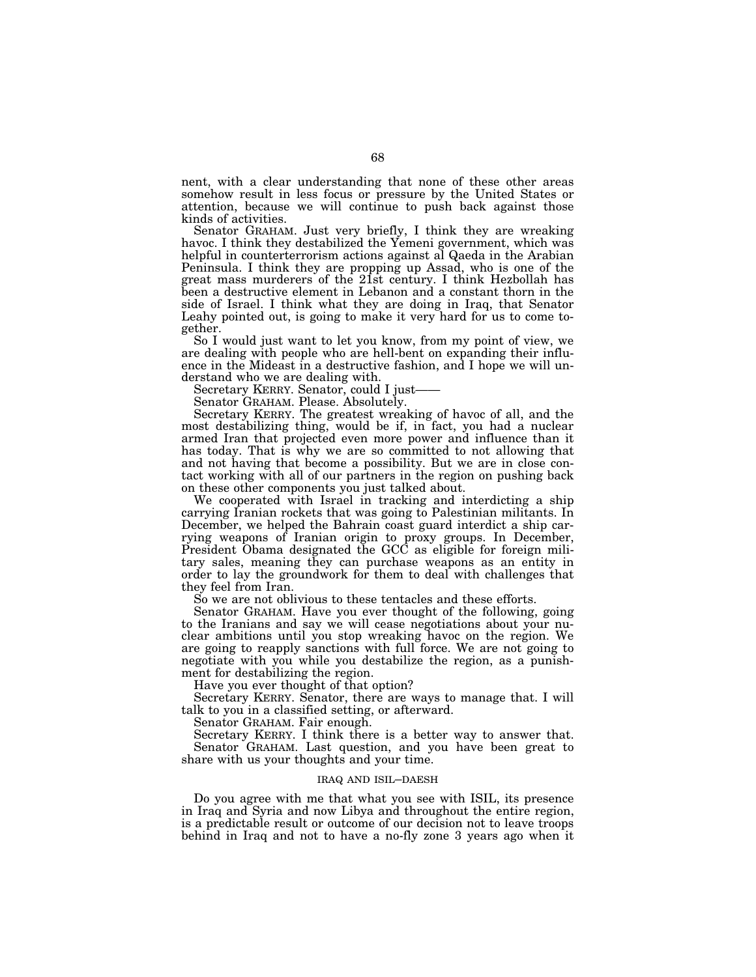nent, with a clear understanding that none of these other areas somehow result in less focus or pressure by the United States or attention, because we will continue to push back against those kinds of activities.

Senator GRAHAM. Just very briefly, I think they are wreaking havoc. I think they destabilized the Yemeni government, which was helpful in counterterrorism actions against al Qaeda in the Arabian Peninsula. I think they are propping up Assad, who is one of the great mass murderers of the 21st century. I think Hezbollah has been a destructive element in Lebanon and a constant thorn in the side of Israel. I think what they are doing in Iraq, that Senator Leahy pointed out, is going to make it very hard for us to come together.

So I would just want to let you know, from my point of view, we are dealing with people who are hell-bent on expanding their influence in the Mideast in a destructive fashion, and I hope we will understand who we are dealing with.

Secretary KERRY. Senator, could I just——

Senator GRAHAM. Please. Absolutely.

Secretary KERRY. The greatest wreaking of havoc of all, and the most destabilizing thing, would be if, in fact, you had a nuclear armed Iran that projected even more power and influence than it has today. That is why we are so committed to not allowing that and not having that become a possibility. But we are in close contact working with all of our partners in the region on pushing back on these other components you just talked about.

We cooperated with Israel in tracking and interdicting a ship carrying Iranian rockets that was going to Palestinian militants. In December, we helped the Bahrain coast guard interdict a ship carrying weapons of Iranian origin to proxy groups. In December, President Obama designated the GCC as eligible for foreign military sales, meaning they can purchase weapons as an entity in order to lay the groundwork for them to deal with challenges that they feel from Iran.

So we are not oblivious to these tentacles and these efforts.

Senator GRAHAM. Have you ever thought of the following, going to the Iranians and say we will cease negotiations about your nuclear ambitions until you stop wreaking havoc on the region. We are going to reapply sanctions with full force. We are not going to negotiate with you while you destabilize the region, as a punishment for destabilizing the region.

Have you ever thought of that option?

Secretary KERRY. Senator, there are ways to manage that. I will talk to you in a classified setting, or afterward.

Senator GRAHAM. Fair enough.

Secretary KERRY. I think there is a better way to answer that. Senator GRAHAM. Last question, and you have been great to share with us your thoughts and your time.

#### IRAQ AND ISIL–DAESH

Do you agree with me that what you see with ISIL, its presence in Iraq and Syria and now Libya and throughout the entire region, is a predictable result or outcome of our decision not to leave troops behind in Iraq and not to have a no-fly zone 3 years ago when it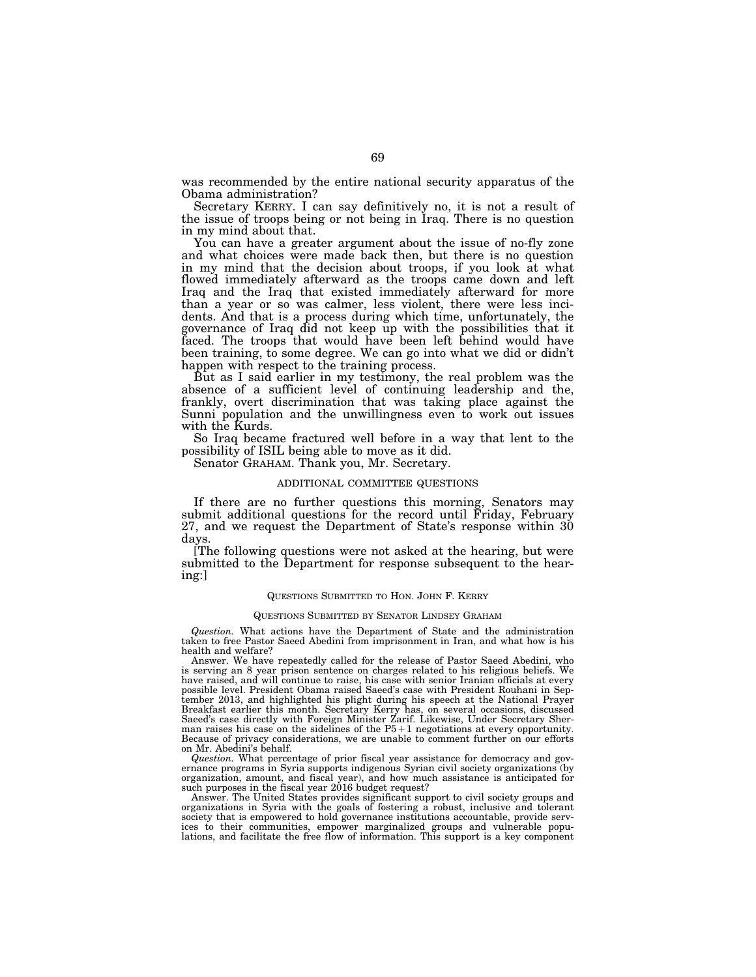was recommended by the entire national security apparatus of the Obama administration?

Secretary KERRY. I can say definitively no, it is not a result of the issue of troops being or not being in Iraq. There is no question in my mind about that.

You can have a greater argument about the issue of no-fly zone and what choices were made back then, but there is no question in my mind that the decision about troops, if you look at what flowed immediately afterward as the troops came down and left Iraq and the Iraq that existed immediately afterward for more than a year or so was calmer, less violent, there were less incidents. And that is a process during which time, unfortunately, the governance of Iraq did not keep up with the possibilities that it faced. The troops that would have been left behind would have been training, to some degree. We can go into what we did or didn't happen with respect to the training process.

But as I said earlier in my testimony, the real problem was the absence of a sufficient level of continuing leadership and the, frankly, overt discrimination that was taking place against the Sunni population and the unwillingness even to work out issues with the Kurds.

So Iraq became fractured well before in a way that lent to the possibility of ISIL being able to move as it did.

Senator GRAHAM. Thank you, Mr. Secretary.

# ADDITIONAL COMMITTEE QUESTIONS

If there are no further questions this morning, Senators may submit additional questions for the record until Friday, February 27, and we request the Department of State's response within 30 days.

[The following questions were not asked at the hearing, but were submitted to the Department for response subsequent to the hearing:]

#### QUESTIONS SUBMITTED TO HON. JOHN F. KERRY

#### QUESTIONS SUBMITTED BY SENATOR LINDSEY GRAHAM

*Question.* What actions have the Department of State and the administration taken to free Pastor Saeed Abedini from imprisonment in Iran, and what how is his health and welfare?

Answer. We have repeatedly called for the release of Pastor Saeed Abedini, who is serving an 8 year prison sentence on charges related to his religious beliefs. We have raised, and will continue to raise, his case with senior Iranian officials at every possible level. President Obama raised Saeed's case with President Rouhani in September 2013, and highlighted his plight during his speech at the National Prayer Breakfast earlier this month. Secretary Kerry has, on several occasions, discussed Saeed's case directly with Foreign Minister Zarif. Likewise, Under Secretary Sherman raises his case on the sidelines of the  $P5+1$  negotiations at every opportunity. Because of privacy considerations, we are unable to comment further on our efforts on Mr. Abedini's behalf.

*Question.* What percentage of prior fiscal year assistance for democracy and governance programs in Syria supports indigenous Syrian civil society organizations (by organization, amount, and fiscal year), and how much assistance is anticipated for such purposes in the fiscal year 2016 budget request?

Answer. The United States provides significant support to civil society groups and organizations in Syria with the goals of fostering a robust, inclusive and tolerant society that is empowered to hold governance institutions accountable, provide services to their communities, empower marginalized groups and vulnerable populations, and facilitate the free flow of information. This support is a key component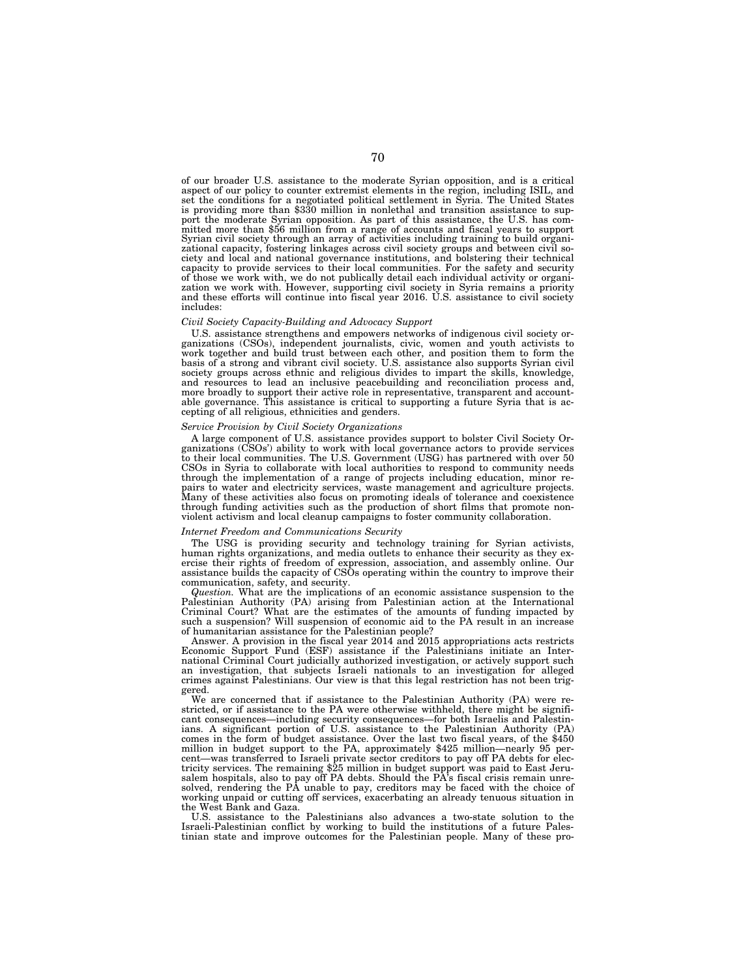of our broader U.S. assistance to the moderate Syrian opposition, and is a critical aspect of our policy to counter extremist elements in the region, including ISIL, and<br>set the conditions for a negotiated political settlement in Syria. The United States<br>is providing more than \$330 million in nonlethal an port the moderate Syrian opposition. As part of this assistance, the U.S. has committed more than \$56 million from a range of accounts and fiscal years to support Syrian civil society through an array of activities including training to build organizational capacity, fostering linkages across civil society groups and between civil society and local and national governance institutions, and bolstering their technical capacity to provide services to their local communities. For the safety and security of those we work with, we do not publically detail each individual activity or organization we work with. However, supporting civil society in Syria remains a priority and these efforts will continue into fiscal year 2016. U.S. assistance to civil society includes:

#### *Civil Society Capacity-Building and Advocacy Support*

U.S. assistance strengthens and empowers networks of indigenous civil society organizations (CSOs), independent journalists, civic, women and youth activists to work together and build trust between each other, and position them to form the basis of a strong and vibrant civil society. U.S. assistance also supports Syrian civil society groups across ethnic and religious divides to impart the skills, knowledge, and resources to lead an inclusive peacebuilding and reconciliation process and, more broadly to support their active role in representative, transparent and accountable governance. This assistance is critical to supporting a future Syria that is accepting of all religious, ethnicities and genders.

### *Service Provision by Civil Society Organizations*

A large component of U.S. assistance provides support to bolster Civil Society Organizations (CSOs') ability to work with local governance actors to provide services to their local communities. The U.S. Government (USG) has partnered with over 50 CSOs in Syria to collaborate with local authorities to respond to community needs through the implementation of a range of projects including education, minor repairs to water and electricity services, waste management and agriculture projects. Many of these activities also focus on promoting ideals of tolerance and coexistence through funding activities such as the production of short films that promote nonviolent activism and local cleanup campaigns to foster community collaboration.

#### *Internet Freedom and Communications Security*

The USG is providing security and technology training for Syrian activists, human rights organizations, and media outlets to enhance their security as they exercise their rights of freedom of expression, association, and assembly online. Our assistance builds the capacity of CSOs operating within the country to improve their communication, safety, and security.

*Question.* What are the implications of an economic assistance suspension to the Palestinian Authority (PA) arising from Palestinian action at the International Criminal Court? What are the estimates of the amounts of funding impacted by such a suspension? Will suspension of economic aid to the PA result in an increase of humanitarian assistance for the Palestinian people?

Answer. A provision in the fiscal year 2014 and 2015 appropriations acts restricts Economic Support Fund (ESF) assistance if the Palestinians initiate an International Criminal Court judicially authorized investigation, or actively support such an investigation, that subjects Israeli nationals to an investigation for alleged crimes against Palestinians. Our view is that this legal restriction has not been triggered.

We are concerned that if assistance to the Palestinian Authority (PA) were restricted, or if assistance to the PA were otherwise withheld, there might be significant consequences—including security consequences—for both Israelis and Palestinians. A significant portion of U.S. assistance to the Palestinian Authority (PA) comes in the form of budget assistance. Over the last two fiscal years, of the \$450 million in budget support to the PA, approximately \$425 million—nearly 95 per-cent—was transferred to Israeli private sector creditors to pay off PA debts for electricity services. The remaining \$25 million in budget support was paid to East Jeru-salem hospitals, also to pay off PA debts. Should the PA's fiscal crisis remain unresolved, rendering the PA unable to pay, creditors may be faced with the choice of working unpaid or cutting off services, exacerbating an already tenuous situation in the West Bank and Gaza.

U.S. assistance to the Palestinians also advances a two-state solution to the Israeli-Palestinian conflict by working to build the institutions of a future Palestinian state and improve outcomes for the Palestinian people. Many of these pro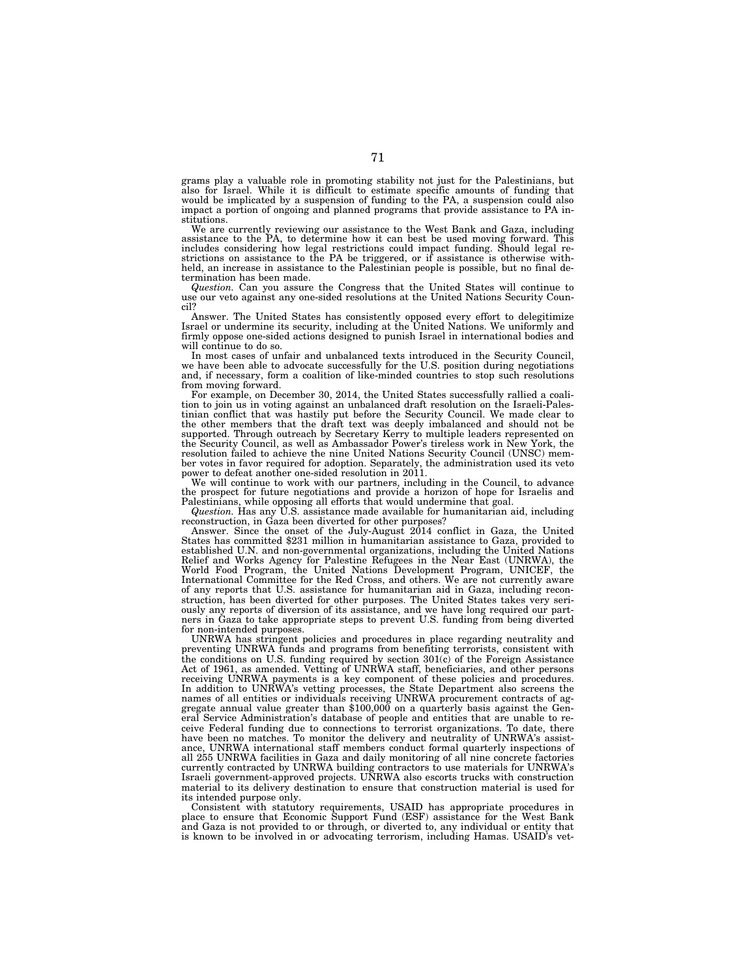grams play a valuable role in promoting stability not just for the Palestinians, but<br>also for Israel. While it is difficult to estimate specific amounts of funding that<br>would be implicated by a suspension of funding to the impact a portion of ongoing and planned programs that provide assistance to PA institutions.

We are currently reviewing our assistance to the West Bank and Gaza, including assistance to the PA, to determine how it can best be used moving forward. This includes considering how legal restrictions could impact funding. Should legal restrictions on assistance to the PA be triggered, or if assistance is otherwise withheld, an increase in assistance to the Palestinian people is possible, but no final determination has been made.

*Question.* Can you assure the Congress that the United States will continue to use our veto against any one-sided resolutions at the United Nations Security Council?

Answer. The United States has consistently opposed every effort to delegitimize Israel or undermine its security, including at the United Nations. We uniformly and firmly oppose one-sided actions designed to punish Israel in international bodies and will continue to do so.

In most cases of unfair and unbalanced texts introduced in the Security Council, we have been able to advocate successfully for the U.S. position during negotiations and, if necessary, form a coalition of like-minded countries to stop such resolutions from moving forward.

For example, on December 30, 2014, the United States successfully rallied a coalition to join us in voting against an unbalanced draft resolution on the Israeli-Pales-tinian conflict that was hastily put before the Security Council. We made clear to the other members that the draft text was deeply imbalanced and should not be supported. Through outreach by Secretary Kerry to multiple leaders represented on the Security Council, as well as Ambassador Power's tireless work in New York, the resolution failed to achieve the nine United Nations Security Council (UNSC) member votes in favor required for adoption. Separately, the administration used its veto power to defeat another one-sided resolution in 2011.

We will continue to work with our partners, including in the Council, to advance the prospect for future negotiations and provide a horizon of hope for Israelis and Palestinians, while opposing all efforts that would undermine that goal.

*Question.* Has any U.S. assistance made available for humanitarian aid, including reconstruction, in Gaza been diverted for other purposes?<br>Answer. Since the onset of the July-August 2014 conflict in Gaza, the United

Answer. Since the *States* in Terms 2014 conflict in Gaza, the United States has committed \$231 million in humanitarian assistance to Gaza, provided to established U.N. and non-governmental organizations, including the United Nations Relief and Works Agency for Palestine Refugees in the Near East (UNRWA), the World Food Program, the United Nations Development Program, UNICEF, the International Committee for the Red Cross, and others. We are not currently aware of any reports that U.S. assistance for humanitarian aid in Gaza, including reconstruction, has been diverted for other purposes. The United States takes very seriously any reports of diversion of its assistance, and we have long required our partners in Gaza to take appropriate steps to prevent U.S. funding from being diverted for non-intended purposes.

UNRWA has stringent policies and procedures in place regarding neutrality and preventing UNRWA funds and programs from benefiting terrorists, consistent with the conditions on U.S. funding required by section 301(c) of the Foreign Assistance Act of 1961, as amended. Vetting of UNRWA staff, beneficiaries, and other persons receiving UNRWA payments is a key component of these policies and procedures. In addition to UNRWA's vetting processes, the State Department also screens the names of all entities or individuals receiving UNRWA procurement contracts of aggregate annual value greater than \$100,000 on a quarterly basis against the General Service Administration's database of people and entities that are unable to receive Federal funding due to connections to terrorist organizations. To date, there have been no matches. To monitor the delivery and neutrality of UNRWA's assistance, UNRWA international staff members conduct formal quarterly inspections of all 255 UNRWA facilities in Gaza and daily monitoring of all nine concrete factories currently contracted by UNRWA building contractors to use materials for UNRWA's Israeli government-approved projects. UNRWA also escorts trucks with construction material to its delivery destination to ensure that construction material is used for its intended purpose only.

Consistent with statutory requirements, USAID has appropriate procedures in place to ensure that Economic Support Fund (ESF) assistance for the West Bank and Gaza is not provided to or through, or diverted to, any individual or entity that is known to be involved in or advocating terrorism, including Hamas. USAID's vet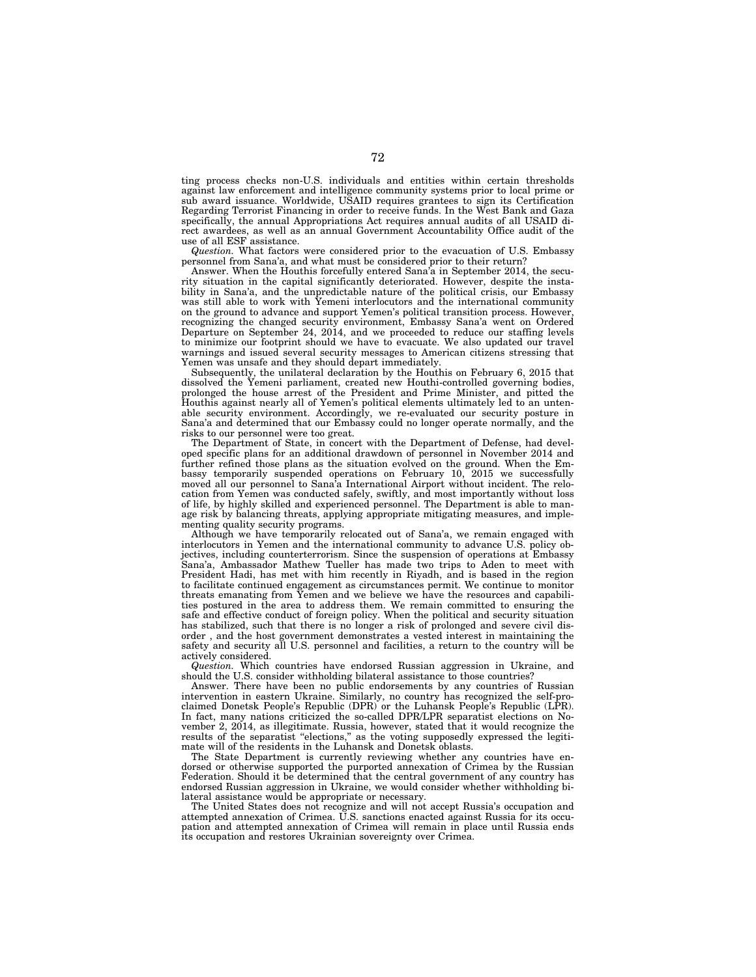ting process checks non-U.S. individuals and entities within certain thresholds against law enforcement and intelligence community systems prior to local prime or sub award issuance. Worldwide, USAID requires grantees to sign its Certification Regarding Terrorist Financing in order to receive funds. In the West Bank and Gaza specifically, the annual Appropriations Act requires annual audits of all USAID direct awardees, as well as an annual Government Accountability Office audit of the use of all ESF assistance.

*Question.* What factors were considered prior to the evacuation of U.S. Embassy personnel from Sana'a, and what must be considered prior to their return?

Answer. When the Houthis forcefully entered Sana'a in September 2014, the security situation in the capital significantly deteriorated. However, despite the instability in Sana'a, and the unpredictable nature of the political crisis, our Embassy was still able to work with Yemeni interlocutors and the international community on the ground to advance and support Yemen's political transition process. However, recognizing the changed security environment, Embassy Sana'a went on Ordered Departure on September 24, 2014, and we proceeded to reduce our staffing levels to minimize our footprint should we have to evacuate. We also updated our travel warnings and issued several security messages to American citizens stressing that Yemen was unsafe and they should depart immediately.

Subsequently, the unilateral declaration by the Houthis on February 6, 2015 that dissolved the Yemeni parliament, created new Houthi-controlled governing bodies, prolonged the house arrest of the President and Prime Minister, and pitted the Houthis against nearly all of Yemen's political elements ultimately led to an untenable security environment. Accordingly, we re-evaluated our security posture in Sana'a and determined that our Embassy could no longer operate normally, and the risks to our personnel were too great.

The Department of State, in concert with the Department of Defense, had developed specific plans for an additional drawdown of personnel in November 2014 and further refined those plans as the situation evolved on the ground. When the Embassy temporarily suspended operations on February 10, 2015 we successfully moved all our personnel to Sana'a International Airport without incident. The relocation from Yemen was conducted safely, swiftly, and most importantly without loss of life, by highly skilled and experienced personnel. The Department is able to manage risk by balancing threats, applying appropriate mitigating measures, and implementing quality security programs.

Although we have temporarily relocated out of Sana'a, we remain engaged with interlocutors in Yemen and the international community to advance U.S. policy objectives, including counterterrorism. Since the suspension of operations at Embassy Sana'a, Ambassador Mathew Tueller has made two trips to Aden to meet with President Hadi, has met with him recently in Riyadh, and is based in the region to facilitate continued engagement as circumstances permit. We continue to monitor threats emanating from Yemen and we believe we have the resources and capabilities postured in the area to address them. We remain committed to ensuring the safe and effective conduct of foreign policy. When the political and security situation has stabilized, such that there is no longer a risk of prolonged and severe civil disorder , and the host government demonstrates a vested interest in maintaining the safety and security all U.S. personnel and facilities, a return to the country will be actively considered.

*Question.* Which countries have endorsed Russian aggression in Ukraine, and should the U.S. consider withholding bilateral assistance to those countries?

Answer. There have been no public endorsements by any countries of Russian intervention in eastern Ukraine. Similarly, no country has recognized the self-proclaimed Donetsk People's Republic (DPR) or the Luhansk People's Republic (LPR). In fact, many nations criticized the so-called DPR/LPR separatist elections on November 2, 2014, as illegitimate. Russia, however, stated that it would recognize the results of the separatist "elections," as the voting supposedly expressed the legitimate will of the residents in the Luhansk and Donetsk oblasts.

The State Department is currently reviewing whether any countries have endorsed or otherwise supported the purported annexation of Crimea by the Russian Federation. Should it be determined that the central government of any country has endorsed Russian aggression in Ukraine, we would consider whether withholding bilateral assistance would be appropriate or necessary.

The United States does not recognize and will not accept Russia's occupation and attempted annexation of Crimea. U.S. sanctions enacted against Russia for its occupation and attempted annexation of Crimea will remain in place until Russia ends its occupation and restores Ukrainian sovereignty over Crimea.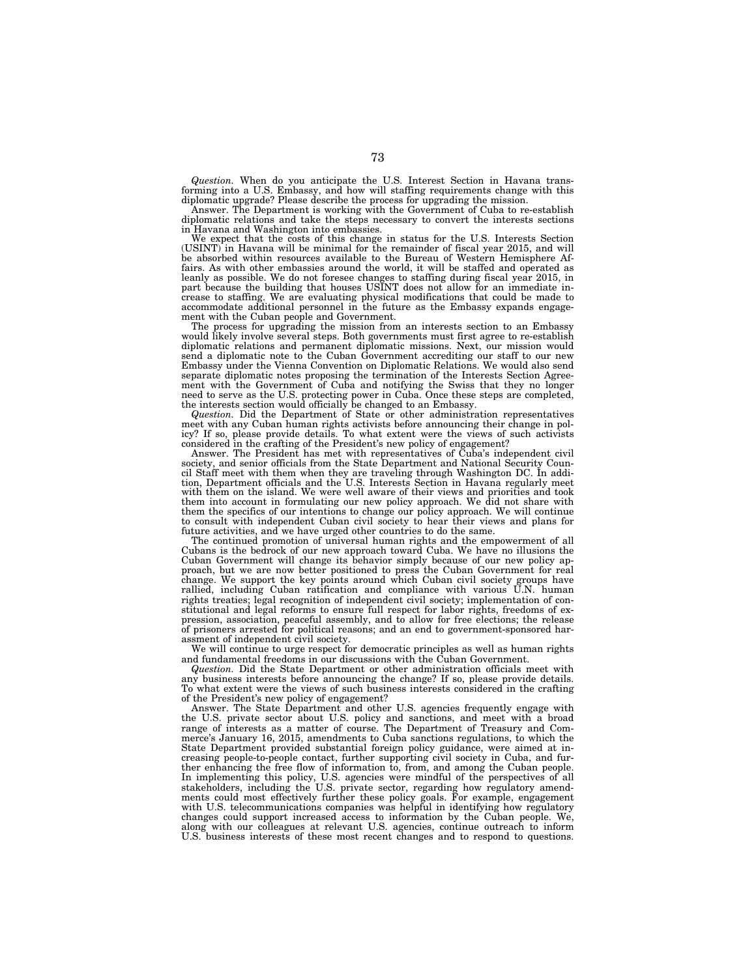*Question.* When do you anticipate the U.S. Interest Section in Havana transforming into a U.S. Embassy, and how will staffing requirements change with this diplomatic upgrade? Please describe the process for upgrading the mission.

Answer. The Department is working with the Government of Cuba to re-establish diplomatic relations and take the steps necessary to convert the interests sections in Havana and Washington into embassies.

We expect that the costs of this change in status for the U.S. Interests Section (USINT) in Havana will be minimal for the remainder of fiscal year 2015, and will be absorbed within resources available to the Bureau of Western Hemisphere Affairs. As with other embassies around the world, it will be staffed and operated as leanly as possible. We do not foresee changes to staffing during fiscal year 2015, in part because the building that houses USINT does not allow for an immediate increase to staffing. We are evaluating physical modifications that could be made to accommodate additional personnel in the future as the Embassy expands engagement with the Cuban people and Government.

The process for upgrading the mission from an interests section to an Embassy would likely involve several steps. Both governments must first agree to re-establish diplomatic relations and permanent diplomatic missions. Next, our mission would send a diplomatic note to the Cuban Government accrediting our staff to our new Embassy under the Vienna Convention on Diplomatic Relations. We would also send separate diplomatic notes proposing the termination of the Interests Section Agreement with the Government of Cuba and notifying the Swiss that they no longer<br>need to serve as the U.S. protecting power in Cuba. Once these steps are completed,<br>the interests section would officially be changed to an Emba

meet with any Cuban human rights activists before announcing their change in policy? If so, please provide details. To what extent were the views of such activists considered in the crafting of the President's new policy of engagement?

Answer. The President has met with representatives of Cuba's independent civil society, and senior officials from the State Department and National Security Council Staff meet with them when they are traveling through Washington DC. In addi-tion, Department officials and the U.S. Interests Section in Havana regularly meet with them on the island. We were well aware of their views and priorities and took them into account in formulating our new policy approach. We did not share with them the specifics of our intentions to change our policy approach. We will continue to consult with independent Cuban civil society to hear their views and plans for future activities, and we have urged other countries to do the same.

The continued promotion of universal human rights and the empowerment of all Cubans is the bedrock of our new approach toward Cuba. We have no illusions the Cuban Government will change its behavior simply because of our new policy approach, but we are now better positioned to press the Cuban Government for real change. We support the key points around which Cuban civil society groups have rallied, including Cuban ratification and compliance with various U.N. human rights treaties; legal recognition of independent civil society; implementation of constitutional and legal reforms to ensure full respect for labor rights, freedoms of expression, association, peaceful assembly, and to allow for free elections; the release of prisoners arrested for political reasons; and an end to government-sponsored harassment of independent civil society.

We will continue to urge respect for democratic principles as well as human rights and fundamental freedoms in our discussions with the Cuban Government.

*Question.* Did the State Department or other administration officials meet with any business interests before announcing the change? If so, please provide details. To what extent were the views of such business interests considered in the crafting of the President's new policy of engagement?

Answer. The State Department and other U.S. agencies frequently engage with the U.S. private sector about U.S. policy and sanctions, and meet with a broad range of interests as a matter of course. The Department of Treasury and Commerce's January 16, 2015, amendments to Cuba sanctions regulations, to which the State Department provided substantial foreign policy guidance, were aimed at increasing people-to-people contact, further supporting civil society in Cuba, and further enhancing the free flow of information to, from, and among the Cuban people. In implementing this policy, U.S. agencies were mindful of the perspectives of all stakeholders, including the U.S. private sector, regarding how regulatory amendments could most effectively further these policy goals. For example, engagement with U.S. telecommunications companies was helpful in identifying how regulatory changes could support increased access to information by the Cuban people. We, along with our colleagues at relevant U.S. agencies, continue outreach to inform U.S. business interests of these most recent changes and to respond to questions.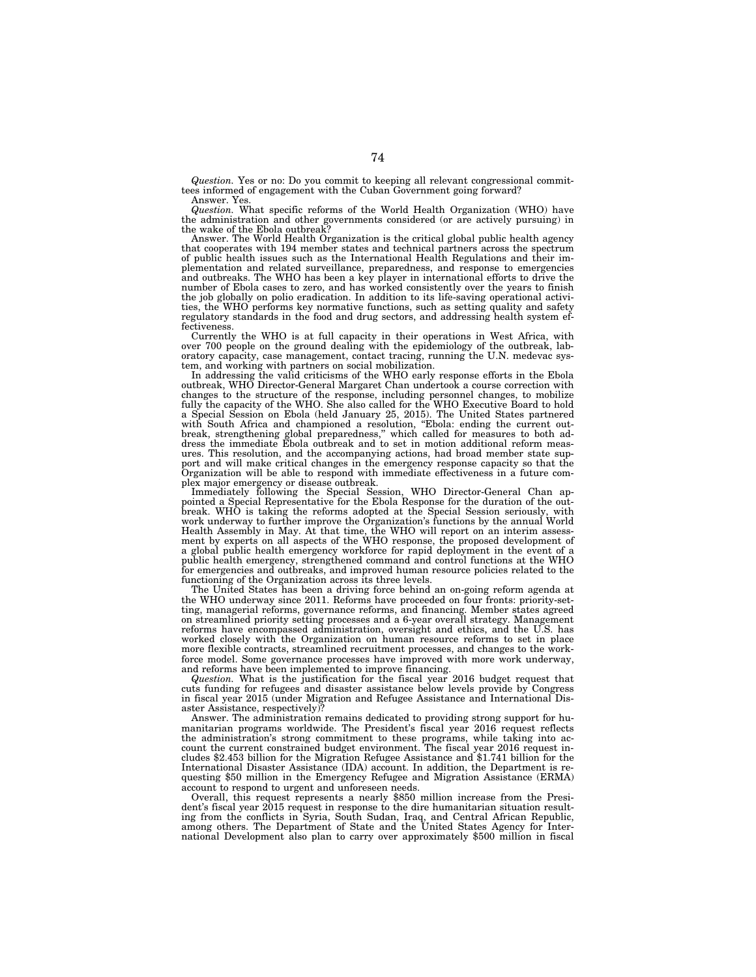*Question.* Yes or no: Do you commit to keeping all relevant congressional committees informed of engagement with the Cuban Government going forward? Answer. Yes.

*Question.* What specific reforms of the World Health Organization (WHO) have the administration and other governments considered (or are actively pursuing) in the wake of the Ebola outbreak?

Answer. The World Health Organization is the critical global public health agency that cooperates with 194 member states and technical partners across the spectrum of public health issues such as the International Health Regulations and their implementation and related surveillance, preparedness, and response to emergencies and outbreaks. The WHO has been a key player in international efforts to drive the number of Ebola cases to zero, and has worked consistently over the years to finish the job globally on polio eradication. In addition to its life-saving operational activities, the WHO performs key normative functions, such as setting quality and safety regulatory standards in the food and drug sectors, and addressing health system effectiveness.

Currently the WHO is at full capacity in their operations in West Africa, with over 700 people on the ground dealing with the epidemiology of the outbreak, lab-oratory capacity, case management, contact tracing, running the U.N. medevac sys-

tem, and working with partners on social mobilization. In addressing the valid criticisms of the WHO early response efforts in the Ebola outbreak, WHO Director-General Margaret Chan undertook a course correction with changes to the structure of the response, including personnel changes, to mobilize fully the capacity of the WHO. She also called for the WHO Executive Board to hold a Special Session on Ebola (held January 25, 2015). The United States partnered with South Africa and championed a resolution, "Ebola: ending the current out-<br>break, strengthening global preparedness," which called for measures to both ad-<br>dress the immediate Ebola outbreak and to set in motion additi ures. This resolution, and the accompanying actions, had broad member state support and will make critical changes in the emergency response capacity so that the Organization will be able to respond with immediate effectiveness in a future complex major emergency or disease outbreak.

Immediately following the Special Session, WHO Director-General Chan appointed a Special Representative for the Ebola Response for the duration of the out-break. WHO is taking the reforms adopted at the Special Session seriously, with work underway to further improve the Organization's functions by the annual World Health Assembly in May. At that time, the WHO will report on an interim assessment by experts on all aspects of the WHO response, the proposed development of a global public health emergency workforce for rapid deployment public health emergency, strengthened command and control functions at the WHO for emergencies and outbreaks, and improved human resource policies related to the functioning of the Organization across its three levels.

The United States has been a driving force behind an on-going reform agenda at the WHO underway since 2011. Reforms have proceeded on four fronts: priority-setting, managerial reforms, governance reforms, and financing. Member states agreed on streamlined priority setting processes and a 6-year overall strategy. Management reforms have encompassed administration, oversight and ethics, and the U.S. has worked closely with the Organization on human resource reforms to set in place more flexible contracts, streamlined recruitment processes, and changes to the workforce model. Some governance processes have improved with more work underway, and reforms have been implemented to improve financing.

*Question.* What is the justification for the fiscal year 2016 budget request that cuts funding for refugees and disaster assistance below levels provide by Congress in fiscal year 2015 (under Migration and Refugee Assistance and International Disaster Assistance, respectively)?

Answer. The administration remains dedicated to providing strong support for humanitarian programs worldwide. The President's fiscal year 2016 request reflects the administration's strong commitment to these programs, while taking into account the current constrained budget environment. The fiscal year 2016 request includes \$2.453 billion for the Migration Refugee Assistance and \$1.741 billion for the International Disaster Assistance (IDA) account. In addition, the Department is requesting \$50 million in the Emergency Refugee and Migration Assistance (ERMA) account to respond to urgent and unforeseen needs.

Overall, this request represents a nearly \$850 million increase from the President's fiscal year 2015 request in response to the dire humanitarian situation resulting from the conflicts in Syria, South Sudan, Iraq, and Central African Republic, among others. The Department of State and the United States Agency for International Development also plan to carry over approximately \$500 million in fiscal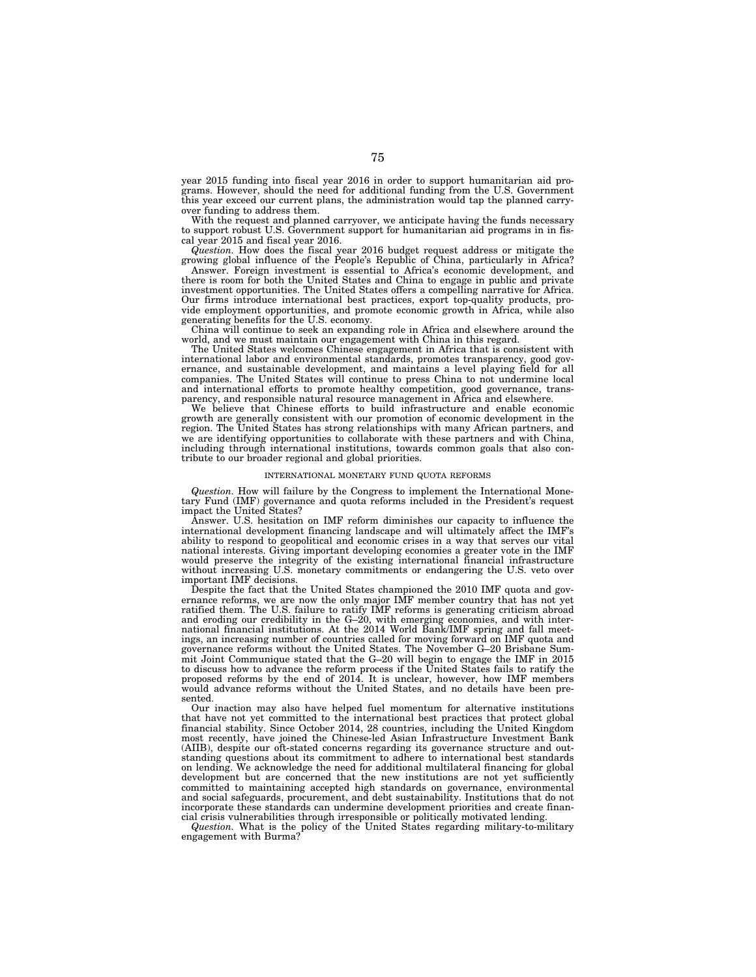year 2015 funding into fiscal year 2016 in order to support humanitarian aid programs. However, should the need for additional funding from the U.S. Government this year exceed our current plans, the administration would tap the planned carryover funding to address them.

With the request and planned carryover, we anticipate having the funds necessary to support robust U.S. Government support for humanitarian aid programs in in fiscal year 2015 and fiscal year 2016.

*Question.* How does the fiscal year 2016 budget request address or mitigate the growing global influence of the People's Republic of China, particularly in Africa?

Answer. Foreign investment is essential to Africa's economic development, and there is room for both the United States and China to engage in public and private investment opportunities. The United States offers a compelling narrative for Africa. Our firms introduce international best practices, export top-quality products, provide employment opportunities, and promote economic growth in Africa, while also generating benefits for the U.S. economy.

China will continue to seek an expanding role in Africa and elsewhere around the world, and we must maintain our engagement with China in this regard.

The United States welcomes Chinese engagement in Africa that is consistent with international labor and environmental standards, promotes transparency, good governance, and sustainable development, and maintains a level playing field for all companies. The United States will continue to press China to not undermine local and international efforts to promote healthy competition, good governance, transparency, and responsible natural resource management in Africa and elsewhere.

We believe that Chinese efforts to build infrastructure and enable economic growth are generally consistent with our promotion of economic development in the region. The United States has strong relationships with many African partners, and we are identifying opportunities to collaborate with these partners and with China, including through international institutions, towards common goals that also contribute to our broader regional and global priorities.

### TERNATIONAL MONETARY FUND QUOTA REFORMS

*Question.* How will failure by the Congress to implement the International Monetary Fund (IMF) governance and quota reforms included in the President's request impact the United States?

Answer. U.S. hesitation on IMF reform diminishes our capacity to influence the international development financing landscape and will ultimately affect the IMF's ability to respond to geopolitical and economic crises in a way that serves our vital national interests. Giving important developing economies a greater vote in the IMF would preserve the integrity of the existing international financial infrastructure without increasing U.S. monetary commitments or endangering the U.S. veto over important IMF decisions.

Despite the fact that the United States championed the 2010 IMF quota and governance reforms, we are now the only major IMF member country that has not yet ratified them. The U.S. failure to ratify IMF reforms is generating criticism abroad and eroding our credibility in the G–20, with emerging economies, and with international financial institutions. At the 2014 World Bank/IMF spring and fall meetings, an increasing number of countries called for moving forward on IMF quota and governance reforms without the United States. The November G–20 Brisbane Summit Joint Communique stated that the G–20 will begin to engage the IMF in 2015 to discuss how to advance the reform process if the United States fails to ratify the proposed reforms by the end of 2014. It is unclear, however, how IMF members would advance reforms without the United States, and no details have been presented.

Our inaction may also have helped fuel momentum for alternative institutions that have not yet committed to the international best practices that protect global financial stability. Since October 2014, 28 countries, including the United Kingdom most recently, have joined the Chinese-led Asian Infrastructure Investment Bank (AIIB), despite our oft-stated concerns regarding its governance structure and outstanding questions about its commitment to adhere to international best standards on lending. We acknowledge the need for additional multilateral financing for global development but are concerned that the new institutions are not yet sufficiently committed to maintaining accepted high standards on governance, environmental and social safeguards, procurement, and debt sustainability. Institutions that do not incorporate these standards can undermine development priorities and create finan-

cial crisis vulnerabilities through irresponsible or politically motivated lending. *Question.* What is the policy of the United States regarding military-to-military engagement with Burma?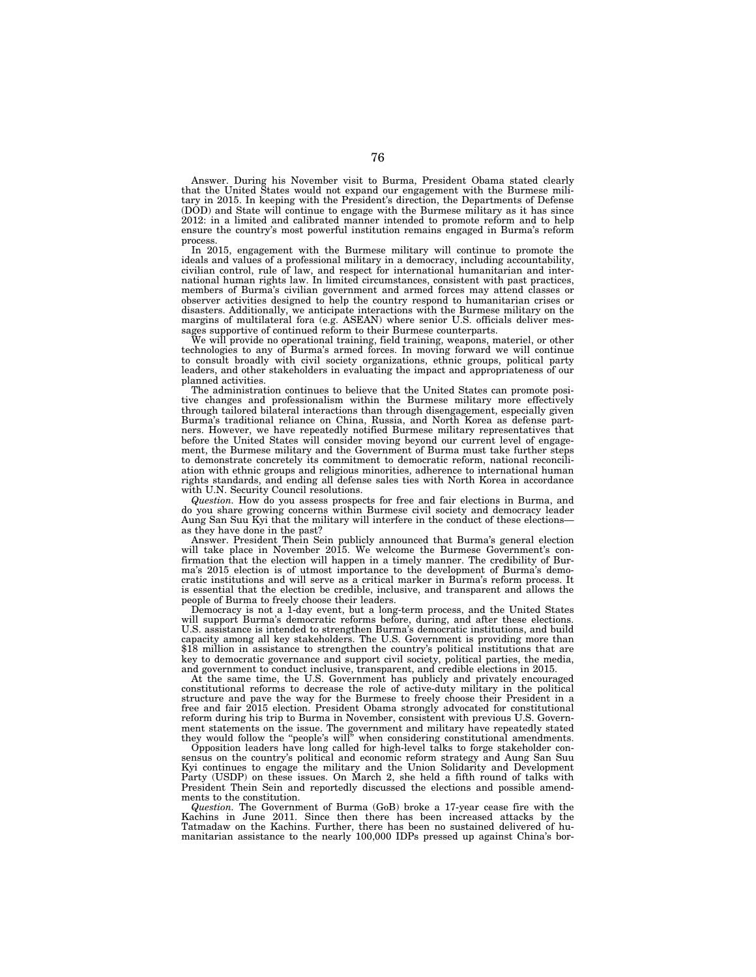Answer. During his November visit to Burma, President Obama stated clearly that the United States would not expand our engagement with the Burmese military in 2015. In keeping with the President's direction, the Departments of Defense (DOD) and State will continue to engage with the Burmese military as it has since 2012: in a limited and calibrated manner intended to promote reform and to help ensure the country's most powerful institution remains engaged in Burma's reform process.

In 2015, engagement with the Burmese military will continue to promote the ideals and values of a professional military in a democracy, including accountability, civilian control, rule of law, and respect for international humanitarian and international human rights law. In limited circumstances, consistent with past practices, members of Burma's civilian government and armed forces may attend classes or observer activities designed to help the country respond to humanitarian crises or disasters. Additionally, we anticipate interactions with the Burmese military on the margins of multilateral fora (e.g. ASEAN) where senior U.S. officials deliver messages supportive of continued reform to their Burmese counterparts.

We will provide no operational training, field training, weapons, materiel, or other technologies to any of Burma's armed forces. In moving forward we will continue to consult broadly with civil society organizations, ethnic groups, political party leaders, and other stakeholders in evaluating the impact and appropriateness of our planned activities.

The administration continues to believe that the United States can promote positive changes and professionalism within the Burmese military more effectively through tailored bilateral interactions than through disengagement, especially given Burma's traditional reliance on China, Russia, and North Korea as defense partners. However, we have repeatedly notified Burmese military representatives that before the United States will consider moving beyond our current level of engagement, the Burmese military and the Government of Burma must take further steps to demonstrate concretely its commitment to democratic reform, national reconciliation with ethnic groups and religious minorities, adherence to international human rights standards, and ending all defense sales ties with North Korea in accordance with U.N. Security Council resolutions.

*Question.* How do you assess prospects for free and fair elections in Burma, and do you share growing concerns within Burmese civil society and democracy leader Aung San Suu Kyi that the military will interfere in the conduct of these elections as they have done in the past?

Answer. President Thein Sein publicly announced that Burma's general election will take place in November 2015. We welcome the Burmese Government's confirmation that the election will happen in a timely manner. The credibility of Burma's 2015 election is of utmost importance to the development of Burma's democratic institutions and will serve as a critical marker in Burma's reform process. It is essential that the election be credible, inclusive, and transparent and allows the people of Burma to freely choose their leaders.

Democracy is not a 1-day event, but a long-term process, and the United States will support Burma's democratic reforms before, during, and after these elections. U.S. assistance is intended to strengthen Burma's democratic institutions, and build capacity among all key stakeholders. The U.S. Government is providing more than \$18 million in assistance to strengthen the country's political institutions that are key to democratic governance and support civil society, political parties, the media, and government to conduct inclusive, transparent, and credible elections in 2015.

At the same time, the U.S. Government has publicly and privately encouraged constitutional reforms to decrease the role of active-duty military in the political structure and pave the way for the Burmese to freely choose their President in a free and fair 2015 election. President Obama strongly advocated for constitutional reform during his trip to Burma in November, consistent with previous U.S. Government statements on the issue. The government and military have repeatedly stated they would follow the ''people's will'' when considering constitutional amendments.

Opposition leaders have long called for high-level talks to forge stakeholder consensus on the country's political and economic reform strategy and Aung San Suu Kyi continues to engage the military and the Union Solidarity and Development Party (USDP) on these issues. On March 2, she held a fifth round of talks with President Thein Sein and reportedly discussed the elections and possible amendments to the constitution.

*Question.* The Government of Burma (GoB) broke a 17-year cease fire with the Kachins in June 2011. Since then there has been increased attacks by the Tatmadaw on the Kachins. Further, there has been no sustained delivered of humanitarian assistance to the nearly 100,000 IDPs pressed up against China's bor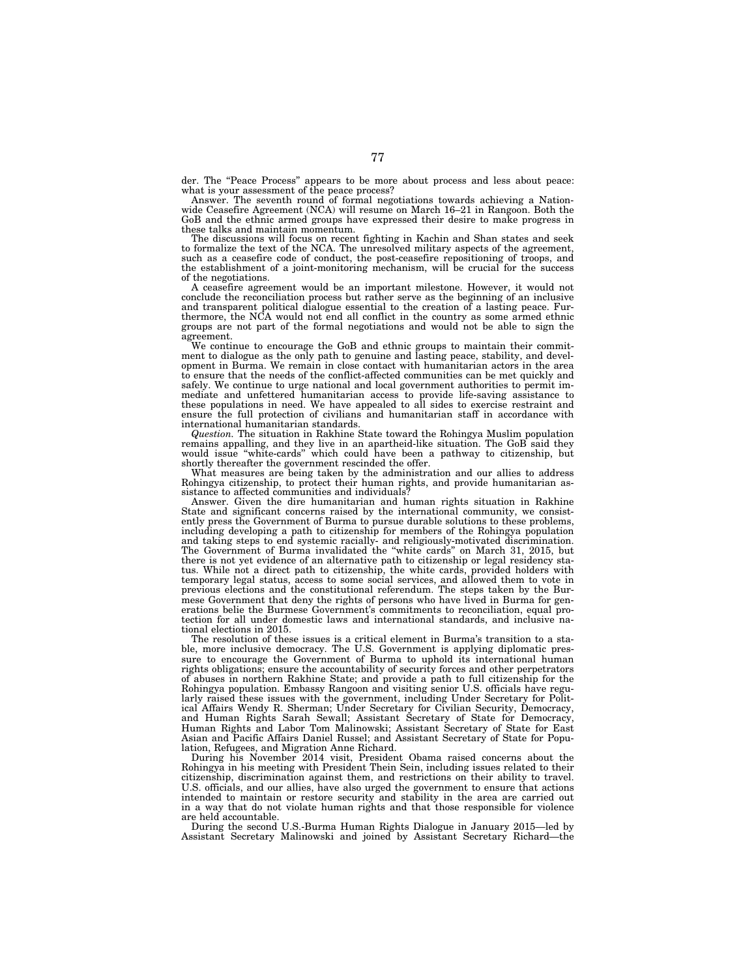der. The ''Peace Process'' appears to be more about process and less about peace: what is your assessment of the peace process?

Answer. The seventh round of formal negotiations towards achieving a Nationwide Ceasefire Agreement (NCA) will resume on March 16–21 in Rangoon. Both the GoB and the ethnic armed groups have expressed their desire to make progress in these talks and maintain momentum.

The discussions will focus on recent fighting in Kachin and Shan states and seek to formalize the text of the NCA. The unresolved military aspects of the agreement, such as a ceasefire code of conduct, the post-ceasefire repositioning of troops, and the establishment of a joint-monitoring mechanism, will be crucial for the success of the negotiations.

A ceasefire agreement would be an important milestone. However, it would not conclude the reconciliation process but rather serve as the beginning of an inclusive and transparent political dialogue essential to the creation of a lasting peace. Fur-thermore, the NCA would not end all conflict in the country as some armed ethnic groups are not part of the formal negotiations and would not be able to sign the agreement.

We continue to encourage the GoB and ethnic groups to maintain their commit-ment to dialogue as the only path to genuine and lasting peace, stability, and development in Burma. We remain in close contact with humanitarian actors in the area to ensure that the needs of the conflict-affected communities can be met quickly and safely. We continue to urge national and local government authorities to permit im-mediate and unfettered humanitarian access to provide life-saving assistance to these populations in need. We have appealed to all sides to exercise restraint and ensure the full protection of civilians and humanitarian staff in accordance with international humanitarian standards.

Question. The situation in Rakhine State toward the Rohingya Muslim population remains appalling, and they live in an apartheid-like situation. The GoB said they would issue "white-cards" which could have been a pathway to

shortly thereafter the government rescinded the offer. What measures are being taken by the administration and our allies to address Rohingya citizenship, to protect their human rights, and provide humanitarian assistance to affected communities and individuals?

Answer. Given the dire humanitarian and human rights situation in Rakhine State and significant concerns raised by the international community, we consistently press the Government of Burma to pursue durable solutions to these problems, including developing a path to citizenship for members of the Rohingya population<br>and taking steps to end systemic racially- and religiously-motivated discrimination.<br>The Government of Burma invalidated the "white cards" o there is not yet evidence of an alternative path to citizenship or legal residency status. While not a direct path to citizenship, the white cards, provided holders with temporary legal status, access to some social services, and allowed them to vote in previous elections and the constitutional referendum. The steps taken by the Burmese Government that deny the rights of persons who have lived in Burma for generations belie the Burmese Government's commitments to reconciliation, equal protection for all under domestic laws and international standards, and inclusive national elections in 2015.

The resolution of these issues is a critical element in Burma's transition to a stable, more inclusive democracy. The U.S. Government is applying diplomatic pressure to encourage the Government of Burma to uphold its international human rights obligations; ensure the accountability of security forces and other perpetrators of abuses in northern Rakhine State; and provide a path to full citizenship for the Rohingya population. Embassy Rangoon and visiting senior U.S. officials have regularly raised these issues with the government, including Under Secretary for Political Affairs Wendy R. Sherman; Under Secretary for Civilian Security, Democracy, and Human Rights Sarah Sewall; Assistant Secretary of State for Democracy, Human Rights and Labor Tom Malinowski; Assistant Secretary of State for East Asian and Pacific Affairs Daniel Russel; and Assistant Secretary of State for Population, Refugees, and Migration Anne Richard.

During his November 2014 visit, President Obama raised concerns about the Rohingya in his meeting with President Thein Sein, including issues related to their citizenship, discrimination against them, and restrictions on their ability to travel. U.S. officials, and our allies, have also urged the government to ensure that actions intended to maintain or restore security and stability in the area are carried out in a way that do not violate human rights and that those responsible for violence are held accountable.

During the second U.S.-Burma Human Rights Dialogue in January 2015—led by Assistant Secretary Malinowski and joined by Assistant Secretary Richard—the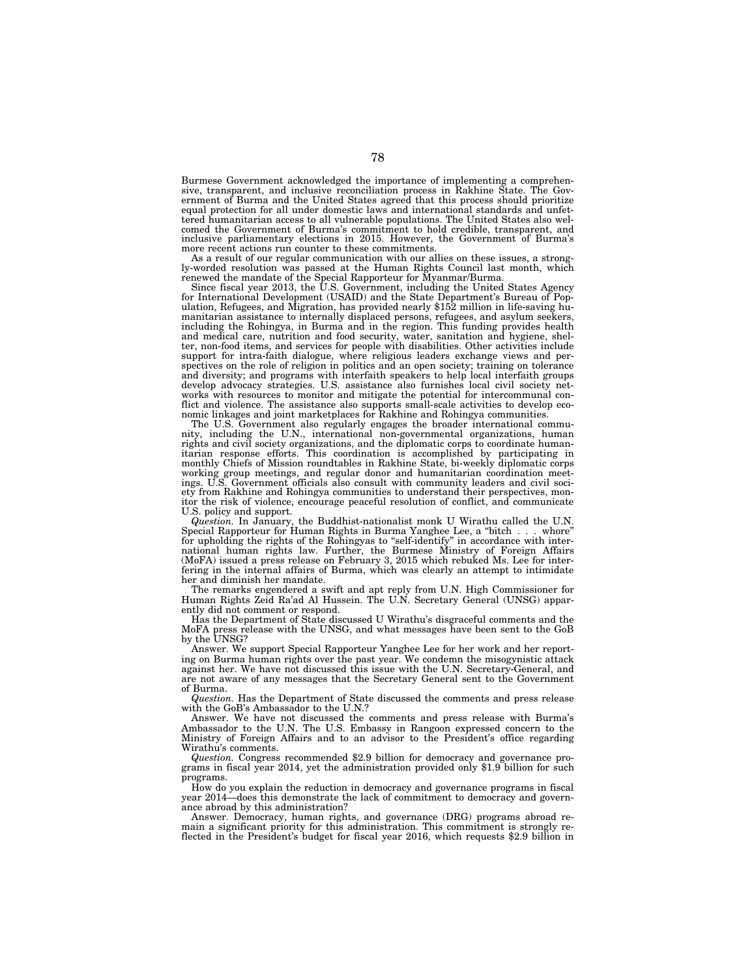Burmese Government acknowledged the importance of implementing a comprehensive, transparent, and inclusive reconciliation process in Rakhine State. The Government of Burma and the United States agreed that this process should prioritize equal protection for all under domestic laws and international standards and unfettered humanitarian access to all vulnerable populations. The United States also welcomed the Government of Burma's commitment to hold credible, transparent, and inclusive parliamentary elections in 2015. However, the Government of Burma's more recent actions run counter to these commitments.

As a result of our regular communication with our allies on these issues, a strongly-worded resolution was passed at the Human Rights Council last month, which renewed the mandate of the Special Rapporteur for Myanmar/Burma.

Since fiscal year 2013, the U.S. Government, including the United States Agency for International Development (USAID) and the State Department's Bureau of Population, Refugees, and Migration, has provided nearly \$152 million in life-saving hu-manitarian assistance to internally displaced persons, refugees, and asylum seekers, including the Rohingya, in Burma and in the region. This funding provides health and medical care, nutrition and food security, water, sanitation and hygiene, shelter, non-food items, and services for people with disabilities. Other activities include support for intra-faith dialogue, where religious leaders exchange views and perspectives on the role of religion in politics and an open society; training on tolerance and diversity; and programs with interfaith speakers to help local interfaith groups develop advocacy strategies. U.S. assistance also furnishes local civil society net-works with resources to monitor and mitigate the potential for intercommunal conflict and violence. The assistance also supports small-scale activities to develop eco-nomic linkages and joint marketplaces for Rakhine and Rohingya communities.

The U.S. Government also regularly engages the broader international community, including the U.N., international non-governmental organizations, human<br>rights and civil society organizations, and the diplomatic corps to coordinate human-<br>itarian response efforts. This coordination is accomplishe working group meetings, and regular donor and humanitarian coordination meet-ings. U.S. Government officials also consult with community leaders and civil society from Rakhine and Rohingya communities to understand their perspectives, monitor the risk of violence, encourage peaceful resolution of conflict, and communicate U.S. policy and support.

*Question.* In January, the Buddhist-nationalist monk U Wirathu called the U.N. Special Rapporteur for Human Rights in Burma Yanghee Lee, a ''bitch... whore'' for upholding the rights of the Rohingyas to ''self-identify'' in accordance with international human rights law. Further, the Burmese Ministry of Foreign Affairs (MoFA) issued a press release on February 3, 2015 which rebuked Ms. Lee for interfering in the internal affairs of Burma, which was clearly an attempt to intimidate her and diminish her mandate.

The remarks engendered a swift and apt reply from U.N. High Commissioner for Human Rights Zeid Ra'ad Al Hussein. The U.N. Secretary General (UNSG) apparently did not comment or respond.

Has the Department of State discussed U Wirathu's disgraceful comments and the MoFA press release with the UNSG, and what messages have been sent to the GoB by the UNSG?

Answer. We support Special Rapporteur Yanghee Lee for her work and her reporting on Burma human rights over the past year. We condemn the misogynistic attack against her. We have not discussed this issue with the U.N. Secretary-General, and are not aware of any messages that the Secretary General sent to the Government of Burma.

*Question.* Has the Department of State discussed the comments and press release with the GoB's Ambassador to the U.N.?

Answer. We have not discussed the comments and press release with Burma's Ambassador to the U.N. The U.S. Embassy in Rangoon expressed concern to the Ministry of Foreign Affairs and to an advisor to the President's office regarding Wirathu's comments.

*Question.* Congress recommended \$2.9 billion for democracy and governance programs in fiscal year 2014, yet the administration provided only \$1.9 billion for such programs.

How do you explain the reduction in democracy and governance programs in fiscal year 2014—does this demonstrate the lack of commitment to democracy and governance abroad by this administration?

Answer. Democracy, human rights, and governance (DRG) programs abroad remain a significant priority for this administration. This commitment is strongly reflected in the President's budget for fiscal year 2016, which requests \$2.9 billion in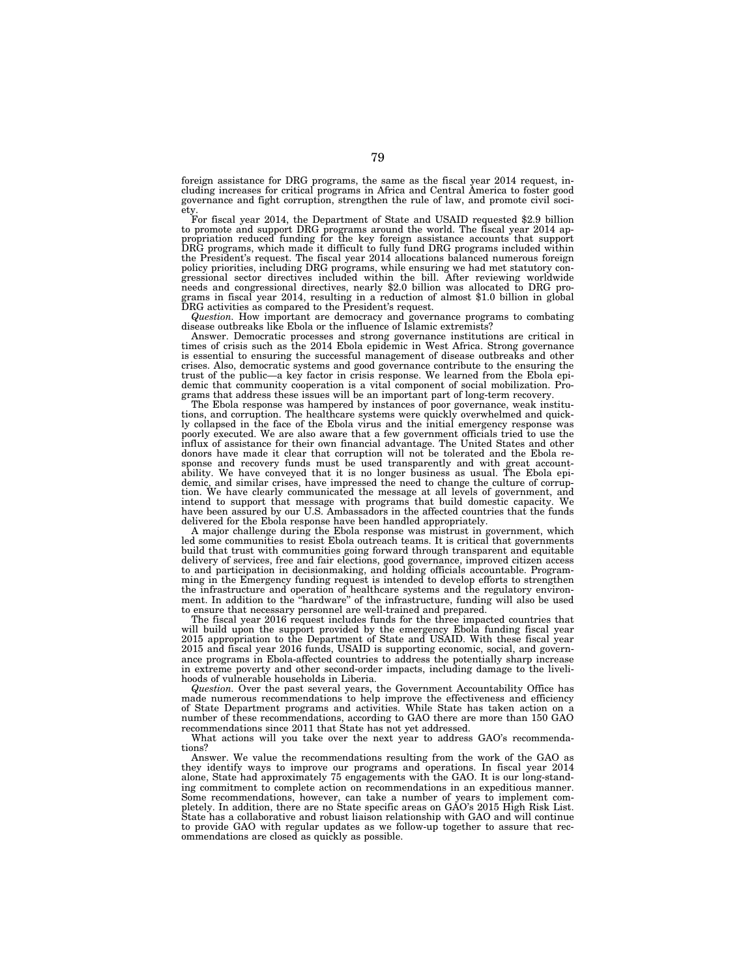foreign assistance for DRG programs, the same as the fiscal year 2014 request, including increases for critical programs in Africa and Central America to foster good governance and fight corruption, strengthen the rule of law, and promote civil soci-

ety.<br>For fiscal year 2014, the Department of State and USAID requested \$2.9 billion<br>to promote and support DRG programs around the world. The fiscal year 2014 ap-<br>propriation reduced funding for the key foreign assistance policy priorities, including DRG programs, while ensuring we had met statutory con-gressional sector directives included within the bill. After reviewing worldwide needs and congressional directives, nearly \$2.0 billion was allocated to DRG programs in fiscal year 2014, resulting in a reduction of almost \$1.0 billion in global DRG activities as compared to the President's request.

*Question.* How important are democracy and governance programs to combating disease outbreaks like Ebola or the influence of Islamic extremists?

Answer. Democratic processes and strong governance institutions are critical in times of crisis such as the 2014 Ebola epidemic in West Africa. Strong governance is essential to ensuring the successful management of disease outbreaks and other crises. Also, democratic systems and good governance contribute to the ensuring the trust of the public—a key factor in crisis response. We learned from the Ebola epidemic that community cooperation is a vital component of social mobilization. Programs that address these issues will be an important part of long-term recovery.

The Ebola response was hampered by instances of poor governance, weak institu-tions, and corruption. The healthcare systems were quickly overwhelmed and quickly collapsed in the face of the Ebola virus and the initial emergency response was poorly executed. We are also aware that a few government officials tried to use the influx of assistance for their own financial advantage. The United States and other donors have made it clear that corruption will not be tolerated and the Ebola re-<br>sponse and recovery funds must be used transparently and with great account-<br>ability. We have conveyed that it is no longer business as usua demic, and similar crises, have impressed the need to change the culture of corruption. We have clearly communicated the message at all levels of government, and intend to support that message with programs that build domestic capacity. We have been assured by our U.S. Ambassadors in the affected countries that the funds delivered for the Ebola response have been handled appropriately.

A major challenge during the Ebola response was mistrust in government, which led some communities to resist Ebola outreach teams. It is critical that governments build that trust with communities going forward through transparent and equitable delivery of services, free and fair elections, good governance, improved citizen access to and participation in decisionmaking, and holding officials accountable. Programming in the Emergency funding request is intended to develop efforts to strengthen the infrastructure and operation of healthcare systems and the regulatory environment. In addition to the ''hardware'' of the infrastructure, funding will also be used to ensure that necessary personnel are well-trained and prepared.

The fiscal year 2016 request includes funds for the three impacted countries that will build upon the support provided by the emergency Ebola funding fiscal year 2015 appropriation to the Department of State and USAID. With these fiscal year 2015 and fiscal year 2016 funds, USAID is supporting economic, social, and governance programs in Ebola-affected countries to address the potentially sharp increase in extreme poverty and other second-order impacts, including damage to the livelihoods of vulnerable households in Liberia.

*Question.* Over the past several years, the Government Accountability Office has made numerous recommendations to help improve the effectiveness and efficiency of State Department programs and activities. While State has taken action on a number of these recommendations, according to GAO there are more than 150 GAO recommendations since 2011 that State has not yet addressed.

What actions will you take over the next year to address GAO's recommendations?

Answer. We value the recommendations resulting from the work of the GAO as they identify ways to improve our programs and operations. In fiscal year 2014 alone, State had approximately 75 engagements with the GAO. It is our long-standing commitment to complete action on recommendations in an expeditious manner. Some recommendations, however, can take a number of years to implement completely. In addition, there are no State specific areas on GAO's 2015 High Risk List. State has a collaborative and robust liaison relationship with GAO and will continue to provide GAO with regular updates as we follow-up together to assure that recommendations are closed as quickly as possible.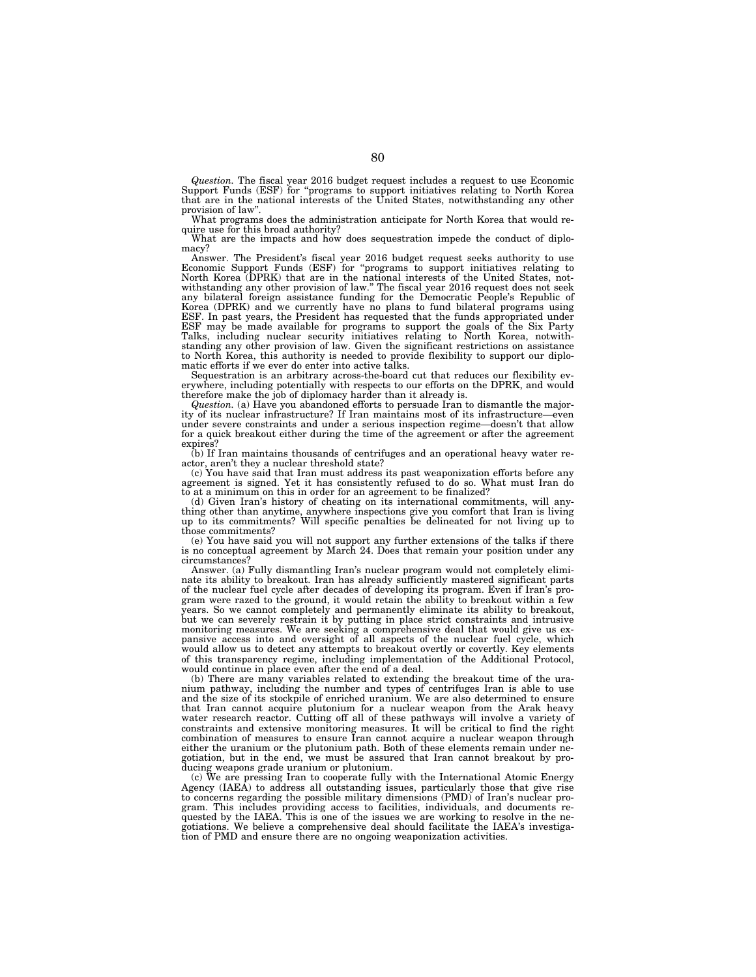*Question.* The fiscal year 2016 budget request includes a request to use Economic Support Funds (ESF) for ''programs to support initiatives relating to North Korea that are in the national interests of the United States, notwithstanding any other provision of law''.

What programs does the administration anticipate for North Korea that would require use for this broad authority?

What are the impacts and how does sequestration impede the conduct of diplomacy?

Answer. The President's fiscal year 2016 budget request seeks authority to use Economic Support Funds (ESF) for ''programs to support initiatives relating to North Korea (DPRK) that are in the national interests of the United States, notwithstanding any other provision of law.'' The fiscal year 2016 request does not seek any bilateral foreign assistance funding for the Democratic People's Republic of Korea (DPRK) and we currently have no plans to fund bilateral programs using ESF. In past years, the President has requested that the funds appropriated under ESF may be made available for programs to support the goals of the Six Party Talks, including nuclear security initiatives relating to North Korea, notwithstanding any other provision of law. Given the significant restrictions on assistance to North Korea, this authority is needed to provide flexibility to support our diplomatic efforts if we ever do enter into active talks.

Sequestration is an arbitrary across-the-board cut that reduces our flexibility everywhere, including potentially with respects to our efforts on the DPRK, and would therefore make the job of diplomacy harder than it already is.

*Question.* (a) Have you abandoned efforts to persuade Iran to dismantle the major-<br>ity of its nuclear infrastructure? If Iran maintains most of its infrastructure—even under severe constraints and under a serious inspection regime—doesn't that allow for a quick breakout either during the time of the agreement or after the agreement expires?

(b) If Iran maintains thousands of centrifuges and an operational heavy water reactor, aren't they a nuclear threshold state?

(c) You have said that Iran must address its past weaponization efforts before any agreement is signed. Yet it has consistently refused to do so. What must Iran do to at a minimum on this in order for an agreement to be finalized?

(d) Given Iran's history of cheating on its international commitments, will anything other than anytime, anywhere inspections give you comfort that Iran is living up to its commitments? Will specific penalties be delineated for not living up to those commitments?

(e) You have said you will not support any further extensions of the talks if there is no conceptual agreement by March 24. Does that remain your position under any circumstances?

Answer. (a) Fully dismantling Iran's nuclear program would not completely eliminate its ability to breakout. Iran has already sufficiently mastered significant parts of the nuclear fuel cycle after decades of developing its program. Even if Iran's program were razed to the ground, it would retain the ability to breakout within a few years. So we cannot completely and permanently eliminate its ability to breakout, but we can severely restrain it by putting in place strict constraints and intrusive monitoring measures. We are seeking a comprehensive deal that would give us expansive access into and oversight of all aspects of the nuclear fuel cycle, which would allow us to detect any attempts to breakout overtly or covertly. Key elements of this transparency regime, including implementation of the Additional Protocol, would continue in place even after the end of a deal.

(b) There are many variables related to extending the breakout time of the uranium pathway, including the number and types of centrifuges Iran is able to use and the size of its stockpile of enriched uranium. We are also determined to ensure that Iran cannot acquire plutonium for a nuclear weapon from the Arak heavy water research reactor. Cutting off all of these pathways will involve a variety of constraints and extensive monitoring measures. It will be critical to find the right combination of measures to ensure Iran cannot acquire a nuclear weapon through either the uranium or the plutonium path. Both of these elements remain under negotiation, but in the end, we must be assured that Iran cannot breakout by producing weapons grade uranium or plutonium.

(c) We are pressing Iran to cooperate fully with the International Atomic Energy Agency (IAEA) to address all outstanding issues, particularly those that give rise to concerns regarding the possible military dimensions (PMD) of Iran's nuclear program. This includes providing access to facilities, individuals, and documents requested by the IAEA. This is one of the issues we are working to resolve in the ne-gotiations. We believe a comprehensive deal should facilitate the IAEA's investigation of PMD and ensure there are no ongoing weaponization activities.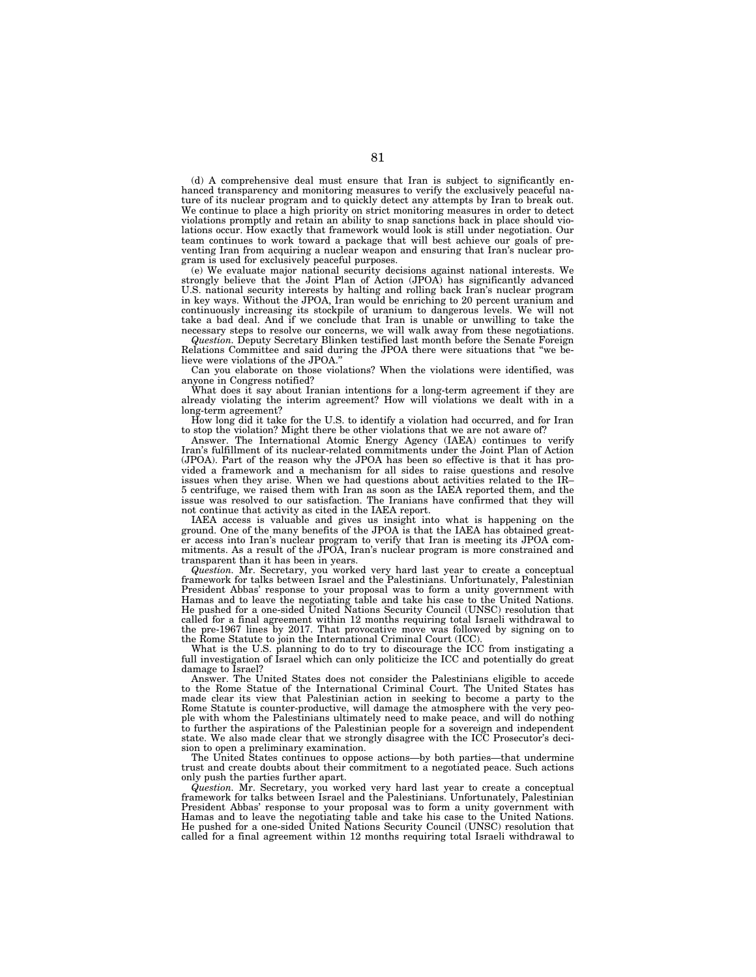(d) A comprehensive deal must ensure that Iran is subject to significantly enhanced transparency and monitoring measures to verify the exclusively peaceful nature of its nuclear program and to quickly detect any attempts by Iran to break out. We continue to place a high priority on strict monitoring measures in order to detect violations promptly and retain an ability to snap sanctions back in place should violations occur. How exactly that framework would look is still under negotiation. Our team continues to work toward a package that will best achieve our goals of preventing Iran from acquiring a nuclear weapon and ensuring that Iran's nuclear program is used for exclusively peaceful purposes.

(e) We evaluate major national security decisions against national interests. We strongly believe that the Joint Plan of Action (JPOA) has significantly advanced U.S. national security interests by halting and rolling back Iran's nuclear program in key ways. Without the JPOA, Iran would be enriching to 20 percent uranium and continuously increasing its stockpile of uranium to dangerous levels. We will not take a bad deal. And if we conclude that Iran is unable or unwilling to take the necessary steps to resolve our concerns, we will walk away from these negotiations.

*Question.* Deputy Secretary Blinken testified last month before the Senate Foreign Relations Committee and said during the JPOA there were situations that ''we believe were violations of the JPOA.''

Can you elaborate on those violations? When the violations were identified, was anyone in Congress notified?

What does it say about Iranian intentions for a long-term agreement if they are already violating the interim agreement? How will violations we dealt with in a long-term agreement?

How long did it take for the U.S. to identify a violation had occurred, and for Iran to stop the violation? Might there be other violations that we are not aware of?

Answer. The International Atomic Energy Agency (IAEA) continues to verify Iran's fulfillment of its nuclear-related commitments under the Joint Plan of Action (JPOA). Part of the reason why the JPOA has been so effective is that it has provided a framework and a mechanism for all sides to raise questions and resolve issues when they arise. When we had questions about activities related to the IR– 5 centrifuge, we raised them with Iran as soon as the IAEA reported them, and the issue was resolved to our satisfaction. The Iranians have confirmed that they will not continue that activity as cited in the IAEA report.

IAEA access is valuable and gives us insight into what is happening on the ground. One of the many benefits of the JPOA is that the IAEA has obtained greater access into Iran's nuclear program to verify that Iran is meeting its JPOA commitments. As a result of the JPOA, Iran's nuclear program is more constrained and transparent than it has been in years.

*Question.* Mr. Secretary, you worked very hard last year to create a conceptual framework for talks between Israel and the Palestinians. Unfortunately, Palestinian President Abbas' response to your proposal was to form a unity government with Hamas and to leave the negotiating table and take his case to the United Nations. He pushed for a one-sided United Nations Security Council (UNSC) resolution that called for a final agreement within 12 months requiring total Israeli withdrawal to the pre-1967 lines by 2017. That provocative move was followed by signing on to the Rome Statute to join the International Criminal Court (ICC).

What is the U.S. planning to do to try to discourage the ICC from instigating a full investigation of Israel which can only politicize the ICC and potentially do great damage to Israel?

Answer. The United States does not consider the Palestinians eligible to accede to the Rome Statue of the International Criminal Court. The United States has made clear its view that Palestinian action in seeking to become a party to the Rome Statute is counter-productive, will damage the atmosphere with the very people with whom the Palestinians ultimately need to make peace, and will do nothing to further the aspirations of the Palestinian people for a sovereign and independent state. We also made clear that we strongly disagree with the ICC Prosecutor's decision to open a preliminary examination.

The United States continues to oppose actions—by both parties—that undermine trust and create doubts about their commitment to a negotiated peace. Such actions only push the parties further apart.

*Question.* Mr. Secretary, you worked very hard last year to create a conceptual framework for talks between Israel and the Palestinians. Unfortunately, Palestinian President Abbas' response to your proposal was to form a unity government with Hamas and to leave the negotiating table and take his case to the United Nations. He pushed for a one-sided United Nations Security Council (UNSC) resolution that called for a final agreement within 12 months requiring total Israeli withdrawal to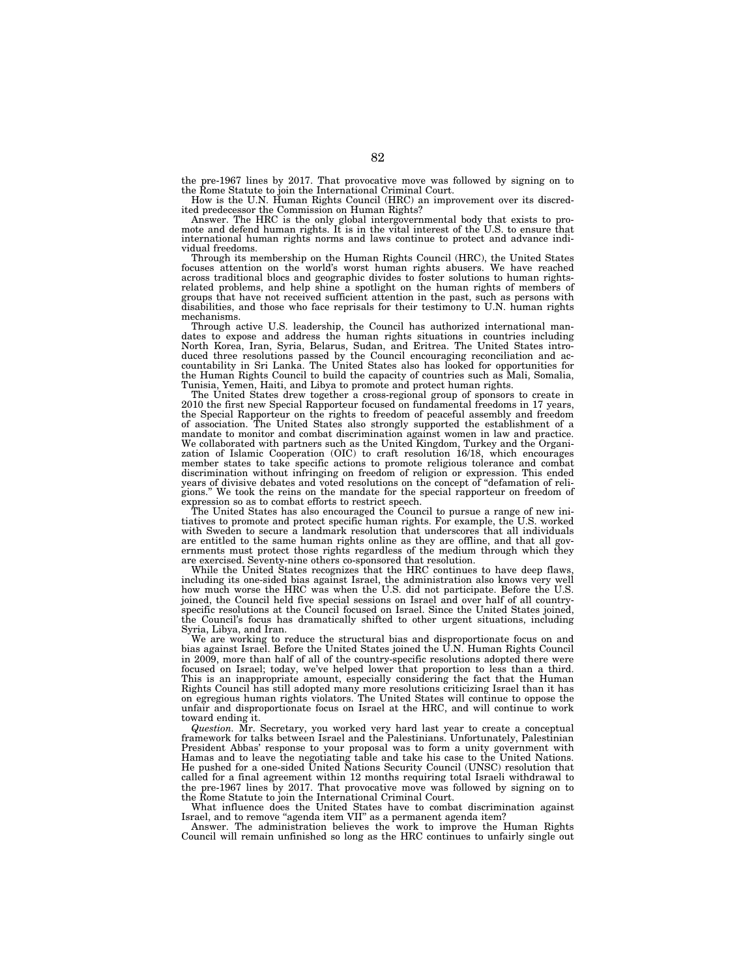the pre-1967 lines by 2017. That provocative move was followed by signing on to the Rome Statute to join the International Criminal Court. How is the U.N. Human Rights Council (HRC) an improvement over its discred-

ited predecessor the Commission on Human Rights?

Answer. The HRC is the only global intergovernmental body that exists to pro-mote and defend human rights. It is in the vital interest of the U.S. to ensure that international human rights norms and laws continue to protect and advance individual freedoms.

Through its membership on the Human Rights Council (HRC), the United States focuses attention on the world's worst human rights abusers. We have reached across traditional blocs and geographic divides to foster solutions to human rightsrelated problems, and help shine a spotlight on the human rights of members of groups that have not received sufficient attention in the past, such as persons with disabilities, and those who face reprisals for their testimony to U.N. human rights mechanisms.

Through active U.S. leadership, the Council has authorized international man-dates to expose and address the human rights situations in countries including North Korea, Iran, Syria, Belarus, Sudan, and Eritrea. The United States intro-duced three resolutions passed by the Council encouraging reconciliation and accountability in Sri Lanka. The United States also has looked for opportunities for the Human Rights Council to build the capacity of countries such as Mali, Somalia,

Tunisia, Yemen, Haiti, and Libya to promote and protect human rights. The United States drew together a cross-regional group of sponsors to create in 2010 the first new Special Rapporteur focused on fundamental freedoms in 17 years, the Special Rapporteur on the rights to freedom of peaceful assembly and freedom of association. The United States also strongly supported the establishment of a mandate to monitor and combat discrimination against women in law and practice. We collaborated with partners such as the United Kingdom, Turkey and the Organi-zation of Islamic Cooperation (OIC) to craft resolution 16/18, which encourages member states to take specific actions to promote religious tolerance and combat discrimination without infringing on freedom of religion or expression. This ended years of divisive debates and voted resolutions on the concept of ''defamation of religions." We took the reins on the mandate for the special rapporteur on freedom of expression so as to combat efforts to restrict speech.

The United States has also encouraged the Council to pursue a range of new initiatives to promote and protect specific human rights. For example, the U.S. worked with Sweden to secure a landmark resolution that underscores that all individuals are entitled to the same human rights online as they are offline, and that all governments must protect those rights regardless of the medium through which they are exercised. Seventy-nine others co-sponsored that resolution.

While the United States recognizes that the HRC continues to have deep flaws, including its one-sided bias against Israel, the administration also knows very well how much worse the HRC was when the U.S. did not participate. Before the U.S. joined, the Council held five special sessions on Israel and over half of all countryspecific resolutions at the Council focused on Israel. Since the United States joined, the Council's focus has dramatically shifted to other urgent situations, including Syria, Libya, and Iran.

We are working to reduce the structural bias and disproportionate focus on and bias against Israel. Before the United States joined the U.N. Human Rights Council in 2009, more than half of all of the country-specific resolutions adopted there were focused on Israel; today, we've helped lower that proportion to less than a third. This is an inappropriate amount, especially considering the fact that the Human Rights Council has still adopted many more resolutions criticizing Israel than it has on egregious human rights violators. The United States will continue to oppose the unfair and disproportionate focus on Israel at the HRC, and will continue to work toward ending it.

*Question.* Mr. Secretary, you worked very hard last year to create a conceptual framework for talks between Israel and the Palestinians. Unfortunately, Palestinian President Abbas' response to your proposal was to form a unity government with Hamas and to leave the negotiating table and take his case to the United Nations. He pushed for a one-sided United Nations Security Council (UNSC) resolution that called for a final agreement within 12 months requiring total Israeli withdrawal to the pre-1967 lines by 2017. That provocative move was followed by signing on to the Rome Statute to join the International Criminal Court.

What influence does the United States have to combat discrimination against

Israel, and to remove "agenda item VII" as a permanent agenda item?<br>Answer. The administration believes the work to improve the Human Rights Council will remain unfinished so long as the HRC continues to unfairly single out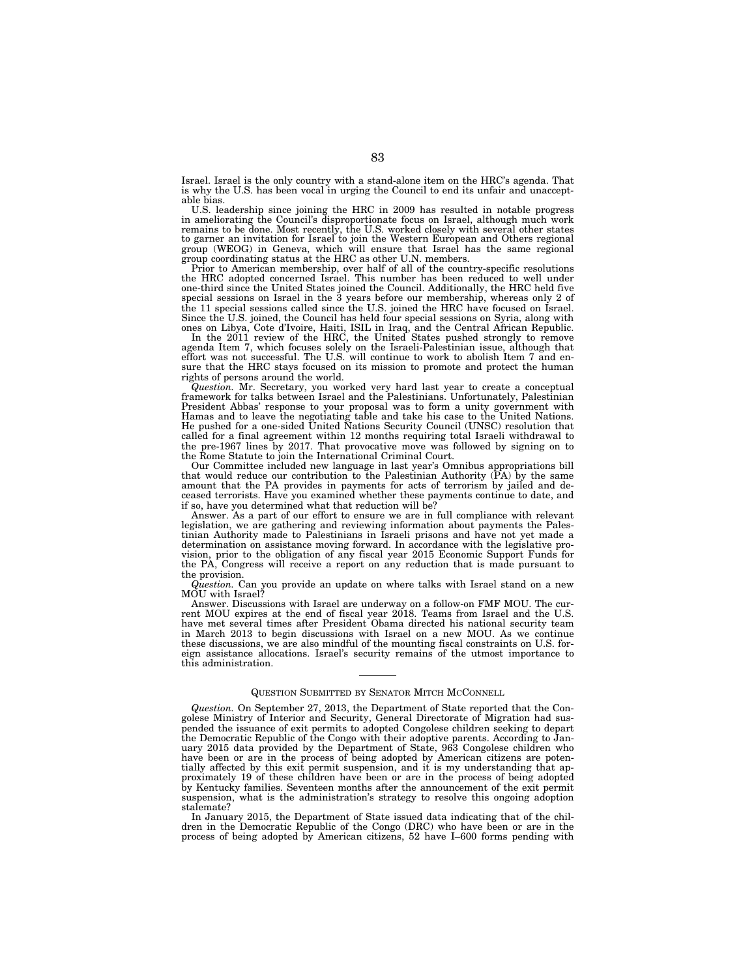Israel. Israel is the only country with a stand-alone item on the HRC's agenda. That is why the U.S. has been vocal in urging the Council to end its unfair and unacceptable bias.

U.S. leadership since joining the HRC in 2009 has resulted in notable progress in ameliorating the Council's disproportionate focus on Israel, although much work remains to be done. Most recently, the U.S. worked closely with several other states to garner an invitation for Israel to join the Western European and Others regional group (WEOG) in Geneva, which will ensure that Israel has the same regional group coordinating status at the HRC as other U.N. members.

Prior to American membership, over half of all of the country-specific resolutions the HRC adopted concerned Israel. This number has been reduced to well under one-third since the United States joined the Council. Additionally, the HRC held five special sessions on Israel in the 3 years before our membership, whereas only 2 of the 11 special sessions called since the U.S. joined the HRC have focused on Israel. Since the U.S. joined, the Council has held four special sessions on Syria, along with ones on Libya, Cote d'Ivoire, Haiti, ISIL in Iraq, and the Central African Republic.

In the 2011 review of the HRC, the United States pushed strongly to remove agenda Item 7, which focuses solely on the Israeli-Palestinian issue, although that effort was not successful. The U.S. will continue to work to abolish Item 7 and ensure that the HRC stays focused on its mission to promote and protect the human rights of persons around the world.

*Question.* Mr. Secretary, you worked very hard last year to create a conceptual framework for talks between Israel and the Palestinians. Unfortunately, Palestinian President Abbas' response to your proposal was to form a unity government with Hamas and to leave the negotiating table and take his case to the United Nations. He pushed for a one-sided United Nations Security Council (UNSC) resolution that called for a final agreement within 12 months requiring total Israeli withdrawal to the pre-1967 lines by 2017. That provocative move was followed by signing on to the Rome Statute to join the International Criminal Court.

Our Committee included new language in last year's Omnibus appropriations bill that would reduce our contribution to the Palestinian Authority  $(\hat{P}A)$  by the same amount that the PA provides in payments for acts of terrorism by jailed and deceased terrorists. Have you examined whether these payments continue to date, and if so, have you determined what that reduction will be?

Answer. As a part of our effort to ensure we are in full compliance with relevant legislation, we are gathering and reviewing information about payments the Palestinian Authority made to Palestinians in Israeli prisons and have not yet made a determination on assistance moving forward. In accordance with the legislative provision, prior to the obligation of any fiscal year 2015 Economic Support Funds for the PA, Congress will receive a report on any reduction that is made pursuant to the provision.

*Question.* Can you provide an update on where talks with Israel stand on a new MOU with Israel?

Answer. Discussions with Israel are underway on a follow-on FMF MOU. The current MOU expires at the end of fiscal year 2018. Teams from Israel and the U.S. have met several times after President Obama directed his national security team in March 2013 to begin discussions with Israel on a new MOU. As we continue these discussions, we are also mindful of the mounting fiscal constraints on U.S. foreign assistance allocations. Israel's security remains of the utmost importance to this administration.

## QUESTION SUBMITTED BY SENATOR MITCH MCCONNELL

*Question.* On September 27, 2013, the Department of State reported that the Congolese Ministry of Interior and Security, General Directorate of Migration had suspended the issuance of exit permits to adopted Congolese children seeking to depart the Democratic Republic of the Congo with their adoptive parents. According to January 2015 data provided by the Department of State, 963 Congolese children who have been or are in the process of being adopted by American citizens are potentially affected by this exit permit suspension, and it is my understanding that approximately 19 of these children have been or are in the process of being adopted by Kentucky families. Seventeen months after the announcement of the exit permit suspension, what is the administration's strategy to resolve this ongoing adoption stalemate?

In January 2015, the Department of State issued data indicating that of the children in the Democratic Republic of the Congo (DRC) who have been or are in the process of being adopted by American citizens, 52 have I–600 forms pending with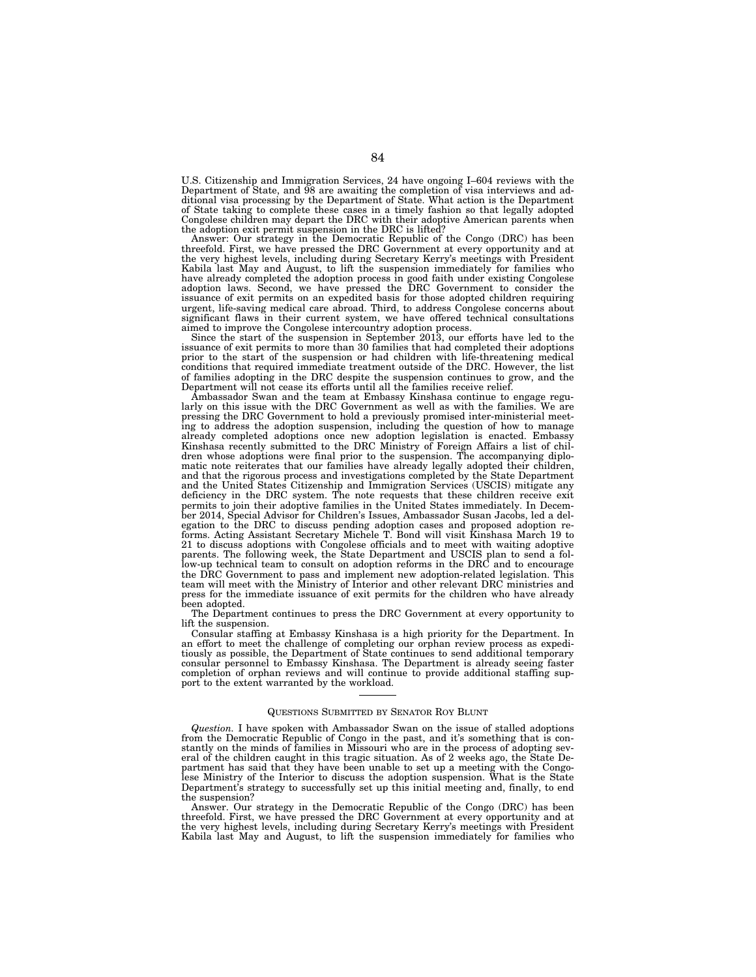U.S. Citizenship and Immigration Services, 24 have ongoing I–604 reviews with the Department of State, and 98 are awaiting the completion of visa interviews and additional visa processing by the Department of State. What action is the Department of State taking to complete these cases in a timely fashion so that legally adopted Congolese children may depart the DRC with their adoptive American parents when the adoption exit permit suspension in the DRC is lifted?

Answer: Our strategy in the Democratic Republic of the Congo (DRC) has been threefold. First, we have pressed the DRC Government at every opportunity and at the very highest levels, including during Secretary Kerry's meetings with President Kabila last May and August, to lift the suspension immediately for families who have already completed the adoption process in good faith under existing Congolese adoption laws. Second, we have pressed the DRC Government to consider the issuance of exit permits on an expedited basis for those adopted children requiring urgent, life-saving medical care abroad. Third, to address Congolese concerns about significant flaws in their current system, we have offered technical consultations aimed to improve the Congolese intercountry adoption process.

Since the start of the suspension in September 2013, our efforts have led to the issuance of exit permits to more than 30 families that had completed their adoptions prior to the start of the suspension or had children with life-threatening medical conditions that required immediate treatment outside of the DRC. However, the list of families adopting in the DRC despite the suspension continues to grow, and the Department will not cease its efforts until all the families receive relief.

Ambassador Swan and the team at Embassy Kinshasa continue to engage regularly on this issue with the DRC Government as well as with the families. We are pressing the DRC Government to hold a previously promised inter-ministerial meeting to address the adoption suspension, including the question of how to manage already completed adoptions once new adoption legislation is enacted. Embassy Kinshasa recently submitted to the DRC Ministry of Foreign Affairs a list of children whose adoptions were final prior to the suspension. The accompanying diplomatic note reiterates that our families have already legally adopted their children, and that the rigorous process and investigations completed by the State Department and the United States Citizenship and Immigration Services (USCIS) mitigate any deficiency in the DRC system. The note requests that these children receive exit permits to join their adoptive families in the United States immediately. In December 2014, Special Advisor for Children's Issues, Ambassador Susan Jacobs, led a delegation to the DRC to discuss pending adoption cases and proposed adoption reforms. Acting Assistant Secretary Michele T. Bond will visit Kinshasa March 19 to 21 to discuss adoptions with Congolese officials and to meet with waiting adoptive parents. The following week, the State Department and USCIS plan to send a follow-up technical team to consult on adoption reforms in the DRC and to encourage the DRC Government to pass and implement new adoption-related legislation. This team will meet with the Ministry of Interior and other relevant DRC ministries and press for the immediate issuance of exit permits for the children who have already been adopted.

The Department continues to press the DRC Government at every opportunity to lift the suspension.

Consular staffing at Embassy Kinshasa is a high priority for the Department. In an effort to meet the challenge of completing our orphan review process as expeditiously as possible, the Department of State continues to send additional temporary consular personnel to Embassy Kinshasa. The Department is already seeing faster completion of orphan reviews and will continue to provide additional staffing support to the extent warranted by the workload.

## QUESTIONS SUBMITTED BY SENATOR ROY BLUNT

*Question.* I have spoken with Ambassador Swan on the issue of stalled adoptions from the Democratic Republic of Congo in the past, and it's something that is constantly on the minds of families in Missouri who are in the process of adopting several of the children caught in this tragic situation. As of 2 weeks ago, the State Department has said that they have been unable to set up a meeting with the Congolese Ministry of the Interior to discuss the adoption suspension. What is the State Department's strategy to successfully set up this initial meeting and, finally, to end the suspension?

Answer. Our strategy in the Democratic Republic of the Congo (DRC) has been threefold. First, we have pressed the DRC Government at every opportunity and at the very highest levels, including during Secretary Kerry's meetings with President Kabila last May and August, to lift the suspension immediately for families who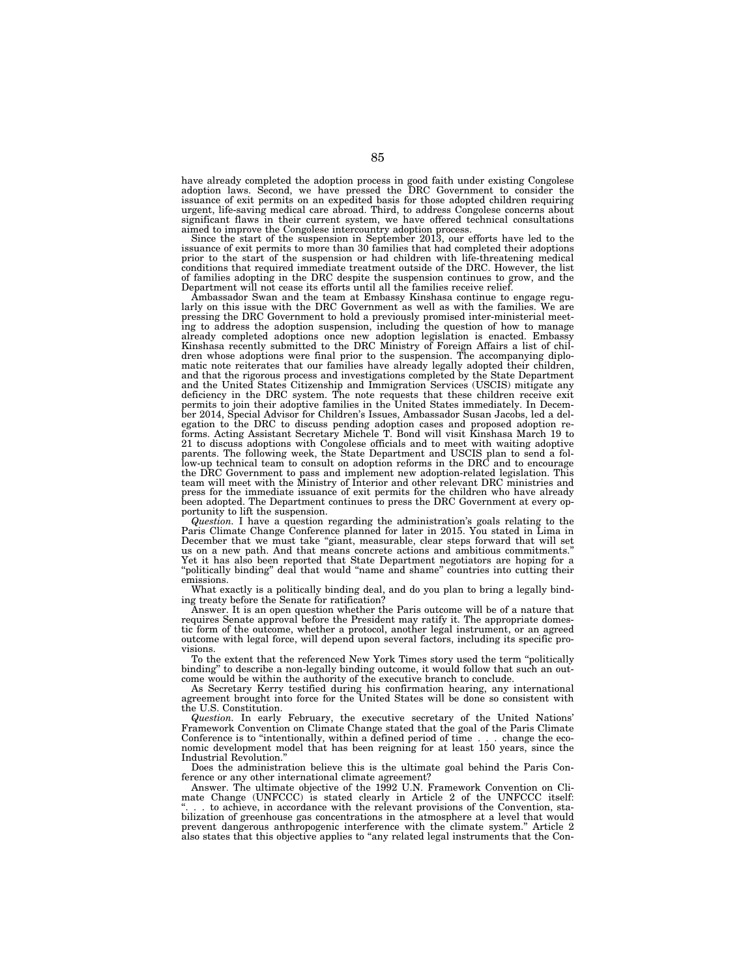have already completed the adoption process in good faith under existing Congolese adoption laws. Second, we have pressed the DRC Government to consider the issuance of exit permits on an expedited basis for those adopted children requiring urgent, life-saving medical care abroad. Third, to address Congolese concerns about significant flaws in their current system, we have offered technical consultations

aimed to improve the Congolese intercountry adoption process. Since the start of the suspension in September 2013, our efforts have led to the issuance of exit permits to more than 30 families that had completed their adoptions prior to the start of the suspension or had children with life-threatening medical conditions that required immediate treatment outside of the DRC. However, the list of families adopting in the DRC despite the suspension continues to grow, and the Department will not cease its efforts until all the families receive relief. Ambassador Swan and the team at Embassy Kinshasa continue to engage regu-

larly on this issue with the DRC Government as well as with the families. We are pressing the DRC Government to hold a previously promised inter-ministerial meeting to address the adoption suspension, including the question of how to manage already completed adoptions once new adoption legislation is enacted. Embassy Kinshasa recently submitted to the DRC Ministry of Foreign Affairs a list of chil-dren whose adoptions were final prior to the suspension. The accompanying diplomatic note reiterates that our families have already legally adopted their children, and that the rigorous process and investigations completed by the State Department and the United States Citizenship and Immigration Services (USCIS) mitigate any deficiency in the DRC system. The note requests that these children receive exit permits to join their adoptive families in the United States immediately. In Decem-ber 2014, Special Advisor for Children's Issues, Ambassador Susan Jacobs, led a delegation to the DRC to discuss pending adoption cases and proposed adoption re-forms. Acting Assistant Secretary Michele T. Bond will visit Kinshasa March 19 to 21 to discuss adoptions with Congolese officials and to meet with waiting adoptive parents. The following week, the State Department and USCIS plan to send a follow-up technical team to consult on adoption reforms in the D the DRC Government to pass and implement new adoption-related legislation. This team will meet with the Ministry of Interior and other relevant DRC ministries and press for the immediate issuance of exit permits for the children who have already been adopted. The Department continues to press the DRC Government at every opportunity to lift the suspension.

*Question.* I have a question regarding the administration's goals relating to the Paris Climate Change Conference planned for later in 2015. You stated in Lima in December that we must take "giant, measurable, clear steps forward that will set us on a new path. And that means concrete actions and ambitious commitments.'' Yet it has also been reported that State Department negotiators are hoping for a ''politically binding'' deal that would ''name and shame'' countries into cutting their emissions.

What exactly is a politically binding deal, and do you plan to bring a legally binding treaty before the Senate for ratification?

Answer. It is an open question whether the Paris outcome will be of a nature that requires Senate approval before the President may ratify it. The appropriate domestic form of the outcome, whether a protocol, another legal instrument, or an agreed outcome with legal force, will depend upon several factors, including its specific provisions.

To the extent that the referenced New York Times story used the term ''politically binding'' to describe a non-legally binding outcome, it would follow that such an outcome would be within the authority of the executive branch to conclude.

As Secretary Kerry testified during his confirmation hearing, any international agreement brought into force for the United States will be done so consistent with the U.S. Constitution.

*Question.* In early February, the executive secretary of the United Nations' Framework Convention on Climate Change stated that the goal of the Paris Climate Conference is to "intentionally, within a defined period of time . . . change the eco-Conference is to "intentionally, within a defined period of time. nomic development model that has been reigning for at least 150 years, since the Industrial Revolution.''

Does the administration believe this is the ultimate goal behind the Paris Conference or any other international climate agreement?

Answer. The ultimate objective of the 1992 U.N. Framework Convention on Climate Change (UNFCCC) is stated clearly in Article 2 of the UNFCCC itself: .. to achieve, in accordance with the relevant provisions of the Convention, stabilization of greenhouse gas concentrations in the atmosphere at a level that would prevent dangerous anthropogenic interference with the climate system.'' Article 2 also states that this objective applies to ''any related legal instruments that the Con-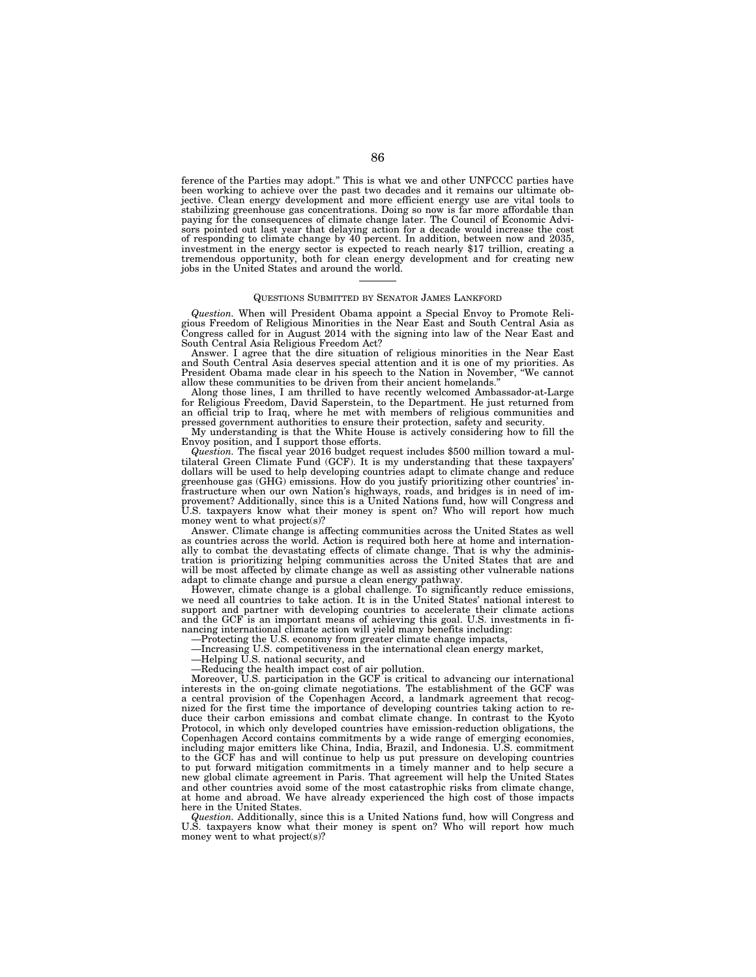ference of the Parties may adopt.'' This is what we and other UNFCCC parties have been working to achieve over the past two decades and it remains our ultimate objective. Clean energy development and more efficient energy use are vital tools to stabilizing greenhouse gas concentrations. Doing so now is far more affordable than paying for the consequences of climate change later. The Council of Economic Advisors pointed out last year that delaying action for a decade would increase the cost of responding to climate change by 40 percent. In addition, between now and 2035, investment in the energy sector is expected to reach nearly \$17 trillion, creating a tremendous opportunity, both for clean energy development and for creating new jobs in the United States and around the world.

## QUESTIONS SUBMITTED BY SENATOR JAMES LANKFORD

*Question.* When will President Obama appoint a Special Envoy to Promote Religious Freedom of Religious Minorities in the Near East and South Central Asia as Congress called for in August 2014 with the signing into law of the Near East and South Central Asia Religious Freedom Act?

Answer. I agree that the dire situation of religious minorities in the Near East and South Central Asia deserves special attention and it is one of my priorities. As President Obama made clear in his speech to the Nation in November, ''We cannot allow these communities to be driven from their ancient homelands.''

Along those lines, I am thrilled to have recently welcomed Ambassador-at-Large for Religious Freedom, David Saperstein, to the Department. He just returned from an official trip to Iraq, where he met with members of religious communities and pressed government authorities to ensure their protection, safety and security.

My understanding is that the White House is actively considering how to fill the Envoy position, and I support those efforts.

*Question.* The fiscal year 2016 budget request includes \$500 million toward a multilateral Green Climate Fund (GCF). It is my understanding that these taxpayers' dollars will be used to help developing countries adapt to climate change and reduce greenhouse gas (GHG) emissions. How do you justify prioritizing other countries' infrastructure when our own Nation's highways, roads, and bridges is in need of improvement? Additionally, since this is a United Nations fund, how will Congress and U.S. taxpayers know what their money is spent on? Who will report how much money went to what project(s)?

Answer. Climate change is affecting communities across the United States as well as countries across the world. Action is required both here at home and internationally to combat the devastating effects of climate change. That is why the administration is prioritizing helping communities across the United States that are and will be most affected by climate change as well as assisting other vulnerable nations adapt to climate change and pursue a clean energy pathway.

However, climate change is a global challenge. To significantly reduce emissions, we need all countries to take action. It is in the United States' national interest to support and partner with developing countries to accelerate their climate actions and the GCF is an important means of achieving this goal. U.S. investments in financing international climate action will yield many benefits including:

—Protecting the U.S. economy from greater climate change impacts,

—Increasing U.S. competitiveness in the international clean energy market,

—Helping U.S. national security, and

—Reducing the health impact cost of air pollution.

Moreover, U.S. participation in the GCF is critical to advancing our international interests in the on-going climate negotiations. The establishment of the GCF was a central provision of the Copenhagen Accord, a landmark agreement that recognized for the first time the importance of developing countries taking action to reduce their carbon emissions and combat climate change. In contrast to the Kyoto Protocol, in which only developed countries have emission-reduction obligations, the Copenhagen Accord contains commitments by a wide range of emerging economies, including major emitters like China, India, Brazil, and Indonesia. U.S. commitment to the GCF has and will continue to help us put pressure on developing countries to put forward mitigation commitments in a timely manner and to help secure a new global climate agreement in Paris. That agreement will help the United States and other countries avoid some of the most catastrophic risks from climate change, at home and abroad. We have already experienced the high cost of those impacts here in the United States.

*Question.* Additionally, since this is a United Nations fund, how will Congress and U.S. taxpayers know what their money is spent on? Who will report how much money went to what project(s)?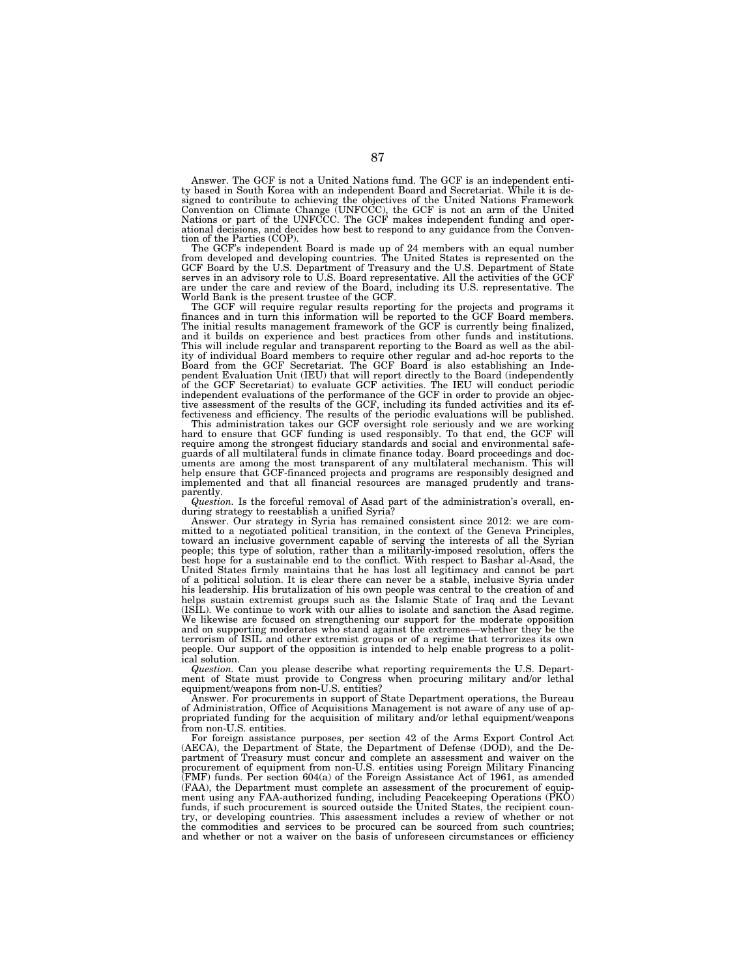Answer. The GCF is not a United Nations fund. The GCF is an independent entity based in South Korea with an independent Board and Secretariat. While it is designed to contribute to achieving the objectives of the United Nations Framework<br>Convention on Climate Change (UNFCCC), the GCF is not an arm of the United<br>Nations or part of the UNFCCC. The GCF makes independent funding a ational decisions, and decides how best to respond to any guidance from the Convention of the Parties (COP).

The GCF's independent Board is made up of 24 members with an equal number from developed and developing countries. The United States is represented on the GCF Board by the U.S. Department of Treasury and the U.S. Department of State serves in an advisory role to U.S. Board representative. All the activities of the GCF are under the care and review of the Board, including its U.S. representative. The World Bank is the present trustee of the GCF.

The GCF will require regular results reporting for the projects and programs it finances and in turn this information will be reported to the GCF Board members. The initial results management framework of the GCF is currently being finalized, and it builds on experience and best practices from other funds and institutions. This will include regular and transparent reporting to the Board as well as the ability of individual Board members to require other regular and ad-hoc reports to the Board from the GCF Secretariat. The GCF Board is also establishing an Independent Evaluation Unit (IEU) that will report directly to the Bo of the GCF Secretariat) to evaluate GCF activities. The IEU will conduct periodic independent evaluations of the performance of the GCF in order to provide an objective assessment of the results of the GCF, including its funded activities and its ef-fectiveness and efficiency. The results of the periodic evaluations will be published.

This administration takes our GCF oversight role seriously and we are working hard to ensure that GCF funding is used responsibly. To that end, the GCF will require among the strongest fiduciary standards and social and environmental safeguards of all multilateral funds in climate finance today. Board proceedings and documents are among the most transparent of any multilateral mechanism. This will help ensure that GCF-financed projects and programs are responsibly designed and implemented and that all financial resources are managed prudently and transparently.

*Question.* Is the forceful removal of Asad part of the administration's overall, enduring strategy to reestablish a unified Syria?

Answer. Our strategy in Syria has remained consistent since 2012: we are committed to a negotiated political transition, in the context of the Geneva Principles, toward an inclusive government capable of serving the interests of all the Syrian people; this type of solution, rather than a militaril best hope for a sustainable end to the conflict. With respect to Bashar al-Asad, the United States firmly maintains that he has lost all legitimacy and cannot be part of a political solution. It is clear there can never be a stable, inclusive Syria under his leadership. His brutalization of his own people was central to the creation of and helps sustain extremist groups such as the Islamic State of Iraq and the Levant (ISIL). We continue to work with our allies to isolate and sanction the Asad regime. We likewise are focused on strengthening our support for the moderate opposition and on supporting moderates who stand against the extremes—whether they be the terrorism of ISIL and other extremist groups or of a regime that terrorizes its own people. Our support of the opposition is intended to help enable progress to a political solution.

*Question.* Can you please describe what reporting requirements the U.S. Department of State must provide to Congress when procuring military and/or lethal equipment/weapons from non-U.S. entities?

Answer. For procurements in support of State Department operations, the Bureau of Administration, Office of Acquisitions Management is not aware of any use of appropriated funding for the acquisition of military and/or lethal equipment/weapons from non-U.S. entities.

For foreign assistance purposes, per section 42 of the Arms Export Control Act (AECA), the Department of State, the Department of Defense (DOD), and the Department of Treasury must concur and complete an assessment and waiver on the procurement of equipment from non-U.S. entities using Foreign Military Financing (FMF) funds. Per section 604(a) of the Foreign Assistance Act of 1961, as amended (FAA), the Department must complete an assessment of the procurement of equipment using any FAA-authorized funding, including Peacekeeping Operations (PKO) funds, if such procurement is sourced outside the United States, the recipient country, or developing countries. This assessment includes a review of whether or not the commodities and services to be procured can be sourced from such countries; and whether or not a waiver on the basis of unforeseen circumstances or efficiency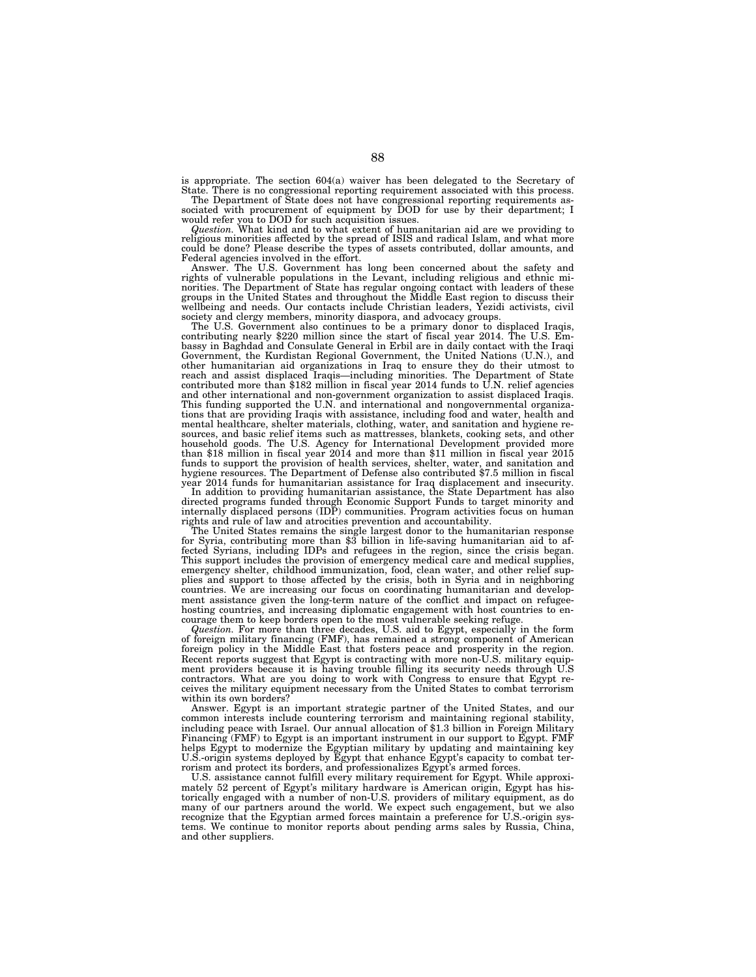is appropriate. The section 604(a) waiver has been delegated to the Secretary of State. There is no congressional reporting requirement associated with this process.

The Department of State does not have congressional reporting requirements associated with procurement of equipment by DOD for use by their department; I

would refer you to DOD for such acquisition issues. *Question.* What kind and to what extent of humanitarian aid are we providing to religious minorities affected by the spread of ISIS and radical Islam, and what more could be done? Please describe the types of assets contributed, dollar amounts, and Federal agencies involved in the effort.

Answer. The U.S. Government has long been concerned about the safety and rights of vulnerable populations in the Levant, including religious and ethnic minorities. The Department of State has regular ongoing contact with leaders of these groups in the United States and throughout the Middle East region to discuss their wellbeing and needs. Our contacts include Christian leaders, Yezidi activists, civil society and clergy members, minority diaspora, and advocacy groups.

The U.S. Government also continues to be a primary donor to displaced Iraqis, contributing nearly \$220 million since the start of fiscal year 2014. The U.S. Embassy in Baghdad and Consulate General in Erbil are in daily contact with the Iraqi Government, the Kurdistan Regional Government, the United Nations (U.N.), and other humanitarian aid organizations in Iraq to ensure they do their utmost to reach and assist displaced Iraqis—including minorities. The Department of State contributed more than \$182 million in fiscal year 2014 funds to U.N. relief agencies and other international and non-government organization to assist displaced Iraqis. This funding supported the U.N. and international and nongovernmental organiza-tions that are providing Iraqis with assistance, including food and water, health and mental healthcare, shelter materials, clothing, water, and sanitation and hygiene resources, and basic relief items such as mattresses, blankets, cooking sets, and other household goods. The U.S. Agency for International Development provided more than \$18 million in fiscal year 2014 and more than \$11 million in fiscal year 2015 funds to support the provision of health services, shelter, water, and sanitation and hygiene resources. The Department of Defense also contributed \$7.5 million in fiscal

year 2014 funds for humanitarian assistance for Iraq displacement and insecurity.<br>In addition to providing humanitarian assistance, the State Department has also<br>directed programs funded through Economic Support Funds to t rights and rule of law and atrocities prevention and accountability.

The United States remains the single largest donor to the humanitarian response for Syria, contributing more than \$3 billion in life-saving humanitarian aid to affected Syrians, including IDPs and refugees in the region, since the crisis began. This support includes the provision of emergency medical care and medical supplies, emergency shelter, childhood immunization, food, clean water, and other relief supplies and support to those affected by the crisis, both in Syria and in neighboring countries. We are increasing our focus on coordinating humanitarian and development assistance given the long-term nature of the conflict and impact on refugeehosting countries, and increasing diplomatic engagement with host countries to encourage them to keep borders open to the most vulnerable seeking refuge.

*Question.* For more than three decades, U.S. aid to Egypt, especially in the form of foreign military financing (FMF), has remained a strong component of American foreign policy in the Middle East that fosters peace and prosperity in the region. Recent reports suggest that Egypt is contracting with more non-U.S. military equipment providers because it is having trouble filling its security needs through U.S contractors. What are you doing to work with Congress to ensure that Egypt receives the military equipment necessary from the United States to combat terrorism within its own borders?

Answer. Egypt is an important strategic partner of the United States, and our common interests include countering terrorism and maintaining regional stability, including peace with Israel. Our annual allocation of \$1.3 billion in Foreign Militar Financing (FMF) to Egypt is an important instrument in our support to Egypt. FMF helps Egypt to modernize the Egyptian military by updating and maintaining key U.S.-origin systems deployed by Egypt that enhance Egypt's capacity to combat terrorism and protect its borders, and professionalizes Egypt's armed forces.

U.S. assistance cannot fulfill every military requirement for Egypt. While approximately 52 percent of Egypt's military hardware is American origin, Egypt has historically engaged with a number of non-U.S. providers of military equipment, as do many of our partners around the world. We expect such engagement, but we also recognize that the Egyptian armed forces maintain a preference for U.S.-origin systems. We continue to monitor reports about pending arms sales by Russia, China, and other suppliers.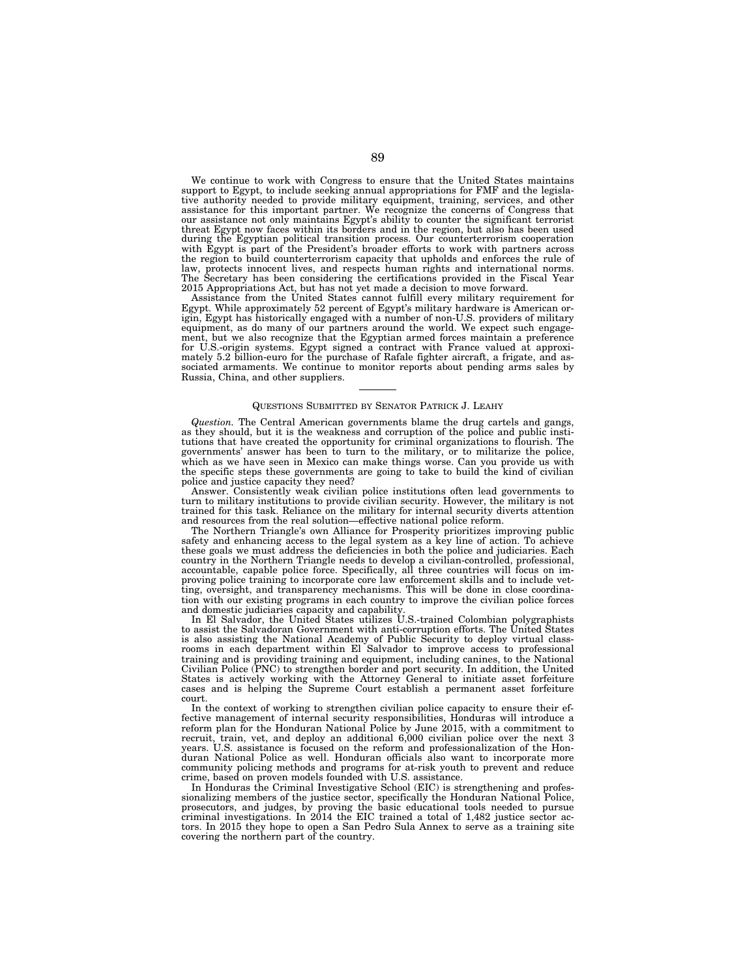We continue to work with Congress to ensure that the United States maintains support to Egypt, to include seeking annual appropriations for FMF and the legislative authority needed to provide military equipment, training, services, and other assistance for this important partner. We recognize the concerns of Congress that our assistance not only maintains Egypt's ability to counter the significant terrorist threat Egypt now faces within its borders and in the region, but also has been used during the Egyptian political transition process. Our counterterrorism cooperation with Egypt is part of the President's broader efforts to work with partners across the region to build counterterrorism capacity that upholds and enforces the rule of law, protects innocent lives, and respects human rights and international norms. The Secretary has been considering the certifications provided in the Fiscal Year 2015 Appropriations Act, but has not yet made a decision to move forward.

Assistance from the United States cannot fulfill every military requirement for Egypt. While approximately 52 percent of Egypt's military hardware is American origin, Egypt has historically engaged with a number of non-U.S. providers of military equipment, as do many of our partners around the world. We expect such engagement, but we also recognize that the Egyptian armed forces maintain a preference for U.S.-origin systems. Egypt signed a contract with France valued at approximately 5.2 billion-euro for the purchase of Rafale fighter aircraft, a frigate, and associated armaments. We continue to monitor reports about pending arms sales by Russia, China, and other suppliers.

# QUESTIONS SUBMITTED BY SENATOR PATRICK J. LEAHY

*Question.* The Central American governments blame the drug cartels and gangs, as they should, but it is the weakness and corruption of the police and public institutions that have created the opportunity for criminal organizations to flourish. The governments' answer has been to turn to the military, or to militarize the police, which as we have seen in Mexico can make things worse. Can you provide us with the specific steps these governments are going to take to build the kind of civilian police and justice capacity they need?

Answer. Consistently weak civilian police institutions often lead governments to turn to military institutions to provide civilian security. However, the military is not trained for this task. Reliance on the military for internal security diverts attention and resources from the real solution—effective national police reform.

The Northern Triangle's own Alliance for Prosperity prioritizes improving public safety and enhancing access to the legal system as a key line of action. To achieve these goals we must address the deficiencies in both the police and judiciaries. Each country in the Northern Triangle needs to develop a civilian-controlled, professional, accountable, capable police force. Specifically, all three countries will focus on improving police training to incorporate core law enforcement skills and to include vetting, oversight, and transparency mechanisms. This will be done in close coordination with our existing programs in each country to improve the civilian police forces and domestic judiciaries capacity and capability.

In El Salvador, the United States utilizes U.S.-trained Colombian polygraphists to assist the Salvadoran Government with anti-corruption efforts. The United States is also assisting the National Academy of Public Security to deploy virtual classrooms in each department within El Salvador to improve access to professional training and is providing training and equipment, including canines, to the National Civilian Police (PNC) to strengthen border and port security. In addition, the United States is actively working with the Attorney General to initiate asset forfeiture cases and is helping the Supreme Court establish a permanent asset forfeiture court.

In the context of working to strengthen civilian police capacity to ensure their effective management of internal security responsibilities, Honduras will introduce a reform plan for the Honduran National Police by June 2015, with a commitment to recruit, train, vet, and deploy an additional 6,000 civilian police over the next 3 years. U.S. assistance is focused on the reform and professionalization of the Honduran National Police as well. Honduran officials also want to incorporate more community policing methods and programs for at-risk youth to prevent and reduce crime, based on proven models founded with U.S. assistance.

In Honduras the Criminal Investigative School (EIC) is strengthening and professionalizing members of the justice sector, specifically the Honduran National Police, prosecutors, and judges, by proving the basic educational tools needed to pursue criminal investigations. In 2014 the EIC trained a total of 1,482 justice sector actors. In 2015 they hope to open a San Pedro Sula Annex to serve as a training site covering the northern part of the country.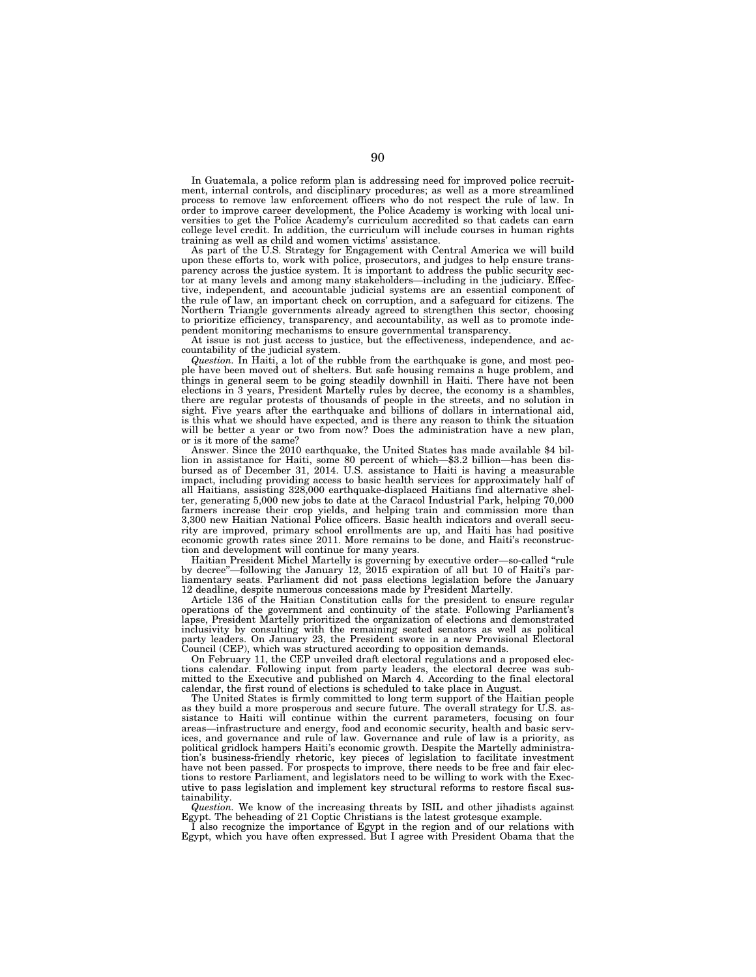In Guatemala, a police reform plan is addressing need for improved police recruitment, internal controls, and disciplinary procedures; as well as a more streamlined process to remove law enforcement officers who do not respect the rule of law. In order to improve career development, the Police Academy is working with local universities to get the Police Academy's curriculum accredited so that cadets can earn college level credit. In addition, the curriculum will include courses in human rights training as well as child and women victims' assistance.

As part of the U.S. Strategy for Engagement with Central America we will build upon these efforts to, work with police, prosecutors, and judges to help ensure transparency across the justice system. It is important to address the public security sector at many levels and among many stakeholders—including in the judiciary. Effective, independent, and accountable judicial systems are an essential component of the rule of law, an important check on corruption, and a safeguard for citizens. The Northern Triangle governments already agreed to strengthen this sector, choosing to prioritize efficiency, transparency, and accountability, as well as to promote independent monitoring mechanisms to ensure governmental transparency.

At issue is not just access to justice, but the effectiveness, independence, and accountability of the judicial system.

*Question.* In Haiti, a lot of the rubble from the earthquake is gone, and most people have been moved out of shelters. But safe housing remains a huge problem, and things in general seem to be going steadily downhill in Haiti. There have not been elections in 3 years, President Martelly rules by decree, the economy is a shambles, there are regular protests of thousands of people in the streets, and no solution in sight. Five years after the earthquake and billions of dollars in international aid, is this what we should have expected, and is there any reason to think the situation will be better a year or two from now? Does the administration have a new plan, or is it more of the same?

Answer. Since the 2010 earthquake, the United States has made available \$4 billion in assistance for Haiti, some 80 percent of which—\$3.2 billion—has been disbursed as of December 31, 2014. U.S. assistance to Haiti is having a measurable impact, including providing access to basic health services for approximately half of all Haitians, assisting 328,000 earthquake-displaced Haitians find alternative shelter, generating 5,000 new jobs to date at the Caracol Industrial Park, helping 70,000 farmers increase their crop yields, and helping train and commission more than 3,300 new Haitian National Police officers. Basic health indicators and overall security are improved, primary school enrollments are up, and Haiti has had positive economic growth rates since 2011. More remains to be done, and Haiti's reconstruction and development will continue for many years.

Haitian President Michel Martelly is governing by executive order—so-called ''rule by decree''—following the January 12, 2015 expiration of all but 10 of Haiti's parliamentary seats. Parliament did not pass elections legislation before the January 12 deadline, despite numerous concessions made by President Martelly.

Article 136 of the Haitian Constitution calls for the president to ensure regular operations of the government and continuity of the state. Following Parliament's lapse, President Martelly prioritized the organization of elections and demonstrated inclusivity by consulting with the remaining seated senators as well as political party leaders. On January 23, the President swore in a new Provisional Electoral Council (CEP), which was structured according to opposition demands.

On February 11, the CEP unveiled draft electoral regulations and a proposed elections calendar. Following input from party leaders, the electoral decree was submitted to the Executive and published on March 4. According to the final electoral calendar, the first round of elections is scheduled to take place in August.

The United States is firmly committed to long term support of the Haitian people as they build a more prosperous and secure future. The overall strategy for U.S. assistance to Haiti will continue within the current parameters, focusing on four areas—infrastructure and energy, food and economic security, health and basic services, and governance and rule of law. Governance and rule of law is a priority, as political gridlock hampers Haiti's economic growth. Despite the Martelly administration's business-friendly rhetoric, key pieces of legislation to facilitate investment have not been passed. For prospects to improve, there needs to be free and fair elections to restore Parliament, and legislators need to be willing to work with the Executive to pass legislation and implement key structural reforms to restore fiscal sustainability.

*Question.* We know of the increasing threats by ISIL and other jihadists against

Egypt. The beheading of 21 Coptic Christians is the latest grotesque example. I also recognize the importance of Egypt in the region and of our relations with Egypt, which you have often expressed. But I agree with President Obama that the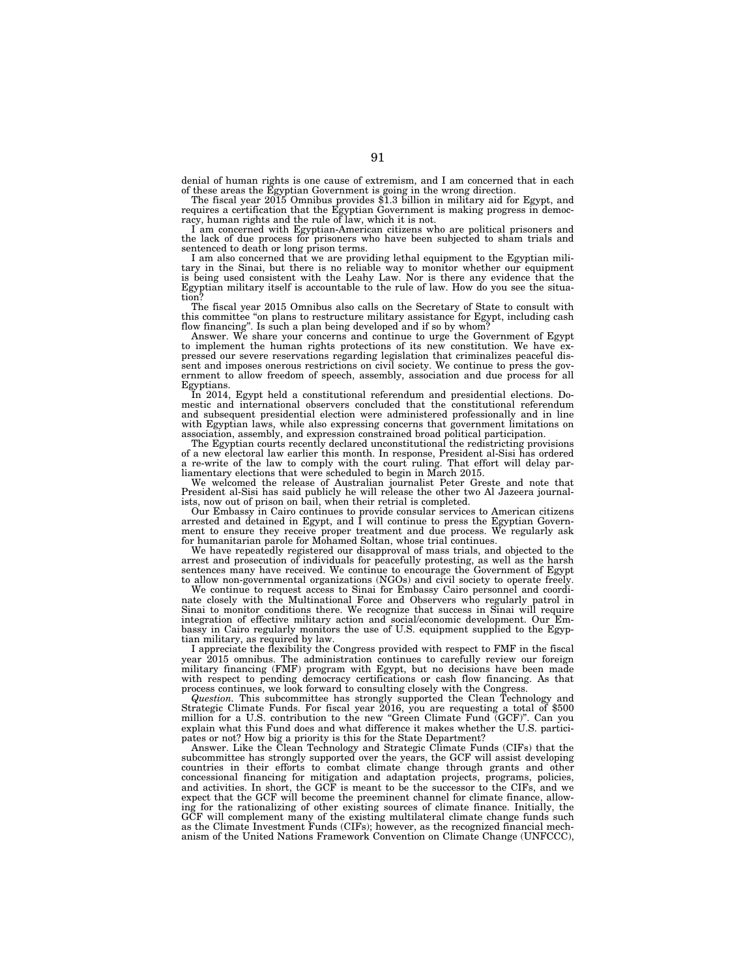denial of human rights is one cause of extremism, and I am concerned that in each of these areas the Egyptian Government is going in the wrong direction. The fiscal year 2015 Omnibus provides \$1.3 billion in military aid for Egypt, and

requires a certification that the Egyptian Government is making progress in democ-racy, human rights and the rule of law, which it is not.

I am concerned with Egyptian-American citizens who are political prisoners and the lack of due process for prisoners who have been subjected to sham trials and sentenced to death or long prison terms.

I am also concerned that we are providing lethal equipment to the Egyptian military in the Sinai, but there is no reliable way to monitor whether our equipment is being used consistent with the Leahy Law. Nor is there any evidence that the Egyptian military itself is accountable to the rule of law. How do you see the situation?

The fiscal year 2015 Omnibus also calls on the Secretary of State to consult with this committee "on plans to restructure military assistance for Egypt, including cash flow financing''. Is such a plan being developed and if so by whom? Answer. We share your concerns and continue to urge the Government of Egypt

to implement the human rights protections of its new constitution. We have ex-pressed our severe reservations regarding legislation that criminalizes peaceful dissent and imposes onerous restrictions on civil society. We continue to press the government to allow freedom of speech, assembly, association and due process for all Egyptians.

In 2014, Egypt held a constitutional referendum and presidential elections. Domestic and international observers concluded that the constitutional referendum and subsequent presidential election were administered professionally and in line with Egyptian laws, while also expressing concerns that government limitations on

association, assembly, and expression constrained broad political participation. The Egyptian courts recently declared unconstitutional the redistricting provisions of a new electoral law earlier this month. In response, President al-Sisi has ordered a re-write of the law to comply with the court ruling. That effort will delay par-liamentary elections that were scheduled to begin in March 2015.

We welcomed the release of Australian journalist Peter Greste and note that President al-Sisi has said publicly he will release the other two Al Jazeera journalists, now out of prison on bail, when their retrial is completed.

Our Embassy in Cairo continues to provide consular services to American citizens arrested and detained in Egypt, and I will continue to press the Egyptian Government to ensure they receive proper treatment and due process. We regularly ask for humanitarian parole for Mohamed Soltan, whose trial continues.

We have repeatedly registered our disapproval of mass trials, and objected to the arrest and prosecution of individuals for peacefully protesting, as well as the harsh sentences many have received. We continue to encourage the Government of Egypt to allow non-governmental organizations (NGOs) and civil society to operate freely.

We continue to request access to Sinai for Embassy Cairo personnel and coordinate closely with the Multinational Force and Observers who regularly patrol in Sinai to monitor conditions there. We recognize that success in Sinai will require integration of effective military action and social/economic development. Our Embassy in Cairo regularly monitors the use of U.S. equipment supplied to the Egyptian military, as required by law.

I appreciate the flexibility the Congress provided with respect to FMF in the fiscal year 2015 omnibus. The administration continues to carefully review our foreign military financing (FMF) program with Egypt, but no decisions have been made with respect to pending democracy certifications or cash flow financing. As that process continues, we look forward to consulting closely with the Congress.

*Question.* This subcommittee has strongly supported the Clean Technology and Strategic Climate Funds. For fiscal year 2016, you are requesting a total of \$500 million for a U.S. contribution to the new ''Green Climate Fund (GCF)''. Can you explain what this Fund does and what difference it makes whether the U.S. participates or not? How big a priority is this for the State Department?

Answer. Like the Clean Technology and Strategic Climate Funds (CIFs) that the subcommittee has strongly supported over the years, the GCF will assist developing countries in their efforts to combat climate change through grants and other concessional financing for mitigation and adaptation projects, programs, policies, and activities. In short, the GCF is meant to be the successor to the CIFs, and we expect that the GCF will become the preeminent channel for climate finance, allowing for the rationalizing of other existing sources of climate finance. Initially, the GCF will complement many of the existing multilateral climate change funds such as the Climate Investment Funds (CIFs); however, as the recognized financial mechanism of the United Nations Framework Convention on Climate Change (UNFCCC),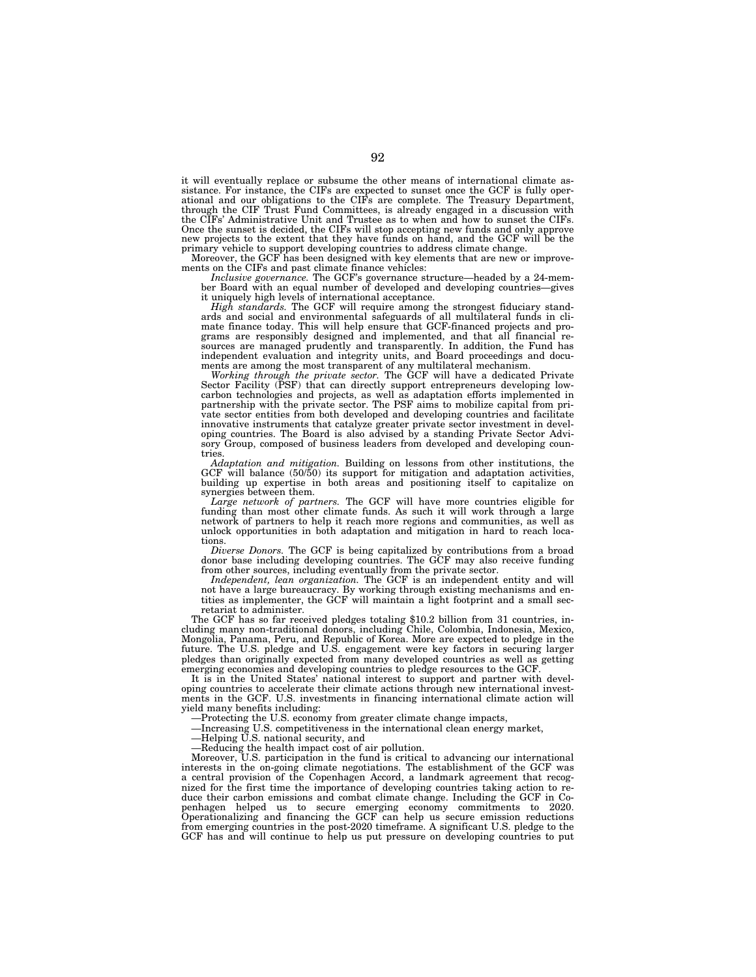it will eventually replace or subsume the other means of international climate assistance. For instance, the CIFs are expected to sunset once the GCF is fully operational and our obligations to the CIFs are complete. The T through the CIF Trust Fund Committees, is already engaged in a discussion with the CIFs' Administrative Unit and Trustee as to when and how to sunset the CIFs. Once the sunset is decided, the CIFs will stop accepting new funds and only approve new projects to the extent that they have funds on hand, and the GCF will be the primary vehicle to support developing countries to address climate change.

Moreover, the GCF has been designed with key elements that are new or improvements on the CIFs and past climate finance vehicles:

*Inclusive governance*. The GCF's governance structure—headed by a 24-member Board with an equal number of developed and developing countries—gives it uniquely high levels of international acceptance.

*High standards.* The GCF will require among the strongest fiduciary stand-ards and social and environmental safeguards of all multilateral funds in climate finance today. This will help ensure that GCF-financed projects and pro-grams are responsibly designed and implemented, and that all financial resources are managed prudently and transparently. In addition, the Fund has independent evaluation and integrity units, and Board proceedings and docu-

ments are among the most transparent of any multilateral mechanism. *Working through the private sector.* The GCF will have a dedicated Private Sector Facility (PSF) that can directly support entrepreneurs developing low-carbon technologies and projects, as well as adaptation efforts implemented in partnership with the private sector. The PSF aims to mobilize capital from pri-vate sector entities from both developed and developing countries and facilitate innovative instruments that catalyze greater private sector investment in devel-oping countries. The Board is also advised by a standing Private Sector Advisory Group, composed of business leaders from developed and developing countries.

*Adaptation and mitigation.* Building on lessons from other institutions, the GCF will balance (50/50) its support for mitigation and adaptation activities, building up expertise in both areas and positioning itself to capitalize on synergies between them.

Large network of partners. The GCF will have more countries eligible for funding than most other climate funds. As such it will work through a large network of partners to help it reach more regions and communities, as well as unlock opportunities in both adaptation and mitigation in hard to reach locations.

*Diverse Donors.* The GCF is being capitalized by contributions from a broad donor base including developing countries. The GCF may also receive funding from other sources, including eventually from the private sector.

*Independent, lean organization.* The GCF is an independent entity and will not have a large bureaucracy. By working through existing mechanisms and entities as implementer, the GCF will maintain a light footprint and a small secretariat to administer.

The GCF has so far received pledges totaling \$10.2 billion from 31 countries, including many non-traditional donors, including Chile, Colombia, Indonesia, Mexico, Mongolia, Panama, Peru, and Republic of Korea. More are expected to pledge in the future. The U.S. pledge and U.S. engagement were key factors in securing larger pledges than originally expected from many developed countries as well as getting emerging economies and developing countries to pledge resources to the GCF.

It is in the United States' national interest to support and partner with developing countries to accelerate their climate actions through new international investments in the GCF. U.S. investments in financing international climate action will yield many benefits including:

—Protecting the U.S. economy from greater climate change impacts,

—Increasing U.S. competitiveness in the international clean energy market,

—Helping U.S. national security, and

—Reducing the health impact cost of air pollution.

Moreover, U.S. participation in the fund is critical to advancing our international interests in the on-going climate negotiations. The establishment of the GCF was a central provision of the Copenhagen Accord, a landmark agreement that recognized for the first time the importance of developing countries taking action to reduce their carbon emissions and combat climate change. Including the GCF in Copenhagen helped us to secure emerging economy commitments to 2020. Operationalizing and financing the GCF can help us secure emission reductions from emerging countries in the post-2020 timeframe. A significant U.S. pledge to the GCF has and will continue to help us put pressure on developing countries to put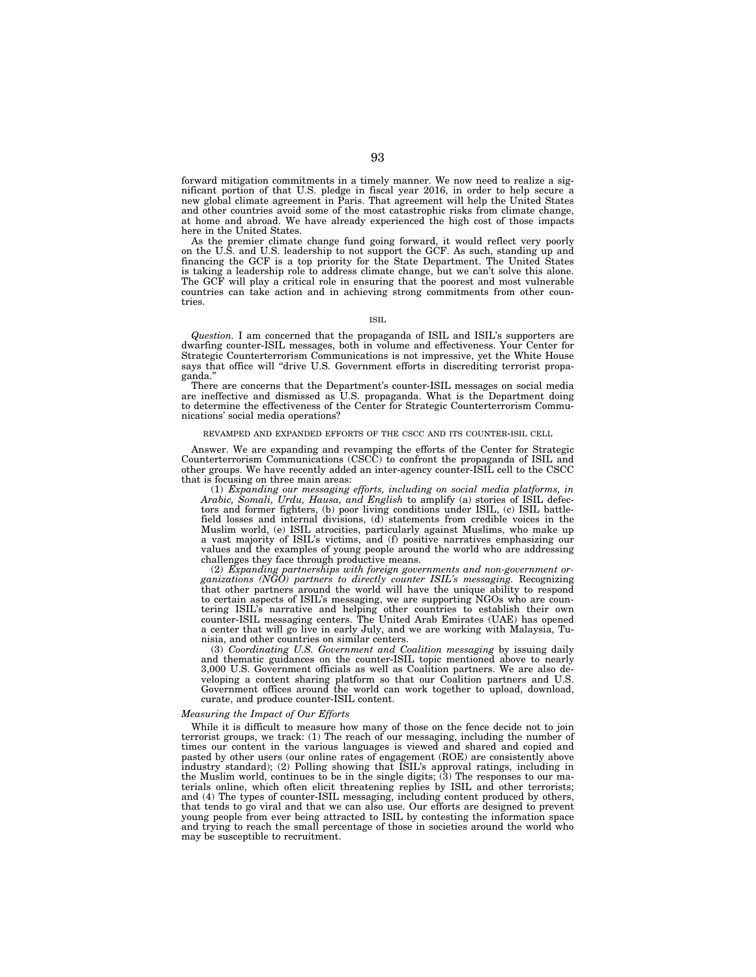forward mitigation commitments in a timely manner. We now need to realize a significant portion of that U.S. pledge in fiscal year 2016, in order to help secure a new global climate agreement in Paris. That agreement will help the United States and other countries avoid some of the most catastrophic risks from climate change, at home and abroad. We have already experienced the high cost of those impacts here in the United States.

As the premier climate change fund going forward, it would reflect very poorly on the U.S. and U.S. leadership to not support the GCF. As such, standing up and financing the GCF is a top priority for the State Department. The United States is taking a leadership role to address climate change, but we can't solve this alone. The GCF will play a critical role in ensuring that the poorest and most vulnerable countries can take action and in achieving strong commitments from other countries.

### ISIL

*Question.* I am concerned that the propaganda of ISIL and ISIL's supporters are dwarfing counter-ISIL messages, both in volume and effectiveness. Your Center for Strategic Counterterrorism Communications is not impressive, yet the White House says that office will ''drive U.S. Government efforts in discrediting terrorist propaganda.''

There are concerns that the Department's counter-ISIL messages on social media are ineffective and dismissed as U.S. propaganda. What is the Department doing to determine the effectiveness of the Center for Strategic Counterterrorism Communications' social media operations?

## REVAMPED AND EXPANDED EFFORTS OF THE CSCC AND ITS COUNTER-ISIL CELL

Answer. We are expanding and revamping the efforts of the Center for Strategic Counterterrorism Communications (CSCC) to confront the propaganda of ISIL and other groups. We have recently added an inter-agency counter-ISIL cell to the CSCC that is focusing on three main areas:

(1) *Expanding our messaging efforts, including on social media platforms, in Arabic, Somali, Urdu, Hausa, and English* to amplify (a) stories of ISIL defectors and former fighters, (b) poor living conditions under ISIL, (c) ISIL battlefield losses and internal divisions, (d) statements from credible voices in the Muslim world, (e) ISIL atrocities, particularly against Muslims, who make up a vast majority of ISIL's victims, and (f) positive narratives emphasizing our values and the examples of young people around the world who are addressing challenges they face through productive means.

(2) *Expanding partnerships with foreign governments and non-government organizations (NGO) partners to directly counter ISIL's messaging.* Recognizing that other partners around the world will have the unique ability to respond to certain aspects of ISIL's messaging, we are supporting NGOs who are countering ISIL's narrative and helping other countries to establish their own counter-ISIL messaging centers. The United Arab Emirates (UAE) has opened a center that will go live in early July, and we are working with Malaysia, Tunisia, and other countries on similar centers.

(3) *Coordinating U.S. Government and Coalition messaging* by issuing daily and thematic guidances on the counter-ISIL topic mentioned above to nearly 3,000 U.S. Government officials as well as Coalition partners. We are also developing a content sharing platform so that our Coalition partners and U.S. Government offices around the world can work together to upload, download, curate, and produce counter-ISIL content.

# *Measuring the Impact of Our Efforts*

While it is difficult to measure how many of those on the fence decide not to join terrorist groups, we track: (1) The reach of our messaging, including the number of times our content in the various languages is viewed and shared and copied and pasted by other users (our online rates of engagement (ROE) are consistently above industry standard); (2) Polling showing that ISIL's approval ratings, including in the Muslim world, continues to be in the single digits; (3) The responses to our materials online, which often elicit threatening replies by ISIL and other terrorists; and (4) The types of counter-ISIL messaging, including content produced by others, that tends to go viral and that we can also use. Our efforts are designed to prevent young people from ever being attracted to ISIL by contesting the information space and trying to reach the small percentage of those in societies around the world who may be susceptible to recruitment.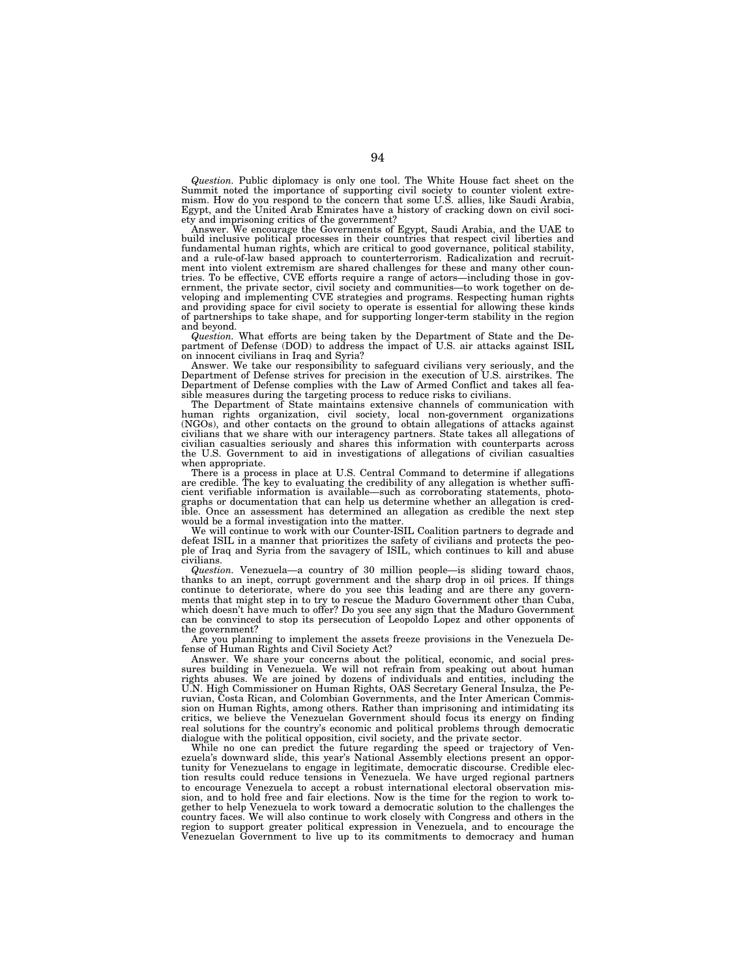*Question.* Public diplomacy is only one tool. The White House fact sheet on the Summit noted the importance of supporting civil society to counter violent extre-mism. How do you respond to the concern that some U.S. allies, like Saudi Arabia, Egypt, and the United Arab Emirates have a history of cracking down on civil society and imprisoning critics of the government?

Answer. We encourage the Governments of Egypt, Saudi Arabia, and the UAE to build inclusive political processes in their countries that respect civil liberties and fundamental human rights, which are critical to good governance, political stability, and a rule-of-law based approach to counterterrorism. Radicalization and recruitment into violent extremism are shared challenges for these and many other countries. To be effective, CVE efforts require a range of actors—including those in government, the private sector, civil society and communities—to work together on de-veloping and implementing CVE strategies and programs. Respecting human rights and providing space for civil society to operate is essential for allowing these kinds of partnerships to take shape, and for supporting longer-term stability in the region and beyond.

*Question.* What efforts are being taken by the Department of State and the Department of Defense (DOD) to address the impact of U.S. air attacks against ISIL on innocent civilians in Iraq and Syria?

Answer. We take our responsibility to safeguard civilians very seriously, and the Department of Defense strives for precision in the execution of U.S. airstrikes. The Department of Defense complies with the Law of Armed Conflict and takes all feasible measures during the targeting process to reduce risks to civilians.

The Department of State maintains extensive channels of communication with human rights organization, civil society, local non-government organizations (NGOs), and other contacts on the ground to obtain allegations of attacks against civilians that we share with our interagency partners. State takes all allegations of civilian casualties seriously and shares this information with counterparts across the U.S. Government to aid in investigations of allegations of civilian casualties when appropriate.

There is a process in place at U.S. Central Command to determine if allegations are credible. The key to evaluating the credibility of any allegation is whether sufficient verifiable information is available—such as corroborating statements, photographs or documentation that can help us determine whether an allegation is cred-ible. Once an assessment has determined an allegation as credible the next step would be a formal investigation into the matter.

We will continue to work with our Counter-ISIL Coalition partners to degrade and defeat ISIL in a manner that prioritizes the safety of civilians and protects the people of Iraq and Syria from the savagery of ISIL, which continues to kill and abuse civilians.

*Question.* Venezuela—a country of 30 million people—is sliding toward chaos, thanks to an inept, corrupt government and the sharp drop in oil prices. If things continue to deteriorate, where do you see this leading and are there any governments that might step in to try to rescue the Maduro Government other than Cuba, which doesn't have much to offer? Do you see any sign that the Maduro Government can be convinced to stop its persecution of Leopoldo Lopez and other opponents of the government?

Are you planning to implement the assets freeze provisions in the Venezuela Defense of Human Rights and Civil Society Act?

Answer. We share your concerns about the political, economic, and social pressures building in Venezuela. We will not refrain from speaking out about human rights abuses. We are joined by dozens of individuals and entities, including the U.N. High Commissioner on Human Rights, OAS Secretary General Insulza, the Peruvian, Costa Rican, and Colombian Governments, and the Inter American Commission on Human Rights, among others. Rather than imprisoning and intimidating its critics, we believe the Venezuelan Government should focus its energy on finding real solutions for the country's economic and political problems through democratic dialogue with the political opposition, civil society, and the private sector.

While no one can predict the future regarding the speed or trajectory of Venezuela's downward slide, this year's National Assembly elections present an opportunity for Venezuelans to engage in legitimate, democratic discourse. Credible election results could reduce tensions in Venezuela. We have urged regional partners to encourage Venezuela to accept a robust international electoral observation mission, and to hold free and fair elections. Now is the time for the region to work together to help Venezuela to work toward a democratic solution to the challenges the country faces. We will also continue to work closely with Congress and others in the region to support greater political expression in Venezuela, and to encourage the Venezuelan Government to live up to its commitments to democracy and human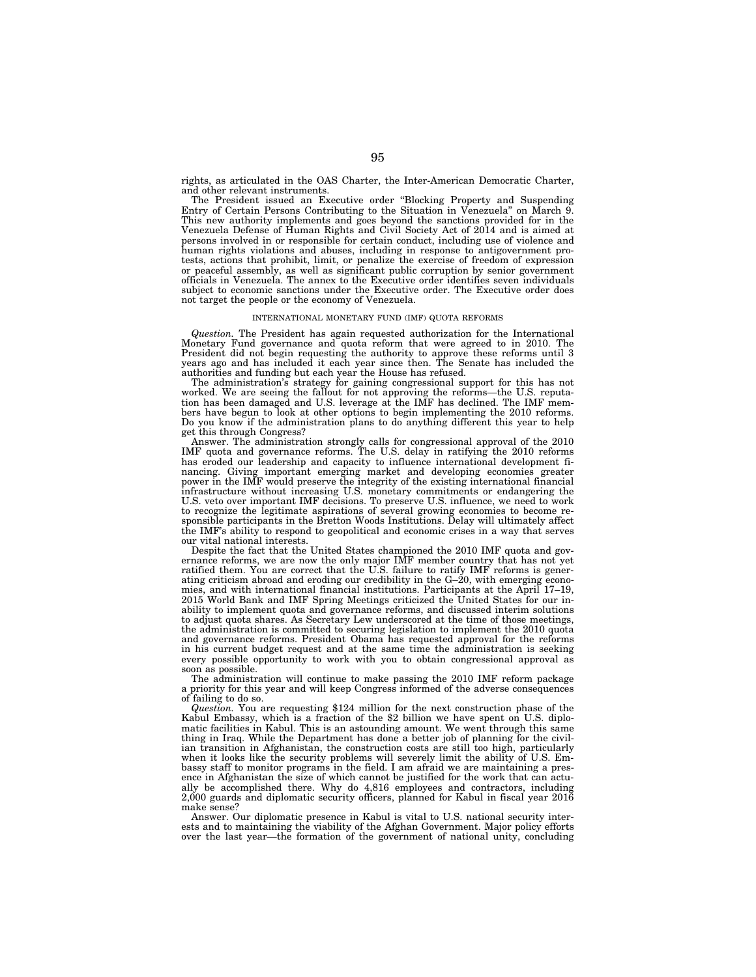rights, as articulated in the OAS Charter, the Inter-American Democratic Charter, and other relevant instruments.

The President issued an Executive order ''Blocking Property and Suspending Entry of Certain Persons Contributing to the Situation in Venezuela'' on March 9. This new authority implements and goes beyond the sanctions provided for in the Venezuela Defense of Human Rights and Civil Society Act of 2014 and is aimed at persons involved in or responsible for certain conduct, including use of violence and human rights violations and abuses, including in response to antigovernment protests, actions that prohibit, limit, or penalize the exercise of freedom of expression or peaceful assembly, as well as significant public corruption by senior government officials in Venezuela. The annex to the Executive order identifies seven individuals subject to economic sanctions under the Executive order. The Executive order does not target the people or the economy of Venezuela.

## INTERNATIONAL MONETARY FUND (IMF) QUOTA REFORMS

*Question.* The President has again requested authorization for the International Monetary Fund governance and quota reform that were agreed to in 2010. The President did not begin requesting the authority to approve these reforms until 3 years ago and has included it each year since then. The Senate has included the authorities and funding but each year the House has refused.

The administration's strategy for gaining congressional support for this has not worked. We are seeing the fallout for not approving the reforms—the U.S. reputation has been damaged and U.S. leverage at the IMF has declined. The IMF members have begun to look at other options to begin implementing the 2010 reforms. Do you know if the administration plans to do anything different this year to help get this through Congress?

Answer. The administration strongly calls for congressional approval of the 2010 IMF quota and governance reforms. The U.S. delay in ratifying the 2010 reforms has eroded our leadership and capacity to influence international development financing. Giving important emerging market and developing economies greater power in the IMF would preserve the integrity of the existing international financial infrastructure without increasing U.S. monetary commitments or endangering the U.S. veto over important IMF decisions. To preserve U.S. influence, we need to work to recognize the legitimate aspirations of several growing economies to become responsible participants in the Bretton Woods Institutions. Delay will ultimately affect the IMF's ability to respond to geopolitical and economic crises in a way that serves our vital national interests.

Despite the fact that the United States championed the 2010 IMF quota and governance reforms, we are now the only major IMF member country that has not yet ratified them. You are correct that the U.S. failure to ratify IMF reforms is generating criticism abroad and eroding our credibility in the  $G-20$ , with emerging economies, and with international financial institutions. Participants at the April 17–19, 2015 World Bank and IMF Spring Meetings criticized the United States for our inability to implement quota and governance reforms, and discussed interim solutions to adjust quota shares. As Secretary Lew underscored at the time of those meetings, the administration is committed to securing legislation to implement the 2010 quota and governance reforms. President Obama has requested approval for the reforms in his current budget request and at the same time the administration is seeking every possible opportunity to work with you to obtain congressional approval as soon as possible.

The administration will continue to make passing the 2010 IMF reform package a priority for this year and will keep Congress informed of the adverse consequences of failing to do so.

*Question.* You are requesting \$124 million for the next construction phase of the Kabul Embassy, which is a fraction of the \$2 billion we have spent on U.S. diplomatic facilities in Kabul. This is an astounding amount. We went through this same thing in Iraq. While the Department has done a better job of planning for the civilian transition in Afghanistan, the construction costs are still too high, particularly when it looks like the security problems will severely limit the ability of U.S. Embassy staff to monitor programs in the field. I am afraid we are maintaining a presence in Afghanistan the size of which cannot be justified for the work that can actually be accomplished there. Why do 4,816 employees and contractors, including 2,000 guards and diplomatic security officers, planned for Kabul in fiscal year 2016 make sense?

Answer. Our diplomatic presence in Kabul is vital to U.S. national security interests and to maintaining the viability of the Afghan Government. Major policy efforts over the last year—the formation of the government of national unity, concluding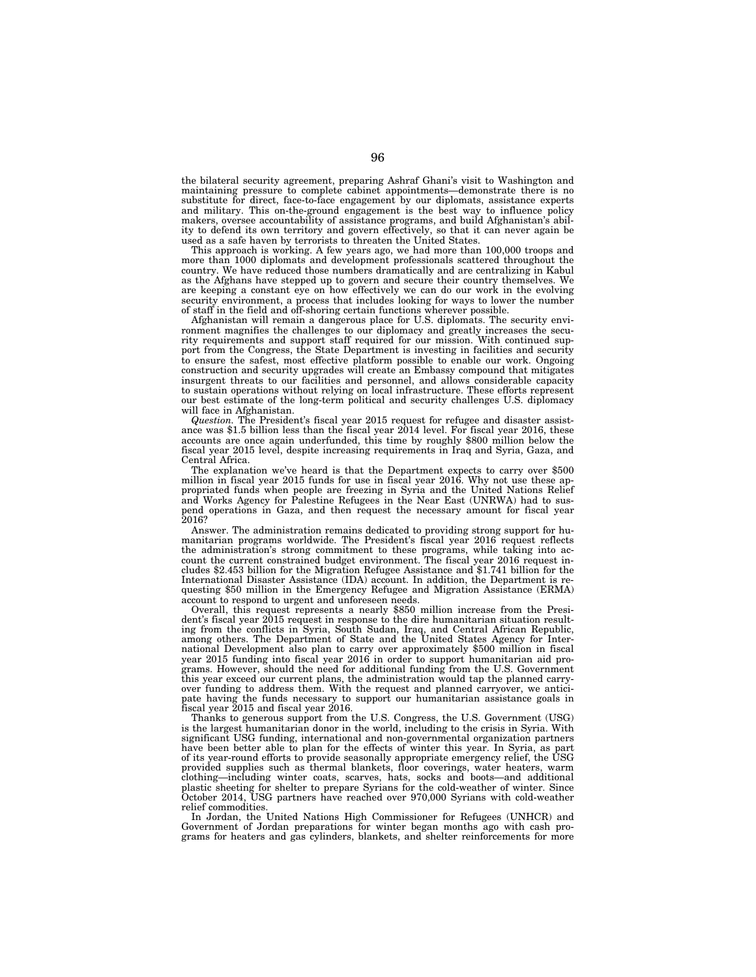the bilateral security agreement, preparing Ashraf Ghani's visit to Washington and maintaining pressure to complete cabinet appointments—demonstrate there is no substitute for direct, face-to-face engagement by our diplomats, assistance experts and military. This on-the-ground engagement is the best way to influence policy makers, oversee accountability of assistance programs, and build Afghanistan's ability to defend its own territory and govern effectively, so that it can never again be used as a safe haven by terrorists to threaten the United States.

This approach is working. A few years ago, we had more than 100,000 troops and more than 1000 diplomats and development professionals scattered throughout the country. We have reduced those numbers dramatically and are centralizing in Kabul as the Afghans have stepped up to govern and secure their country themselves. We are keeping a constant eye on how effectively we can do our work in the evolving security environment, a process that includes looking for ways to lower the number of staff in the field and off-shoring certain functions wherever possible.

Afghanistan will remain a dangerous place for U.S. diplomats. The security environment magnifies the challenges to our diplomacy and greatly increases the security requirements and support staff required for our mission. With continued support from the Congress, the State Department is investing in facilities and security to ensure the safest, most effective platform possible to enable our work. Ongoing construction and security upgrades will create an Embassy compound that mitigates insurgent threats to our facilities and personnel, and allows considerable capacity to sustain operations without relying on local infrastructure. These efforts represent our best estimate of the long-term political and security challenges U.S. diplomacy will face in Afghanistan.

*Question.* The President's fiscal year 2015 request for refugee and disaster assistance was \$1.5 billion less than the fiscal year 2014 level. For fiscal year 2016, these accounts are once again underfunded, this time by roughly \$800 million below the fiscal year 2015 level, despite increasing requirements in Iraq and Syria, Gaza, and Central Africa.

The explanation we've heard is that the Department expects to carry over \$500 million in fiscal year 2015 funds for use in fiscal year 2016. Why not use these appropriated funds when people are freezing in Syria and the United Nations Relief and Works Agency for Palestine Refugees in the Near East (UNRWA) had to suspend operations in Gaza, and then request the necessary amount for fiscal year 2016?

Answer. The administration remains dedicated to providing strong support for humanitarian programs worldwide. The President's fiscal year 2016 request reflects the administration's strong commitment to these programs, while taking into account the current constrained budget environment. The fiscal year 2016 request includes \$2.453 billion for the Migration Refugee Assistance and \$1.741 billion for the International Disaster Assistance (IDA) account. In addition, the Department is requesting \$50 million in the Emergency Refugee and Migration Assistance (ERMA) account to respond to urgent and unforeseen needs.

Overall, this request represents a nearly \$850 million increase from the President's fiscal year 2015 request in response to the dire humanitarian situation resulting from the conflicts in Syria, South Sudan, Iraq, and Central African Republic, among others. The Department of State and the United States Agency for International Development also plan to carry over approximately \$500 million in fiscal year 2015 funding into fiscal year 2016 in order to support humanitarian aid programs. However, should the need for additional funding from the U.S. Government this year exceed our current plans, the administration would tap the planned carryover funding to address them. With the request and planned carryover, we anticipate having the funds necessary to support our humanitarian assistance goals in fiscal year 2015 and fiscal year 2016.

Thanks to generous support from the U.S. Congress, the U.S. Government (USG) is the largest humanitarian donor in the world, including to the crisis in Syria. With significant USG funding, international and non-governmental organization partners have been better able to plan for the effects of winter this year. In Syria, as part of its year-round efforts to provide seasonally appropriate emergency relief, the USG provided supplies such as thermal blankets, floor coverings, water heaters, warm clothing—including winter coats, scarves, hats, socks and boots—and additional plastic sheeting for shelter to prepare Syrians for the cold-weather of winter. Since October 2014, USG partners have reached over 970,000 Syrians with cold-weather relief commodities.

In Jordan, the United Nations High Commissioner for Refugees (UNHCR) and Government of Jordan preparations for winter began months ago with cash programs for heaters and gas cylinders, blankets, and shelter reinforcements for more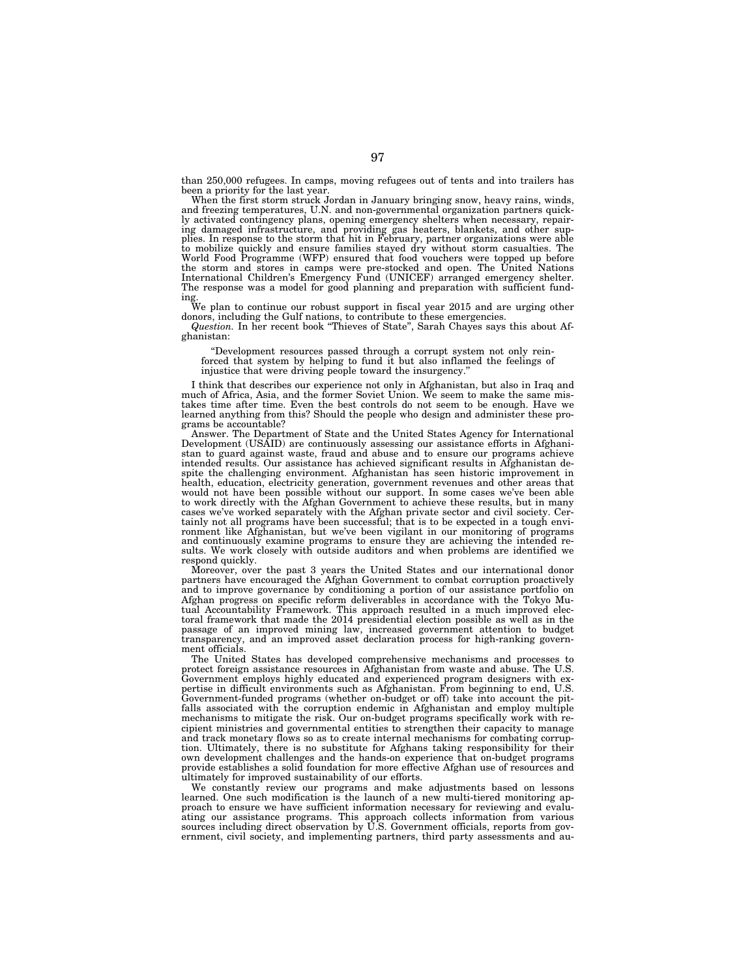than 250,000 refugees. In camps, moving refugees out of tents and into trailers has been a priority for the last year. When the first storm struck Jordan in January bringing snow, heavy rains, winds,

and freezing temperatures, U.N. and non-governmental organization partners quickly activated contingency plans, opening emergency shelters when necessary, repairing damaged infrastructure, and providing gas heaters, blankets, and other sup-<br>plies. In response to the storm that hit in February, partner the storm and stores in camps were pre-stocked and open. The United Nations International Children's Emergency Fund (UNICEF) arranged emergency shelter. The response was a model for good planning and preparation with sufficient fund-

ing. We plan to continue our robust support in fiscal year 2015 and are urging other donors, including the Gulf nations, to contribute to these emergencies.

*Question.* In her recent book ''Thieves of State'', Sarah Chayes says this about Afghanistan:

''Development resources passed through a corrupt system not only reinforced that system by helping to fund it but also inflamed the feelings of injustice that were driving people toward the insurgency.

I think that describes our experience not only in Afghanistan, but also in Iraq and much of Africa, Asia, and the former Soviet Union. We seem to make the same mistakes time after time. Even the best controls do not seem to be enough. Have we learned anything from this? Should the people who design and administer these programs be accountable?

Answer. The Department of State and the United States Agency for International Development (USAID) are continuously assessing our assistance efforts in Afghani-stan to guard against waste, fraud and abuse and to ensure our programs achieve intended results. Our assistance has achieved significant results in Afghanistan despite the challenging environment. Afghanistan has seen historic improvement in health, education, electricity generation, government revenues and other areas that would not have been possible without our support. In some cases we've worked separately with the Afghan private sector and civil society. Certainly not all programs have been successful; that is to be expected in a tough environment like Afghanistan, but we've been vigilant in our monitoring of programs and continuously examine programs to ensure they are achieving the intended re-sults. We work closely with outside auditors and when problems are identified we respond quickly.

Moreover, over the past 3 years the United States and our international donor partners have encouraged the Afghan Government to combat corruption proactively and to improve governance by conditioning a portion of our assistance portfolio on Afghan progress on specific reform deliverables in accordance with the Tokyo Mutual Accountability Framework. This approach resulted in a much improved electoral framework that made the 2014 presidential election possible as well as in the passage of an improved mining law, increased government attention to budget transparency, and an improved asset declaration process for high-ranking government officials.

The United States has developed comprehensive mechanisms and processes to protect foreign assistance resources in Afghanistan from waste and abuse. The U.S. Government employs highly educated and experienced program designers with expertise in difficult environments such as Afghanistan. From beginning to end, U.S. Government-funded programs (whether on-budget or off) take into account the pitfalls associated with the corruption endemic in Afghanistan and employ multiple mechanisms to mitigate the risk. Our on-budget programs specifically work with recipient ministries and governmental entities to strengthen their capacity to manage and track monetary flows so as to create internal mechanisms for combating corruption. Ultimately, there is no substitute for Afghans taking responsibility for their own development challenges and the hands-on experience that on-budget programs provide establishes a solid foundation for more effective Afghan use of resources and ultimately for improved sustainability of our efforts.

We constantly review our programs and make adjustments based on lessons learned. One such modification is the launch of a new multi-tiered monitoring approach to ensure we have sufficient information necessary for reviewing and evaluating our assistance programs. This approach collects information from various sources including direct observation by U.S. Government officials, reports from government, civil society, and implementing partners, third party assessments and au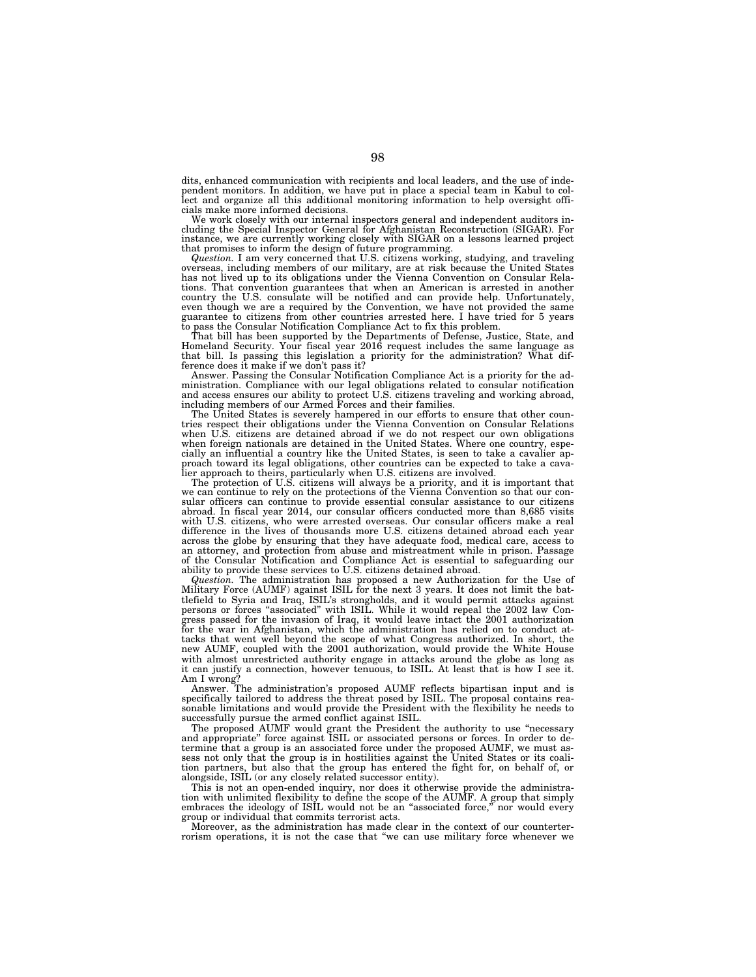dits, enhanced communication with recipients and local leaders, and the use of independent monitors. In addition, we have put in place a special team in Kabul to collect and organize all this additional monitoring information to help oversight officials make more informed decisions.

We work closely with our internal inspectors general and independent auditors including the Special Inspector General for Afghanistan Reconstruction (SIGAR). For instance, we are currently working closely with SIGAR on a lessons learned project that promises to inform the design of future programming.

*Question.* I am very concerned that U.S. citizens working, studying, and traveling overseas, including members of our military, are at risk because the United States has not lived up to its obligations under the Vienna Convention on Consular Relations. That convention guarantees that when an American is arrested in another country the U.S. consulate will be notified and can provide help. Unfortunately, even though we are a required by the Convention, we have not provided the same guarantee to citizens from other countries arrested here. I have tried for 5 years

to pass the Consular Notification Compliance Act to fix this problem. That bill has been supported by the Departments of Defense, Justice, State, and Homeland Security. Your fiscal year 2016 request includes the same language as that bill. Is passing this legislation a priority for the administration? What dif-

ference does it make if we don't pass it? Answer. Passing the Consular Notification Compliance Act is a priority for the administration. Compliance with our legal obligations related to consular notification<br>and access ensures our ability to protect U.S. citizens traveling and working abroad,<br>including members of our Armed Forces and their fam

The United States is severely hampered in our efforts to ensure that other countries respect their obligations under the Vienna Convention on Consular Relations<br>when U.S. citizens are detained abroad if we do not respect our own obligations<br>when foreign nationals are detained in the United States. Wh cially an influential a country like the United States, is seen to take a cavalier approach toward its legal obligations, other countries can be expected to take a cava-<br>lier approach to theirs, particularly when U.S. citizens are involved.<br>The protection of U.S. citizens will always be a priority, and it

we can continue to rely on the protections of the Vienna Convention so that our consular officers can continue to provide essential consular assistance to our citizens abroad. In fiscal year 2014, our consular officers conducted more than 8,685 visits with U.S. citizens, who were arrested overseas. Our consular officers make a real difference in the lives of thousands more U.S. citizens detained abroad each year across the globe by ensuring that they have adequate food, medical care, access to an attorney, and protection from abuse and mistreatment while in prison. Passage of the Consular Notification and Compliance Act is essential to safeguarding our ability to provide these services to U.S. citizens detained abroad.

*Question.* The administration has proposed a new Authorization for the Use of Military Force (AUMF) against ISIL for the next 3 years. It does not limit the battlefield to Syria and Iraq, ISIL's strongholds, and it would permit attacks against persons or forces ''associated'' with ISIL. While it would repeal the 2002 law Congress passed for the invasion of Iraq, it would leave intact the 2001 authorization for the war in Afghanistan, which the administration has relied on to conduct attacks that went well beyond the scope of what Congress authorized. In short, the new AUMF, coupled with the 2001 authorization, would provide the White House with almost unrestricted authority engage in attacks around the globe as long as it can justify a connection, however tenuous, to ISIL. At least that is how I see it. Am I wrong?

Answer. The administration's proposed AUMF reflects bipartisan input and is specifically tailored to address the threat posed by ISIL. The proposal contains reasonable limitations and would provide the President with the flexibility he needs to successfully pursue the armed conflict against ISIL.

The proposed AUMF would grant the President the authority to use ''necessary and appropriate'' force against ISIL or associated persons or forces. In order to determine that a group is an associated force under the proposed AUMF, we must assess not only that the group is in hostilities against the United States or its coalition partners, but also that the group has entered the fight for, on behalf of, or alongside, ISIL (or any closely related successor entity).

This is not an open-ended inquiry, nor does it otherwise provide the administration with unlimited flexibility to define the scope of the AUMF. A group that simply embraces the ideology of ISIL would not be an "associated force," nor would every group or individual that commits terrorist acts.

Moreover, as the administration has made clear in the context of our counterterrorism operations, it is not the case that ''we can use military force whenever we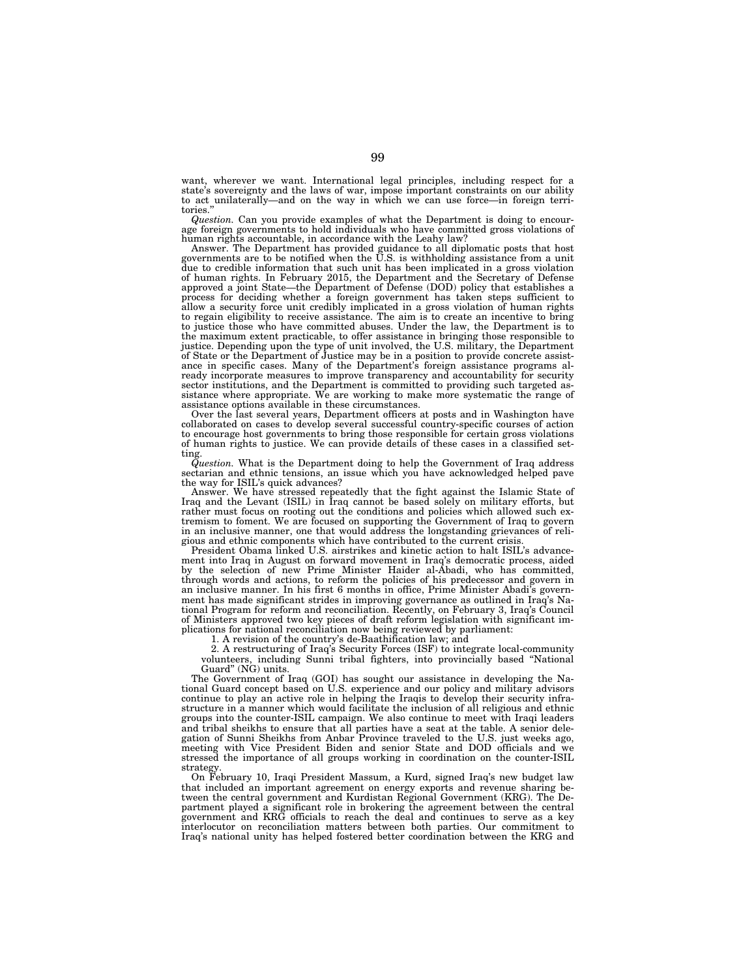want, wherever we want. International legal principles, including respect for a state's sovereignty and the laws of war, impose important constraints on our ability to act unilaterally—and on the way in which we can use force—in foreign territories.''

*Question.* Can you provide examples of what the Department is doing to encourage foreign governments to hold individuals who have committed gross violations of human rights accountable, in accordance with the Leahy law?

Answer. The Department has provided guidance to all diplomatic posts that host governments are to be notified when the U.S. is withholding assistance from a unit governments are to be nothing when the C.C. is wednesdeed in a gross violation<br>due to credible information that such unit has been implicated in a gross violation of human rights. In February 2015, the Department and the Secretary of Defense approved a joint State—the Department of Defense (DOD) policy that establishes a process for deciding whether a foreign government has taken steps sufficient to allow a security force unit credibly implicated in a gross violation of human rights to regain eligibility to receive assistance. The aim is to create an incentive to bring to justice those who have committed abuses. Under the law, the Department is to the maximum extent practicable, to offer assistance in bringing those responsible to justice. Depending upon the type of unit involved, the U.S. military, the Department of State or the Department of Justice may be in a position to provide concrete assistance in specific cases. Many of the Department's foreign assistance programs al-ready incorporate measures to improve transparency and accountability for security sector institutions, and the Department is committed to providing such targeted as-sistance where appropriate. We are working to make more systematic the range of assistance options available in these circumstances.

Over the last several years, Department officers at posts and in Washington have collaborated on cases to develop several successful country-specific courses of action to encourage host governments to bring those responsible for certain gross violations of human rights to justice. We can provide details of these cases in a classified setting.

*Question.* What is the Department doing to help the Government of Iraq address sectarian and ethnic tensions, an issue which you have acknowledged helped pave the way for ISIL's quick advances?

Answer. We have stressed repeatedly that the fight against the Islamic State of Iraq and the Levant (ISIL) in Iraq cannot be based solely on military efforts, but rather must focus on rooting out the conditions and policie tremism to foment. We are focused on supporting the Government of Iraq to govern in an inclusive manner, one that would address the longstanding grievances of religious and ethnic components which have contributed to the current crisis.

President Obama linked U.S. airstrikes and kinetic action to halt ISIL's advancement into Iraq in August on forward movement in Iraq's democratic process, aided by the selection of new Prime Minister Haider al-Abadi, who has committed, through words and actions, to reform the policies of his predecessor and govern in an inclusive manner. In his first 6 months in office, Prime Minister Abadi's government has made significant strides in improving governance as outlined in Iraq's National Program for reform and reconciliation. Recently, on February 3, Iraq's Council of Ministers approved two key pieces of draft reform legislation with significant implications for national reconciliation now being reviewed by parliament:

1. A revision of the country's de-Baathification law; and

2. A restructuring of Iraq's Security Forces (ISF) to integrate local-community volunteers, including Sunni tribal fighters, into provincially based ''National Guard" (NG) units.

The Government of Iraq (GOI) has sought our assistance in developing the National Guard concept based on U.S. experience and our policy and military advisors continue to play an active role in helping the Iraqis to develop their security infrastructure in a manner which would facilitate the inclusion of all religious and ethnic groups into the counter-ISIL campaign. We also continue to meet with Iraqi leaders and tribal sheikhs to ensure that all parties have a seat at the table. A senior delegation of Sunni Sheikhs from Anbar Province traveled to the U.S. just weeks ago, meeting with Vice President Biden and senior State and DOD officials and we stressed the importance of all groups working in coordination on the counter-ISIL strategy.

On February 10, Iraqi President Massum, a Kurd, signed Iraq's new budget law that included an important agreement on energy exports and revenue sharing between the central government and Kurdistan Regional Government (KRG). The Department played a significant role in brokering the agreement between the central government and KRG officials to reach the deal and continues to serve as a key interlocutor on reconciliation matters between both parties. Our commitment to Iraq's national unity has helped fostered better coordination between the KRG and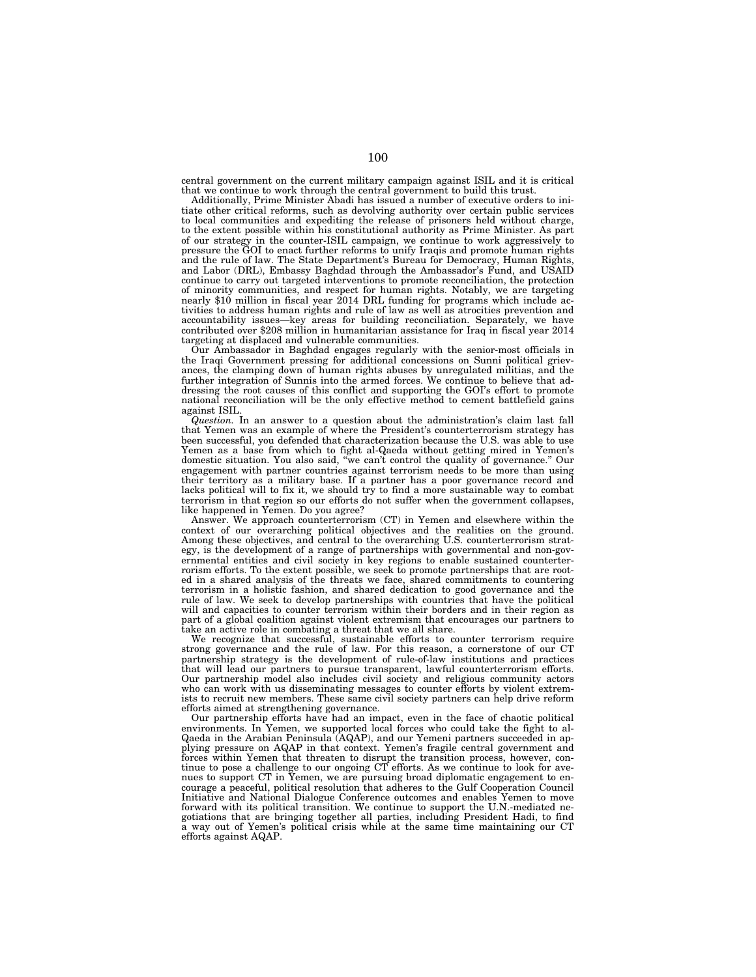central government on the current military campaign against ISIL and it is critical that we continue to work through the central government to build this trust.

Additionally, Prime Minister Abadi has issued a number of executive orders to initiate other critical reforms, such as devolving authority over certain public services to local communities and expediting the release of prisoners held without charge, to the extent possible within his constitutional authority as Prime Minister. As part of our strategy in the counter-ISIL campaign, we continue to work aggressively to pressure the GOI to enact further reforms to unify Iraqis and promote human rights and the rule of law. The State Department's Bureau for Democracy, Human Rights, and Labor (DRL), Embassy Baghdad through the Ambassador's Fund, and USAID continue to carry out targeted interventions to promote reconciliation, the protection of minority communities, and respect for human rights. Notably, we are targeting nearly \$10 million in fiscal year 2014 DRL funding for programs which include activities to address human rights and rule of law as well as atrocities prevention and accountability issues—key areas for building reconciliation. Separately, we have contributed over \$208 million in humanitarian assistance for Iraq in fiscal year 2014 targeting at displaced and vulnerable communities.

Our Ambassador in Baghdad engages regularly with the senior-most officials in the Iraqi Government pressing for additional concessions on Sunni political grievances, the clamping down of human rights abuses by unregulated militias, and the further integration of Sunnis into the armed forces. We continue to believe that addressing the root causes of this conflict and supporting the GOI's effort to promote national reconciliation will be the only effective method to cement battlefield gains against ISIL.

*Question.* In an answer to a question about the administration's claim last fall that Yemen was an example of where the President's counterterrorism strategy has been successful, you defended that characterization because the U.S. was able to use Yemen as a base from which to fight al-Qaeda without getting mired in Yemen's domestic situation. You also said, ''we can't control the quality of governance.'' Our engagement with partner countries against terrorism needs to be more than using their territory as a military base. If a partner has a poor governance record and lacks political will to fix it, we should try to find a more sustainable way to combat terrorism in that region so our efforts do not suffer when the government collapses, like happened in Yemen. Do you agree?

Answer. We approach counterterrorism (CT) in Yemen and elsewhere within the context of our overarching political objectives and the realities on the ground. Among these objectives, and central to the overarching U.S. counterterrorism strategy, is the development of a range of partnerships with governmental and non-governmental entities and civil society in key regions to enable sustained counterterrorism efforts. To the extent possible, we seek to promote partnerships that are rooted in a shared analysis of the threats we face, shared commitments to countering terrorism in a holistic fashion, and shared dedication to good governance and the rule of law. We seek to develop partnerships with countries that have the political will and capacities to counter terrorism within their borders and in their region as part of a global coalition against violent extremism that encourages our partners to take an active role in combating a threat that we all share.

We recognize that successful, sustainable efforts to counter terrorism require strong governance and the rule of law. For this reason, a cornerstone of our CT partnership strategy is the development of rule-of-law institutions and practices that will lead our partners to pursue transparent, lawful counterterrorism efforts. Our partnership model also includes civil society and religious community actors who can work with us disseminating messages to counter efforts by violent extremists to recruit new members. These same civil society partners can help drive reform efforts aimed at strengthening governance.

Our partnership efforts have had an impact, even in the face of chaotic political environments. In Yemen, we supported local forces who could take the fight to al-Qaeda in the Arabian Peninsula (AQAP), and our Yemeni partners succeeded in applying pressure on AQAP in that context. Yemen's fragile central government and forces within Yemen that threaten to disrupt the transition process, however, continue to pose a challenge to our ongoing CT efforts. As we continue to look for avenues to support CT in Yemen, we are pursuing broad diplomatic engagement to encourage a peaceful, political resolution that adheres to the Gulf Cooperation Council Initiative and National Dialogue Conference outcomes and enables Yemen to move forward with its political transition. We continue to support the U.N.-mediated negotiations that are bringing together all parties, including President Hadi, to find a way out of Yemen's political crisis while at the same time maintaining our CT efforts against AQAP.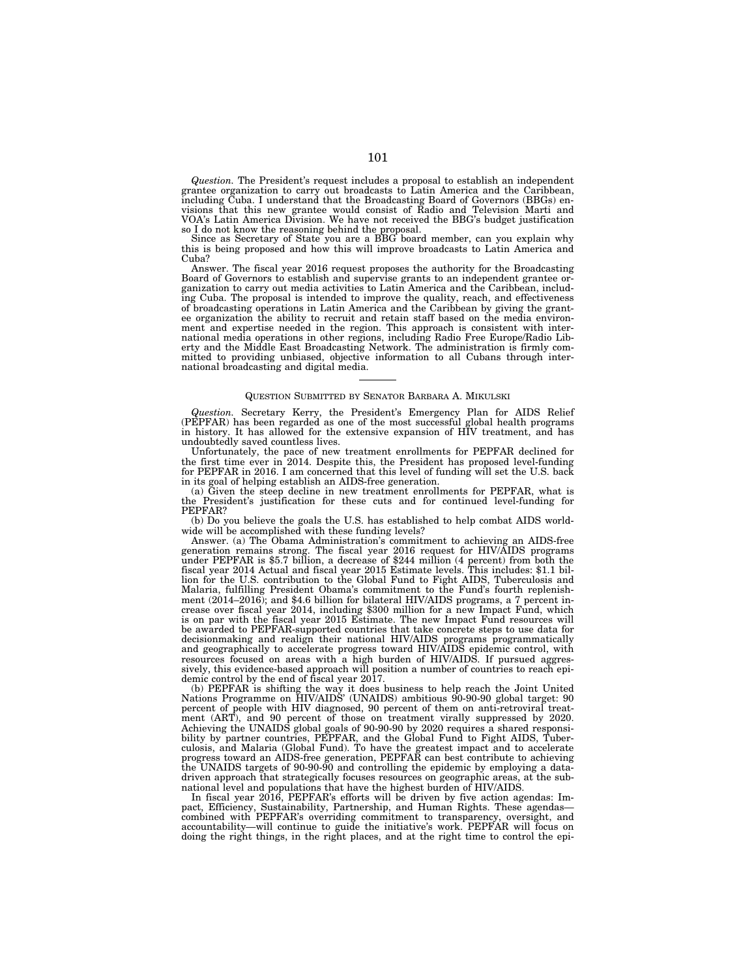*Question.* The President's request includes a proposal to establish an independent grantee organization to carry out broadcasts to Latin America and the Caribbean,<br>including Cuba. I understand that the Broadcasting Board of Governors (BBGs) en-<br>visions that this new grantee would consist of Radio and Tel so I do not know the reasoning behind the proposal.

Since as Secretary of State you are a BBG board member, can you explain why this is being proposed and how this will improve broadcasts to Latin America and Cuba?

Answer. The fiscal year 2016 request proposes the authority for the Broadcasting Board of Governors to establish and supervise grants to an independent grantee organization to carry out media activities to Latin America and the Caribbean, including Cuba. The proposal is intended to improve the quality, reach, and effectiveness of broadcasting operations in Latin America and the Caribbean by giving the grantee organization the ability to recruit and retain staff based on the media environment and expertise needed in the region. This approach is consistent with international media operations in other regions, including Radio Free Europe/Radio Liberty and the Middle East Broadcasting Network. The administration is firmly committed to providing unbiased, objective information to all Cubans through international broadcasting and digital media.

#### QUESTION SUBMITTED BY SENATOR BARBARA A. MIKULSKI

*Question.* Secretary Kerry, the President's Emergency Plan for AIDS Relief (PEPFAR) has been regarded as one of the most successful global health programs in history. It has allowed for the extensive expansion of HIV treatment, and has undoubtedly saved countless lives.

Unfortunately, the pace of new treatment enrollments for PEPFAR declined for the first time ever in 2014. Despite this, the President has proposed level-funding for PEPFAR in 2016. I am concerned that this level of funding will set the U.S. back in its goal of helping establish an AIDS-free generation.

(a) Given the steep decline in new treatment enrollments for PEPFAR, what is President's justification for these cuts and for continued level-funding for PEPFAR?

(b) Do you believe the goals the U.S. has established to help combat AIDS worldwide will be accomplished with these funding levels?

Answer. (a) The Obama Administration's commitment to achieving an AIDS-free generation remains strong. The fiscal year 2016 request for HIV/AIDS programs under PEPFAR is \$5.7 billion, a decrease of \$244 million (4 percent) from both the fiscal year 2014 Actual and fiscal year 2015 Estimate levels. This includes: \$1.1 billion for the U.S. contribution to the Global Fund to Fight AIDS, Tuberculosis and Malaria, fulfilling President Obama's commitment to the Fund's fourth replenishment (2014–2016); and \$4.6 billion for bilateral HIV/AIDS programs, a 7 percent increase over fiscal year 2014, including \$300 million for a new Impact Fund, which is on par with the fiscal year 2015 Estimate. The new Impact Fund resources will be awarded to PEPFAR-supported countries that take concrete steps to use data for decisionmaking and realign their national HIV/AIDS programs programmatically and geographically to accelerate progress toward HIV/AIDS epidemic control, with resources focused on areas with a high burden of HIV/AIDS. If pursued aggressively, this evidence-based approach will position a number of countries to reach epidemic control by the end of fiscal year 2017.

(b) PEPFAR is shifting the way it does business to help reach the Joint United Nations Programme on HIV/AIDS' (UNAIDS) ambitious 90-90-90 global target: 90 percent of people with HIV diagnosed, 90 percent of them on anti-retroviral treatment (ART), and 90 percent of those on treatment virally suppressed by 2020. Achieving the UNAIDS global goals of 90-90-90 by 2020 requires a shared responsibility by partner countries, PEPFAR, and the Global Fund to Fight AIDS, Tuberculosis, and Malaria (Global Fund). To have the greatest impact and to accelerate progress toward an AIDS-free generation, PEPFAR can best contribute to achieving the UNAIDS targets of 90-90-90 and controlling the epidemic by employing a datadriven approach that strategically focuses resources on geographic areas, at the subnational level and populations that have the highest burden of HIV/AIDS.

In fiscal year 2016, PEPFAR's efforts will be driven by five action agendas: Impact, Efficiency, Sustainability, Partnership, and Human Rights. These agendascombined with PEPFAR's overriding commitment to transparency, oversight, and accountability—will continue to guide the initiative's work. PEPFAR will focus on doing the right things, in the right places, and at the right time to control the epi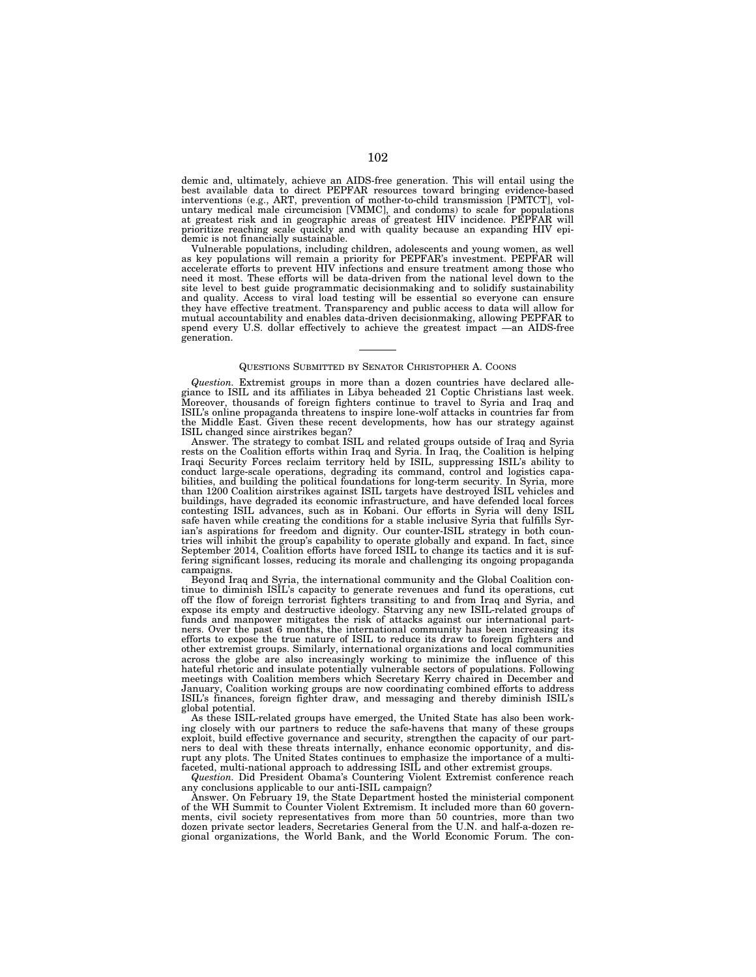demic and, ultimately, achieve an AIDS-free generation. This will entail using the best available data to direct PEPFAR resources toward bringing evidence-based interventions (e.g., ART, prevention of mother-to-child trans prioritize reaching scale quickly and with quality because an expanding HIV epidemic is not financially sustainable.

Vulnerable populations, including children, adolescents and young women, as well as key populations will remain a priority for PEPFAR's investment. PEPFAR will accelerate efforts to prevent HIV infections and ensure treatment among those who need it most. These efforts will be data-driven from the national level down to the site level to best guide programmatic decisionmaking and to solidify sustainability and quality. Access to viral load testing will be essential so everyone can ensure they have effective treatment. Transparency and public access to data will allow for mutual accountability and enables data-driven decisionmaking, allowing PEPFAR to spend every U.S. dollar effectively to achieve the greatest impact —an AIDS-free generation.

## QUESTIONS SUBMITTED BY SENATOR CHRISTOPHER A. COONS

*Question.* Extremist groups in more than a dozen countries have declared allegiance to ISIL and its affiliates in Libya beheaded 21 Coptic Christians last week. Moreover, thousands of foreign fighters continue to travel to Syria and Iraq and ISIL's online propaganda threatens to inspire lone-wolf attacks in countries far from the Middle East. Given these recent developments, how has our strategy against ISIL changed since airstrikes began?

Answer. The strategy to combat ISIL and related groups outside of Iraq and Syria rests on the Coalition efforts within Iraq and Syria. In Iraq, the Coalition is helping Iraqi Security Forces reclaim territory held by ISIL, suppressing ISIL's ability to conduct large-scale operations, degrading its command, control and logistics capabilities, and building the political foundations for long-term security. In Syria, more than 1200 Coalition airstrikes against ISIL targets have destroyed ISIL vehicles and buildings, have degraded its economic infrastructure, and have defended local forces contesting ISIL advances, such as in Kobani. Our efforts in Syria will deny ISIL safe haven while creating the conditions for a stable inclusive Syria that fulfills Syrian's aspirations for freedom and dignity. Our counter-ISIL strategy in both countries will inhibit the group's capability to operate globally and expand. In fact, since September 2014, Coalition efforts have forced ISIL to change its tactics and it is suffering significant losses, reducing its morale and challenging its ongoing propaganda campaigns.

Beyond Iraq and Syria, the international community and the Global Coalition continue to diminish ISIL's capacity to generate revenues and fund its operations, cut off the flow of foreign terrorist fighters transiting to and from Iraq and Syria, and expose its empty and destructive ideology. Starving any new ISIL-related groups of funds and manpower mitigates the risk of attacks against our international partners. Over the past 6 months, the international community has been increasing its efforts to expose the true nature of ISIL to reduce its draw to foreign fighters and other extremist groups. Similarly, international organizations and local communities across the globe are also increasingly working to minimize the influence of this hateful rhetoric and insulate potentially vulnerable sectors of populations. Following meetings with Coalition members which Secretary Kerry chaired in December and January, Coalition working groups are now coordinating combined efforts to address ISIL's finances, foreign fighter draw, and messaging and thereby diminish ISIL's global potential.

As these ISIL-related groups have emerged, the United State has also been working closely with our partners to reduce the safe-havens that many of these groups exploit, build effective governance and security, strengthen the capacity of our partners to deal with these threats internally, enhance economic opportunity, and disrupt any plots. The United States continues to emphasize the importance of a multifaceted, multi-national approach to addressing ISIL and other extremist groups.

*Question.* Did President Obama's Countering Violent Extremist conference reach any conclusions applicable to our anti-ISIL campaign?

Answer. On February 19, the State Department hosted the ministerial component of the WH Summit to Counter Violent Extremism. It included more than 60 governments, civil society representatives from more than 50 countries, more than two dozen private sector leaders, Secretaries General from the U.N. and half-a-dozen regional organizations, the World Bank, and the World Economic Forum. The con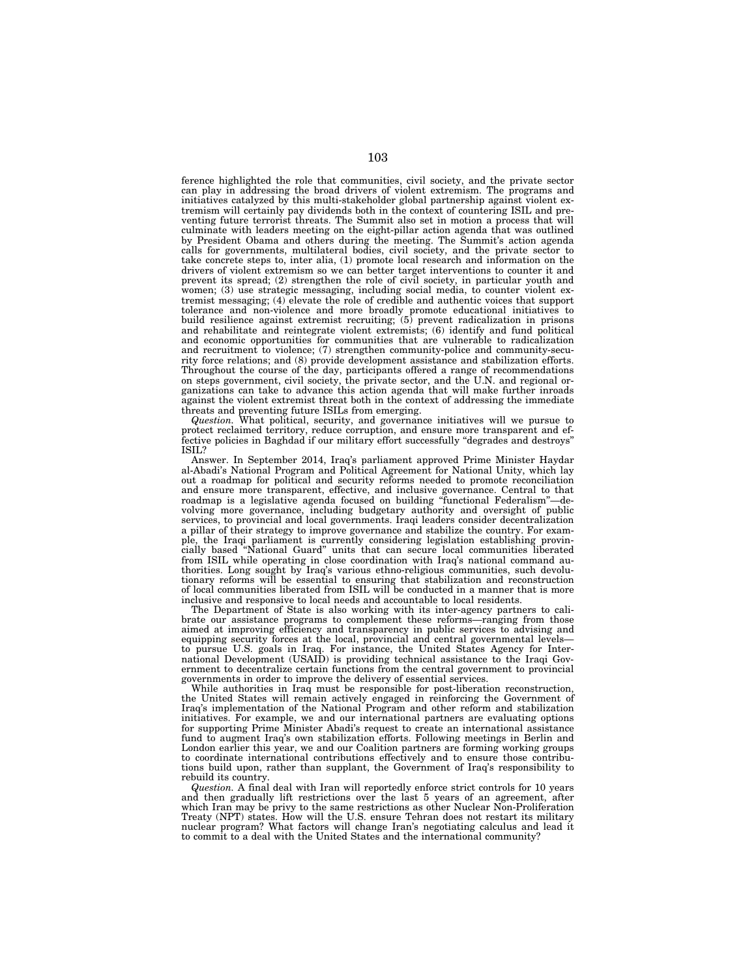ference highlighted the role that communities, civil society, and the private sector can play in addressing the broad drivers of violent extremism. The programs and initiatives catalyzed by this multi-stakeholder global partnership against violent extremism will certainly pay dividends both in the context of countering ISIL and preventing future terrorist threats. The Summit also set in motion a process that will culminate with leaders meeting on the eight-pillar action agenda that was outlined by President Obama and others during the meeting. The Summit's action agenda calls for governments, multilateral bodies, civil society, and the private sector to take concrete steps to, inter alia, (1) promote local research and information on the drivers of violent extremism so we can better target interventions to counter it and prevent its spread; (2) strengthen the role of civil society, in particular youth and women; (3) use strategic messaging, including social media, to counter violent extremist messaging; (4) elevate the role of credible and authentic voices that support tolerance and non-violence and more broadly promote educational initiatives to build resilience against extremist recruiting; (5) prevent radicalization in prisons and rehabilitate and reintegrate violent extremists; (6) identify and fund political and economic opportunities for communities that are vulnerable to radicalization and recruitment to violence; (7) strengthen community-police and community-security force relations; and (8) provide development assistance and stabilization efforts. Throughout the course of the day, participants offered a range of recommendations on steps government, civil society, the private sector, and the U.N. and regional organizations can take to advance this action agenda that will make further inroads against the violent extremist threat both in the context of addressing the immediate threats and preventing future ISILs from emerging.

*Question.* What political, security, and governance initiatives will we pursue to protect reclaimed territory, reduce corruption, and ensure more transparent and effective policies in Baghdad if our military effort successfully ''degrades and destroys'' ISIL?

Answer. In September 2014, Iraq's parliament approved Prime Minister Haydar al-Abadi's National Program and Political Agreement for National Unity, which lay out a roadmap for political and security reforms needed to promote reconciliation and ensure more transparent, effective, and inclusive governance. Central to that roadmap is a legislative agenda focused on building ''functional Federalism''—devolving more governance, including budgetary authority and oversight of public services, to provincial and local governments. Iraqi leaders consider decentralization a pillar of their strategy to improve governance and stabilize the country. For example, the Iraqi parliament is currently considering legislation establishing provincially based ''National Guard'' units that can secure local communities liberated from ISIL while operating in close coordination with Iraq's national command authorities. Long sought by Iraq's various ethno-religious communities, such devolutionary reforms will be essential to ensuring that stabilization and reconstruction of local communities liberated from ISIL will be conducted in a manner that is more inclusive and responsive to local needs and accountable to local residents.

The Department of State is also working with its inter-agency partners to calibrate our assistance programs to complement these reforms—ranging from those aimed at improving efficiency and transparency in public services to advising and equipping security forces at the local, provincial and central governmental levels to pursue U.S. goals in Iraq. For instance, the United States Agency for International Development (USAID) is providing technical assistance to the Iraqi Government to decentralize certain functions from the central government to provincial governments in order to improve the delivery of essential services.

While authorities in Iraq must be responsible for post-liberation reconstruction, the United States will remain actively engaged in reinforcing the Government of Iraq's implementation of the National Program and other reform and stabilization initiatives. For example, we and our international partners are evaluating options for supporting Prime Minister Abadi's request to create an international assistance fund to augment Iraq's own stabilization efforts. Following meetings in Berlin and London earlier this year, we and our Coalition partners are forming working groups to coordinate international contributions effectively and to ensure those contributions build upon, rather than supplant, the Government of Iraq's responsibility to rebuild its country.

*Question.* A final deal with Iran will reportedly enforce strict controls for 10 years and then gradually lift restrictions over the last 5 years of an agreement, after which Iran may be privy to the same restrictions as other Nuclear Non-Proliferation Treaty (NPT) states. How will the U.S. ensure Tehran does not restart its military nuclear program? What factors will change Iran's negotiating calculus and lead it to commit to a deal with the United States and the international community?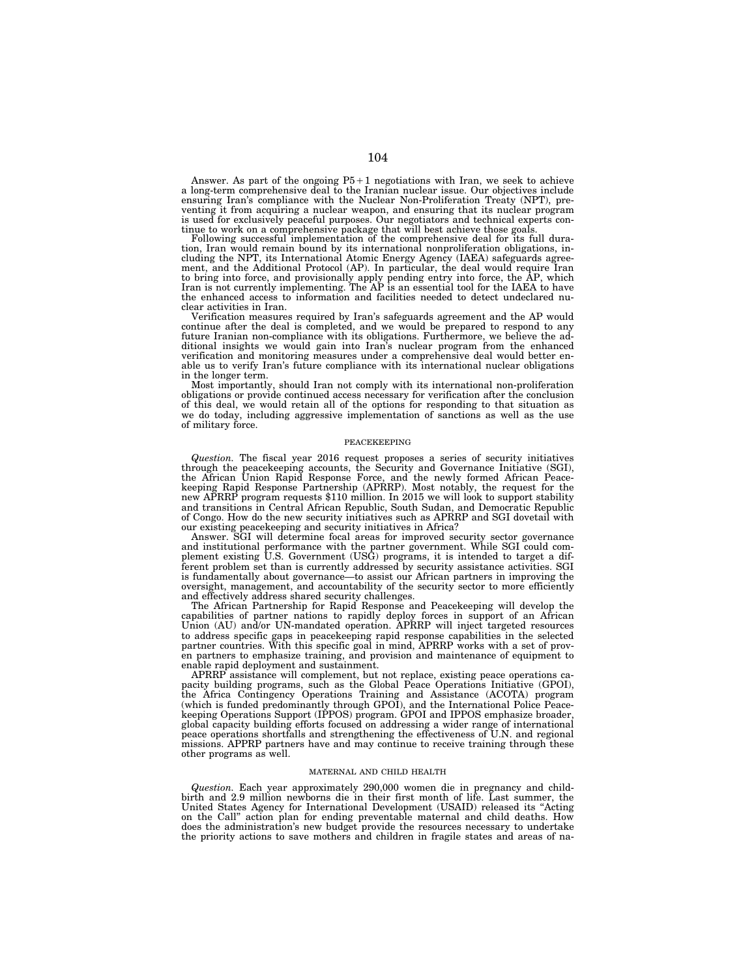Answer. As part of the ongoing P5+1 negotiations with Iran, we seek to achieve a long-term comprehensive deal to the Iranian nuclear issue. Our objectives include ensuring Iran's compliance with the Nuclear Non-Proliferation Treaty (NPT), preventing it from acquiring a nuclear weapon, and ensuring that its nuclear program is used for exclusively peaceful purposes. Our negotiators and technical experts con-

tinue to work on a comprehensive package that will best achieve those goals. Following successful implementation of the comprehensive deal for its full duration, Iran would remain bound by its international nonproliferation obligations, in-<br>cluding the NPT, its International Atomic Energy Agency (IAEA) safeguards agree-<br>ment, and the Additional Protocol (AP). In particular, t to bring into force, and provisionally apply pending entry into force, the AP, which<br>Iran is not currently implementing. The AP is an essential tool for the IAEA to have<br>the enhanced access to information and facilities ne clear activities in Iran.

Verification measures required by Iran's safeguards agreement and the AP would continue after the deal is completed, and we would be prepared to respond to any future Iranian non-compliance with its obligations. Furthermore, we believe the additional insights we would gain into Iran's nuclear program from the enhanced verification and monitoring measures under a comprehensive deal would better enable us to verify Iran's future compliance with its international nuclear obligations in the longer term.

Most importantly, should Iran not comply with its international non-proliferation obligations or provide continued access necessary for verification after the conclusion of this deal, we would retain all of the options for responding to that situation as we do today, including aggressive implementation of sanctions as well as the use of military force.

### PEACEKEEPING

*Question.* The fiscal year 2016 request proposes a series of security initiatives through the peacekeeping accounts, the Security and Governance Initiative (SGI), the African Union Rapid Response Force, and the newly formed African Peacekeeping Rapid Response Partnership (APRRP). Most notably, the request for the new APRRP program requests \$110 million. In 2015 we will look to support stability and transitions in Central African Republic, South Sudan, and Democratic Republic of Congo. How do the new security initiatives such as APRRP and SGI dovetail with our existing peacekeeping and security initiatives in Africa?

Answer. SGI will determine focal areas for improved security sector governance and institutional performance with the partner government. While SGI could complement existing U.S. Government (USG) programs, it is intended to target a different problem set than is currently addressed by security assistance activities. SGI is fundamentally about governance—to assist our African partners in improving the oversight, management, and accountability of the security sector to more efficiently and effectively address shared security challenges.

The African Partnership for Rapid Response and Peacekeeping will develop the capabilities of partner nations to rapidly deploy forces in support of an African Union (AU) and/or UN-mandated operation. APRRP will inject targeted resources to address specific gaps in peacekeeping rapid response capabilities in the selected partner countries. With this specific goal in mind, APRRP works with a set of proven partners to emphasize training, and provision and maintenance of equipment to enable rapid deployment and sustainment.

APRRP assistance will complement, but not replace, existing peace operations capacity building programs, such as the Global Peace Operations Initiative (GPOI), the Africa Contingency Operations Training and Assistance (ACOTA) program (which is funded predominantly through GPOI), and the International Police Peacekeeping Operations Support (IPPOS) program. GPOI and IPPOS emphasize broader, global capacity building efforts focused on addressing a wider range of international peace operations shortfalls and strengthening the effectiveness of U.N. and regional missions. APPRP partners have and may continue to receive training through these other programs as well.

# MATERNAL AND CHILD HEALTH

*Question.* Each year approximately 290,000 women die in pregnancy and childbirth and 2.9 million newborns die in their first month of life. Last summer, the United States Agency for International Development (USAID) released its ''Acting on the Call'' action plan for ending preventable maternal and child deaths. How does the administration's new budget provide the resources necessary to undertake the priority actions to save mothers and children in fragile states and areas of na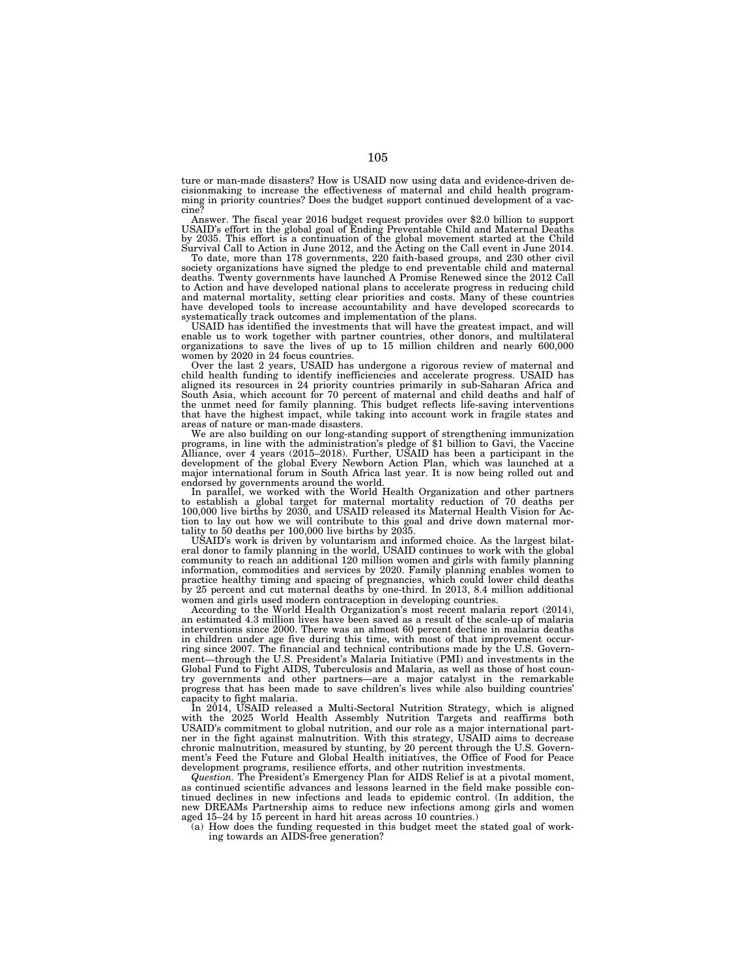ture or man-made disasters? How is USAID now using data and evidence-driven decisionmaking to increase the effectiveness of maternal and child health programming in priority countries? Does the budget support continued development of a vac-<br>cine?

cine?<br>Chaster The fiscal year 2016 budget request provides over \$2.0 billion to support<br>USAID's effort in the global goal of Ending Preventable Child and Maternal Deaths<br>by 2035. This effort is a continuation of the global

To date, more than 178 governments, 220 faith-based groups, and 230 other civil society organizations have signed the pledge to end preventable child and maternal deaths. Twenty governments have launched A Promise Renewed since the 2012 Call to Action and have developed national plans to accelerate progress in reducing child and maternal mortality, setting clear priorities and costs. Many of these countries have developed tools to increase accountability and have developed scorecards to systematically track outcomes and implementation of the plans.

USAID has identified the investments that will have the greatest impact, and will enable us to work together with partner countries, other donors, and multilateral organizations to save the lives of up to 15 million children and nearly 600,000 women by 2020 in 24 focus countries.

Over the last 2 years, USAID has undergone a rigorous review of maternal and child health funding to identify inefficiencies and accelerate progress. USAID has aligned its resources in 24 priority countries primarily in sub-Saharan Africa and South Asia, which account for 70 percent of maternal and child deaths and half of the unmet need for family planning. This budget reflects life-saving interventions that have the highest impact, while taking into account work in fragile states and areas of nature or man-made disasters.

We are also building on our long-standing support of strengthening immunization<br>programs, in line with the administration's pledge of \$1 billion to Gavi, the Vaccine<br>Alliance, over 4 years (2015–2018). Further, USAID has b endorsed by governments around the world.

In parallel, we worked with the World Health Organization and other partners to establish a global target for maternal mortality reduction of 70 deaths per 100,000 live births by 2030, and USAID released its Maternal Health Vision for Action to lay out how we will contribute to this goal and drive down maternal mortality to 50 deaths per 100,000 live births by 2035.

USAID's work is driven by voluntarism and informed choice. As the largest bilateral donor to family planning in the world, USAID continues to work with the global community to reach an additional 120 million women and girl information, commodities and services by 2020. Family planning enables women to practice healthy timing and spacing of pregnancies, which could lower child deaths by 25 percent and cut maternal deaths by one-third. In 2013, 8.4 million additional women and girls used modern contraception in developing countries.

According to the World Health Organization's most recent malaria report (2014), an estimated 4.3 million lives have been saved as a result of the scale-up of malaria interventions since 2000. There was an almost 60 percent decline in malaria deaths in children under age five during this time, with most of that improvement occurring since 2007. The financial and technical contributions made by the U.S. Government—through the U.S. President's Malaria Initiative (PMI) and investments in the Global Fund to Fight AIDS, Tuberculosis and Malaria, as well as those of host country governments and other partners—are a major catalyst in the remarkable progress that has been made to save children's lives while also building countries' capacity to fight malaria.

In 2014, USAID released a Multi-Sectoral Nutrition Strategy, which is aligned with the 2025 World Health Assembly Nutrition Targets and reaffirms both USAID's commitment to global nutrition, and our role as a major international partner in the fight against malnutrition. With this strategy, USAID aims to decrease chronic malnutrition, measured by stunting, by 20 percent through the U.S. Government's Feed the Future and Global Health initiatives, the Office of Food for Peace development programs, resilience efforts, and other nutrition investments.

*Question.* The President's Emergency Plan for AIDS Relief is at a pivotal moment, as continued scientific advances and lessons learned in the field make possible continued declines in new infections and leads to epidemic control. (In addition, the new DREAMs Partnership aims to reduce new infections among girls and women aged 15–24 by 15 percent in hard hit areas across 10 countries.)

(a) How does the funding requested in this budget meet the stated goal of working towards an AIDS-free generation?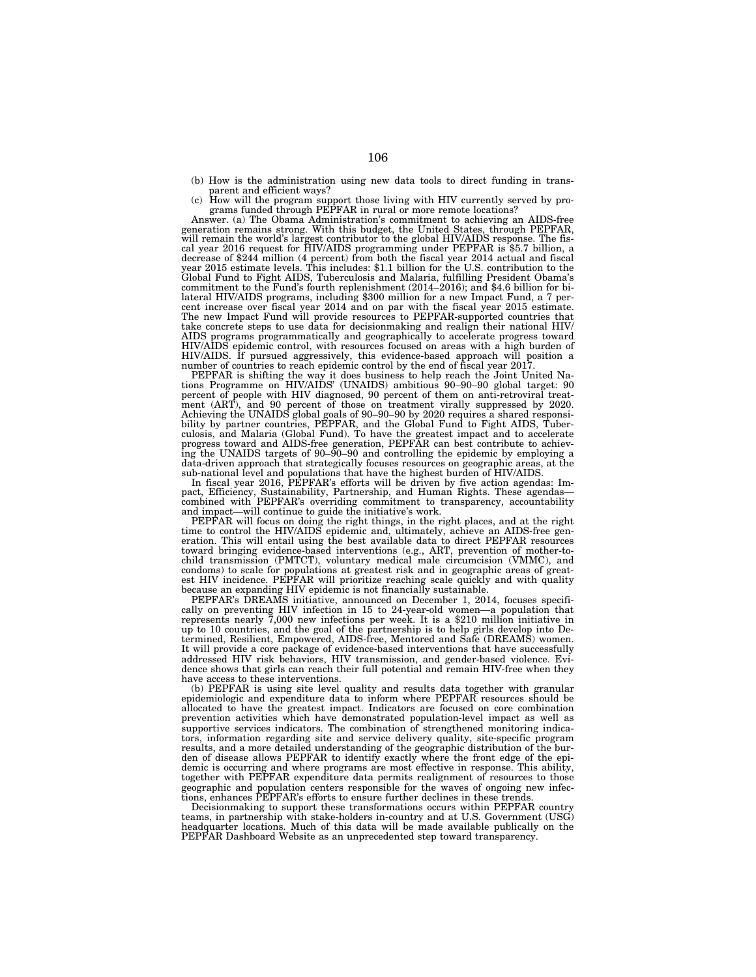- (b) How is the administration using new data tools to direct funding in trans-
- parent and efficient ways? (c) How will the program support those living with HIV currently served by pro-grams funded through PEPFAR in rural or more remote locations?

Answer. (a) The Obama Administration's commitment to achieving an AIDS-free generation remains strong. With this budget, the United States, through PEPFAR, will remain the world's largest contributor to the global HIV/AIDS response. The fiscal year 2016 request for HIV/AIDS programming under PEPFA commitment to the Fund's fourth replenishment (2014–2016); and \$4.6 billion for bi-lateral HIV/AIDS programs, including \$300 million for a new Impact Fund, a 7 percent increase over fiscal year 2014 and on par with the fiscal year 2015 estimate. The new Impact Fund will provide resources to PEPFAR-supported countries that take concrete steps to use data for decisionmaking and realign their national HIV/ AIDS programs programmatically and geographically to accelerate progress toward HIV/AIDS epidemic control, with resources focused on areas with a high burden of HIV/AIDS. If pursued aggressively, this evidence-based approach will position a

number of countries to reach epidemic control by the end of fiscal year 2017. PEPFAR is shifting the way it does business to help reach the Joint United Nations Programme on HIV/AIDS' (UNAIDS) ambitious 90–90–90 global target: 90<br>percent of people with HIV diagnosed, 90 percent of them on anti-retroviral treat-<br>ment (ART), and 90 percent of those on treatment virally suppres bility by partner countries, PEPFAR, and the Global Fund to Fight AIDS, Tuber-<br>culosis, and Malaria (Global Fund). To have the greatest impact and to accelerate<br>progress toward and AIDS-free generation, PEPFAR can best con

data-driven approach that strategically focuses resources on geographic areas, at the sub-national level and populations that have the highest burden of HIV/AIDS.<br>In fiscal year 2016, PEPFAR's efforts will be driven by fiv

PEPFAR will focus on doing the right things, in the right places, and at the right<br>time to control the HIV/AIDS epidemic and, ultimately, achieve an AIDS-free gen-<br>eration. This will entail using the best available data to toward bringing evidence-based interventions (e.g., ART, prevention of mother-to-child transmission (PMTCT), voluntary medical male circumcision (VMMC), and condoms) to scale for populations at greatest risk and in geographic areas of greatest HIV incidence. PEPFAR will prioritize reaching scale quickly and with quality because an expanding HIV epidemic is not financially sustainable.

PEPFAR's DREAMS initiative, announced on December 1, 2014, focuses specifically on preventing HIV infection in 15 to 24-year-old women—a population that represents nearly 7,000 new infections per week. It is a \$210 million initiative in up to 10 countries, and the goal of the partnership is to help girls develop into Determined, Resilient, Empowered, AIDS-free, Mentored and Safe (DREAMS) women. It will provide a core package of evidence-based interventions that have successfully addressed HIV risk behaviors, HIV transmission, and gender-based violence. Evidence shows that girls can reach their full potential and remain HIV-free when they have access to these interventions.

(b) PEPFAR is using site level quality and results data together with granular epidemiologic and expenditure data to inform where PEPFAR resources should be allocated to have the greatest impact. Indicators are focused on core combination prevention activities which have demonstrated population-level impact as well as supportive services indicators. The combination of strengthened monitoring indicators, information regarding site and service delivery quality, site-specific program results, and a more detailed understanding of the geographic distribution of the burden of disease allows PEPFAR to identify exactly where the front edge of the epidemic is occurring and where programs are most effective in response. This ability, together with PEPFAR expenditure data permits realignment of resources to those geographic and population centers responsible for the waves of ongoing new infections, enhances PEPFAR's efforts to ensure further declines in these trends.

Decisionmaking to support these transformations occurs within PEPFAR country teams, in partnership with stake-holders in-country and at U.S. Government (USG) headquarter locations. Much of this data will be made available publically on the PEPFAR Dashboard Website as an unprecedented step toward transparency.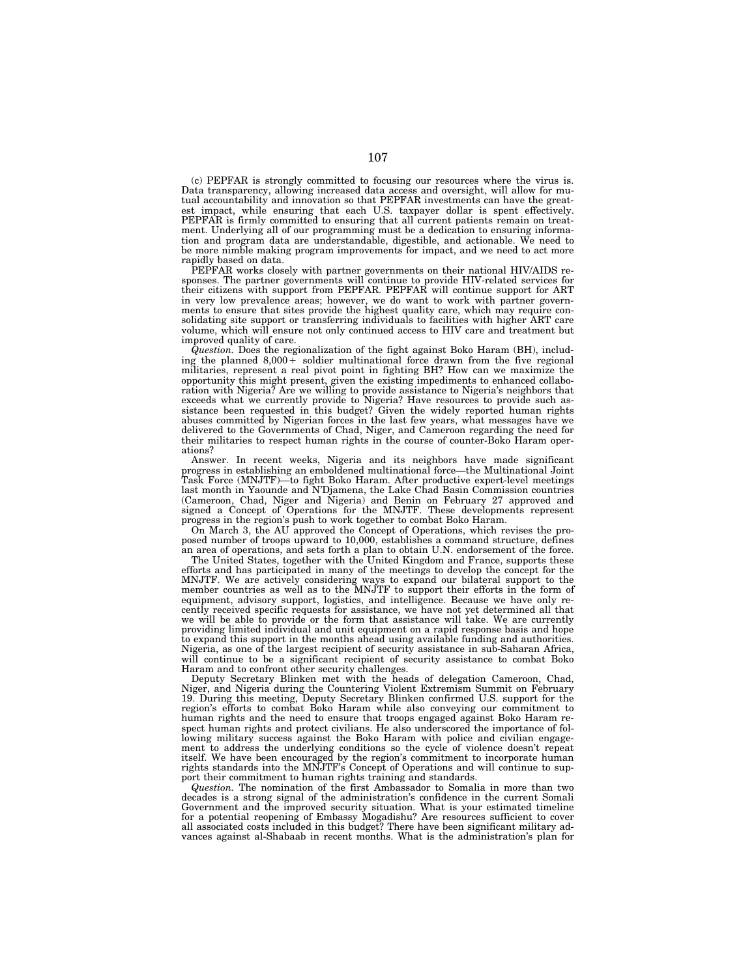(c) PEPFAR is strongly committed to focusing our resources where the virus is. Data transparency, allowing increased data access and oversight, will allow for mutual accountability and innovation so that PEPFAR investments can have the greatest impact, while ensuring that each U.S. taxpayer dollar is spent effectively. PEPFAR is firmly committed to ensuring that all current patients remain on treatment. Underlying all of our programming must be a dedication to ensuring information and program data are understandable, digestible, and actionable. We need to be more nimble making program improvements for impact, and we need to act more rapidly based on data.

PEPFAR works closely with partner governments on their national HIV/AIDS responses. The partner governments will continue to provide HIV-related services for their citizens with support from PEPFAR. PEPFAR will continue support for ART in very low prevalence areas; however, we do want to work with partner governments to ensure that sites provide the highest quality care, which may require consolidating site support or transferring individuals to facilities with higher ART care volume, which will ensure not only continued access to HIV care and treatment but improved quality of care.

*Question.* Does the regionalization of the fight against Boko Haram (BH), including the planned 8,000∂ soldier multinational force drawn from the five regional militaries, represent a real pivot point in fighting BH? How can we maximize the opportunity this might present, given the existing impediments to enhanced collaboration with Nigeria? Are we willing to provide assistance to Nigeria's neighbors that exceeds what we currently provide to Nigeria? Have resources to provide such assistance been requested in this budget? Given the widely reported human rights abuses committed by Nigerian forces in the last few years, what messages have we delivered to the Governments of Chad, Niger, and Cameroon regarding the need for their militaries to respect human rights in the course of counter-Boko Haram operations?

Answer. In recent weeks, Nigeria and its neighbors have made significant progress in establishing an emboldened multinational force—the Multinational Joint Task Force (MNJTF)—to fight Boko Haram. After productive expert-level meetings last month in Yaounde and N'Djamena, the Lake Chad Basin Commission countries (Cameroon, Chad, Niger and Nigeria) and Benin on February 27 approved and signed a Concept of Operations for the MNJTF. These developments represent progress in the region's push to work together to combat Boko Haram.

On March 3, the AU approved the Concept of Operations, which revises the proposed number of troops upward to 10,000, establishes a command structure, defines an area of operations, and sets forth a plan to obtain U.N. endorsement of the force.

The United States, together with the United Kingdom and France, supports these efforts and has participated in many of the meetings to develop the concept for the MNJTF. We are actively considering ways to expand our bilateral support to the member countries as well as to the MNJTF to support their efforts in the form of equipment, advisory support, logistics, and intelligence. Because we have only recently received specific requests for assistance, we have not yet determined all that we will be able to provide or the form that assistance will take. We are currently providing limited individual and unit equipment on a rapid response basis and hope to expand this support in the months ahead using available funding and authorities. Nigeria, as one of the largest recipient of security assistance in sub-Saharan Africa, will continue to be a significant recipient of security assistance to combat Boko Haram and to confront other security challenges.

Deputy Secretary Blinken met with the heads of delegation Cameroon, Chad, Niger, and Nigeria during the Countering Violent Extremism Summit on February 19. During this meeting, Deputy Secretary Blinken confirmed U.S. support for the region's efforts to combat Boko Haram while also conveying our commitment to human rights and the need to ensure that troops engaged against Boko Haram respect human rights and protect civilians. He also underscored the importance of following military success against the Boko Haram with police and civilian engagement to address the underlying conditions so the cycle of violence doesn't repeat itself. We have been encouraged by the region's commitment to incorporate human rights standards into the MNJTF's Concept of Operations and will continue to support their commitment to human rights training and standards.

*Question.* The nomination of the first Ambassador to Somalia in more than two decades is a strong signal of the administration's confidence in the current Somali Government and the improved security situation. What is your estimated timeline for a potential reopening of Embassy Mogadishu? Are resources sufficient to cover all associated costs included in this budget? There have been significant military advances against al-Shabaab in recent months. What is the administration's plan for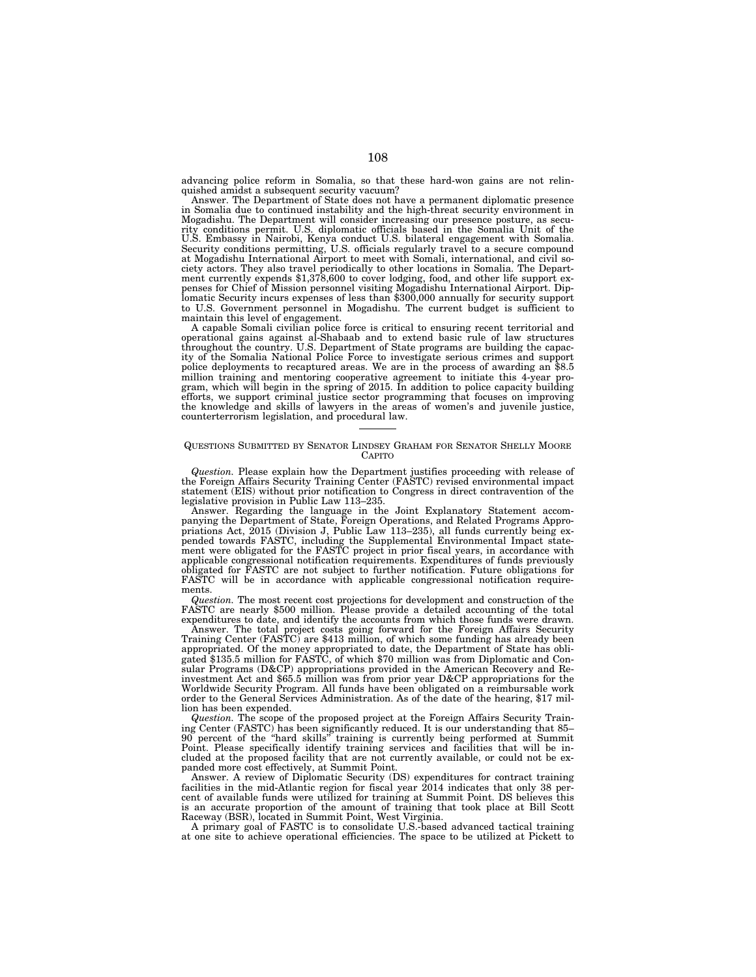advancing police reform in Somalia, so that these hard-won gains are not relinquished amidst a subsequent security vacuum?

Answer. The Department of State does not have a permanent diplomatic presence in Somalia due to continued instability and the high-threat security environment in Mogadishu. The Department will consider increasing our presence posture, as security conditions permit. U.S. diplomatic officials based in the Somalia Unit of the U.S. Embassy in Nairobi, Kenya conduct U.S. bilateral engagement with Somalia. Security conditions permitting, U.S. officials regularly travel to a secure compound at Mogadishu International Airport to meet with Somali, international, and civil society actors. They also travel periodically to other locations in Somalia. The Department currently expends \$1,378,600 to cover lodging, food, and other life support expenses for Chief of Mission personnel visiting Mogadishu International Airport. Diplomatic Security incurs expenses of less than \$300,000 annually for security support to U.S. Government personnel in Mogadishu. The current budget is sufficient to maintain this level of engagement.

A capable Somali civilian police force is critical to ensuring recent territorial and operational gains against al-Shabaab and to extend basic rule of law structures throughout the country. U.S. Department of State programs are building the capacity of the Somalia National Police Force to investigate serious crimes and support police deployments to recaptured areas. We are in the process of awarding an \$8.5 million training and mentoring cooperative agreement to initiate this 4-year program, which will begin in the spring of 2015. In addition to police capacity building efforts, we support criminal justice sector programming that focuses on improving the knowledge and skills of lawyers in the areas of women's and juvenile justice, counterterrorism legislation, and procedural law.

# QUESTIONS SUBMITTED BY SENATOR LINDSEY GRAHAM FOR SENATOR SHELLY MOORE CAPITO

*Question.* Please explain how the Department justifies proceeding with release of the Foreign Affairs Security Training Center (FASTC) revised environmental impact statement (EIS) without prior notification to Congress in direct contravention of the legislative provision in Public Law 113–235.

Answer. Regarding the language in the Joint Explanatory Statement accompanying the Department of State, Foreign Operations, and Related Programs Appropriations Act, 2015 (Division J, Public Law 113–235), all funds currently being expended towards FASTC, including the Supplemental Environmental Impact statement were obligated for the FASTC project in prior fiscal years, in accordance with applicable congressional notification requirements. Expenditures of funds previously obligated for FASTC are not subject to further notification. Future obligations for FASTC will be in accordance with applicable congressional notification requirements.

*Question.* The most recent cost projections for development and construction of the FASTC are nearly \$500 million. Please provide a detailed accounting of the total expenditures to date, and identify the accounts from which those funds were drawn.

Answer. The total project costs going forward for the Foreign Affairs Security Training Center (FASTC) are \$413 million, of which some funding has already been appropriated. Of the money appropriated to date, the Department of State has obligated \$135.5 million for FASTC, of which \$70 million was from Diplomatic and Consular Programs (D&CP) appropriations provided in the American Recovery and Reinvestment Act and \$65.5 million was from prior year D&CP appropriations for the Worldwide Security Program. All funds have been obligated on a reimbursable work order to the General Services Administration. As of the date of the hearing, \$17 million has been expended.

*Question.* The scope of the proposed project at the Foreign Affairs Security Training Center (FASTC) has been significantly reduced. It is our understanding that 85– 90 percent of the ''hard skills'' training is currently being performed at Summit Point. Please specifically identify training services and facilities that will be included at the proposed facility that are not currently available, or could not be expanded more cost effectively, at Summit Point.

Answer. A review of Diplomatic Security (DS) expenditures for contract training facilities in the mid-Atlantic region for fiscal year 2014 indicates that only 38 percent of available funds were utilized for training at Summit Point. DS believes this is an accurate proportion of the amount of training that took place at Bill Scott

Raceway (BSR), located in Summit Point, West Virginia. A primary goal of FASTC is to consolidate U.S.-based advanced tactical training at one site to achieve operational efficiencies. The space to be utilized at Pickett to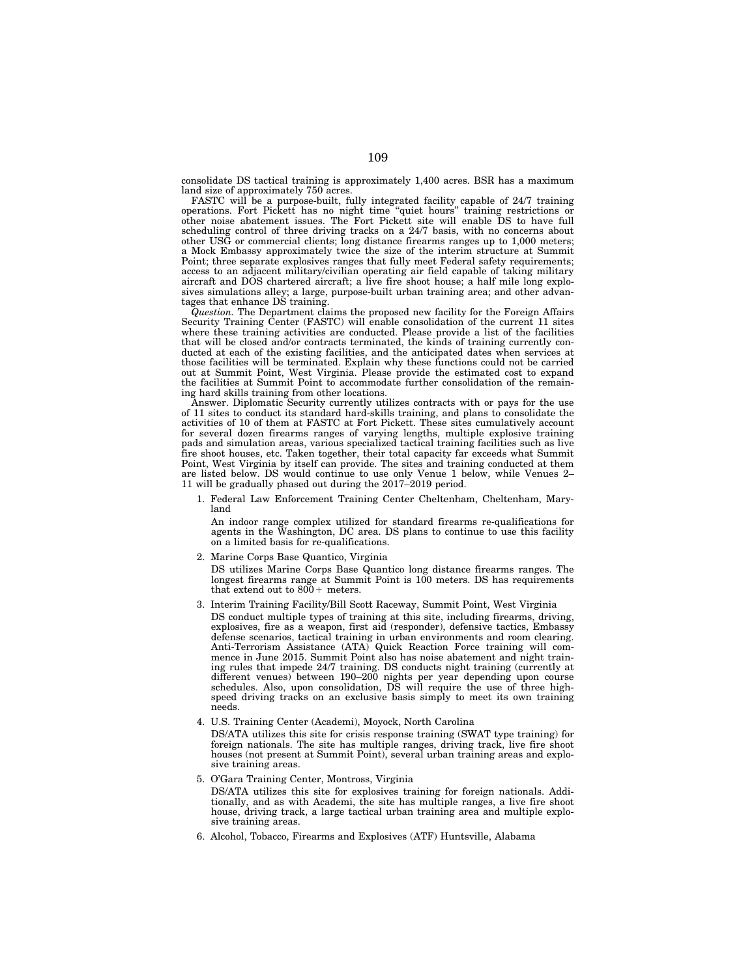consolidate DS tactical training is approximately 1,400 acres. BSR has a maximum land size of approximately 750 acres.

FASTC will be a purpose-built, fully integrated facility capable of 24/7 training operations. Fort Pickett has no night time ''quiet hours'' training restrictions or other noise abatement issues. The Fort Pickett site will enable DS to have full scheduling control of three driving tracks on a 24/7 basis, with no concerns about other USG or commercial clients; long distance firearms ranges up to 1,000 meters; a Mock Embassy approximately twice the size of the interim structure at Summit Point; three separate explosives ranges that fully meet Federal safety requirements; access to an adjacent military/civilian operating air field capable of taking military aircraft and DOS chartered aircraft; a live fire shoot house; a half mile long explosives simulations alley; a large, purpose-built urban training area; and other advantages that enhance DS training.

*Question.* The Department claims the proposed new facility for the Foreign Affairs Security Training Center (FASTC) will enable consolidation of the current 11 sites where these training activities are conducted. Please provide a list of the facilities that will be closed and/or contracts terminated, the kinds of training currently conducted at each of the existing facilities, and the anticipated dates when services at those facilities will be terminated. Explain why these functions could not be carried out at Summit Point, West Virginia. Please provide the estimated cost to expand the facilities at Summit Point to accommodate further consolidation of the remaining hard skills training from other locations.

Answer. Diplomatic Security currently utilizes contracts with or pays for the use of 11 sites to conduct its standard hard-skills training, and plans to consolidate the activities of 10 of them at FASTC at Fort Pickett. These sites cumulatively account for several dozen firearms ranges of varying lengths, multiple explosive training pads and simulation areas, various specialized tactical training facilities such as live fire shoot houses, etc. Taken together, their total capacity far exceeds what Summit Point, West Virginia by itself can provide. The sites and training conducted at them are listed below. DS would continue to use only Venue 1 below, while Venues 2– 11 will be gradually phased out during the 2017–2019 period.

1. Federal Law Enforcement Training Center Cheltenham, Cheltenham, Maryland

An indoor range complex utilized for standard firearms re-qualifications for agents in the Washington, DC area. DS plans to continue to use this facility on a limited basis for re-qualifications.

2. Marine Corps Base Quantico, Virginia

DS utilizes Marine Corps Base Quantico long distance firearms ranges. The longest firearms range at Summit Point is 100 meters. DS has requirements that extend out to 800∂ meters.

- 3. Interim Training Facility/Bill Scott Raceway, Summit Point, West Virginia DS conduct multiple types of training at this site, including firearms, driving, explosives, fire as a weapon, first aid (responder), defensive tactics, Embassy defense scenarios, tactical training in urban environments and room clearing. Anti-Terrorism Assistance (ATA) Quick Reaction Force training will commence in June 2015. Summit Point also has noise abatement and night training rules that impede 24/7 training. DS conducts night training (currently at different venues) between 190–200 nights per year depending upon course schedules. Also, upon consolidation, DS will require the use of three highspeed driving tracks on an exclusive basis simply to meet its own training needs.
- 4. U.S. Training Center (Academi), Moyock, North Carolina DS/ATA utilizes this site for crisis response training (SWAT type training) for foreign nationals. The site has multiple ranges, driving track, live fire shoot houses (not present at Summit Point), several urban training areas and explosive training areas.
- 5. O'Gara Training Center, Montross, Virginia DS/ATA utilizes this site for explosives training for foreign nationals. Additionally, and as with Academi, the site has multiple ranges, a live fire shoot house, driving track, a large tactical urban training area and multiple explosive training areas.
- 6. Alcohol, Tobacco, Firearms and Explosives (ATF) Huntsville, Alabama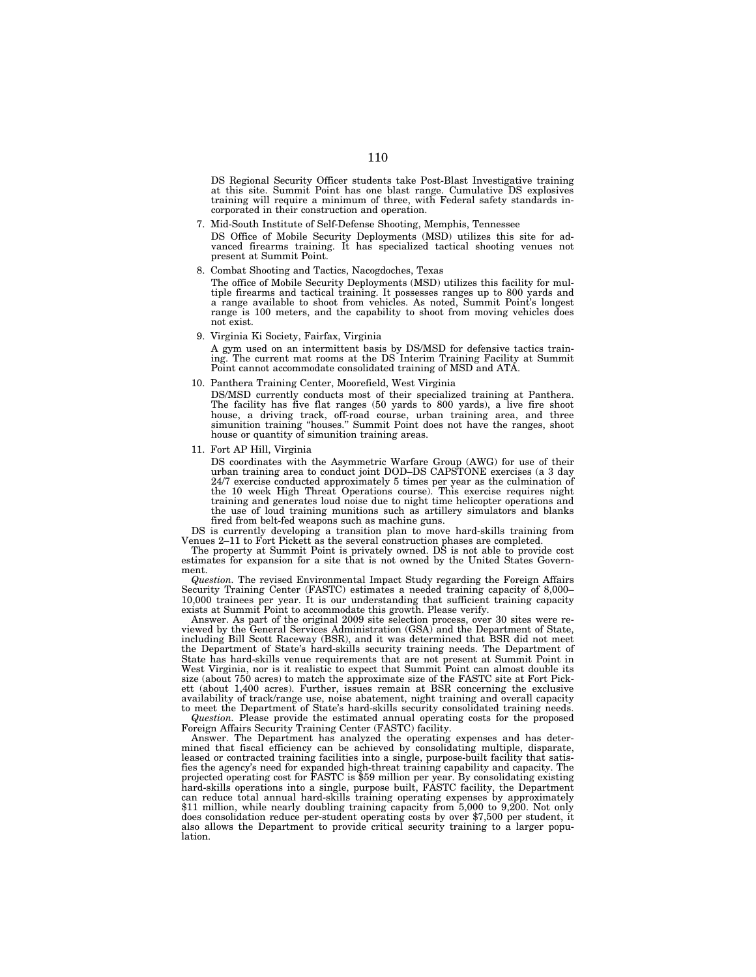DS Regional Security Officer students take Post-Blast Investigative training at this site. Summit Point has one blast range. Cumulative DS explosives training will require a minimum of three, with Federal safety standards incorporated in their construction and operation.

7. Mid-South Institute of Self-Defense Shooting, Memphis, Tennessee

DS Office of Mobile Security Deployments (MSD) utilizes this site for advanced firearms training. It has specialized tactical shooting venues not present at Summit Point.

8. Combat Shooting and Tactics, Nacogdoches, Texas

The office of Mobile Security Deployments (MSD) utilizes this facility for multiple firearms and tactical training. It possesses ranges up to 800 yards and a range available to shoot from vehicles. As noted, Summit Point's longest range is 100 meters, and the capability to shoot from moving vehicles does not exist.

9. Virginia Ki Society, Fairfax, Virginia

A gym used on an intermittent basis by DS/MSD for defensive tactics train-ing. The current mat rooms at the DS Interim Training Facility at Summit Point cannot accommodate consolidated training of MSD and ATA.

10. Panthera Training Center, Moorefield, West Virginia

DS/MSD currently conducts most of their specialized training at Panthera. The facility has five flat ranges (50 yards to 800 yards), a live fire shoot house, a driving track, off-road course, urban training area, and three simunition training ''houses.'' Summit Point does not have the ranges, shoot house or quantity of simunition training areas.

11. Fort AP Hill, Virginia

DS coordinates with the Asymmetric Warfare Group (AWG) for use of their urban training area to conduct joint DOD–DS CAPSTONE exercises (a 3 day 24/7 exercise conducted approximately 5 times per year as the culmination of the 10 week High Threat Operations course). This exercise requires night training and generates loud noise due to night time helicopter operations and the use of loud training munitions such as artillery simulators and blanks fired from belt-fed weapons such as machine guns.

DS is currently developing a transition plan to move hard-skills training from Venues 2–11 to Fort Pickett as the several construction phases are completed.

The property at Summit Point is privately owned. DS is not able to provide cost estimates for expansion for a site that is not owned by the United States Government.

*Question.* The revised Environmental Impact Study regarding the Foreign Affairs Security Training Center (FASTC) estimates a needed training capacity of 8,000– 10,000 trainees per year. It is our understanding that sufficient training capacity exists at Summit Point to accommodate this growth. Please verify.

Answer. As part of the original 2009 site selection process, over 30 sites were reviewed by the General Services Administration (GSA) and the Department of State, including Bill Scott Raceway (BSR), and it was determined that BSR did not meet the Department of State's hard-skills security training needs. The Department of State has hard-skills venue requirements that are not present at Summit Point in West Virginia, nor is it realistic to expect that Summit Point can almost double its size (about 750 acres) to match the approximate size of the FASTC site at Fort Pickett (about 1,400 acres). Further, issues remain at BSR concerning the exclusive availability of track/range use, noise abatement, night training and overall capacity to meet the Department of State's hard-skills security consolidated training needs.

*Question.* Please provide the estimated annual operating costs for the proposed Foreign Affairs Security Training Center (FASTC) facility.

Answer. The Department has analyzed the operating expenses and has determined that fiscal efficiency can be achieved by consolidating multiple, disparate, leased or contracted training facilities into a single, purpose-built facility that satisfies the agency's need for expanded high-threat training capability and capacity. The projected operating cost for FASTC is \$59 million per year. By consolidating existing hard-skills operations into a single, purpose built, FASTC facility, the Department can reduce total annual hard-skills training operating expenses by approximately \$11 million, while nearly doubling training capacity from 5,000 to 9,200. Not only does consolidation reduce per-student operating costs by over \$7,500 per student, it also allows the Department to provide critical security training to a larger population.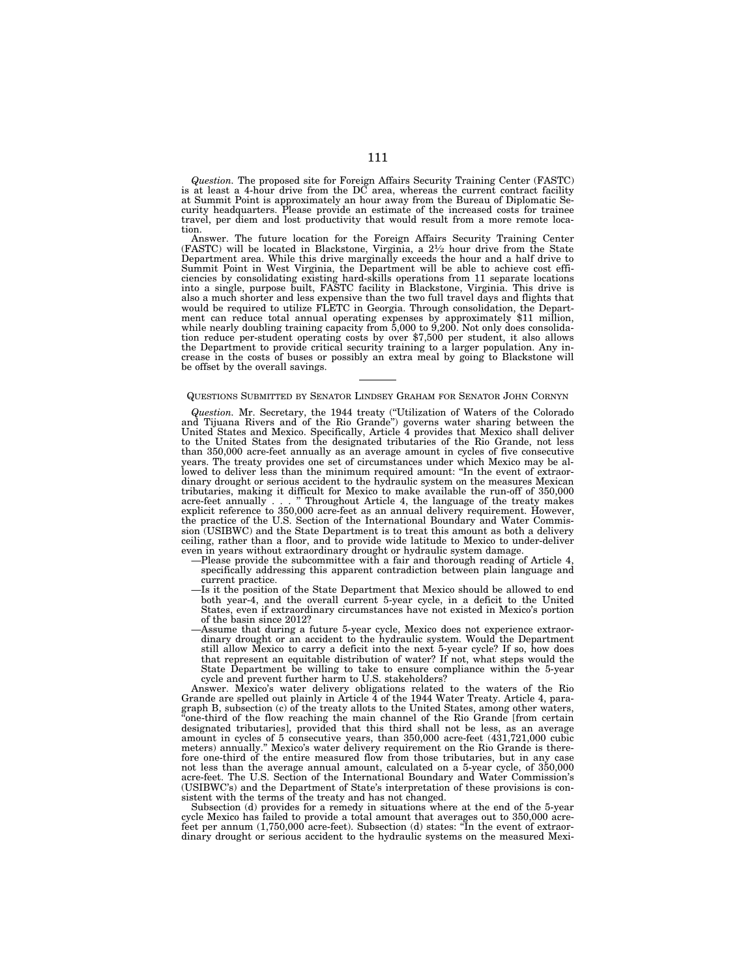*Question.* The proposed site for Foreign Affairs Security Training Center (FASTC) is at least a 4-hour drive from the DC area, whereas the current contract facility at Summit Point is approximately an hour away from the Bureau of Diplomatic Se-curity headquarters. Please provide an estimate of the increased costs for trainee travel, per diem and lost productivity that would result from a more remote location.

Answer. The future location for the Foreign Affairs Security Training Center (FASTC) will be located in Blackstone, Virginia, a 21⁄2 hour drive from the State Department area. While this drive marginally exceeds the hour and a half drive to Summit Point in West Virginia, the Department will be able to achieve cost efficiencies by consolidating existing hard-skills operations from 11 separate locations into a single, purpose built, FASTC facility in Blackstone, Virginia. This drive is also a much shorter and less expensive than the two full travel days and flights that would be required to utilize FLETC in Georgia. Through consolidation, the Department can reduce total annual operating expenses by approximately \$11 million, while nearly doubling training capacity from 5,000 to 9,200. Not only does consolidation reduce per-student operating costs by over \$7,500 per student, it also allows the Department to provide critical security training to a larger population. Any increase in the costs of buses or possibly an extra meal by going to Blackstone will be offset by the overall savings.

## QUESTIONS SUBMITTED BY SENATOR LINDSEY GRAHAM FOR SENATOR JOHN CORNYN

*Question.* Mr. Secretary, the 1944 treaty (''Utilization of Waters of the Colorado and Tijuana Rivers and of the Rio Grande'') governs water sharing between the United States and Mexico. Specifically, Article 4 provides that Mexico shall deliver to the United States from the designated tributaries of the Rio Grande, not less than 350,000 acre-feet annually as an average amount in cycles of five consecutive years. The treaty provides one set of circumstances under which Mexico may be allowed to deliver less than the minimum required amount: "In the event of extraordinary drought or serious accident to the hydraulic system on the measures Mexican tributaries, making it difficult for Mexico to make available the run-off of 350,000 acre-feet annually . . . '' Throughout Article 4, the language of the treaty makes explicit reference to 350,000 acre-feet as an annual delivery requirement. However, the practice of the U.S. Section of the International Boundary and Water Commission (USIBWC) and the State Department is to treat this amount as both a delivery ceiling, rather than a floor, and to provide wide latitude to Mexico to under-deliver even in years without extraordinary drought or hydraulic system damage.

- —Please provide the subcommittee with a fair and thorough reading of Article 4, specifically addressing this apparent contradiction between plain language and current practice.
- —Is it the position of the State Department that Mexico should be allowed to end both year-4, and the overall current 5-year cycle, in a deficit to the United States, even if extraordinary circumstances have not existed in Mexico's portion of the basin since 2012?
- —Assume that during a future 5-year cycle, Mexico does not experience extraordinary drought or an accident to the hydraulic system. Would the Department still allow Mexico to carry a deficit into the next 5-year cycle? If so, how does that represent an equitable distribution of water? If not, what steps would the State Department be willing to take to ensure compliance within the 5-year cycle and prevent further harm to U.S. stakeholders?

Answer. Mexico's water delivery obligations related to the waters of the Rio Grande are spelled out plainly in Article 4 of the 1944 Water Treaty. Article 4, paragraph B, subsection (c) of the treaty allots to the United States, among other waters, one-third of the flow reaching the main channel of the Rio Grande [from certain] designated tributaries], provided that this third shall not be less, as an average amount in cycles of 5 consecutive years, than 350,000 acre-feet (431,721,000 cubic meters) annually.'' Mexico's water delivery requirement on the Rio Grande is therefore one-third of the entire measured flow from those tributaries, but in any case not less than the average annual amount, calculated on a 5-year cycle, of 350,000 acre-feet. The U.S. Section of the International Boundary and Water Commission's (USIBWC's) and the Department of State's interpretation of these provisions is consistent with the terms of the treaty and has not changed.

Subsection (d) provides for a remedy in situations where at the end of the 5-year cycle Mexico has failed to provide a total amount that averages out to 350,000 acre-feet per annum (1,750,000 acre-feet). Subsection (d) states: ''In the event of extraordinary drought or serious accident to the hydraulic systems on the measured Mexi-